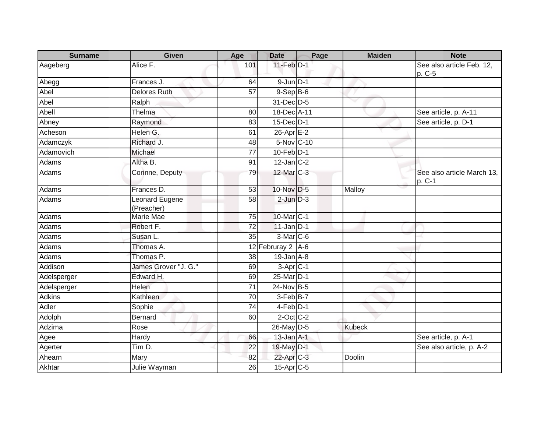| <b>Surname</b> | <b>Given</b>                           | Age             | <b>Date</b>       | Page | <b>Maiden</b> | <b>Note</b>                          |
|----------------|----------------------------------------|-----------------|-------------------|------|---------------|--------------------------------------|
| Aageberg       | Alice F.                               | 101             | 11-Feb D-1        |      |               | See also article Feb. 12,<br>p. C-5  |
| Abegg          | Frances J.                             | 64              | $9$ -Jun $D-1$    |      |               |                                      |
| Abel           | <b>Delores Ruth</b>                    | 57              | $9-$ Sep $B-6$    |      |               |                                      |
| Abel           | Ralph                                  |                 | 31-Dec D-5        |      | $\checkmark$  |                                      |
| Abell          | Thelma                                 | 80              | 18-Dec A-11       |      |               | See article, p. A-11                 |
| Abney          | Raymond                                | 83              | 15-Dec D-1        |      |               | See article, p. D-1                  |
| Acheson        | Helen G.                               | 61              | 26-Apr E-2        |      |               |                                      |
| Adamczyk       | Richard J.                             | 48              | 5-Nov C-10        |      |               |                                      |
| Adamovich      | Michael                                | 77              | 10-Feb D-1        |      |               |                                      |
| <b>Adams</b>   | Altha B.                               | 91              | $12$ -Jan $C-2$   |      |               |                                      |
| Adams          | Corinne, Deputy                        | 79              | 12-Mar C-3        |      |               | See also article March 13,<br>p. C-1 |
| Adams          | Frances D.                             | 53              | 10-Nov D-5        |      | Malloy        |                                      |
| Adams          | Leonard Eugene<br>(Preacher)           | 58              | $2$ -Jun $D-3$    |      |               |                                      |
| Adams          | <b>Marie Mae</b>                       | 75              | 10-Mar C-1        |      |               |                                      |
| Adams          | Robert F.                              | $\overline{72}$ | $11$ -Jan $D-1$   |      |               |                                      |
| Adams          | Susan L.                               | 35              | $3-Mar$ C-6       |      |               |                                      |
| Adams          | Thomas A.                              |                 | 12 Februray 2 A-6 |      |               |                                      |
| Adams          | Thomas P.                              | 38              | $19$ -Jan $A-8$   |      |               |                                      |
| Addison        | James Grover "J. G."                   | 69              | $3-Apr$ $C-1$     |      |               |                                      |
| Adelsperger    | Edward H.                              | 69              | 25-Mar D-1        |      |               |                                      |
| Adelsperger    | Helen                                  | $\overline{71}$ | 24-Nov B-5        |      |               |                                      |
| <b>Adkins</b>  | Kathleen                               | $\overline{70}$ | $3-Feb$ B-7       |      |               |                                      |
| Adler          | Sophie                                 | 74              | $4-Feb$ D-1       |      |               |                                      |
| Adolph         | <b>Bernard</b>                         | 60              | $2$ -Oct C-2      |      |               |                                      |
| Adzima         | Rose                                   |                 | 26-May D-5        |      | <b>Kubeck</b> |                                      |
| Agee           | Hardy                                  | 66              | $13$ -Jan $A-1$   |      |               | See article, p. A-1                  |
| Agerter        | $\overline{\mathsf{Tim}}\ \mathsf{D}.$ | $\overline{22}$ | 19-May D-1        |      |               | See also article, p. A-2             |
| Ahearn         | Mary                                   | 82              | 22-Apr C-3        |      | Doolin        |                                      |
| Akhtar         | Julie Wayman                           | $\overline{26}$ | $15$ -Apr $C$ -5  |      |               |                                      |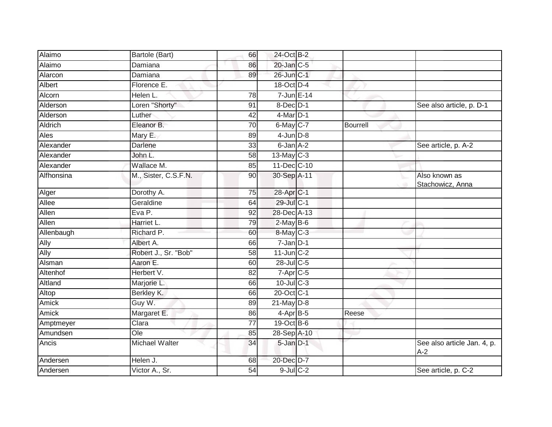| Alaimo      | Bartole (Bart)        | 66              | 24-Oct B-2            |          |                                      |
|-------------|-----------------------|-----------------|-----------------------|----------|--------------------------------------|
| Alaimo      | Damiana               | 86              | 20-Jan C-5            |          |                                      |
| Alarcon     | Damiana               | 89              | 26-Jun C-1            |          |                                      |
| Albert      | Florence E.           |                 | 18-Oct D-4            |          |                                      |
| Alcorn      | Helen L.              | 78              | 7-Jun E-14            |          |                                      |
| Alderson    | Loren "Shorty"        | 91              | $8$ -Dec $D-1$        |          | See also article, p. D-1             |
| Alderson    | Luther                | 42              | $4$ -Mar $D-1$        |          |                                      |
| Aldrich     | Eleanor B.            | 70              | 6-May C-7             | Bourrell |                                      |
| Ales        | Mary E.               | 89              | $4$ -Jun $D-8$        |          |                                      |
| Alexander   | Darlene               | 33              | 6-Jan A-2             |          | See article, p. A-2                  |
| Alexander   | John L.               | 58              | $13$ -May C-3         |          |                                      |
| Alexander   | Wallace M.            | 85              | 11-Dec C-10           |          |                                      |
| Alfhonsina  | M., Sister, C.S.F.N.  | 90              | 30-Sep A-11           |          | Also known as<br>Stachowicz, Anna    |
| Alger       | Dorothy A.            | 75              | 28-Apr <sub>C-1</sub> |          |                                      |
| Allee       | Geraldine             | 64              | 29-Jul C-1            |          |                                      |
| Allen       | Eva P.                | 92              | 28-Dec A-13           |          |                                      |
| Allen       | Harriet L.            | 79              | $2-MayB-6$            |          |                                      |
| Allenbaugh  | Richard P.            | 60              | 8-May C-3             |          |                                      |
| <b>Ally</b> | Albert A.             | 66              | $7$ -Jan $D-1$        |          |                                      |
| Ally        | Robert J., Sr. "Bob"  | $\overline{58}$ | $11$ -Jun $C-2$       |          |                                      |
| Alsman      | Aaron E.              | 60              | 28-Jul C-5            |          |                                      |
| Altenhof    | Herbert V.            | 82              | $7-Apr$ $C-5$         |          |                                      |
| Altland     | Marjorie L.           | 66              | $10 -$ JulC-3         |          |                                      |
| Altop       | Berkley K.            | 66              | 20-Oct C-1            |          |                                      |
| Amick       | Guy W.                | 89              | $21$ -May $D-8$       |          |                                      |
| Amick       | Margaret E.           | 86              | $4-Apr$ B-5           | Reese    |                                      |
| Amptmeyer   | Clara                 | $\overline{77}$ | 19-Oct B-6            |          |                                      |
| Amundsen    | Ole                   | 85              | 28-Sep A-10           |          |                                      |
| Ancis       | <b>Michael Walter</b> | 34              | 5-Jan D-1             |          | See also article Jan. 4, p.<br>$A-2$ |
| Andersen    | Helen J.              | 68              | 20-Dec D-7            |          |                                      |
| Andersen    | Victor A., Sr.        | 54              | $9$ -Jul $C-2$        |          | See article, p. C-2                  |
|             |                       |                 |                       |          |                                      |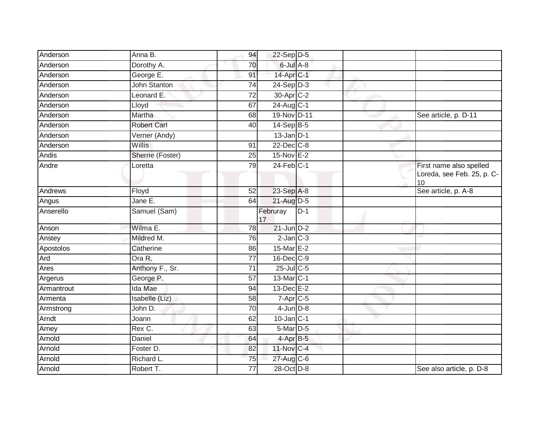| Anderson   | Anna B.            | 94              | $22-Sep$ D-5          |       |                                                             |
|------------|--------------------|-----------------|-----------------------|-------|-------------------------------------------------------------|
| Anderson   | Dorothy A.         | 70              | 6-Jul A-8             |       |                                                             |
| Anderson   | George E.          | 91              | 14-Apr C-1            |       |                                                             |
| Anderson   | John Stanton       | 74              | $24-Sep D-3$          |       |                                                             |
| Anderson   | Leonard E.         | $\overline{72}$ | 30-Apr <sub>C-2</sub> |       |                                                             |
| Anderson   | Lloyd              | 67              | 24-Aug C-1            |       |                                                             |
| Anderson   | Martha             | 68              | 19-Nov D-11           |       | See article, p. D-11                                        |
| Anderson   | <b>Robert Carl</b> | 40              | $14-Sep B-5$          |       |                                                             |
| Anderson   | Verner (Andy)      |                 | $13$ -Jan $D-1$       |       |                                                             |
| Anderson   | <b>Willis</b>      | 91              | $22$ -Dec $C-8$       |       |                                                             |
| Andis      | Sherrie (Foster)   | 25              | $15$ -Nov $E-2$       |       |                                                             |
| Andre      | Loretta            | 79              | $24$ -Feb $C-1$       |       | First name also spelled<br>Loreda, see Feb. 25, p. C-<br>10 |
| Andrews    | Floyd              | 52              | 23-Sep A-8            |       | See article, p. A-8                                         |
| Angus      | Jane E.            | 64              | 21-Aug D-5            |       |                                                             |
| Anserello  | Samuel (Sam)       |                 | Februray<br>17        | $D-1$ |                                                             |
| Anson      | Wilma E.           | $\overline{78}$ | $21$ -Jun $D-2$       |       |                                                             |
| Anstey     | Mildred M.         | 76              | $2$ -Jan $C-3$        |       |                                                             |
| Apostolos  | Catherine          | 86              | 15-Mar E-2            |       |                                                             |
| Ard        | Ora R.             | 77              | 16-Dec C-9            |       |                                                             |
| Ares       | Anthony F., Sr.    | 71              | $25$ -Jul C-5         |       |                                                             |
| Argerus    | George P.          | $\overline{57}$ | 13-Mar C-1            |       |                                                             |
| Armantrout | Ida Mae            | 94              | $13$ -Dec $E-2$       |       |                                                             |
| Armenta    | Isabelle (Liz)     | 58              | $7-Apr$ C-5           |       |                                                             |
| Armstrong  | John D.            | 70              | $4$ -Jun $D-8$        |       |                                                             |
| Arndt      | Joann              | 62              | $10$ -Jan $C-1$       |       |                                                             |
| Arney      | Rex C.             | 63              | 5-Mar D-5             |       |                                                             |
| Arnold     | Daniel             | 64              | 4-Apr B-5             |       |                                                             |
| Arnold     | Foster D.          | 82              | 11-Nov C-4            |       |                                                             |
| Arnold     | Richard L.         | 75              | 27-Aug C-6            |       |                                                             |
| Arnold     | Robert T.          | 77              | 28-Oct D-8            |       | See also article, p. D-8                                    |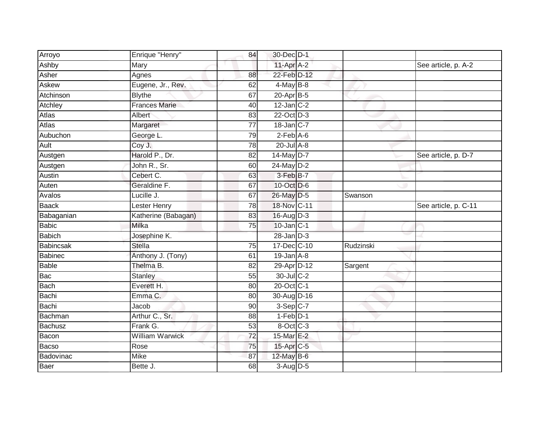| Arroyo           | Enrique "Henry"        | 84              | 30-Dec D-1        |           |                      |
|------------------|------------------------|-----------------|-------------------|-----------|----------------------|
| Ashby            | Mary                   |                 | $11-Apr$ A-2      |           | See article, p. A-2  |
| Asher            | Agnes                  | 88              | 22-Feb D-12       |           |                      |
| Askew            | Eugene, Jr., Rev.      | 62              | $4$ -May $B-8$    |           |                      |
| Atchinson        | <b>Blythe</b>          | 67              | $20$ -Apr $B-5$   |           |                      |
| Atchley          | <b>Frances Marie</b>   | 40              | $12$ -Jan C-2     |           |                      |
| Atlas            | Albert                 | 83              | 22-Oct D-3        |           |                      |
| Atlas            | Margaret               | 77              | 18-Jan C-7        |           |                      |
| Aubuchon         | George L.              | 79              | $2-Feb$ A-6       |           |                      |
| Ault             | Coy J.                 | $\overline{78}$ | $20$ -Jul $A-8$   |           |                      |
| Austgen          | Harold P., Dr.         | 82              | $14$ -May D-7     |           | See article, p. D-7  |
| Austgen          | John R., Sr.           | 60              | 24-May D-2        |           |                      |
| Austin           | Cebert C.              | 63              | 3-Feb B-7         |           |                      |
| Auten            | Geraldine F.           | 67              | 10-Oct D-6        |           |                      |
| Avalos           | Lucille J.             | 67              | 26-May D-5        | Swanson   |                      |
| <b>Baack</b>     | Lester Henry           | 78              | 18-Nov C-11       |           | See article, p. C-11 |
| Babaganian       | Katherine (Babagan)    | 83              | $16$ -Aug $D-3$   |           |                      |
| <b>Babic</b>     | Milka                  | $\overline{75}$ | $10$ -Jan $ C-1 $ |           |                      |
| <b>Babich</b>    | Josephine K.           |                 | $28$ -Jan $D-3$   |           |                      |
| <b>Babincsak</b> | <b>Stella</b>          | 75              | 17-Dec C-10       | Rudzinski |                      |
| Babinec          | Anthony J. (Tony)      | 61              | $19$ -Jan $A-8$   |           |                      |
| <b>Bable</b>     | Thelma B.              | 82              | 29-Apr D-12       | Sargent   |                      |
| Bac              | <b>Stanley</b>         | 55              | 30-Jul C-2        |           |                      |
| <b>Bach</b>      | Everett H.             | 80              | 20-Oct C-1        |           |                      |
| Bachi            | Emma C.                | 80              | 30-Aug D-16       |           |                      |
| Bachi            | Jacob                  | 90              | $3-Sep$ C-7       |           |                      |
| Bachman          | Arthur C., Sr.         | 88              | $1-Feb$ $D-1$     |           |                      |
| <b>Bachusz</b>   | Frank G.               | 53              | 8-Oct C-3         |           |                      |
| Bacon            | <b>William Warwick</b> | 72              | 15-Mar E-2        |           |                      |
| <b>Bacso</b>     | Rose                   | 75              | 15-Apr C-5        |           |                      |
| Badovinac        | Mike                   | 87              | 12-May B-6        |           |                      |
| Baer             | Bette J.               | 68              | $3-Aug$ D-5       |           |                      |
|                  |                        |                 |                   |           |                      |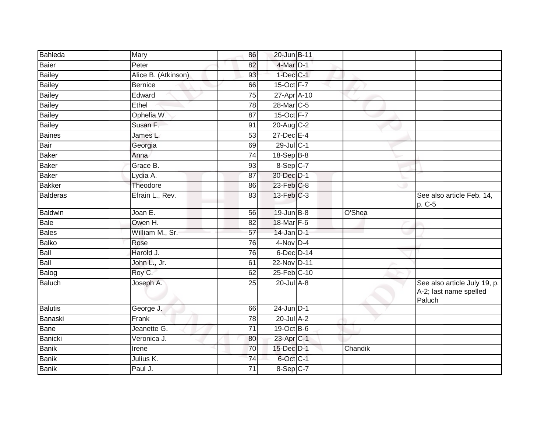| Bahleda        | Mary                | 86              | 20-Jun B-11       |         |                                                                  |
|----------------|---------------------|-----------------|-------------------|---------|------------------------------------------------------------------|
| Baier          | Peter               | 82              | 4-Mar D-1         |         |                                                                  |
| Bailey         | Alice B. (Atkinson) | 93              | $1$ -Dec $ C-1 $  |         |                                                                  |
| Bailey         | <b>Bernice</b>      | 66              | 15-Oct F-7        |         |                                                                  |
| <b>Bailey</b>  | Edward              | $\overline{75}$ | 27-Apr A-10       |         |                                                                  |
| <b>Bailey</b>  | Ethel               | 78              | 28-Mar C-5        |         |                                                                  |
| Bailey         | Ophelia W.          | 87              | 15-Oct F-7        |         |                                                                  |
| <b>Bailey</b>  | Susan F.            | 91              | 20-Aug C-2        |         |                                                                  |
| Baines         | James L.            | 53              | $27$ -Dec $E-4$   |         |                                                                  |
| Bair           | Georgia             | 69              | 29-Jul C-1        |         |                                                                  |
| Baker          | Anna                | 74              | $18-Sep B-8$      |         |                                                                  |
| Baker          | Grace B.            | 93              | 8-Sep C-7         |         |                                                                  |
| <b>Baker</b>   | Lydia A.            | 87              | 30-Dec D-1        |         |                                                                  |
| <b>Bakker</b>  | Theodore            | 86              | $23$ -Feb $C-8$   |         |                                                                  |
| Balderas       | Efrain L., Rev.     | $\overline{83}$ | $13$ -Feb $C-3$   |         | See also article Feb. 14,<br>p. C-5                              |
| Baldwin        | Joan E.             | 56              | $19$ -Jun $B - 8$ | O'Shea  |                                                                  |
| Bale           | Owen H.             | 82              | 18-Mar F-6        |         |                                                                  |
| Bales          | William M., Sr.     | 57              | $14$ -Jan D-1     |         |                                                                  |
| <b>Balko</b>   | Rose                | 76              | $4-Nov$ D-4       |         |                                                                  |
| Ball           | Harold J.           | 76              | 6-Dec D-14        |         |                                                                  |
| Ball           | John L., Jr.        | 61              | 22-Nov D-11       |         |                                                                  |
| Balog          | Roy C.              | 62              | 25-Feb C-10       |         |                                                                  |
| Baluch         | Joseph A.           | 25              | $20$ -Jul $A-8$   |         | See also article July 19, p.<br>A-2; last name spelled<br>Paluch |
| <b>Balutis</b> | George J.           | 66              | $24$ -Jun D-1     |         |                                                                  |
| Banaski        | Frank               | 78              | 20-Jul A-2        |         |                                                                  |
| Bane           | Jeanette G.         | $\overline{71}$ | 19-Oct B-6        |         |                                                                  |
| Banicki        | Veronica J.         | 80              | 23-Apr C-1        |         |                                                                  |
| <b>Banik</b>   | Irene               | 70              | 15-Dec D-1        | Chandik |                                                                  |
| Banik          | Julius K.           | 74              | 6-Oct C-1         |         |                                                                  |
| Banik          | Paul J.             | 71              | 8-Sep C-7         |         |                                                                  |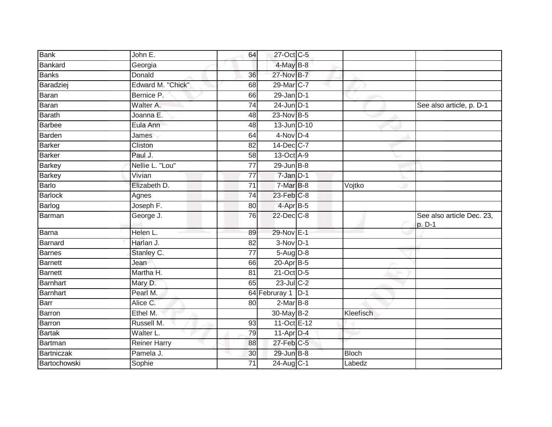| <b>Bank</b>    | John E.             | 64 | 27-Oct C-5        |           |                                     |
|----------------|---------------------|----|-------------------|-----------|-------------------------------------|
| Bankard        | Georgia             |    | $4$ -May $B-8$    |           |                                     |
| <b>Banks</b>   | Donald              | 36 | 27-Nov B-7        |           |                                     |
| Baradziej      | Edward M. "Chick"   | 68 | 29-Mar C-7        |           |                                     |
| Baran          | Bernice P.          | 66 | $29$ -Jan $D-1$   |           |                                     |
| Baran          | Walter A.           | 74 | $24$ -Jun $D-1$   |           | See also article, p. D-1            |
| Barath         | Joanna E.           | 48 | 23-Nov B-5        |           |                                     |
| Barbee         | Eula Ann            | 48 | 13-Jun D-10       |           |                                     |
| Barden         | James               | 64 | $4-Nov$ D-4       |           |                                     |
| <b>Barker</b>  | Cliston             | 82 | $14$ -Dec $C-7$   |           |                                     |
| Barker         | Paul J.             | 58 | 13-Oct A-9        |           |                                     |
| Barkey         | Nellie L. "Lou"     | 77 | $29$ -Jun B-8     |           |                                     |
| <b>Barkey</b>  | Vivian              | 77 | $7 - Jan$ $D-1$   |           |                                     |
| <b>Barlo</b>   | Elizabeth D.        | 71 | $7-MarB-8$        | Vojtko    |                                     |
| <b>Barlock</b> | Agnes               | 74 | $23$ -Feb $ C-8$  |           |                                     |
| Barlog         | Joseph F.           | 80 | 4-Apr B-5         |           |                                     |
| Barman         | George J.           | 76 | 22-Dec C-8        |           | See also article Dec. 23,<br>p. D-1 |
| Barna          | Helen L.            | 89 | 29-Nov E-1        |           |                                     |
| Barnard        | Harlan J.           | 82 | $3-Nov$ D-1       |           |                                     |
| Barnes         | Stanley C.          | 77 | $5-Aug$ $D-8$     |           |                                     |
| Barnett        | Jean                | 66 | 20-Apr B-5        |           |                                     |
| Barnett        | Martha H.           | 81 | 21-Oct D-5        |           |                                     |
| Barnhart       | Mary D.             | 65 | 23-Jul C-2        |           |                                     |
| Barnhart       | Pearl M.            |    | 64 Februray 1 D-1 |           |                                     |
| Barr           | Alice C.            | 80 | $2$ -Mar $B-8$    |           |                                     |
| Barron         | Ethel M.            |    | 30-May B-2        | Kleefisch |                                     |
| Barron         | Russell M.          | 93 | 11-Oct E-12       |           |                                     |
| <b>Bartak</b>  | Walter L.           | 79 | $11-Apr$ D-4      |           |                                     |
| Bartman        | <b>Reiner Harry</b> | 88 | 27-Feb C-5        |           |                                     |
| Bartniczak     | Pamela J.           | 30 | 29-Jun B-8        | Bloch     |                                     |
| Bartochowski   | Sophie              | 71 | 24-Aug C-1        | Labedz    |                                     |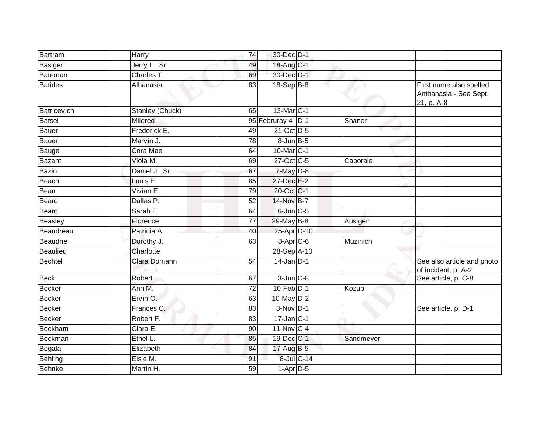| Bartram        | Harry           | 74 | 30-Dec D-1                |           |                                                                 |
|----------------|-----------------|----|---------------------------|-----------|-----------------------------------------------------------------|
| Basiger        | Jerry L., Sr.   | 49 | 18-Aug C-1                |           |                                                                 |
| Bateman        | Charles T.      | 69 | 30-Dec D-1                |           |                                                                 |
| <b>Batides</b> | Alhanasia       | 83 | 18-Sep B-8                |           | First name also spelled<br>Anthanasia - See Sept.<br>21, p. A-8 |
| Batricevich    | Stanley (Chuck) | 65 | 13-Mar C-1                |           |                                                                 |
| <b>Batsel</b>  | Mildred         |    | 95 Februray 4 D-1         | Shaner    |                                                                 |
| <b>Bauer</b>   | Frederick E.    | 49 | 21-Oct D-5                |           |                                                                 |
| Bauer          | Marvin J.       | 78 | 8-Jun B-5                 |           |                                                                 |
| <b>Bauge</b>   | <b>Cora Mae</b> | 64 | 10-Mar C-1                |           |                                                                 |
| Bazant         | Viola M.        | 69 | 27-Oct C-5                | Caporale  |                                                                 |
| <b>Bazin</b>   | Daniel J., Sr.  | 67 | $7$ -May $D-8$            |           |                                                                 |
| Beach          | Louis E.        | 85 | 27-Dec E-2                |           |                                                                 |
| Bean           | Vivian E.       | 79 | 20-Oct C-1                |           |                                                                 |
| Beard          | Dallas P.       | 52 | 14-Nov B-7                |           |                                                                 |
| <b>Beard</b>   | Sarah E.        | 64 | 16-Jun C-5                |           |                                                                 |
| <b>Beasley</b> | Florence        | 77 | 29-May B-8                | Austgen   |                                                                 |
| Beaudreau      | Patricia A.     | 40 | 25-Apr D-10               |           |                                                                 |
| Beaudrie       | Dorothy J.      | 63 | $8-Apr$ $C-6$             | Muzinich  |                                                                 |
| Beaulieu       | Charlotte       |    | 28-Sep A-10               |           |                                                                 |
| <b>Bechtel</b> | Clara Domann    | 54 | $14$ -Jan D-1             |           | See also article and photo<br>of incident, p. A-2               |
| <b>Beck</b>    | Robert          | 67 | $3$ -Jun $C-8$            |           | See article, p. C-8                                             |
| <b>Becker</b>  | Ann M.          | 72 | $10$ -Feb $D-1$           | Kozub     |                                                                 |
| <b>Becker</b>  | Ervin O.        | 63 | $10$ -May $D-2$           |           |                                                                 |
| <b>Becker</b>  | Frances C.      | 83 | $3-Nov$ D-1               |           | See article, p. D-1                                             |
| <b>Becker</b>  | Robert F.       | 83 | $17 - Jan$ <sub>C-1</sub> |           |                                                                 |
| Beckham        | Clara E.        | 90 | $11$ -Nov $ C-4 $         |           |                                                                 |
| Beckman        | Ethel L.        | 85 | 19-Dec C-1                | Sandmeyer |                                                                 |
| Begala         | Elizabeth       | 84 | 17-Aug B-5                |           |                                                                 |
| Behling        | Elsie M.        | 91 | 8-Jul C-14                |           |                                                                 |
| <b>Behnke</b>  | Martin H.       | 59 | $1-Apr$ D-5               |           |                                                                 |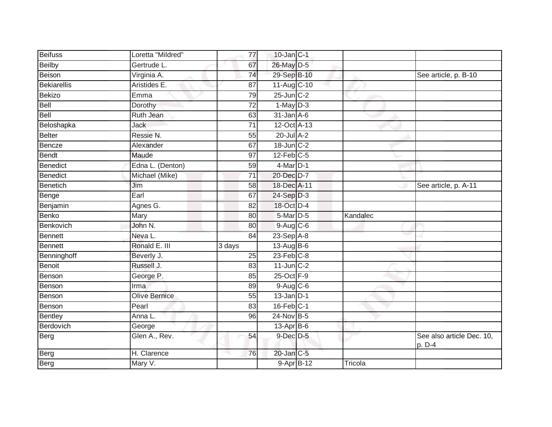| Loretta "Mildred"    | 77                  |  |                                                                                                                                                                                                                                                                                                                                                                                                                                                                                                         |                                     |
|----------------------|---------------------|--|---------------------------------------------------------------------------------------------------------------------------------------------------------------------------------------------------------------------------------------------------------------------------------------------------------------------------------------------------------------------------------------------------------------------------------------------------------------------------------------------------------|-------------------------------------|
| Gertrude L.          | 67                  |  |                                                                                                                                                                                                                                                                                                                                                                                                                                                                                                         |                                     |
| Virginia A.          | 74                  |  |                                                                                                                                                                                                                                                                                                                                                                                                                                                                                                         | See article, p. B-10                |
| Aristides E.         | 87                  |  |                                                                                                                                                                                                                                                                                                                                                                                                                                                                                                         |                                     |
| Emma                 | 79                  |  |                                                                                                                                                                                                                                                                                                                                                                                                                                                                                                         |                                     |
| <b>Dorothy</b>       | 72                  |  |                                                                                                                                                                                                                                                                                                                                                                                                                                                                                                         |                                     |
| Ruth Jean            | 63                  |  |                                                                                                                                                                                                                                                                                                                                                                                                                                                                                                         |                                     |
| Jack                 | 71                  |  |                                                                                                                                                                                                                                                                                                                                                                                                                                                                                                         |                                     |
| Ressie N.            | 55                  |  |                                                                                                                                                                                                                                                                                                                                                                                                                                                                                                         |                                     |
| Alexander            | 67                  |  |                                                                                                                                                                                                                                                                                                                                                                                                                                                                                                         |                                     |
| Maude                | 97                  |  |                                                                                                                                                                                                                                                                                                                                                                                                                                                                                                         |                                     |
| Edna L. (Denton)     | 59                  |  |                                                                                                                                                                                                                                                                                                                                                                                                                                                                                                         |                                     |
| Michael (Mike)       | 71                  |  |                                                                                                                                                                                                                                                                                                                                                                                                                                                                                                         |                                     |
| Jim                  | 58                  |  |                                                                                                                                                                                                                                                                                                                                                                                                                                                                                                         | See article, p. A-11                |
| Earl                 | 67                  |  |                                                                                                                                                                                                                                                                                                                                                                                                                                                                                                         |                                     |
| Agnes G.             | 82                  |  |                                                                                                                                                                                                                                                                                                                                                                                                                                                                                                         |                                     |
| Mary                 | 80                  |  | Kandalec                                                                                                                                                                                                                                                                                                                                                                                                                                                                                                |                                     |
| John N.              | 80                  |  |                                                                                                                                                                                                                                                                                                                                                                                                                                                                                                         |                                     |
| Neva L.              | 84                  |  |                                                                                                                                                                                                                                                                                                                                                                                                                                                                                                         |                                     |
| Ronald E. III        | $\overline{3}$ days |  |                                                                                                                                                                                                                                                                                                                                                                                                                                                                                                         |                                     |
| Beverly J.           | 25                  |  |                                                                                                                                                                                                                                                                                                                                                                                                                                                                                                         |                                     |
| Russell J.           | 83                  |  |                                                                                                                                                                                                                                                                                                                                                                                                                                                                                                         |                                     |
| George P.            | 85                  |  |                                                                                                                                                                                                                                                                                                                                                                                                                                                                                                         |                                     |
| Irma                 | 89                  |  |                                                                                                                                                                                                                                                                                                                                                                                                                                                                                                         |                                     |
| <b>Olive Bernice</b> | 55                  |  |                                                                                                                                                                                                                                                                                                                                                                                                                                                                                                         |                                     |
| Pearl                | 83                  |  |                                                                                                                                                                                                                                                                                                                                                                                                                                                                                                         |                                     |
| Anna L.              | 96                  |  |                                                                                                                                                                                                                                                                                                                                                                                                                                                                                                         |                                     |
| George               |                     |  |                                                                                                                                                                                                                                                                                                                                                                                                                                                                                                         |                                     |
| Glen A., Rev.        | 54                  |  |                                                                                                                                                                                                                                                                                                                                                                                                                                                                                                         | See also article Dec. 10,<br>p. D-4 |
| H. Clarence          | 76                  |  |                                                                                                                                                                                                                                                                                                                                                                                                                                                                                                         |                                     |
| Mary V.              |                     |  | Tricola                                                                                                                                                                                                                                                                                                                                                                                                                                                                                                 |                                     |
|                      |                     |  | 10-Jan C-1<br>26-May D-5<br>29-Sep B-10<br>$11-Aug$ C-10<br>$25$ -Jun $C-2$<br>$1-May$ $D-3$<br>$31$ -Jan $A$ -6<br>12-Oct A-13<br>20-Jul A-2<br>$18$ -Jun $C-2$<br>$12$ -Feb $C-5$<br>$4$ -Mar $D-1$<br>20-Dec D-7<br>18-Dec A-11<br>$24-Sep$ D-3<br>18-Oct D-4<br>5-Mar D-5<br>$9$ -Aug C-6<br>$23-Sep$ A-8<br>13-Aug B-6<br>$23$ -Feb $C-8$<br>$11$ -Jun $C-2$<br>25-Oct F-9<br>9-Aug C-6<br>$13$ -Jan D-1<br>$16$ -Feb $C-1$<br>24-Nov B-5<br>$13-Apr$ B-6<br>9-Dec D-5<br>20-Jan C-5<br>9-Apr B-12 |                                     |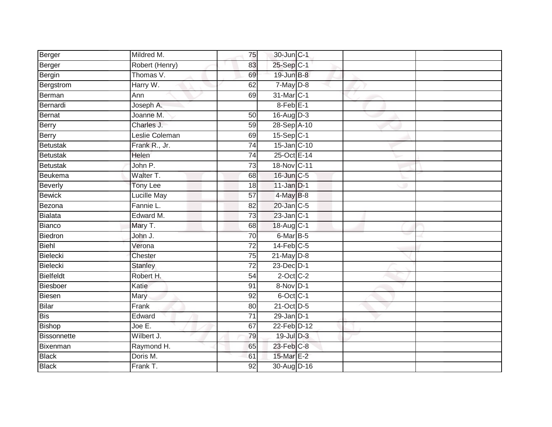| Berger           | Mildred M.     | 75              | 30-Jun C-1        |  |
|------------------|----------------|-----------------|-------------------|--|
| Berger           | Robert (Henry) | 83              | 25-Sep C-1        |  |
| Bergin           | Thomas V.      | 69              | 19-Jun B-8        |  |
| Bergstrom        | Harry W.       | 62              | $7$ -May $D-8$    |  |
| Berman           | Ann            | 69              | 31-Mar C-1        |  |
| Bernardi         | Joseph A.      |                 | $8$ -Feb $E-1$    |  |
| Bernat           | Joanne M.      | 50              | $16$ -Aug $D-3$   |  |
| Berry            | Charles J.     | 59              | 28-Sep A-10       |  |
| Berry            | Leslie Coleman | 69              | $15-Sep C-1$      |  |
| Betustak         | Frank R., Jr.  | 74              | 15-Jan C-10       |  |
| Betustak         | Helen          | 74              | 25-Oct E-14       |  |
| Betustak         | John P.        | 73              | 18-Nov C-11       |  |
| Beukema          | Walter T.      | 68              | 16-Jun C-5        |  |
| Beverly          | Tony Lee       | 18              | $11$ -Jan $D-1$   |  |
| <b>Bewick</b>    | Lucille May    | $\overline{57}$ | 4-May B-8         |  |
| Bezona           | Fannie L.      | 82              | 20-Jan C-5        |  |
| Bialata          | Edward M.      | $\overline{73}$ | $23$ -Jan $ C-1 $ |  |
| Bianco           | Mary T.        | 68              | 18-Aug C-1        |  |
| Biedron          | John J.        | 70              | 6-Mar B-5         |  |
| <b>Biehl</b>     | Verona         | $\overline{72}$ | $14$ -Feb $C-5$   |  |
| Bielecki         | Chester        | 75              | $21$ -May $D-8$   |  |
| Bielecki         | <b>Stanley</b> | $\overline{72}$ | 23-Dec D-1        |  |
| <b>Bielfeldt</b> | Robert H.      | 54              | $2$ -Oct C-2      |  |
| Biesboer         | Katie          | 91              | 8-Nov D-1         |  |
| Biesen           | Mary           | 92              | $6$ -Oct $C$ -1   |  |
| Bilar            | Frank          | 80              | 21-Oct D-5        |  |
| <b>Bis</b>       | Edward         | $\overline{71}$ | $29$ -Jan $D-1$   |  |
| Bishop           | Joe E.         | 67              | 22-Feb D-12       |  |
| Bissonnette      | Wilbert J.     | 79              | $19$ -Jul $D-3$   |  |
| Bixenman         | Raymond H.     | 65              | 23-Feb C-8        |  |
| <b>Black</b>     | Doris M.       | 61              | 15-Mar E-2        |  |
| <b>Black</b>     | Frank T.       | $\overline{92}$ | 30-Aug D-16       |  |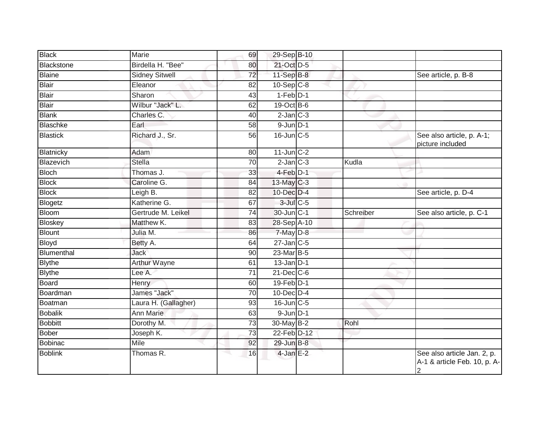| <b>Black</b>      | Marie                  | 69              | 29-Sep B-10      |           |                                                                               |
|-------------------|------------------------|-----------------|------------------|-----------|-------------------------------------------------------------------------------|
| <b>Blackstone</b> | Birdella H. "Bee"      | 80              | 21-Oct D-5       |           |                                                                               |
| <b>Blaine</b>     | <b>Sidney Sitwell</b>  | 72              | 11-Sep B-8       |           | See article, p. B-8                                                           |
| <b>Blair</b>      | Eleanor                | 82              | $10-Sep$ C-8     |           |                                                                               |
| <b>Blair</b>      | Sharon                 | 43              | $1-Feb$ D-1      |           |                                                                               |
| <b>Blair</b>      | Wilbur "Jack" L.       | 62              | 19-Oct B-6       |           |                                                                               |
| <b>Blank</b>      | Charles C.             | 40              | $2$ -Jan $C-3$   |           |                                                                               |
| <b>Blaschke</b>   | Earl                   | 58              | $9$ -Jun $D-1$   |           |                                                                               |
| <b>Blastick</b>   | Richard J., Sr.        | 56              | $16$ -Jun $C$ -5 |           | See also article, p. A-1;<br>picture included                                 |
| Blatnicky         | Adam                   | 80              | $11$ -Jun $C-2$  |           |                                                                               |
| Blazevich         | <b>Stella</b>          | 70              | $2$ -Jan $C-3$   | Kudla     |                                                                               |
| <b>Bloch</b>      | Thomas J.              | 33              | 4-Feb D-1        |           |                                                                               |
| <b>Block</b>      | Caroline G.            | 84              | 13-May C-3       |           |                                                                               |
| <b>Block</b>      | Leigh $\overline{B}$ . | 82              | 10-Dec D-4       |           | See article, p. D-4                                                           |
| Blogetz           | Katherine G.           | 67              | $3$ -Jul $C$ -5  |           |                                                                               |
| <b>Bloom</b>      | Gertrude M. Leikel     | 74              | 30-Jun C-1       | Schreiber | See also article, p. C-1                                                      |
| <b>Bloskey</b>    | Matthew K.             | 83              | 28-Sep A-10      |           |                                                                               |
| <b>Blount</b>     | Julia M.               | 86              | $7$ -May $D-8$   |           |                                                                               |
| <b>Bloyd</b>      | Betty A.               | 64              | $27$ -Jan $C-5$  |           |                                                                               |
| Blumenthal        | <b>Jack</b>            | 90              | 23-Mar B-5       |           |                                                                               |
| <b>Blythe</b>     | <b>Arthur Wayne</b>    | 61              | $13$ -Jan D-1    |           |                                                                               |
| <b>Blythe</b>     | Lee A.                 | 71              | $21$ -Dec $C$ -6 |           |                                                                               |
| <b>Board</b>      | Henry                  | 60              | 19-Feb D-1       |           |                                                                               |
| Boardman          | James "Jack"           | $\overline{70}$ | $10$ -Dec $D-4$  |           |                                                                               |
| Boatman           | Laura H. (Gallagher)   | 93              | 16-Jun C-5       |           |                                                                               |
| <b>Bobalik</b>    | <b>Ann Marie</b>       | 63              | $9$ -Jun $D-1$   |           |                                                                               |
| <b>Bobbitt</b>    | Dorothy M.             | 73              | 30-May B-2       | Rohl      |                                                                               |
| <b>Bober</b>      | Joseph K.              | $\overline{73}$ | 22-Feb D-12      |           |                                                                               |
| <b>Bobinac</b>    | Mile                   | 92              | 29-Jun B-8       |           |                                                                               |
| <b>Boblink</b>    | Thomas R.              | 16              | $4$ -Jan $E-2$   |           | See also article Jan. 2, p.<br>A-1 & article Feb. 10, p. A-<br>$\overline{2}$ |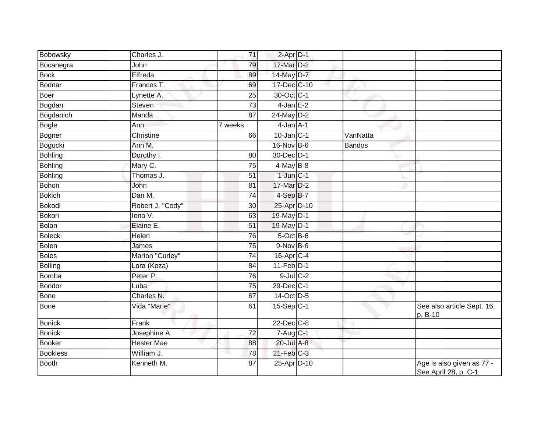| Bobowsky        | Charles J.        | 71              | $2-Apr$ D-1       |               |                                                   |
|-----------------|-------------------|-----------------|-------------------|---------------|---------------------------------------------------|
| Bocanegra       | John              | 79              | 17-Mar D-2        |               |                                                   |
| <b>Bock</b>     | Elfreda           | 89              | 14-May D-7        |               |                                                   |
| Bodnar          | Frances T.        | 69              | 17-Dec C-10       |               |                                                   |
| <b>Boer</b>     | Lynette A.        | $\overline{25}$ | 30-Oct C-1        |               |                                                   |
| Bogdan          | Steven            | $\overline{73}$ | $4$ -Jan E-2      |               |                                                   |
| Bogdanich       | Manda             | 87              | 24-May D-2        |               |                                                   |
| <b>Bogle</b>    | Ann               | 7 weeks         | $4$ -Jan $A-1$    |               |                                                   |
| Bogner          | Christine         | 66              | $10$ -Jan $ C-1 $ | VanNatta      |                                                   |
| Bogucki         | Ann M.            |                 | 16-Nov B-6        | <b>Bandos</b> |                                                   |
| <b>Bohling</b>  | Dorothy I.        | 80              | 30-Dec D-1        |               |                                                   |
| <b>Bohling</b>  | Mary C.           | 75              | $4$ -May $B-8$    |               |                                                   |
| <b>Bohling</b>  | Thomas J.         | 51              | $1$ -Jun $C-1$    |               |                                                   |
| Bohon           | John              | 81              | 17-Mar D-2        |               |                                                   |
| <b>Bokich</b>   | Dan M.            | $\overline{74}$ | $4-SepB-7$        |               |                                                   |
| <b>Bokodi</b>   | Robert J. "Cody"  | 30              | 25-Apr D-10       |               |                                                   |
| <b>Bokori</b>   | Iona V.           | 63              | 19-May D-1        |               |                                                   |
| <b>Bolan</b>    | Elaine E.         | $\overline{51}$ | 19-May D-1        |               |                                                   |
| <b>Boleck</b>   | Helen             | 76              | 5-Oct B-6         |               |                                                   |
| <b>Bolen</b>    | James             | $\overline{75}$ | $9-Nov$ B-6       |               |                                                   |
| <b>Boles</b>    | Marion "Curley"   | $\overline{74}$ | 16-Apr C-4        |               |                                                   |
| <b>Bolling</b>  | Lora (Koza)       | 84              | $11-Feb$ D-1      |               |                                                   |
| <b>Bomba</b>    | Peter P.          | 76              | $9$ -Jul $C$ -2   |               |                                                   |
| <b>Bondor</b>   | Luba              | 75              | 29-Dec C-1        |               |                                                   |
| <b>Bone</b>     | Charles N.        | 67              | 14-Oct D-5        |               |                                                   |
| <b>Bone</b>     | Vida "Marie"      | 61              | $15-Sep$ C-1      |               | See also article Sept. 16,<br>p. B-10             |
| <b>Bonick</b>   | Frank             |                 | $22$ -Dec $C-8$   |               |                                                   |
| <b>Bonick</b>   | Josephine A.      | $\overline{72}$ | 7-Aug C-1         |               |                                                   |
| <b>Booker</b>   | <b>Hester Mae</b> | 88              | 20-Jul A-8        |               |                                                   |
| <b>Bookless</b> | William J.        | 78              | $21$ -Feb $C-3$   |               |                                                   |
| <b>Booth</b>    | Kenneth M.        | 87              | 25-Apr D-10       |               | Age is also given as 77 -<br>See April 28, p. C-1 |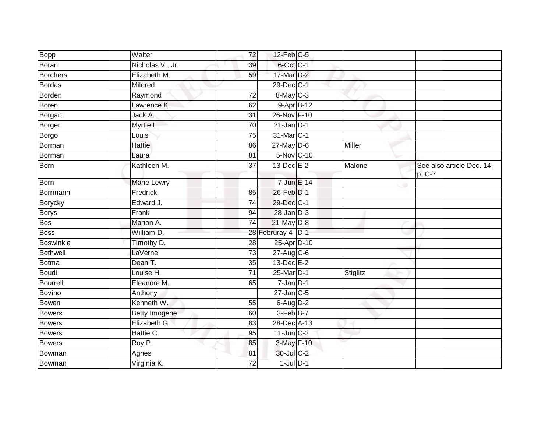| Bopp             | Walter               | 72              | $12$ -Feb $ C-5 $     |               |                                     |
|------------------|----------------------|-----------------|-----------------------|---------------|-------------------------------------|
| Boran            | Nicholas V., Jr.     | 39              | 6-Oct C-1             |               |                                     |
| <b>Borchers</b>  | Elizabeth M.         | 59              | 17-Mar D-2            |               |                                     |
| <b>Bordas</b>    | Mildred              |                 | 29-Dec C-1            |               |                                     |
| <b>Borden</b>    | Raymond              | $\overline{72}$ | $8$ -May $C-3$        |               |                                     |
| <b>Boren</b>     | Lawrence K.          | 62              | 9-Apr B-12            |               |                                     |
| <b>Borgart</b>   | Jack A.              | 31              | 26-Nov F-10           |               |                                     |
| Borger           | Myrtle L.            | 70              | $21$ -Jan D-1         |               |                                     |
| Borgo            | Louis                | 75              | 31-Mar C-1            |               |                                     |
| Borman           | <b>Hattie</b>        | 86              | $27$ -May $D-6$       | <b>Miller</b> |                                     |
| Borman           | Laura                | 81              | 5-Nov C-10            |               |                                     |
| <b>Born</b>      | Kathleen M.          | 37              | $13$ -Dec $E-2$       | Malone        | See also article Dec. 14,<br>p. C-7 |
| <b>Born</b>      | <b>Marie Lewry</b>   |                 | 7-Jun E-14            |               |                                     |
| Borrmann         | Fredrick             | 85              | 26-Feb D-1            |               |                                     |
| Borycky          | Edward J.            | $\overline{74}$ | 29-Dec C-1            |               |                                     |
| <b>Borys</b>     | Frank                | 94              | $28$ -Jan $D-3$       |               |                                     |
| <b>Bos</b>       | Marion A.            | 74              | $21$ -May $D-8$       |               |                                     |
| <b>Boss</b>      | William D.           |                 | 28 Februray 4 D-1     |               |                                     |
| <b>Boswinkle</b> | Timothy D.           | 28              | 25-Apr D-10           |               |                                     |
| <b>Bothwell</b>  | LaVerne              | $\overline{73}$ | $27$ -Aug $C$ -6      |               |                                     |
| <b>Botma</b>     | Dean T.              | 35              | $13$ -Dec $E-2$       |               |                                     |
| <b>Boudi</b>     | Louise H.            | $\overline{71}$ | 25-Mar <sub>D-1</sub> | Stiglitz      |                                     |
| Bourrell         | Eleanore M.          | 65              | $7 - Jan$ $D-1$       |               |                                     |
| Bovino           | Anthony              |                 | $27$ -Jan $C-5$       |               |                                     |
| Bowen            | Kenneth W.           | 55              | 6-Aug D-2             |               |                                     |
| <b>Bowers</b>    | <b>Betty Imogene</b> | 60              | 3-Feb B-7             |               |                                     |
| <b>Bowers</b>    | Elizabeth G.         | 83              | 28-Dec A-13           |               |                                     |
| <b>Bowers</b>    | Hattie C.            | 95              | $11$ -Jun $C-2$       |               |                                     |
| <b>Bowers</b>    | Roy P.               | 85              | 3-May F-10            |               |                                     |
| Bowman           | Agnes                | 81              | 30-Jul C-2            |               |                                     |
| Bowman           | Virginia K.          | 72              | $1$ -Jul $D-1$        |               |                                     |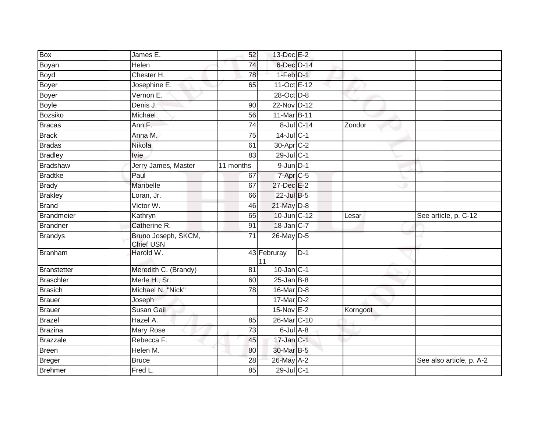| <b>Box</b>       | James E.                                | 52              | 13-Dec E-2           |       |          |                          |
|------------------|-----------------------------------------|-----------------|----------------------|-------|----------|--------------------------|
| Boyan            | Helen                                   | 74              | 6-Dec D-14           |       |          |                          |
| Boyd             | Chester H.                              | $\overline{78}$ | $1-Feb$ $D-1$        |       |          |                          |
| <b>Boyer</b>     | Josephine E.                            | 65              | 11-Oct E-12          |       |          |                          |
| <b>Boyer</b>     | Vernon E.                               |                 | 28-Oct D-8           |       |          |                          |
| <b>Boyle</b>     | Denis J.                                | 90              | 22-Nov D-12          |       |          |                          |
| Bozsiko          | Michael                                 | 56              | 11-Mar B-11          |       |          |                          |
| <b>Bracas</b>    | Ann F.                                  | 74              | 8-Jul C-14           |       | Zondor   |                          |
| <b>Brack</b>     | Anna M.                                 | 75              | $14$ -Jul C-1        |       |          |                          |
| <b>Bradas</b>    | Nikola                                  | 61              | 30-Apr C-2           |       |          |                          |
| <b>Bradley</b>   | <b>Ivie</b>                             | 83              | 29-Jul C-1           |       |          |                          |
| <b>Bradshaw</b>  | Jerry James, Master                     | 11 months       | $9$ -Jun $D-1$       |       |          |                          |
| <b>Bradtke</b>   | Paul                                    | 67              | 7-Apr <sub>C-5</sub> |       |          |                          |
| <b>Brady</b>     | Maribelle                               | 67              | 27-Dec E-2           |       |          |                          |
| <b>Brakley</b>   | Loran, Jr.                              | 66              | 22-Jul B-5           |       |          |                          |
| <b>Brand</b>     | Victor W.                               | 46              | $21$ -May $D-8$      |       |          |                          |
| Brandmeier       | Kathryn                                 | 65              | 10-Jun C-12          |       | Lesar    | See article, p. C-12     |
| Brandner         | Catherine R.                            | 91              | 18-Jan C-7           |       |          |                          |
| <b>Brandys</b>   | Bruno Joseph, SKCM,<br><b>Chief USN</b> | $\overline{71}$ | 26-May D-5           |       |          |                          |
| <b>Branham</b>   | Harold W.                               |                 | 43 Februray<br>11    | $D-1$ |          |                          |
| Branstetter      | Meredith C. (Brandy)                    | 81              | $10$ -Jan $ C-1 $    |       |          |                          |
| <b>Braschler</b> | Merle H., Sr.                           | 60              | $25 - Jan$ $B-8$     |       |          |                          |
| <b>Brasich</b>   | Michael N. "Nick"                       | 78              | 16-Mar D-8           |       |          |                          |
| <b>Brauer</b>    | Joseph                                  |                 | 17-Mar D-2           |       |          |                          |
| Brauer           | Susan Gail                              |                 | 15-Nov E-2           |       | Korngoot |                          |
| Brazel           | Hazel A.                                | 85              | 26-Mar C-10          |       |          |                          |
| Brazina          | Mary Rose                               | $\overline{73}$ | $6$ -Jul $A$ -8      |       |          |                          |
| Brazzale         | Rebecca F.                              | 45              | $17$ -Jan $C-1$      |       |          |                          |
| Breen            | Helen M.                                | 80              | 30-Mar B-5           |       |          |                          |
| Breger           | <b>Bruce</b>                            | $\overline{28}$ | 26-May A-2           |       |          | See also article, p. A-2 |
| Brehmer          | Fred L.                                 | 85              | 29-Jul C-1           |       |          |                          |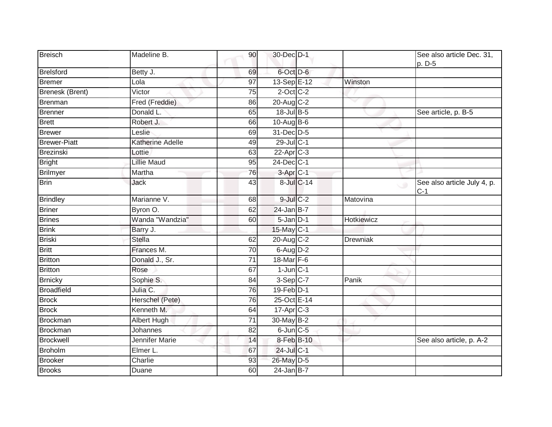| Breisch                | Madeline B.           | 90              | 30-Dec D-1              |                 | See also article Dec. 31,<br>p. D-5            |
|------------------------|-----------------------|-----------------|-------------------------|-----------------|------------------------------------------------|
| <b>Brelsford</b>       | Betty J.              | 69              | 6-Oct D-6               |                 |                                                |
| <b>Bremer</b>          | $L$ ola               | $\overline{97}$ | 13-Sep E-12             | Winston         |                                                |
| <b>Brenesk (Brent)</b> | Victor                | 75              | $2$ -Oct C-2            |                 |                                                |
| Brenman                | Fred (Freddie)        | 86              | 20-Aug C-2              |                 |                                                |
| Brenner                | Donald L.             | 65              | 18-Jul B-5              |                 | See article, p. B-5                            |
| <b>Brett</b>           | Robert J.             | 66              | 10-Aug B-6              |                 |                                                |
| <b>Brewer</b>          | Leslie                | 69              | 31-Dec D-5              |                 |                                                |
| <b>Brewer-Piatt</b>    | Katherine Adelle      | 49              | 29-Jul C-1              |                 |                                                |
| Brezinski              | Lottie                | 63              | $22-Apr$ <sub>C-3</sub> |                 |                                                |
| <b>Bright</b>          | <b>Lillie Maud</b>    | 95              | 24-Dec C-1              |                 |                                                |
| Brilmyer               | Martha                | 76              | $3-Apr$ $C-1$           |                 |                                                |
| <b>Brin</b>            | Jack                  | 43              | 8-Jul C-14              |                 | See also article July 4, p.<br>$\cup$<br>$C-1$ |
| <b>Brindley</b>        | Marianne V.           | 68              | $9$ -Jul $C$ -2         | Matovina        |                                                |
| <b>Briner</b>          | Byron O.              | 62              | $24$ -Jan B-7           |                 |                                                |
| <b>Brines</b>          | Wanda "Wandzia"       | 60              | $5 - Jan$ $D-1$         | Hotkiewicz      |                                                |
| <b>Brink</b>           | Barry J.              |                 | $15$ -May C-1           |                 |                                                |
| <b>Briski</b>          | <b>Stella</b>         | 62              | 20-Aug C-2              | <b>Drewniak</b> |                                                |
| Britt                  | Frances M.            | 70              | $6$ -Aug $D-2$          |                 |                                                |
| <b>Britton</b>         | Donald J., Sr.        | $\overline{71}$ | 18-Mar F-6              |                 |                                                |
| <b>Britton</b>         | Rose                  | 67              | $1$ -Jun $C-1$          |                 |                                                |
| <b>Brnicky</b>         | Sophie S.             | 84              | $3-Sep C-7$             | Panik           |                                                |
| Broadfield             | Julia C.              | 76              | $19$ -Feb $D-1$         |                 |                                                |
| <b>Brock</b>           | Herschel (Pete)       | 76              | 25-Oct E-14             |                 |                                                |
| <b>Brock</b>           | Kenneth M.            | 64              | 17-Apr C-3              |                 |                                                |
| <b>Brockman</b>        | Albert Hugh           | 71              | 30-May B-2              |                 |                                                |
| Brockman               | Johannes              | 82              | $6$ -Jun $C$ -5         |                 |                                                |
| <b>Brockwell</b>       | <b>Jennifer Marie</b> | 14              | 8-Feb B-10              |                 | See also article, p. A-2                       |
| Broholm                | Elmer L.              | 67              | 24-Jul C-1              |                 |                                                |
| <b>Brooker</b>         | Charlie               | 93              | 26-May D-5              |                 |                                                |
| <b>Brooks</b>          | Duane                 | 60              | $24$ -Jan B-7           |                 |                                                |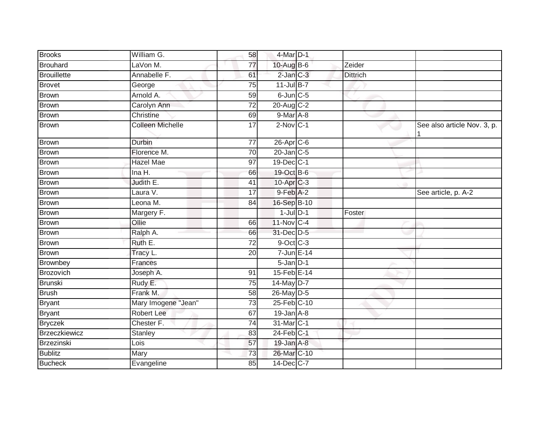| <b>Brooks</b>      | William G.              | 58              | 4-Mar D-1             |                 |                             |
|--------------------|-------------------------|-----------------|-----------------------|-----------------|-----------------------------|
| <b>Brouhard</b>    | LaVon M.                | $\overline{77}$ | 10-Aug B-6            | Zeider          |                             |
| <b>Brouillette</b> | Annabelle F.            | 61              | $2$ -Jan $C-3$        | <b>Dittrich</b> |                             |
| <b>Brovet</b>      | George                  | 75              | $11$ -Jul B-7         |                 |                             |
| <b>Brown</b>       | Arnold A.               | $\overline{59}$ | $6$ -Jun $C$ -5       |                 |                             |
| <b>Brown</b>       | Carolyn Ann             | 72              | 20-Aug C-2            |                 |                             |
| <b>Brown</b>       | Christine               | 69              | $9$ -Mar $A$ -8       |                 |                             |
| <b>Brown</b>       | <b>Colleen Michelle</b> | 17              | $2-Nov$ C-1           |                 | See also article Nov. 3, p. |
| Brown              | Durbin                  | 77              | 26-Apr <sub>C-6</sub> |                 |                             |
| <b>Brown</b>       | Florence M.             | 70              | $20$ -Jan $C-5$       |                 |                             |
| <b>Brown</b>       | <b>Hazel Mae</b>        | 97              | 19-Dec C-1            |                 |                             |
| <b>Brown</b>       | Ina H.                  | 66              | 19-Oct B-6            |                 |                             |
| <b>Brown</b>       | Judith E.               | 41              | 10-Apr <sub>C-3</sub> |                 |                             |
| <b>Brown</b>       | Laura V.                | 17              | 9-Feb A-2             |                 | See article, p. A-2         |
| <b>Brown</b>       | Leona M.                | 84              | 16-Sep B-10           |                 |                             |
| <b>Brown</b>       | Margery F.              |                 | $1$ -Jul $D-1$        | Foster          |                             |
| <b>Brown</b>       | Ollie                   | 66              | 11-Nov C-4            |                 |                             |
| <b>Brown</b>       | Ralph A.                | 66              | 31-Dec D-5            |                 |                             |
| <b>Brown</b>       | Ruth E.                 | 72              | $9$ -Oct $C$ -3       |                 |                             |
| <b>Brown</b>       | Tracy L.                | 20              | 7-Jun E-14            |                 |                             |
| Brownbey           | <b>Frances</b>          |                 | $5 - Jan$ $D-1$       |                 |                             |
| Brozovich          | Joseph A.               | 91              | 15-Feb E-14           |                 |                             |
| <b>Brunski</b>     | Rudy E.                 | $\overline{75}$ | 14-May D-7            |                 |                             |
| <b>Brush</b>       | Frank M.                | 58              | 26-May D-5            |                 |                             |
| <b>Bryant</b>      | Mary Imogene "Jean"     | $\overline{73}$ | 25-Feb C-10           |                 |                             |
| <b>Bryant</b>      | <b>Robert Lee</b>       | 67              | $19$ -Jan $A-8$       |                 |                             |
| <b>Bryczek</b>     | Chester F.              | $\overline{74}$ | 31-Mar C-1            |                 |                             |
| Brzeczkiewicz      | <b>Stanley</b>          | 83              | 24-Feb C-1            |                 |                             |
| Brzezinski         | Lois                    | 57              | 19-Jan A-8            |                 |                             |
| <b>Bublitz</b>     | Mary                    | 73              | 26-Mar C-10           |                 |                             |
| <b>Bucheck</b>     | Evangeline              | 85              | 14-Dec C-7            |                 |                             |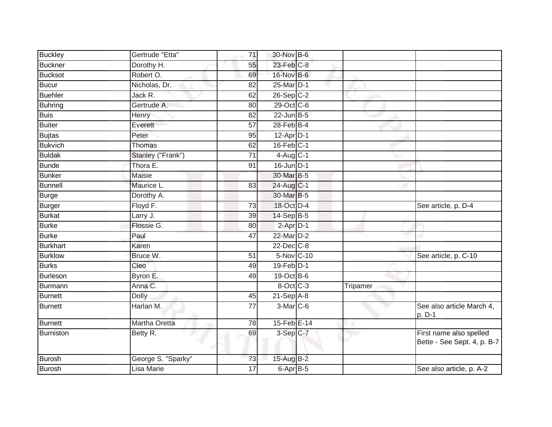| <b>Buckley</b>  | Gertrude "Etta"      | 71              | 30-Nov B-6            |          |                                                        |
|-----------------|----------------------|-----------------|-----------------------|----------|--------------------------------------------------------|
| <b>Buckner</b>  | Dorothy H.           | 55              | 23-Feb C-8            |          |                                                        |
| <b>Bucksot</b>  | Robert O.            | 69              | 16-Nov B-6            |          |                                                        |
| <b>Bucur</b>    | Nicholas, Dr.        | 82              | 25-Mar <sub>D-1</sub> |          |                                                        |
| <b>Buehler</b>  | Jack R.              | 62              | $26-Sep$ C-2          |          |                                                        |
| <b>Buhring</b>  | Gertrude A.          | 80              | 29-Oct C-6            |          |                                                        |
| <b>Buis</b>     | Henry                | 82              | $22$ -Jun $B-5$       |          |                                                        |
| <b>Buiter</b>   | Everett              | 57              | $28$ -Feb $B-4$       |          |                                                        |
| <b>Bujtas</b>   | Peter                | 95              | $12-Apr$ D-1          |          |                                                        |
| <b>Bukvich</b>  | Thomas               | 62              | $16$ -Feb $C-1$       |          |                                                        |
| <b>Buldak</b>   | Stanley ("Frank")    | 71              | $4$ -Aug $C-1$        |          |                                                        |
| <b>Bunde</b>    | Thora E.             | 91              | $16$ -Jun $D-1$       |          |                                                        |
| <b>Bunker</b>   | Maisie               |                 | 30-Mar B-5            |          |                                                        |
| <b>Bunnell</b>  | Maurice L.           | 83              | 24-Aug C-1            |          |                                                        |
| <b>Burge</b>    | Dorothy A.           |                 | 30-Mar B-5            |          |                                                        |
| <b>Burger</b>   | Floyd F.             | 73              | 18-Oct D-4            |          | See article, p. D-4                                    |
| <b>Burkat</b>   | Larry J.             | 39              | 14-Sep B-5            |          |                                                        |
| <b>Burke</b>    | Flossie G.           | 80              | $2-Apr$ D-1           |          |                                                        |
| <b>Burke</b>    | Paul                 | 47              | 22-Mar D-2            |          |                                                        |
| <b>Burkhart</b> | Karen                |                 | $22$ -Dec $C-8$       |          |                                                        |
| <b>Burklow</b>  | Bruce W.             | 51              | 5-Nov C-10            |          | See article, p. C-10                                   |
| <b>Burks</b>    | Cleo                 | 49              | 19-Feb D-1            |          |                                                        |
| <b>Burleson</b> | Byron E.             | 49              | 19-Oct B-6            |          |                                                        |
| <b>Burmann</b>  | Anna C.              |                 | 8-Oct C-3             | Tripamer |                                                        |
| <b>Burnett</b>  | <b>Dolly</b>         | 45              | $21-Sep$ A-8          |          |                                                        |
| <b>Burnett</b>  | Harlan M.            | 77              | 3-Mar C-6             |          | See also article March 4,<br>p. D-1                    |
| <b>Burnett</b>  | <b>Martha Oretta</b> | 78              | 15-Feb E-14           |          |                                                        |
| Burniston       | Betty R.             | 69              | 3-Sep C-7             |          | First name also spelled<br>Bette - See Sept. 4, p. B-7 |
| <b>Burosh</b>   | George S. "Sparky"   | 73              | 15-Aug B-2            |          |                                                        |
| <b>Burosh</b>   | Lisa Marie           | $\overline{17}$ | $6$ -Apr $B$ -5       |          | See also article, p. A-2                               |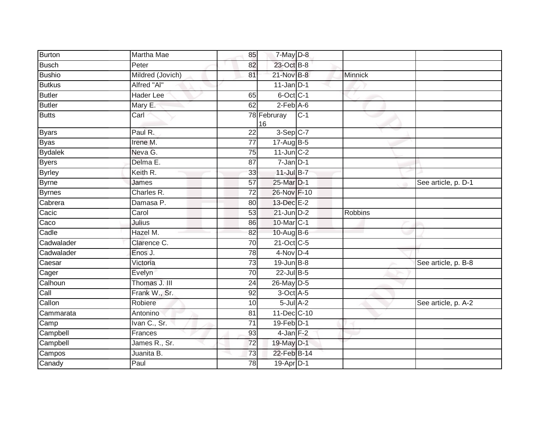| <b>Burton</b>  | Martha Mae       | 85              | 7-May D-8         |       |         |                     |
|----------------|------------------|-----------------|-------------------|-------|---------|---------------------|
| <b>Busch</b>   | Peter            | 82              | 23-Oct B-8        |       |         |                     |
| <b>Bushio</b>  | Mildred (Jovich) | 81              | $21-Nov$ B-8      |       | Minnick |                     |
| <b>Butkus</b>  | Alfred "Al"      |                 | $11$ -Jan $ D-1 $ |       |         |                     |
| <b>Butler</b>  | <b>Hader Lee</b> | 65              | 6-Oct C-1         |       |         |                     |
| <b>Butler</b>  | Mary E.          | 62              | $2-Feb$ A-6       |       |         |                     |
| <b>Butts</b>   | Carl             |                 | 78 Februray<br>16 | $C-1$ |         |                     |
| <b>Byars</b>   | Paul R.          | $\overline{22}$ | $3-Sep$ C-7       |       |         |                     |
| <b>Byas</b>    | Irene M.         | 77              | 17-Aug B-5        |       |         |                     |
| <b>Bydalek</b> | Neva G.          | 75              | $11$ -Jun $C-2$   |       |         |                     |
| <b>Byers</b>   | Delma E.         | 87              | $7 - Jan$ $D-1$   |       |         |                     |
| <b>Byrley</b>  | Keith R.         | 33              | 11-Jul B-7        |       |         |                     |
| <b>Byrne</b>   | James            | $\overline{57}$ | 25-Mar D-1        |       |         | See article, p. D-1 |
| <b>Byrnes</b>  | Charles R.       | 72              | 26-Nov F-10       |       |         |                     |
| Cabrera        | Damasa P.        | 80              | 13-Dec E-2        |       |         |                     |
| Cacic          | Carol            | 53              | $21$ -Jun $D-2$   |       | Robbins |                     |
| Caco           | Julius           | 86              | 10-Mar C-1        |       |         |                     |
| Cadle          | Hazel M.         | 82              | $10-AugB-6$       |       |         |                     |
| Cadwalader     | Clarence C.      | 70              | $21-Oct$ $C-5$    |       |         |                     |
| Cadwalader     | Enos J.          | 78              | 4-Nov D-4         |       |         |                     |
| Caesar         | Victoria         | 73              | $19$ -Jun $B - 8$ |       |         | See article, p. B-8 |
| Cager          | Evelyn           | 70              | $22$ -Jul B-5     |       |         |                     |
| Calhoun        | Thomas J. III    | 24              | 26-May D-5        |       |         |                     |
| Call           | Frank W., Sr.    | 92              | $3$ -Oct $A$ -5   |       |         |                     |
| Callon         | Robiere          | 10              | $5$ -Jul $A-2$    |       |         | See article, p. A-2 |
| Cammarata      | Antonino         | 81              | 11-Dec C-10       |       |         |                     |
| Camp           | Ivan C., Sr.     | 71              | 19-Feb D-1        |       |         |                     |
| Campbell       | Frances          | 93              | $4$ -Jan $F-2$    |       |         |                     |
| Campbell       | James R., Sr.    | 72              | 19-May D-1        |       |         |                     |
| Campos         | Juanita B.       | 73              | 22-Feb B-14       |       |         |                     |
| Canady         | Paul             | 78              | 19-Apr D-1        |       |         |                     |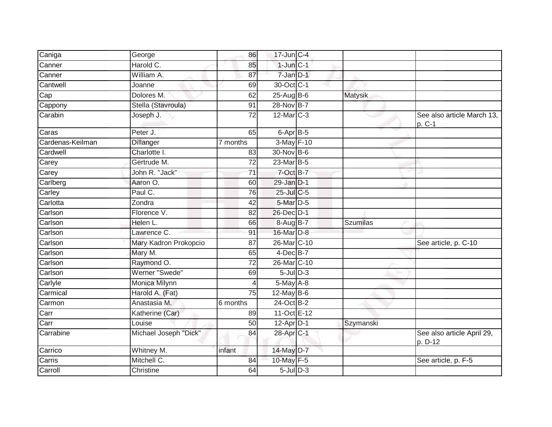| Caniga           | George                | 86              | $17$ -Jun $C-4$        |                 |                                       |
|------------------|-----------------------|-----------------|------------------------|-----------------|---------------------------------------|
| Canner           | Harold C.             | 85              | $1$ -Jun $C-1$         |                 |                                       |
| Canner           | William A.            | 87              | $7$ -Jan $D-1$         |                 |                                       |
| Cantwell         | Joanne                | 69              | 30-Oct C-1             |                 |                                       |
| $\overline{Cap}$ | Dolores M.            | 62              | $25-Aug$ B-6           | Matysik         |                                       |
| Cappony          | Stella (Stavroula)    | 91              | 28-Nov B-7             |                 |                                       |
| Carabin          | Joseph J.             | $\overline{72}$ | 12-Mar C-3             |                 | See also article March 13,<br>p. C-1  |
| Caras            | Peter J.              | 65              | 6-Apr B-5              |                 |                                       |
| Cardenas-Keilman | Dillanger             | 7 months        | 3-May F-10             |                 |                                       |
| Cardwell         | Charlotte I.          | 83              | 30-Nov B-6             |                 |                                       |
| Carey            | Gertrude M.           | 72              | 23-Mar B-5             |                 |                                       |
| Carey            | John R. "Jack"        | 71              | 7-Oct B-7              |                 |                                       |
| Carlberg         | Aaron O.              | 60              | 29-Jan D-1             |                 |                                       |
| Carley           | Paul C.               | 76              | 25-Jul C-5             |                 |                                       |
| Carlotta         | Zondra                | 42              | 5-Mar D-5              |                 |                                       |
| Carlson          | Florence V.           | 82              | $26$ -Dec $D-1$        |                 |                                       |
| Carlson          | Helen L.              | 66              | 8-Aug B-7              | <b>Szumilas</b> |                                       |
| Carlson          | Lawrence C.           | 91              | 16-Mar D-8             |                 |                                       |
| Carlson          | Mary Kadron Prokopcio | 87              | 26-Mar C-10            |                 | See article, p. C-10                  |
| Carlson          | Mary M.               | 65              | $4$ -Dec $B$ -7        |                 |                                       |
| Carlson          | Raymond O.            | $\overline{72}$ | 26-Mar C-10            |                 |                                       |
| Carlson          | Werner "Swede"        | 69              | $5$ -Jul $D-3$         |                 |                                       |
| Carlyle          | Monica Milynn         | 4               | 5-May A-8              |                 |                                       |
| Carmical         | Harold A. (Fat)       | 75              | 12-May B-6             |                 |                                       |
| Carmon           | Anastasia M.          | 6 months        | 24-Oct B-2             |                 |                                       |
| Carr             | Katherine (Car)       | 89              | 11-Oct E-12            |                 |                                       |
| Carr             | Louise                | 50              | $12-Apr\overline{D-1}$ | Szymanski       |                                       |
| Carrabine        | Michael Joseph "Dick" | 84              | 28-Apr C-1             |                 | See also article April 29,<br>p. D-12 |
| Carrico          | Whitney M.            | infant          | 14-May D-7             |                 |                                       |
| Carris           | Mitchell C.           | 84              | 10-May F-5             |                 | See article, p. F-5                   |
| Carroll          | Christine             | 64              | $5$ -Jul $D-3$         |                 |                                       |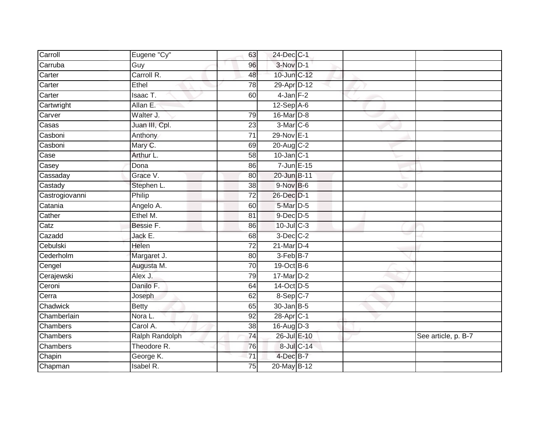| Carroll                   | Eugene "Cy"    | 63              | 24-Dec C-1            |            |                     |
|---------------------------|----------------|-----------------|-----------------------|------------|---------------------|
| Carruba                   | Guy            | 96              | $3-Nov$ D-1           |            |                     |
| Carter                    | Carroll R.     | 48              | 10-Jun C-12           |            |                     |
| Carter                    | Ethel          | 78              | 29-Apr D-12           |            |                     |
| Carter                    | Isaac T.       | 60              | $4$ -Jan $F-2$        |            |                     |
| Cartwright                | Allan E.       |                 | $12-Sep$ A-6          |            |                     |
| Carver                    | Walter J.      | 79              | 16-Mar D-8            |            |                     |
| Casas                     | Juan III, Cpl. | 23              | 3-Mar C-6             |            |                     |
| Casboni                   | Anthony        | $\overline{71}$ | 29-Nov E-1            |            |                     |
| Casboni                   | Mary C.        | 69              | 20-Aug C-2            |            |                     |
| Case                      | Arthur L.      | $\overline{58}$ | $10$ -Jan $ C-1 $     |            |                     |
| Casey                     | Dona           | 86              | $7$ -Jun $E-15$       |            |                     |
| Cassaday                  | Grace V.       | 80              | 20-Jun B-11           |            |                     |
| Castady                   | Stephen L.     | 38              | $9-Nov$ B-6           |            |                     |
| Castrogiovanni            | Philip         | $\overline{72}$ | 26-Dec D-1            |            |                     |
| Catania                   | Angelo A.      | 60              | 5-Mar D-5             |            |                     |
| Cather                    | Ethel M.       | 81              | 9-Dec D-5             |            |                     |
| $\overline{\text{Cat}}$ z | Bessie F.      | 86              | 10-Jul C-3            |            |                     |
| Cazadd                    | Jack E.        | 68              | $3$ -Dec $C-2$        |            |                     |
| Cebulski                  | Helen          | $\overline{72}$ | $21$ -Mar $D-4$       |            |                     |
| Cederholm                 | Margaret J.    | 80              | $3-FebB-7$            |            |                     |
| Cengel                    | Augusta M.     | 70              | 19-Oct B-6            |            |                     |
| Cerajewski                | Alex J.        | 79              | 17-Mar D-2            |            |                     |
| Ceroni                    | Danilo F.      | 64              | 14-Oct D-5            |            |                     |
| Cerra                     | Joseph         | 62              | 8-Sep C-7             |            |                     |
| Chadwick                  | <b>Betty</b>   | 65              | $30 - Jan$ $B-5$      |            |                     |
| Chamberlain               | Nora L.        | $\overline{92}$ | 28-Apr <sub>C-1</sub> |            |                     |
| Chambers                  | Carol A.       | 38              | $16$ -Aug $D-3$       |            |                     |
| Chambers                  | Ralph Randolph | 74              | 26-Jul E-10           |            | See article, p. B-7 |
| Chambers                  | Theodore R.    | 76              |                       | 8-Jul C-14 |                     |
| Chapin                    | George K.      | 71              | $4$ -Dec $B$ -7       |            |                     |
| Chapman                   | Isabel R.      | 75              | 20-May B-12           |            |                     |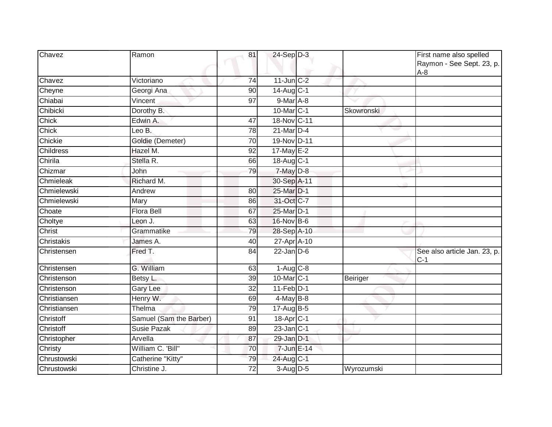| Chavez           | Ramon                   | 81              | 24-Sep D-3             |            | First name also spelled<br>Raymon - See Sept. 23, p.<br>$A-8$ |
|------------------|-------------------------|-----------------|------------------------|------------|---------------------------------------------------------------|
| Chavez           | Victoriano              | 74              | $11$ -Jun $C-2$        |            |                                                               |
| Cheyne           | Georgi Ana              | 90              | $14$ -Aug $C-1$        |            |                                                               |
| Chiabai          | Vincent                 | $\overline{97}$ | 9-Mar A-8              |            |                                                               |
| Chibicki         | Dorothy B.              |                 | 10-Mar C-1             | Skowronski |                                                               |
| Chick            | Edwin A.                | 47              | 18-Nov C-11            |            |                                                               |
| Chick            | Leo B.                  | 78              | 21-Mar D-4             |            |                                                               |
| Chickie          | Goldie (Demeter)        | 70              | 19-Nov D-11            |            |                                                               |
| <b>Childress</b> | Hazel M.                | $\overline{92}$ | $17$ -May E-2          |            |                                                               |
| Chirila          | Stella R.               | 66              | 18-Aug C-1             |            |                                                               |
| Chizmar          | John                    | 79              | 7-May D-8              |            |                                                               |
| Chmieleak        | Richard M.              |                 | 30-Sep A-11            |            |                                                               |
| Chmielewski      | Andrew                  | 80              | 25-Mar D-1             |            |                                                               |
| Chmielewski      | Mary                    | 86              | 31-Oct C-7             |            |                                                               |
| Choate           | <b>Flora Bell</b>       | 67              | 25-Mar D-1             |            |                                                               |
| Choltye          | Leon J.                 | 63              | 16-Nov B-6             |            |                                                               |
| Christ           | Grammatike              | 79              | 28-Sep A-10            |            |                                                               |
| Christakis       | James A.                | 40              | 27-Apr A-10            |            |                                                               |
| Christensen      | Fred T.                 | 84              | $22$ -Jan $D-6$        |            | See also article Jan. 23, p.<br>$C-1$                         |
| Christensen      | G. William              | 63              | $1-Aug$ $C-8$          |            |                                                               |
| Christenson      | Betsy L.                | $\overline{39}$ | 10-Mar <sub>IC-1</sub> | Beiriger   |                                                               |
| Christenson      | <b>Gary Lee</b>         | 32              | 11-Feb D-1             |            |                                                               |
| Christiansen     | Henry W.                | 69              | $4$ -May B-8           |            |                                                               |
| Christiansen     | Thelma                  | 79              | 17-Aug B-5             |            |                                                               |
| Christoff        | Samuel (Sam the Barber) | 91              | 18-Apr <sub>C-1</sub>  |            |                                                               |
| Christoff        | <b>Susie Pazak</b>      | 89              | $23$ -Jan $ C-1 $      |            |                                                               |
| Christopher      | Arvella                 | 87              | 29-Jan D-1             |            |                                                               |
| Christy          | William C. 'Bill"       | 70              | 7-Jun E-14             |            |                                                               |
| Chrustowski      | Catherine "Kitty"       | 79              | 24-Aug C-1             |            |                                                               |
| Chrustowski      | Christine J.            | 72              | 3-Aug D-5              | Wyrozumski |                                                               |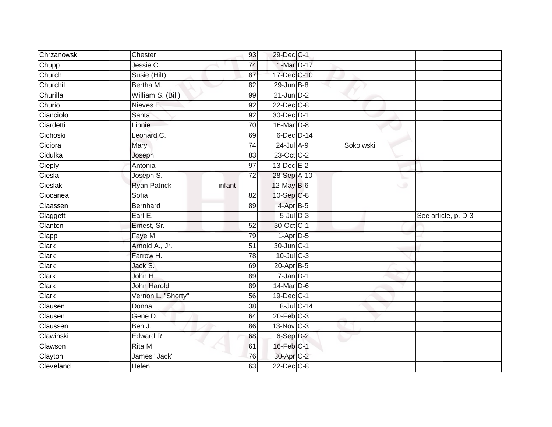| Chrzanowski                          | Chester                      | 93              | 29-Dec C-1                    |            |           |                     |
|--------------------------------------|------------------------------|-----------------|-------------------------------|------------|-----------|---------------------|
| Chupp                                | Jessie C.                    | 74              | 1-Mar D-17                    |            |           |                     |
| Church                               | Susie (Hilt)                 | 87              | 17-Dec C-10                   |            |           |                     |
| Churchill                            | Bertha M.                    | 82              | 29-Jun B-8                    |            |           |                     |
| Churilla                             | William S. (Bill)            | 99              | $21$ -Jun $D-2$               |            |           |                     |
| Churio                               | Nieves E.                    | 92              | $22$ -Dec $C-8$               |            |           |                     |
| Cianciolo                            | Santa                        | 92              | 30-Dec D-1                    |            |           |                     |
| Ciardetti                            | Linnie                       | 70              | 16-Mar D-8                    |            |           |                     |
| Cichoski                             | Leonard C.                   | 69              | 6-Dec D-14                    |            |           |                     |
| Ciciora                              | Mary                         | $\overline{74}$ | $24$ -Jul $A-9$               |            | Sokolwski |                     |
| Cidulka                              | Joseph                       | 83              | 23-Oct C-2                    |            |           |                     |
| Cieply                               | Antonia                      | 97              | $13$ -Dec $E-2$               |            |           |                     |
| Ciesla                               | Joseph S.                    | $\overline{72}$ | 28-Sep A-10                   |            |           |                     |
| Cieslak                              | <b>Ryan Patrick</b>          | infant          | 12-May B-6                    |            |           |                     |
| Ciocanea                             | Sofia                        | $\overline{82}$ | $10-Sep$ $C-8$                |            |           |                     |
| Claassen                             | Bernhard                     | 89              | 4-Apr B-5                     |            |           |                     |
|                                      |                              |                 |                               |            |           |                     |
| Claggett                             | Earl E.                      |                 | $5$ -Jul $D-3$                |            |           | See article, p. D-3 |
| Clanton                              | Ernest, Sr.                  | 52              | 30-Oct C-1                    |            |           |                     |
|                                      | Faye M.                      | 79              | $1-Apr$ D-5                   |            |           |                     |
| Clapp<br>Clark                       | Arnold A., Jr.               | 51              | 30-Jun C-1                    |            |           |                     |
|                                      | Farrow H.                    | 78              | $10$ -Jul $C-3$               |            |           |                     |
|                                      | Jack S.                      | 69              | $20$ -Apr $B-5$               |            |           |                     |
| Clark<br>Clark<br>Clark              | John H.                      | 89              | $7 - Jan$ $D-1$               |            |           |                     |
|                                      | <b>John Harold</b>           | 89              | $14$ -Mar $D-6$               |            |           |                     |
|                                      | Vernon L. "Shorty"           | 56              | $19$ -Dec $C-1$               |            |           |                     |
|                                      | Donna                        | 38              |                               | 8-Jul C-14 |           |                     |
| Clark<br>Clark<br>Clausen<br>Clausen | Gene D.                      | 64              | $20$ -Feb $C-3$               |            |           |                     |
| Claussen                             | Ben J.                       | 86              | $13-Nov$ <sub>C-3</sub>       |            |           |                     |
| Clawinski                            | Edward R.                    | 68              | 6-Sep D-2                     |            |           |                     |
| Clawson                              | Rita M.                      | 61              | 16-Feb C-1                    |            |           |                     |
| Clayton<br>Cleveland                 | James "Jack"<br><b>Helen</b> | 76              | 30-Apr C-2<br>$22$ -Dec $C-8$ |            |           |                     |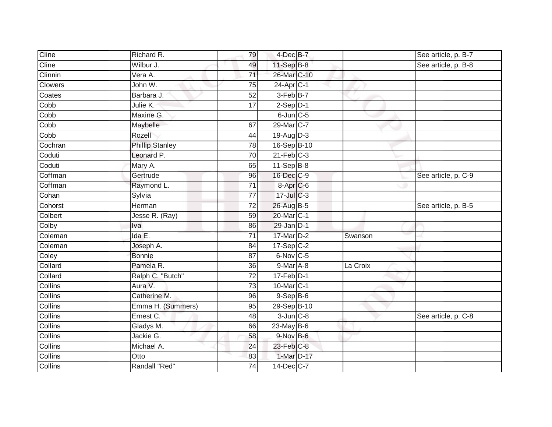| Cline          | Richard R.             | 79              | 4-Dec B-7              |          | See article, p. B-7 |
|----------------|------------------------|-----------------|------------------------|----------|---------------------|
| Cline          | Wilbur J.              | 49              | 11-Sep B-8             |          | See article, p. B-8 |
| Clinnin        | Vera A.                | $\overline{71}$ | 26-Mar C-10            |          |                     |
| Clowers        | John W.                | 75              | 24-Apr <sub>IC-1</sub> |          |                     |
| Coates         | Barbara J.             | 52              | 3-Feb B-7              |          |                     |
| Cobb           | Julie K.               | 17              | $2-Sep$ $D-1$          |          |                     |
| Cobb           | Maxine G.              |                 | $6$ -Jun $C$ -5        |          |                     |
| Cobb           | Maybelle               | 67              | 29-Mar C-7             |          |                     |
| Cobb           | Rozell                 | 44              | $19$ -Aug D-3          |          |                     |
| Cochran        | <b>Phillip Stanley</b> | 78              | 16-Sep B-10            |          |                     |
| Coduti         | Leonard P.             | 70              | $21$ -Feb $C-3$        |          |                     |
| Coduti         | Mary A.                | 65              | 11-Sep B-8             |          |                     |
| Coffman        | Gertrude               | 96              | 16-Dec C-9             |          | See article, p. C-9 |
| Coffman        | Raymond L.             | 71              | 8-Apr <sub>C-6</sub>   |          |                     |
| Cohan          | Sylvia                 | $\overline{77}$ | 17-Jul C-3             |          |                     |
| Cohorst        | Herman                 | 72              | 26-Aug B-5             |          | See article, p. B-5 |
| Colbert        | Jesse R. (Ray)         | 59              | 20-Mar C-1             |          |                     |
| Colby          | Iva                    | 86              | 29-Jan D-1             |          |                     |
| Coleman        | Ida E.                 | 71              | 17-Mar D-2             | Swanson  |                     |
| Coleman        | Joseph A.              | 84              | $17-Sep$ C-2           |          |                     |
| Coley          | <b>Bonnie</b>          | 87              | 6-Nov C-5              |          |                     |
| Collard        | Pamela R.              | $\overline{36}$ | 9-Mar A-8              | La Croix |                     |
| Collard        | Ralph C. "Butch"       | 72              | $17$ -Feb $D-1$        |          |                     |
| Collins        | Aura V.                | 73              | 10-Mar C-1             |          |                     |
| Collins        | Catherine M.           | 96              | $9-Sep$ $B-6$          |          |                     |
| Collins        | Emma H. (Summers)      | 95              | 29-Sep B-10            |          |                     |
| <b>Collins</b> | Ernest C.              | 48              | $3$ -Jun $C-8$         |          | See article, p. C-8 |
| Collins        | Gladys M.              | 66              | 23-May $B-6$           |          |                     |
| Collins        | Jackie G.              | 58              | 9-Nov B-6              |          |                     |
| Collins        | Michael A.             | 24              | 23-Feb C-8             |          |                     |
| Collins        | Otto                   | 83              | 1-Mar D-17             |          |                     |
| <b>Collins</b> | Randall "Red"          | 74              | 14-Dec C-7             |          |                     |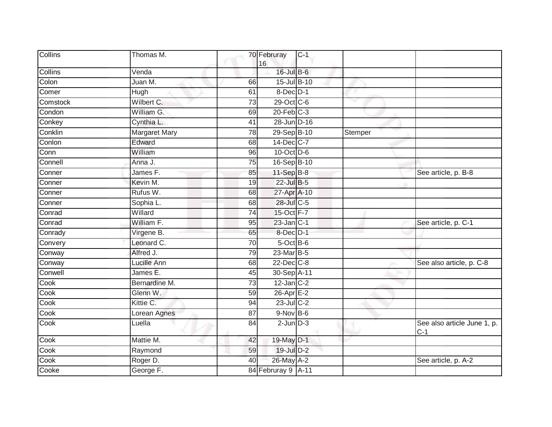| Collins        | Thomas M.            |                 | 70 Februray<br>16  | $C-1$ |         |                                      |
|----------------|----------------------|-----------------|--------------------|-------|---------|--------------------------------------|
| <b>Collins</b> | Venda                |                 | 16-Jul B-6         |       |         |                                      |
| Colon          | Juan M.              | 66              | 15-Jul B-10        |       |         |                                      |
| Comer          | Hugh                 | 61              | 8-Dec D-1          |       |         |                                      |
| Comstock       | Wilbert C.           | 73              | 29-Oct C-6         |       |         |                                      |
| Condon         | William G.           | 69              | $20$ -Feb $C-3$    |       |         |                                      |
| Conkey         | Cynthia L.           | 41              | 28-Jun D-16        |       |         |                                      |
| Conklin        | <b>Margaret Mary</b> | $\overline{78}$ | 29-Sep B-10        |       | Stemper |                                      |
| Conlon         | Edward               | 68              | $14$ -Dec $ C-7 $  |       |         |                                      |
| Conn           | William              | 96              | 10-Oct D-6         |       |         |                                      |
| Connell        | Anna J.              | 75              | 16-Sep B-10        |       |         |                                      |
| Conner         | James <sub>F.</sub>  | 85              | 11-Sep B-8         |       |         | See article, p. B-8                  |
| Conner         | Kevin M.             | 19              | 22-Jul B-5         |       |         |                                      |
| Conner         | Rufus W.             | 68              | 27-Apr A-10        |       |         |                                      |
| Conner         | Sophia L.            | 68              | 28-Jul C-5         |       |         |                                      |
| Conrad         | Willard              | 74              | 15-Oct F-7         |       |         |                                      |
| Conrad         | William F.           | 95              | $23$ -Jan $ C-1 $  |       |         | See article, p. C-1                  |
| Conrady        | Virgene B.           | 65              | 8-Dec D-1          |       |         |                                      |
| Convery        | Leonard C.           | 70              | $5$ -Oct $B$ -6    |       |         |                                      |
| Conway         | Alfred J.            | 79              | 23-Mar B-5         |       |         |                                      |
| Conway         | Lucille Ann          | 68              | 22-Dec C-8         |       |         | See also article, p. C-8             |
| Conwell        | James E.             | 45              | 30-Sep A-11        |       |         |                                      |
| Cook           | Bernardine M.        | 73              | $12$ -Jan C-2      |       |         |                                      |
| Cook           | Glenn W.             | 59              | 26-Apr E-2         |       |         |                                      |
| Cook           | Kittie C.            | 94              | 23-Jul C-2         |       |         |                                      |
| Cook           | Lorean Agnes         | 87              | $9-Nov$ B-6        |       |         |                                      |
| Cook           | Luella               | 84              | $2$ -Jun $D-3$     |       |         | See also article June 1, p.<br>$C-1$ |
| Cook           | Mattie M.            | 42              | 19-May D-1         |       |         |                                      |
| Cook           | Raymond              | 59              | 19-Jul D-2         |       |         |                                      |
| Cook           | Roger D.             | 40              | 26-May A-2         |       |         | See article, p. A-2                  |
| Cooke          | George F.            |                 | 84 Februray 9 A-11 |       |         |                                      |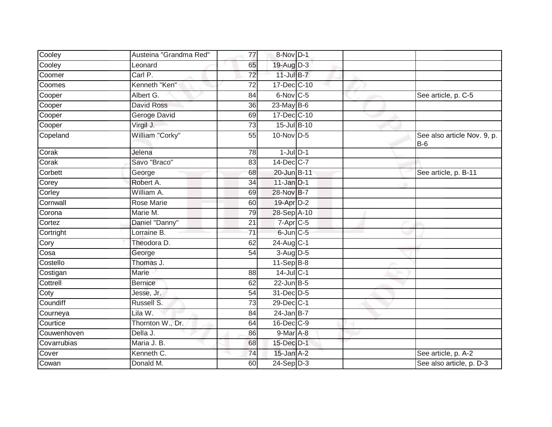| Cooley      | Austeina "Grandma Red" | 77              | 8-Nov D-1              |  |                                      |
|-------------|------------------------|-----------------|------------------------|--|--------------------------------------|
| Cooley      | Leonard                | 65              | 19-Aug D-3             |  |                                      |
| Coomer      | Carl P.                | 72              | $11$ -Jul B-7          |  |                                      |
| Coomes      | Kenneth "Ken"          | 72              | 17-Dec C-10            |  |                                      |
| Cooper      | Albert G.              | 84              | $6$ -Nov $C$ -5        |  | See article, p. C-5                  |
| Cooper      | <b>David Ross</b>      | 36              | $23$ -May B-6          |  |                                      |
| Cooper      | Geroge David           | 69              | 17-Dec C-10            |  |                                      |
| Cooper      | Virgil J.              | $\overline{73}$ | 15-Jul B-10            |  |                                      |
| Copeland    | William "Corky"        | 55              | $10$ -Nov D-5          |  | See also article Nov. 9, p.<br>$B-6$ |
| Corak       | Jelena                 | 78              | $1$ -Jul $D-1$         |  |                                      |
| Corak       | Savo "Braco"           | 83              | 14-Dec C-7             |  |                                      |
| Corbett     | George                 | 68              | 20-Jun B-11            |  | See article, p. B-11                 |
| Corey       | Robert A.              | $\overline{34}$ | $11$ -Jan D-1          |  |                                      |
| Corley      | William A.             | 69              | 28-Nov B-7             |  |                                      |
| Cornwall    | <b>Rose Marie</b>      | 60              | 19-Apr D-2             |  |                                      |
| Corona      | Marie M.               | 79              | 28-Sep A-10            |  |                                      |
| Cortez      | Daniel "Danny"         | $\overline{21}$ | $7-Apr$ <sub>C-5</sub> |  |                                      |
| Cortright   | Lorraine B.            | 71              | $6$ -Jun $C$ -5        |  |                                      |
| Cory        | Theodora D.            | 62              | 24-Aug C-1             |  |                                      |
| Cosa        | George                 | 54              | $3-Aug$ $D-5$          |  |                                      |
| Costello    | Thomas J.              |                 | 11-Sep B-8             |  |                                      |
| Costigan    | Marie                  | 88              | $14$ -Jul C-1          |  |                                      |
| Cottrell    | <b>Bernice</b>         | 62              | $22$ -Jun $B-5$        |  |                                      |
| Coty        | Jesse, Jr.             | 54              | 31-Dec D-5             |  |                                      |
| Coundiff    | Russell S.             | $\overline{73}$ | 29-Dec C-1             |  |                                      |
| Courneya    | Lila W.                | 84              | $24$ -Jan B-7          |  |                                      |
| Courtice    | Thornton W., Dr.       | 64              | 16-Dec C-9             |  |                                      |
| Couwenhoven | Della J.               | 86              | $9$ -Mar $A$ -8        |  |                                      |
| Covarrubias | Maria J. B.            | 68              | 15-Dec D-1             |  |                                      |
| Cover       | Kenneth C.             | 74              | $15$ -Jan $A-2$        |  | See article, p. A-2                  |
| Cowan       | Donald M.              | 60              | $24-Sep D-3$           |  | See also article, p. D-3             |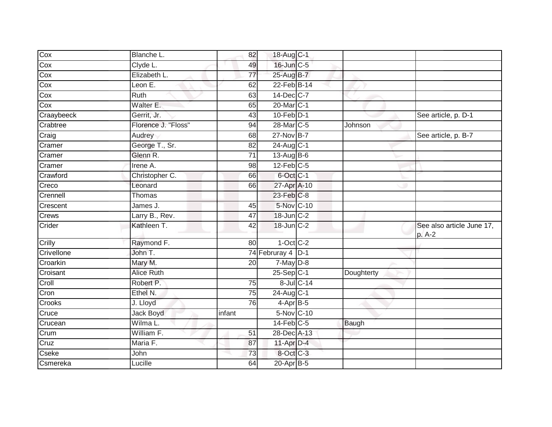| Cox                       | Blanche L.          | 82     | 18-Aug C-1        |            |            |                                     |
|---------------------------|---------------------|--------|-------------------|------------|------------|-------------------------------------|
| Cox                       | Clyde L.            | 49     | 16-Jun C-5        |            |            |                                     |
| Cox                       | Elizabeth L.        | 77     | 25-Aug B-7        |            |            |                                     |
| Cox                       | Leon E.             | 62     | 22-Feb B-14       |            |            |                                     |
| Cox                       | Ruth                | 63     | 14-Dec C-7        |            |            |                                     |
| Cox                       | Walter E.           | 65     | 20-Mar C-1        |            |            |                                     |
| Craaybeeck                | Gerrit, Jr.         | 43     | $10$ -Feb $D-1$   |            |            | See article, p. D-1                 |
| Crabtree                  | Florence J. "Floss" | 94     | 28-Mar C-5        |            | Johnson    |                                     |
| Craig                     | Audrey              | 68     | 27-Nov B-7        |            |            | See article, p. B-7                 |
| Cramer                    | George T., Sr.      | 82     | $24$ -Aug C-1     |            |            |                                     |
| Cramer                    | Glenn R.            | 71     | $13-Aug$ B-6      |            |            |                                     |
| Cramer                    | Irene A.            | 98     | $12$ -Feb $C-5$   |            |            |                                     |
| Crawford                  | Christopher C.      | 66     | 6-Oct C-1         |            |            |                                     |
| Creco                     | Leonard             | 66     | 27-Apr A-10       |            |            |                                     |
| Crennell                  | Thomas              |        | $23$ -Feb $ C-8$  |            |            |                                     |
| Crescent                  | James J.            | 45     | 5-Nov C-10        |            |            |                                     |
| Crews                     | Larry B., Rev.      | 47     | 18-Jun C-2        |            |            |                                     |
| Crider                    | Kathleen T.         | 42     | 18-Jun C-2        |            |            | See also article June 17,<br>p. A-2 |
| Crilly                    | Raymond F.          | 80     | $1-Oct$ $C-2$     |            |            |                                     |
| Crivellone                | John T.             |        | 74 Februray 4 D-1 |            |            |                                     |
| Croarkin                  | Mary M.             | 20     | $7$ -May $D-8$    |            |            |                                     |
| Croisant                  | <b>Alice Ruth</b>   |        | $25-Sep C-1$      |            | Doughterty |                                     |
| Croll                     | Robert P.           | 75     |                   | 8-Jul C-14 |            |                                     |
| Cron                      | Ethel N.            | 75     | $24$ -Aug $C-1$   |            |            |                                     |
| Crooks                    | J. Lloyd            | 76     | $4$ -Apr $B$ -5   |            |            |                                     |
| Cruce                     | Jack Boyd           | infant | 5-Nov C-10        |            |            |                                     |
| Crucean                   | Wilma L.            |        | $14$ -Feb $C-5$   |            | Baugh      |                                     |
| Crum                      | William F.          | 51     | 28-Dec A-13       |            |            |                                     |
| Cruz                      | Maria F.            | 87     | 11-Apr D-4        |            |            |                                     |
| $\overline{\text{Cseke}}$ | John                | 73     | 8-Oct C-3         |            |            |                                     |
| Csmereka                  | Lucille             | 64     | 20-Apr B-5        |            |            |                                     |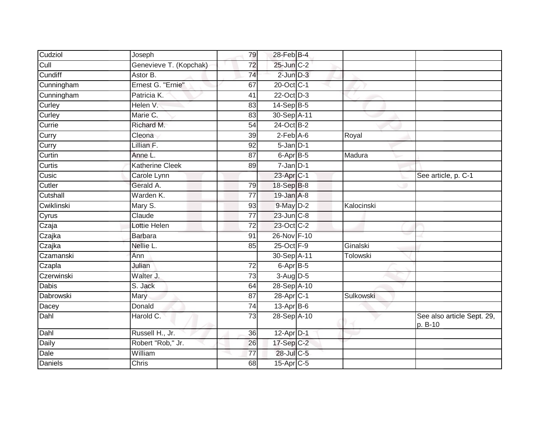| Cudziol        | Joseph                 | 79              | 28-Feb B-4            |            |                                       |
|----------------|------------------------|-----------------|-----------------------|------------|---------------------------------------|
| Cull           | Genevieve T. (Kopchak) | $\overline{72}$ | 25-Jun C-2            |            |                                       |
| Cundiff        | Astor B.               | 74              | $2$ -Jun $D-3$        |            |                                       |
| Cunningham     | Ernest G. "Ernie"      | 67              | 20-Oct C-1            |            |                                       |
| Cunningham     | Patricia K.            | $\overline{41}$ | 22-Oct D-3            |            |                                       |
| Curley         | Helen V.               | 83              | 14-Sep B-5            |            |                                       |
| Curley         | Marie C.               | 83              | 30-Sep A-11           |            |                                       |
| Currie         | Richard M.             | 54              | 24-Oct B-2            |            |                                       |
| Curry          | Cleona                 | 39              | $2-Feb$ $A-6$         | Royal      |                                       |
| Curry          | Lillian F.             | 92              | $5$ -Jan $D-1$        |            |                                       |
| Curtin         | Anne L.                | 87              | $6 -$ Apr $B - 5$     | Madura     |                                       |
| Curtis         | <b>Katherine Cleek</b> | 89              | $7 - Jan$ $D-1$       |            |                                       |
| Cusic          | Carole Lynn            |                 | 23-Apr <sub>C-1</sub> |            | See article, p. C-1                   |
| Cutler         | Gerald A.              | 79              | 18-Sep B-8            |            |                                       |
| Cutshall       | Warden K.              | $\overline{77}$ | 19-Jan A-8            |            |                                       |
| Cwiklinski     | Mary S.                | 93              | $9$ -May $D-2$        | Kalocinski |                                       |
| Cyrus          | Claude                 | $\overline{77}$ | $23$ -Jun $C-8$       |            |                                       |
| Czaja          | Lottie Helen           | 72              | 23-Oct C-2            |            |                                       |
| Czajka         | <b>Barbara</b>         | 91              | 26-Nov F-10           |            |                                       |
| Czajka         | Nellie L.              | 85              | 25-Oct F-9            | Ginalski   |                                       |
| Czamanski      | Ann                    |                 | 30-Sep A-11           | Tolowski   |                                       |
| Czapla         | Julian                 | $\overline{72}$ | 6-Apr B-5             |            |                                       |
| Czerwinski     | Walter J.              | 73              | $3-Aug$ D-5           |            |                                       |
| <b>Dabis</b>   | S. Jack                | 64              | 28-Sep A-10           |            |                                       |
| Dabrowski      | Mary                   | 87              | 28-Apr <sub>C-1</sub> | Sulkowski  |                                       |
| Dacey          | Donald                 | 74              | 13-Apr B-6            |            |                                       |
| Dahl           | Harold C.              | $\overline{73}$ | 28-Sep A-10           |            | See also article Sept. 29,<br>p. B-10 |
| Dahl           | Russell H., Jr.        | 36              | $12-Apr$ D-1          |            |                                       |
| Daily          | Robert "Rob," Jr.      | 26              | 17-Sep C-2            |            |                                       |
| Dale           | William                | 77              | 28-Jul C-5            |            |                                       |
| <b>Daniels</b> | Chris                  | 68              | $15$ -Apr $C$ -5      |            |                                       |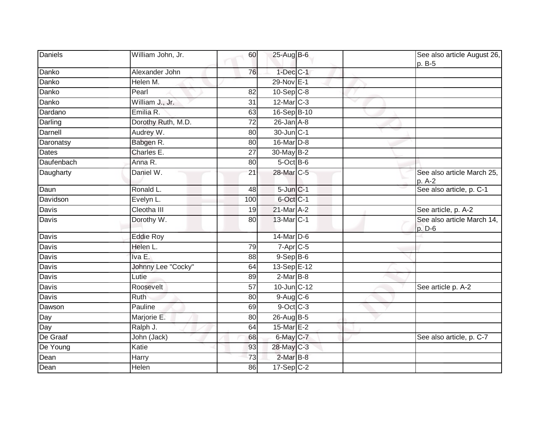| <b>Daniels</b> | William John, Jr.  | 60              | 25-Aug B-6               |   | See also article August 26,<br>p. B-5 |
|----------------|--------------------|-----------------|--------------------------|---|---------------------------------------|
| Danko          | Alexander John     | 76              | $1$ -Dec $C-1$           |   |                                       |
| Danko          | Helen M.           |                 | 29-Nov E-1               |   |                                       |
| Danko          | Pearl              | 82              | $10-Sep$ C-8             |   |                                       |
| Danko          | William J., Jr.    | 31              | 12-Mar C-3               | w |                                       |
| Dardano        | Emilia R.          | 63              | 16-Sep B-10              |   |                                       |
| Darling        | Dorothy Ruth, M.D. | 72              | $26$ -Jan $A$ -8         |   |                                       |
| Darnell        | Audrey W.          | 80              | 30-Jun C-1               |   |                                       |
| Daronatsy      | Babgen R.          | 80              | 16-Mar D-8               |   |                                       |
| <b>Dates</b>   | Charles E.         | 27              | 30-May B-2               |   |                                       |
| Daufenbach     | Anna R.            | 80              | $5$ -Oct $B$ -6          |   |                                       |
| Daugharty      | Daniel W.          | $\overline{21}$ | 28-Mar C-5               |   | See also article March 25,<br>p. A-2  |
| Daun           | Ronald L.          | 48              | $5 - Jun$ $C - 1$        |   | See also article, p. C-1              |
| Davidson       | Evelyn L.          | 100             | 6-Oct C-1                |   |                                       |
| Davis          | Cleotha III        | 19              | 21-Mar A-2               |   | See article, p. A-2                   |
| Davis          | Dorothy W.         | 80              | 13-Mar C-1               |   | See also article March 14,<br>p. D-6  |
| Davis          | <b>Eddie Roy</b>   |                 | 14-Mar D-6               |   |                                       |
| <b>Davis</b>   | Helen L.           | 79              | $7 - \overline{Apr}$ C-5 |   |                                       |
| Davis          | Iva E.             | 88              | $9-$ Sep $B-6$           |   |                                       |
| Davis          | Johnny Lee "Cocky" | 64              | 13-Sep E-12              |   |                                       |
| Davis          | Lutie              | 89              | $2-MarB-8$               |   |                                       |
| Davis          | Roosevelt          | 57              | 10-Jun C-12              |   | See article p. A-2                    |
| Davis          | <b>Ruth</b>        | 80              | $9-Aug$ $C-6$            |   |                                       |
| Dawson         | Pauline            | 69              | $9$ -Oct $C$ -3          |   |                                       |
| Day            | Marjorie E.        | 80              | 26-Aug B-5               |   |                                       |
| Day            | Ralph J.           | 64              | 15-Mar E-2               |   |                                       |
| De Graaf       | John (Jack)        | 68              | $6$ -May $C$ -7          |   | See also article, p. C-7              |
| De Young       | Katie              | 93              | 28-May C-3               |   |                                       |
| Dean           | Harry              | 73              | $2$ -Mar $B-8$           |   |                                       |
| Dean           | <b>Helen</b>       | 86              | 17-Sep C-2               |   |                                       |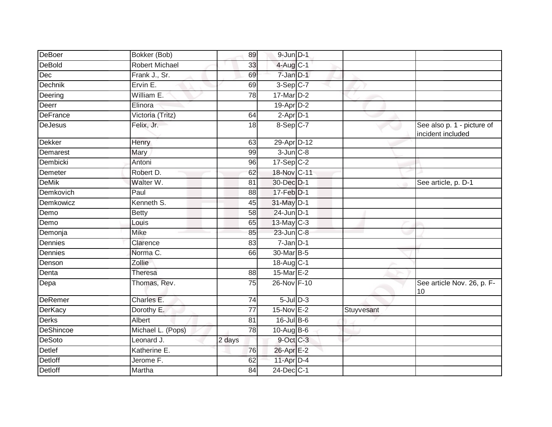| <b>DeBoer</b>  | Bokker (Bob)          | 89              | $9$ -Jun $D-1$   |            |                                                 |
|----------------|-----------------------|-----------------|------------------|------------|-------------------------------------------------|
| <b>DeBold</b>  | <b>Robert Michael</b> | 33              | 4-Aug C-1        |            |                                                 |
| Dec            | Frank J., Sr.         | 69              | $7$ -Jan $D-1$   |            |                                                 |
| Dechnik        | Ervin E.              | 69              | $3-Sep C-7$      |            |                                                 |
| Deering        | William E.            | 78              | $17$ -Mar $D-2$  |            |                                                 |
| Deerr          | Elinora               |                 | 19-Apr D-2       |            |                                                 |
| DeFrance       | Victoria (Tritz)      | 64              | $2$ -Apr $D-1$   |            |                                                 |
| <b>DeJesus</b> | Felix, Jr.            | 18              | 8-Sep C-7        |            | See also p. 1 - picture of<br>incident included |
| <b>Dekker</b>  | Henry                 | 63              | 29-Apr D-12      |            |                                                 |
| Demarest       | Mary                  | 99              | $3$ -Jun $C-8$   |            |                                                 |
| Dembicki       | Antoni                | 96              | $17-Sep$ C-2     |            |                                                 |
| Demeter        | Robert D.             | 62              | 18-Nov C-11      |            |                                                 |
| <b>DeMik</b>   | Walter W.             | 81              | 30-Dec D-1       |            | See article, p. D-1                             |
| Demkovich      | Paul                  | 88              | 17-Feb D-1       |            |                                                 |
| Demkowicz      | Kenneth S.            | 45              | 31-May D-1       |            |                                                 |
| Demo           | <b>Betty</b>          | 58              | $24$ -Jun $D-1$  |            |                                                 |
| Demo           | Louis                 | 65              | $13$ -May C-3    |            |                                                 |
| Demonja        | Mike                  | 85              | 23-Jun C-8       |            |                                                 |
| Dennies        | Clarence              | 83              | $7$ -Jan $ D-1 $ |            |                                                 |
| <b>Dennies</b> | Norma C.              | 66              | 30-Mar B-5       |            |                                                 |
| Denson         | Zollie                |                 | 18-Aug C-1       |            |                                                 |
| Denta          | <b>Theresa</b>        | 88              | 15-Mar E-2       |            |                                                 |
| Depa           | Thomas, Rev.          | 75              | 26-Nov F-10      |            | See article Nov. 26, p. F-<br>10                |
| DeRemer        | Charles E.            | 74              | $5$ -Jul $D-3$   |            |                                                 |
| <b>DerKacy</b> | Dorothy E.            | $\overline{77}$ | $15-Nov$ E-2     | Stuyvesant |                                                 |
| <b>Derks</b>   | Albert                | 81              | $16$ -Jul B-6    |            |                                                 |
| DeShincoe      | Michael L. (Pops)     | $\overline{78}$ | $10-AugBB-6$     |            |                                                 |
| <b>DeSoto</b>  | Leonard J.            | 2 days          | 9-Oct C-3        |            |                                                 |
| Detlef         | Katherine E.          | 76              | 26-Apr E-2       |            |                                                 |
| <b>Detloff</b> | Jerome F.             | 62              | $11-Apr$ D-4     |            |                                                 |
| Detloff        | Martha                | 84              | $24$ -Dec $C-1$  |            |                                                 |
|                |                       |                 |                  |            |                                                 |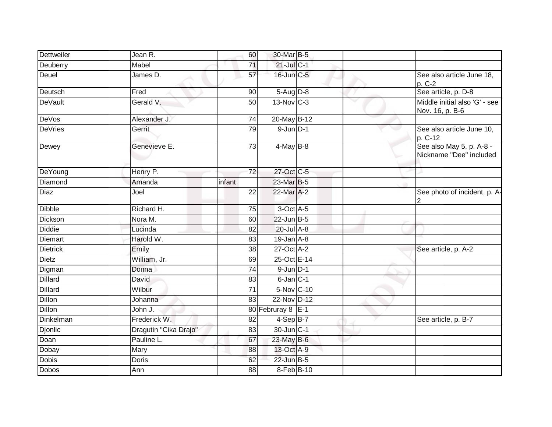| Dettweiler      | Jean R.               | 60              | 30-Mar B-5        |   |                                                     |
|-----------------|-----------------------|-----------------|-------------------|---|-----------------------------------------------------|
| Deuberry        | Mabel                 | $\overline{71}$ | $21$ -Jul C-1     |   |                                                     |
| Deuel           | James D.              | 57              | 16-Jun C-5        |   | See also article June 18,<br>p. C-2                 |
| Deutsch         | Fred                  | 90              | 5-Aug D-8         |   | See article, p. D-8                                 |
| <b>DeVault</b>  | Gerald V.             | 50              | 13-Nov C-3        | w | Middle initial also 'G' - see<br>Nov. 16, p. B-6    |
| <b>DeVos</b>    | Alexander J.          | 74              | 20-May B-12       |   |                                                     |
| <b>DeVries</b>  | Gerrit                | 79              | $9$ -Jun $D-1$    |   | See also article June 10,<br>p. C-12                |
| Dewey           | Genevieve E.          | 73              | $4$ -May B-8      |   | See also May 5, p. A-8 -<br>Nickname "Dee" included |
| DeYoung         | Henry P.              | 72              | 27-Oct C-5        |   |                                                     |
| Diamond         | Amanda                | infant          | 23-Mar B-5        |   |                                                     |
| <b>Diaz</b>     | Joel                  | 22              | 22-Mar A-2        |   | See photo of incident, p. A-                        |
| <b>Dibble</b>   | Richard H.            | 75              | $3$ -Oct $A$ -5   |   |                                                     |
| Dickson         | Nora M.               | 60              | $22$ -Jun B-5     |   |                                                     |
| <b>Diddie</b>   | Lucinda               | 82              | 20-Jul A-8        |   |                                                     |
| <b>Diemart</b>  | Harold W.             | 83              | $19$ -Jan $A-8$   |   |                                                     |
| <b>Dietrick</b> | Emily                 | 38              | 27-Oct A-2        |   | See article, p. A-2                                 |
| <b>Dietz</b>    | William, Jr.          | 69              | 25-Oct E-14       |   |                                                     |
| Digman          | Donna                 | 74              | $9$ -Jun $D-1$    |   |                                                     |
| <b>Dillard</b>  | David                 | 83              | 6-Jan C-1         |   |                                                     |
| <b>Dillard</b>  | Wilbur                | $\overline{71}$ | 5-Nov C-10        |   |                                                     |
| <b>Dillon</b>   | Johanna               | 83              | 22-Nov D-12       |   |                                                     |
| <b>Dillon</b>   | John J.               |                 | 80 Februray 8 E-1 |   |                                                     |
| Dinkelman       | Frederick W.          | 82              | 4-Sep B-7         |   | See article, p. B-7                                 |
| Djonlic         | Dragutin "Cika Drajo" | 83              | 30-Jun C-1        |   |                                                     |
| Doan            | Pauline L.            | 67              | 23-May B-6        |   |                                                     |
| Dobay           | Mary                  | 88              | 13-Oct A-9        |   |                                                     |
| <b>Dobis</b>    | <b>Doris</b>          | 62              | 22-Jun B-5        |   |                                                     |
| <b>Dobos</b>    | Ann                   | 88              | 8-Feb B-10        |   |                                                     |
|                 |                       |                 |                   |   |                                                     |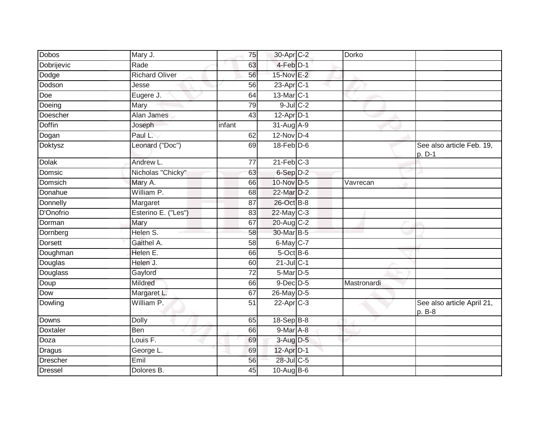| Dobos          | Mary J.               | 75              | 30-Apr C-2      | Dorko       |                                      |
|----------------|-----------------------|-----------------|-----------------|-------------|--------------------------------------|
| Dobrijevic     | Rade                  | 63              | 4-Feb D-1       |             |                                      |
| Dodge          | <b>Richard Oliver</b> | 56              | 15-Nov E-2      |             |                                      |
| Dodson         | Jesse                 | 56              | 23-Apr $ C-1 $  |             |                                      |
| Doe            | Eugere J.             | 64              | 13-Mar C-1      |             |                                      |
| Doeing         | Mary                  | 79              | $9$ -Jul $C$ -2 |             |                                      |
| Doescher       | Alan James            | 43              | $12$ -Apr $D-1$ |             |                                      |
| <b>Doffin</b>  | Joseph                | infant          | 31-Aug A-9      |             |                                      |
| Dogan          | Paul L.               | 62              | $12-Nov$ D-4    |             |                                      |
| <b>Doktysz</b> | Leonard ("Doc")       | 69              | $18$ -Feb $D-6$ |             | See also article Feb. 19,<br>p. D-1  |
| <b>Dolak</b>   | Andrew L.             | $\overline{77}$ | $21$ -Feb $C-3$ |             |                                      |
| Domsic         | Nicholas "Chicky"     | 63              | 6-Sep D-2       |             |                                      |
| Domsich        | Mary A.               | 66              | 10-Nov D-5      | Vavrecan    |                                      |
| Donahue        | William P.            | 68              | 22-Mar D-2      |             |                                      |
| Donnelly       | Margaret              | 87              | 26-Oct B-8      |             |                                      |
| D'Onofrio      | Esterino E. ("Les")   | 83              | 22-May C-3      |             |                                      |
| Dorman         | Mary                  | 67              | 20-Aug C-2      |             |                                      |
| Dornberg       | Helen S.              | 58              | 30-Mar B-5      |             |                                      |
| <b>Dorsett</b> | Gaithel A.            | $\overline{58}$ | $6$ -May $C$ -7 |             |                                      |
| Doughman       | Helen E.              | 66              | 5-Oct B-6       |             |                                      |
| Douglas        | Helen J.              | 60              | $21$ -Jul C-1   |             |                                      |
| Douglass       | Gaylord               | 72              | 5-Mar D-5       |             |                                      |
| Doup           | Mildred               | 66              | $9$ -Dec $D$ -5 | Mastronardi |                                      |
| Dow            | Margaret L.           | 67              | 26-May D-5      |             |                                      |
| Dowling        | William P.            | $\overline{51}$ | $22$ -Apr $C-3$ |             | See also article April 21,<br>p. B-8 |
| Downs          | Dolly                 | 65              | 18-Sep B-8      |             |                                      |
| Doxtaler       | Ben                   | 66              | 9-Mar A-8       |             |                                      |
| Doza           | Louis F.              | 69              | 3-Aug D-5       |             |                                      |
| Dragus         | George L.             | 69              | 12-Apr D-1      |             |                                      |
| Drescher       | Emil                  | 56              | 28-Jul C-5      |             |                                      |
| <b>Dressel</b> | Dolores B.            | 45              | 10-Aug B-6      |             |                                      |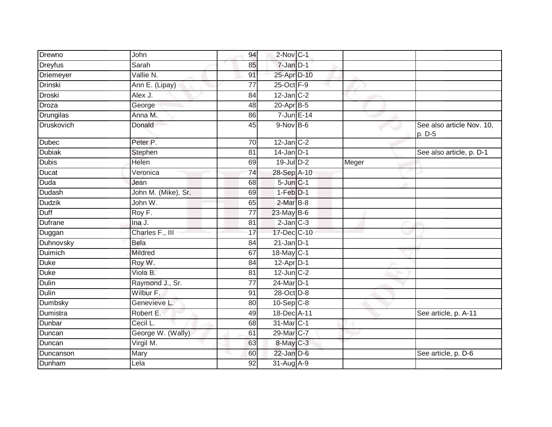| Drewno         | John                | 94              | $2$ -Nov $ C-1 $ |       |                                     |
|----------------|---------------------|-----------------|------------------|-------|-------------------------------------|
| <b>Dreyfus</b> | Sarah               | 85              | $7 - Jan$ $D-1$  |       |                                     |
| Driemeyer      | Vallie N.           | 91              | 25-Apr D-10      |       |                                     |
| Drinski        | Ann E. (Lipay)      | 77              | 25-Oct F-9       |       |                                     |
| <b>Droski</b>  | Alex J.             | 84              | $12$ -Jan $C-2$  |       |                                     |
| Droza          | George              | 48              | $20$ -Apr $B$ -5 |       |                                     |
| Drungilas      | Anna M.             | 86              | 7-Jun E-14       |       |                                     |
| Druskovich     | Donald              | 45              | $9-Nov$ B-6      |       | See also article Nov. 10,<br>p. D-5 |
| <b>Dubec</b>   | Peter P.            | 70              | $12$ -Jan C-2    |       |                                     |
| <b>Dubiak</b>  | Stephen             | 81              | $14$ -Jan D-1    |       | See also article, p. D-1            |
| <b>Dubis</b>   | Helen               | 69              | $19$ -Jul $D-2$  | Meger |                                     |
| Ducat          | Veronica            | 74              | 28-Sep A-10      |       | ж                                   |
| Duda           | Jean                | 68              | $5$ -Jun $C-1$   |       |                                     |
| Dudash         | John M. (Mike), Sr. | 69              | $1-Feb$ $D-1$    |       |                                     |
| <b>Dudzik</b>  | John W.             | 65              | $2-MarB-8$       |       |                                     |
| <b>Duff</b>    | Roy F.              | 77              | $23$ -May B-6    |       |                                     |
| Dufrane        | Ina J.              | 81              | $2$ -Jan $C-3$   |       |                                     |
| Duggan         | Charles F., III     | 17              | 17-Dec C-10      |       |                                     |
| Duhnovsky      | <b>Bela</b>         | 84              | $21$ -Jan D-1    |       |                                     |
| <b>Duimich</b> | Mildred             | 67              | 18-May C-1       |       |                                     |
| <b>Duke</b>    | Roy W.              | 84              | $12-Apr$ D-1     |       |                                     |
| <b>Duke</b>    | Viola B.            | 81              | $12$ -Jun $C-2$  |       |                                     |
| <b>Dulin</b>   | Raymond J., Sr.     | $\overline{77}$ | 24-Mar D-1       |       |                                     |
| <b>Dulin</b>   | Wilbur F.           | 91              | 28-Oct D-8       |       |                                     |
| <b>Dumbsky</b> | Genevieve L.        | 80              | $10-Sep$ $C-8$   |       |                                     |
| Dumistra       | Robert E.           | 49              | 18-Dec A-11      |       | See article, p. A-11                |
| Dunbar         | Cecil L.            | 68              | 31-Mar C-1       |       |                                     |
| Duncan         | George W. (Wally)   | 61              | 29-Mar C-7       |       |                                     |
| Duncan         | Virgil M.           | 63              | 8-May C-3        |       |                                     |
| Duncanson      | Mary                | 60              | $22$ -Jan $D-6$  |       | See article, p. D-6                 |
| Dunham         | Lela                | 92              | 31-Aug A-9       |       |                                     |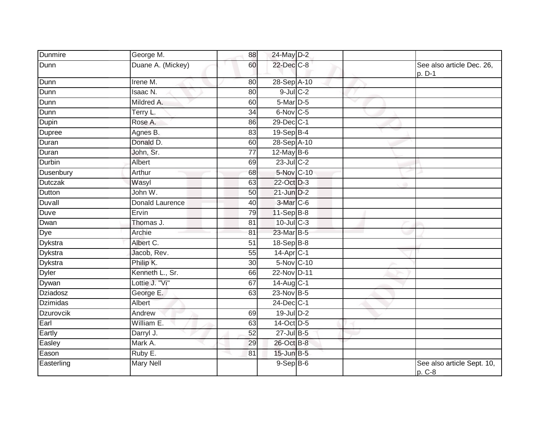| Dunmire         | George M.         | $\overline{88}$ | 24-May D-2              |   |                                      |
|-----------------|-------------------|-----------------|-------------------------|---|--------------------------------------|
| Dunn            | Duane A. (Mickey) | 60              | 22-Dec C-8              |   | See also article Dec. 26,<br>p. D-1  |
| Dunn            | Irene M.          | 80              | 28-Sep A-10             |   |                                      |
| Dunn            | Isaac N.          | 80              | $9$ -Jul $C$ -2         |   |                                      |
| Dunn            | Mildred A.        | 60              | $5-Mar$ D-5             | v |                                      |
| Dunn            | Terry L.          | 34              | $6$ -Nov $ C$ -5        |   |                                      |
| Dupin           | Rose A.           | 86              | 29-Dec C-1              |   |                                      |
| Dupree          | Agnes B.          | 83              | $19-SepB-4$             |   |                                      |
| Duran           | Donald D.         | 60              | 28-Sep A-10             |   |                                      |
| Duran           | John, Sr.         | 77              | $12$ -May B-6           |   |                                      |
| Durbin          | Albert            | 69              | $23$ -Jul $C-2$         |   |                                      |
| Dusenbury       | Arthur            | 68              | 5-Nov C-10              |   |                                      |
| <b>Dutczak</b>  | Wasyl             | 63              | 22-Oct D-3              |   |                                      |
| Dutton          | John W.           | 50              | $21$ -Jun $D-2$         |   |                                      |
| Duvall          | Donald Laurence   | 40              | 3-Mar C-6               |   |                                      |
| Duve            | Ervin             | 79              | 11-Sep B-8              |   |                                      |
| Dwan            | Thomas J.         | 81              | $10$ -Jul $C-3$         |   |                                      |
| Dye             | Archie            | 81              | 23-Mar B-5              |   |                                      |
| Dykstra         | Albert C.         | 51              | 18-Sep B-8              |   |                                      |
| Dykstra         | Jacob, Rev.       | 55              | $14-Apr$ <sub>C-1</sub> |   |                                      |
| Dykstra         | Philip K.         | 30              | 5-Nov C-10              |   |                                      |
| <b>Dyler</b>    | Kenneth L., Sr.   | 66              | 22-Nov D-11             |   |                                      |
| Dywan           | Lottie J. "Vi"    | 67              | 14-Aug C-1              |   |                                      |
| Dziadosz        | George E.         | 63              | 23-Nov B-5              |   |                                      |
| <b>Dzimidas</b> | Albert            |                 | 24-Dec C-1              |   |                                      |
| Dzurovcik       | Andrew            | 69              | $19$ -Jul $D-2$         |   |                                      |
| Earl            | William E.        | 63              | 14-Oct D-5              |   |                                      |
| Eartly          | Darryl J.         | 52              | 27-Jul B-5              |   |                                      |
| Easley          | Mark A.           | 29              | 26-Oct B-8              |   |                                      |
| Eason           | Ruby E.           | 81              | $15$ -Jun $B-5$         |   |                                      |
| Easterling      | Mary Nell         |                 | $9-$ Sep $B-6$          |   | See also article Sept. 10,<br>p. C-8 |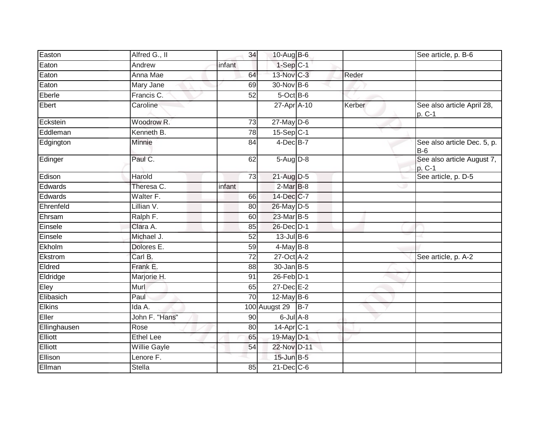| Easton         | Alfred G., II       | 34     | $10-Aug$ B-6      |        | See article, p. B-6                       |
|----------------|---------------------|--------|-------------------|--------|-------------------------------------------|
| Eaton          | Andrew              | infant | $1-Sep$ $C-1$     |        |                                           |
| Eaton          | Anna Mae            | 64     | 13-Nov C-3        | Reder  |                                           |
| Eaton          | Mary Jane           | 69     | 30-Nov B-6        |        |                                           |
| Eberle         | Francis C.          | 52     | 5-Oct B-6         |        |                                           |
| Ebert          | Caroline            |        | 27-Apr A-10       | Kerber | See also article April 28,<br>p. C-1      |
| Eckstein       | Woodrow R.          | 73     | $27$ -May $D-6$   |        |                                           |
| Eddleman       | Kenneth B.          | 78     | 15-Sep C-1        |        |                                           |
| Edgington      | Minnie              | 84     | $4$ -Dec B-7      |        | See also article Dec. 5, p.<br><b>B-6</b> |
| Edinger        | Paul C.             | 62     | 5-Aug D-8         |        | See also article August 7,<br>p. C-1      |
| Edison         | Harold              | 73     | $21$ -Aug D-5     |        | See article, p. D-5                       |
| Edwards        | Theresa C.          | infant | $2$ -Mar $B-8$    |        |                                           |
| Edwards        | Walter F.           | 66     | 14-Dec C-7        |        |                                           |
| Ehrenfeld      | Lillian V.          | 80     | 26-May D-5        |        |                                           |
| Ehrsam         | Ralph F.            | 60     | 23-Mar B-5        |        |                                           |
| Einsele        | Clara A.            | 85     | 26-Dec D-1        |        |                                           |
| Einsele        | Michael J.          | 52     | $13$ -Jul B-6     |        |                                           |
| Ekholm         | Dolores E.          | 59     | $4$ -May B-8      |        |                                           |
| Ekstrom        | Carl B.             | 72     | 27-Oct A-2        |        | See article, p. A-2                       |
| Eldred         | Frank E.            | 88     | $30 - Jan$ $B-5$  |        |                                           |
| Eldridge       | Marjorie H.         | 91     | $26$ -Feb $D-1$   |        |                                           |
| Eley           | Murl                | 65     | 27-Dec E-2        |        |                                           |
| Elibasich      | Paul                | 70     | 12-May B-6        |        |                                           |
| <b>Elkins</b>  | Ida A.              |        | 100 Auugst 29 B-7 |        |                                           |
| Eller          | John F. "Hans"      | 90     | $6$ -Jul $A$ -8   |        |                                           |
| Ellinghausen   | Rose                | 80     | $14$ -Apr $C-1$   |        |                                           |
| <b>Elliott</b> | <b>Ethel Lee</b>    | 65     | 19-May D-1        |        |                                           |
| Elliott        | <b>Willie Gayle</b> | 54     | 22-Nov D-11       |        |                                           |
| Ellison        | Lenore F.           |        | 15-Jun B-5        |        |                                           |
| Ellman         | <b>Stella</b>       | 85     | $21$ -Dec $C$ -6  |        |                                           |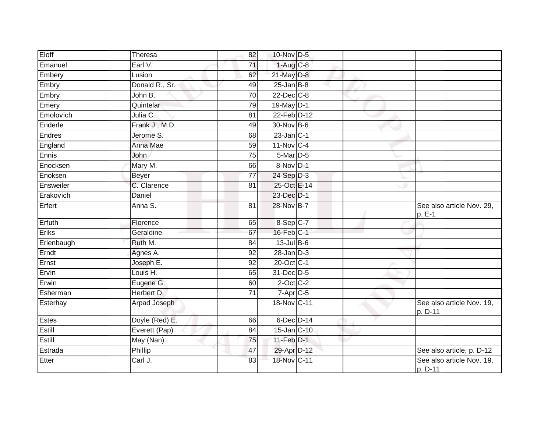| Eloff      | Theresa        | 82              | 10-Nov D-5        |  |                                      |
|------------|----------------|-----------------|-------------------|--|--------------------------------------|
| Emanuel    | Earl V.        | 71              | $1-Aug$ $C-8$     |  |                                      |
| Embery     | Lusion         | 62              | $21$ -May $D-8$   |  |                                      |
| Embry      | Donald R., Sr. | 49              | $25$ -Jan $B$ -8  |  |                                      |
| Embry      | John B.        | 70              | 22-Dec C-8        |  |                                      |
| Emery      | Quintelar      | 79              | 19-May D-1        |  |                                      |
| Emolovich  | Julia C.       | 81              | 22-Feb D-12       |  |                                      |
| Enderle    | Frank J., M.D. | 49              | $30$ -Nov B-6     |  |                                      |
| Endres     | Jerome S.      | 68              | $23$ -Jan C-1     |  |                                      |
| England    | Anna Mae       | 59              | $11$ -Nov $C-4$   |  |                                      |
| Ennis      | <b>John</b>    | $\overline{75}$ | $5$ -Mar $D-5$    |  |                                      |
| Enocksen   | Mary M.        | 66              | $8-Nov$ $D-1$     |  |                                      |
| Enoksen    | <b>Beyer</b>   | $\overline{77}$ | $24-Sep$ D-3      |  |                                      |
| Ensweiler  | C. Clarence    | 81              | 25-Oct E-14       |  |                                      |
| Erakovich  | Daniel         |                 | 23-Dec D-1        |  |                                      |
| Erfert     | Anna S.        | 81              | 28-Nov B-7        |  | See also article Nov. 29,<br>p. E-1  |
| Erfuth     | Florence       | 65              | 8-Sep C-7         |  |                                      |
| Eriks      | Geraldine      | 67              | $16$ -Feb $ C-1 $ |  |                                      |
| Erlenbaugh | Ruth M.        | 84              | $13$ -Jul B-6     |  |                                      |
| Erndt      | Agnes A.       | 92              | $28$ -Jan $D-3$   |  |                                      |
| Ernst      | Joseph E.      | 92              | 20-Oct C-1        |  |                                      |
| Ervin      | Louis H.       | 65              | 31-Dec D-5        |  |                                      |
| Erwin      | Eugene G.      | 60              | $2$ -Oct C-2      |  |                                      |
| Esherman   | Herbert D.     | 71              | $7 - Apr$ $C - 5$ |  |                                      |
| Esterhay   | Arpad Joseph   |                 | 18-Nov C-11       |  | See also article Nov. 19,<br>p. D-11 |
| Estes      | Doyle (Red) E. | 66              | $6$ -Dec $D-14$   |  |                                      |
| Estill     | Everett (Pap)  | 84              | 15-Jan C-10       |  |                                      |
| Estill     | May (Nan)      | 75              | $11-Feb$ D-1      |  |                                      |
| Estrada    | <b>Phillip</b> | 47              | 29-Apr D-12       |  | See also article, p. D-12            |
| Etter      | Carl J.        | 83              | 18-Nov C-11       |  | See also article Nov. 19,<br>p. D-11 |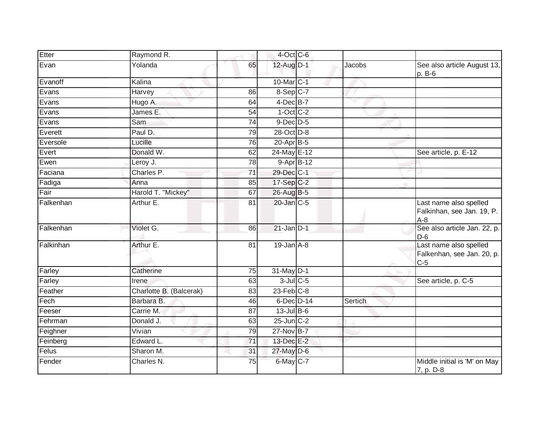| Etter     | Raymond R.              |                 | $4$ -Oct C-6     |         |                                                               |
|-----------|-------------------------|-----------------|------------------|---------|---------------------------------------------------------------|
| Evan      | Yolanda                 | 65              | 12-Aug D-1       | Jacobs  | See also article August 13,<br>p. B-6                         |
| Evanoff   | Kalina                  |                 | 10-Mar C-1       |         |                                                               |
| Evans     | Harvey                  | 86              | 8-Sep C-7        |         |                                                               |
| Evans     | Hugo A.                 | 64              | 4-Dec B-7        |         |                                                               |
| Evans     | James E.                | 54              | $1-Oct$ $C-2$    |         |                                                               |
| Evans     | Sam                     | $\overline{74}$ | $9$ -Dec $D$ -5  |         |                                                               |
| Everett   | Paul D.                 | 79              | 28-Oct D-8       |         |                                                               |
| Eversole  | Lucille                 | 76              | $20$ -Apr $B$ -5 |         |                                                               |
| Evert     | Donald W.               | 62              | 24-May E-12      |         | See article, p. E-12                                          |
| Ewen      | Leroy J.                | 78              | 9-Apr B-12       |         |                                                               |
| Faciana   | Charles P.              | $\overline{71}$ | 29-Dec C-1       |         |                                                               |
| Fadiga    | Anna                    | 85              | 17-Sep C-2       |         |                                                               |
| Fair      | Harold T. "Mickey"      | 67              | 26-Aug B-5       |         |                                                               |
| Falkenhan | Arthur E.               | $\overline{81}$ | 20-Jan C-5       |         | Last name also spelled<br>Falkinhan, see Jan. 19, P.<br>$A-8$ |
| Falkenhan | Violet G.               | 86              | $21$ -Jan $D-1$  |         | See also article Jan. 22, p.<br>$D-6$                         |
| Falkinhan | Arthur E.               | 81              | $19$ -Jan $A-8$  |         | Last name also spelled<br>Falkenhan, see Jan. 20, p.<br>$C-5$ |
| Farley    | Catherine               | 75              | 31-May D-1       |         |                                                               |
| Farley    | Irene                   | 63              | $3$ -Jul C-5     |         | See article, p. C-5                                           |
| Feather   | Charlotte B. (Balcerak) | $\overline{83}$ | $23$ -Feb $C-8$  |         |                                                               |
| Fech      | Barbara B.              | 46              | 6-Dec D-14       | Sertich |                                                               |
| Feeser    | Carrie M.               | 87              | $13$ -Jul B-6    |         |                                                               |
| Fehrman   | Donald J.               | 63              | 25-Jun C-2       |         |                                                               |
| Feighner  | Vivian                  | 79              | 27-Nov B-7       |         |                                                               |
| Feinberg  | Edward L.               | $\overline{71}$ | 13-Dec E-2       |         |                                                               |
| Felus     | Sharon M.               | 31              | $27$ -May $D-6$  |         |                                                               |
| Fender    | Charles N.              | 75              | 6-May C-7        |         | Middle initial is 'M' on May<br>7, p. D-8                     |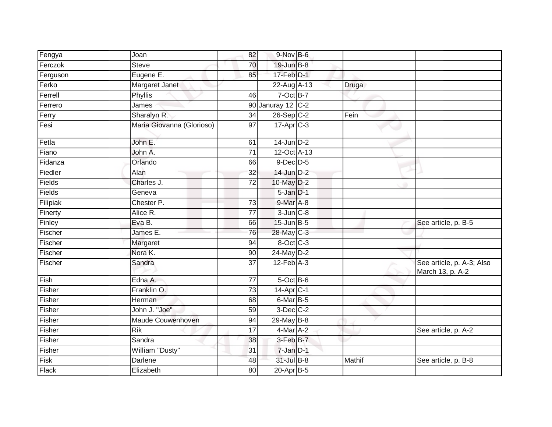| Fengya        | Joan                      | 82              | $9-Nov$ B-6             |               |                                               |
|---------------|---------------------------|-----------------|-------------------------|---------------|-----------------------------------------------|
| Ferczok       | <b>Steve</b>              | 70              | 19-Jun B-8              |               |                                               |
| Ferguson      | Eugene E.                 | 85              | 17-Feb D-1              |               |                                               |
| Ferko         | Margaret Janet            |                 | 22-Aug A-13             | Druga         |                                               |
| Ferrell       | <b>Phyllis</b>            | 46              | 7-Oct B-7               |               |                                               |
| Ferrero       | James                     |                 | 90 Januray 12 C-2       |               |                                               |
| Ferry         | Sharalyn R.               | 34              | $26-SepC-2$             | Fein          |                                               |
| Fesi          | Maria Giovanna (Glorioso) | 97              | 17-Apr C-3              |               |                                               |
| Fetla         | John E.                   | 61              | $14$ -Jun $D-2$         |               |                                               |
| Fiano         | John A.                   | 71              | 12-Oct A-13             |               |                                               |
| Fidanza       | Orlando                   | 66              | $9$ -Dec $D$ -5         |               |                                               |
| Fiedler       | Alan                      | 32              | $14$ -Jun D-2           |               |                                               |
| <b>Fields</b> | Charles J.                | $\overline{72}$ | 10-May D-2              |               |                                               |
| Fields        | Geneva                    |                 | $5 - Jan$ $D-1$         |               |                                               |
| Filipiak      | Chester P.                | $\overline{73}$ | 9-Mar A-8               |               |                                               |
| Finerty       | Alice R.                  | 77              | $3$ -Jun $C-8$          |               |                                               |
| Finley        | Eva B.                    | 66              | 15-Jun B-5              |               | See article, p. B-5                           |
| Fischer       | James E.                  | 76              | 28-May C-3              |               |                                               |
| Fischer       | Margaret                  | 94              | 8-Oct C-3               |               |                                               |
| Fischer       | Nora K.                   | 90              | 24-May D-2              |               |                                               |
| Fischer       | Sandra                    | 37              | $12$ -Feb $A-3$         |               | See article, p. A-3; Also<br>March 13, p. A-2 |
| Fish          | Edna A.                   | 77              | 5-Oct B-6               |               |                                               |
| Fisher        | Franklin O.               | 73              | $14-Apr$ <sub>C-1</sub> |               |                                               |
| Fisher        | Herman                    | 68              | $6$ -Mar $B$ -5         |               |                                               |
| Fisher        | John J. "Joe"             | 59              | $3$ -Dec $C-2$          |               |                                               |
| Fisher        | Maude Couwenhoven         | 94              | 29-May B-8              |               |                                               |
| Fisher        | <b>Rik</b>                | 17              | 4-Mar A-2               |               | See article, p. A-2                           |
| Fisher        | Sandra                    | 38              | 3-Feb B-7               |               |                                               |
| Fisher        | William "Dusty"           | 31              | $7 - Jan$ $D-1$         |               |                                               |
| Fisk          | Darlene                   | 48              | 31-Jul B-8              | <b>Mathif</b> | See article, p. B-8                           |
| Flack         | Elizabeth                 | 80              | 20-Apr B-5              |               |                                               |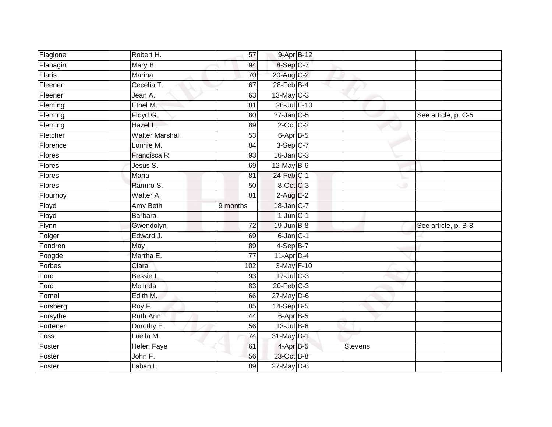| Flaglone      | Robert H.              | 57              | 9-Apr B-12       |         |                     |
|---------------|------------------------|-----------------|------------------|---------|---------------------|
| Flanagin      | Mary B.                | 94              | 8-Sep C-7        |         |                     |
| <b>Flaris</b> | Marina                 | 70              | 20-Aug C-2       |         |                     |
| Fleener       | Cecelia T.             | 67              | $28$ -Feb $B$ -4 |         |                     |
| Fleener       | Jean A.                | 63              | $13$ -May C-3    |         |                     |
| Fleming       | Ethel M.               | 81              | 26-Jul E-10      |         |                     |
| Fleming       | Floyd G.               | 80              | $27$ -Jan $C$ -5 |         | See article, p. C-5 |
| Fleming       | Hazel L.               | 89              | $2$ -Oct C-2     |         |                     |
| Fletcher      | <b>Walter Marshall</b> | 53              | $6 - Apr$ $B-5$  |         |                     |
| Florence      | Lonnie M.              | 84              | $3-Sep$ C-7      |         |                     |
| Flores        | Francisca R.           | 93              | $16$ -Jan $C-3$  |         |                     |
| <b>Flores</b> | Jesus S.               | 69              | $12$ -May B-6    |         |                     |
| Flores        | Maria                  | 81              | 24-Feb C-1       |         |                     |
| Flores        | Ramiro S.              | 50              | 8-Oct C-3        |         |                     |
| Flournoy      | Walter A.              | 81              | $2-AugE-2$       |         |                     |
| Floyd         | Amy Beth               | 9 months        | 18-Jan C-7       |         |                     |
| Floyd         | <b>Barbara</b>         |                 | $1$ -Jun $C-1$   |         |                     |
| Flynn         | Gwendolyn              | $\overline{72}$ | 19-Jun B-8       |         | See article, p. B-8 |
| Folger        | Edward J.              | 69              | 6-Jan C-1        |         |                     |
| Fondren       | May                    | 89              | $4-SepB-7$       |         |                     |
| Foogde        | Martha E.              | $\overline{77}$ | $11$ -Apr $D-4$  |         |                     |
| Forbes        | Clara                  | 102             | 3-May F-10       |         |                     |
| Ford          | Bessie I.              | 93              | $17 -$ Jul C-3   |         |                     |
| Ford          | Molinda                | 83              | $20$ -Feb $C-3$  |         |                     |
| Fornal        | Edith M.               | 66              | $27$ -May D-6    |         |                     |
| Forsberg      | Roy F.                 | 85              | 14-Sep B-5       |         |                     |
| Forsythe      | Ruth Ann               | 44              | 6-Apr B-5        |         |                     |
| Fortener      | Dorothy E.             | 56              | 13-Jul B-6       |         |                     |
| Foss          | Luella M.              | 74              | 31-May D-1       |         |                     |
| Foster        | <b>Helen Faye</b>      | 61              | $4-AprB-5$       | Stevens |                     |
| Foster        | John F.                | 56              | 23-Oct B-8       |         |                     |
| Foster        | Laban L.               | 89              | 27-May D-6       |         |                     |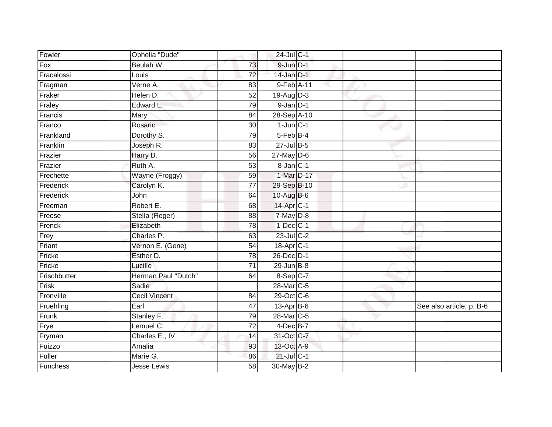| Fowler       | Ophelia "Dude"       |                 | 24-Jul C-1            |  |                          |
|--------------|----------------------|-----------------|-----------------------|--|--------------------------|
| Fox          | Beulah W.            | 73              | $9$ -Jun $D-1$        |  |                          |
| Fracalossi   | Louis                | 72              | $14$ -Jan D-1         |  |                          |
| Fragman      | Verne A.             | 83              | 9-Feb A-11            |  |                          |
| Fraker       | Helen D.             | 52              | $19-Auq$ D-3          |  |                          |
| Fraley       | Edward L.            | 79              | $9$ -Jan $D-1$        |  |                          |
| Francis      | Mary                 | 84              | 28-Sep A-10           |  |                          |
| Franco       | Rosario              | 30              | $1$ -Jun $C-1$        |  |                          |
| Frankland    | Dorothy S.           | 79              | 5-Feb B-4             |  |                          |
| Franklin     | Joseph R.            | 83              | $27 -$ Jul B-5        |  |                          |
| Frazier      | Harry B.             | 56              | $27$ -May $D-6$       |  |                          |
| Frazier      | Ruth A.              | 53              | 8-Jan C-1             |  |                          |
| Frechette    | Wayne (Froggy)       | 59              | 1-Mar D-17            |  |                          |
| Frederick    | Carolyn K.           | 77              | 29-Sep B-10           |  |                          |
| Frederick    | John                 | 64              | 10-Aug B-6            |  |                          |
| Freeman      | Robert E.            | 68              | 14-Apr C-1            |  |                          |
| Freese       | Stella (Reger)       | $\overline{88}$ | $7-May$ D-8           |  |                          |
| Frenck       | Elizabeth            | 78              | $1$ -Dec $C-1$        |  |                          |
| Frey         | Charles P.           | 63              | 23-Jul C-2            |  |                          |
| Friant       | Vernon E. (Gene)     | 54              | 18-Apr <sub>C-1</sub> |  |                          |
| Fricke       | Esther D.            | 78              | 26-Dec D-1            |  |                          |
| Fricke       | Lucille              | $\overline{71}$ | $29$ -Jun $B - 8$     |  |                          |
| Frischbutter | Herman Paul "Dutch"  | 64              | 8-Sep C-7             |  |                          |
| First        | Sadie                |                 | 28-Mar C-5            |  |                          |
| Fronville    | <b>Cecil Vincent</b> | 84              | 29-Oct C-6            |  |                          |
| Fruehling    | Earl                 | 47              | 13-Apr B-6            |  | See also article, p. B-6 |
| Frunk        | Stanley F.           | 79              | 28-Mar C-5            |  |                          |
| Frye         | Lemuel C.            | $\overline{72}$ | $4$ -Dec $B$ -7       |  |                          |
| Fryman       | Charles E., IV       | 14              | 31-Oct C-7            |  |                          |
| Fuizzo       | Amalia               | 93              | 13-Oct A-9            |  |                          |
| Fuller       | Marie G.             | 86              | 21-Jul C-1            |  |                          |
| Funchess     | Jesse Lewis          | $\overline{58}$ | 30-May B-2            |  |                          |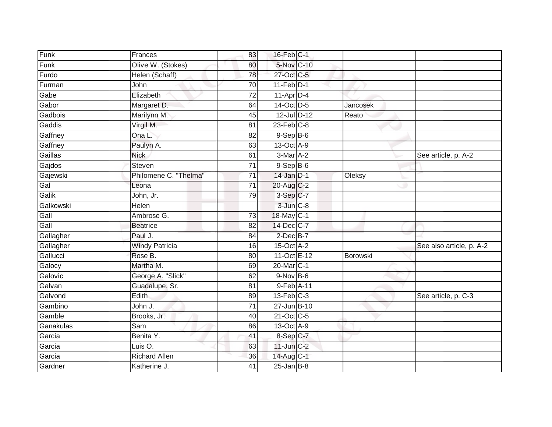| Funk      | Frances               | 83              | $16$ -Feb $ C-1 $ |          |                          |
|-----------|-----------------------|-----------------|-------------------|----------|--------------------------|
| Funk      | Olive W. (Stokes)     | 80              | 5-Nov C-10        |          |                          |
| Furdo     | Helen (Schaff)        | $\overline{78}$ | 27-Oct C-5        |          |                          |
| Furman    | John                  | $\overline{70}$ | $11-Feb$ D-1      |          |                          |
| Gabe      | Elizabeth             | $\overline{72}$ | $11-AprD-4$       |          |                          |
| Gabor     | Margaret D.           | 64              | 14-Oct D-5        | Jancosek |                          |
| Gadbois   | Marilynn M.           | 45              | $12$ -Jul $D-12$  | Reato    |                          |
| Gaddis    | Virgil M.             | 81              | $23$ -Feb $C-8$   |          |                          |
| Gaffney   | Ona L.                | 82              | $9-Sep$ $B-6$     |          |                          |
| Gaffney   | Paulyn A.             | 63              | 13-Oct A-9        |          |                          |
| Gaillas   | <b>Nick</b>           | 61              | 3-Mar A-2         |          | See article, p. A-2      |
| Gajdos    | Steven                | 71              | $9-SepB-6$        |          |                          |
| Gajewski  | Philomene C. "Thelma" | $\overline{71}$ | $14$ -Jan $D-1$   | Oleksy   |                          |
| Gal       | Leona                 | 71              | 20-Aug C-2        |          |                          |
| Galik     | John, Jr.             | 79              | $3-Sep$ $C-7$     |          |                          |
| Galkowski | Helen                 |                 | 3-Jun C-8         |          |                          |
| Gall      | Ambrose G.            | $\overline{73}$ | 18-May C-1        |          |                          |
| Gall      | <b>Beatrice</b>       | 82              | $14$ -Dec $ C-7 $ |          |                          |
| Gallagher | Paul J.               | 84              | $2$ -Dec $B$ -7   |          |                          |
| Gallagher | <b>Windy Patricia</b> | 16              | 15-Oct A-2        |          | See also article, p. A-2 |
| Gallucci  | Rose B.               | 80              | $11-Oct$ $E-12$   | Borowski |                          |
| Galocy    | Martha M.             | 69              | 20-Mar C-1        |          |                          |
| Galovic   | George A. "Slick"     | 62              | $9-Nov$ B-6       |          |                          |
| Galvan    | Guadalupe, Sr.        | 81              | 9-Feb A-11        |          |                          |
| Galvond   | Edith                 | 89              | $13$ -Feb $C-3$   |          | See article, p. C-3      |
| Gambino   | John J.               | $\overline{71}$ | 27-Jun B-10       |          |                          |
| Gamble    | Brooks, Jr.           | 40              | 21-Oct C-5        |          |                          |
| Ganakulas | Sam                   | 86              | 13-Oct A-9        |          |                          |
| Garcia    | Benita Y.             | 41              | 8-Sep C-7         |          |                          |
| Garcia    | Luis <sub>O.</sub>    | 63              | $11$ -Jun $C-2$   |          |                          |
| Garcia    | <b>Richard Allen</b>  | 36              | 14-Aug C-1        |          |                          |
| Gardner   | Katherine J.          | 41              | $25 - Jan$ $B-8$  |          |                          |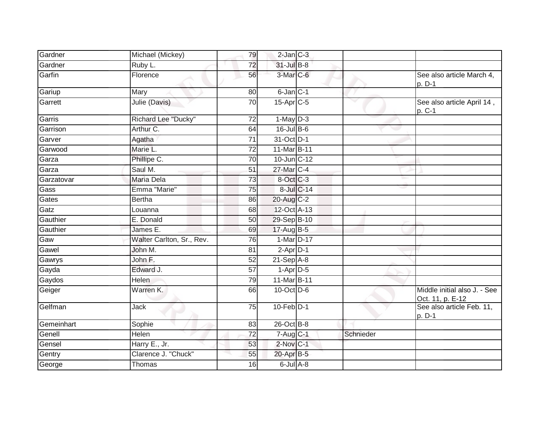| Gardner    | Michael (Mickey)          | 79              | $2$ -Jan $C-3$           |            |           |                                                  |
|------------|---------------------------|-----------------|--------------------------|------------|-----------|--------------------------------------------------|
| Gardner    | Ruby L.                   | 72              | 31-Jul B-8               |            |           |                                                  |
| Garfin     | Florence                  | 56              | 3-Mar <sub>C-6</sub>     |            |           | See also article March 4,<br>p. D-1              |
| Gariup     | Mary                      | 80              | $6$ -Jan $C-1$           |            |           |                                                  |
| Garrett    | Julie (Davis)             | 70              | $15$ -Apr $C$ -5         |            |           | See also article April 14,<br>$p. C-1$           |
| Garris     | Richard Lee "Ducky"       | $\overline{72}$ | $1-May$ D-3              |            |           |                                                  |
| Garrison   | Arthur C.                 | 64              | 16-Jul B-6               |            | w         |                                                  |
| Garver     | Agatha                    | $\overline{71}$ | 31-Oct D-1               |            |           |                                                  |
| Garwood    | Marie L.                  | $\overline{72}$ | 11-Mar B-11              |            |           |                                                  |
| Garza      | Phillipe C.               | 70              | 10-Jun C-12              |            |           |                                                  |
| Garza      | Saul M.                   | 51              | 27-Mar C-4               |            |           |                                                  |
| Garzatovar | Maria Dela                | 73              | 8-Oct C-3                |            |           |                                                  |
| Gass       | Emma "Marie"              | $\overline{75}$ |                          | 8-Jul C-14 |           |                                                  |
| Gates      | <b>Bertha</b>             | 86              | 20-Aug C-2               |            |           |                                                  |
| Gatz       | Louanna                   | 68              | 12-Oct A-13              |            |           |                                                  |
| Gauthier   | E. Donald                 | 50              | 29-Sep B-10              |            |           |                                                  |
| Gauthier   | James E.                  | 69              | 17-Aug B-5               |            |           |                                                  |
| Gaw        | Walter Carlton, Sr., Rev. | 76              | 1-Mar D-17               |            |           |                                                  |
| Gawel      | John M.                   | 81              | $2-Apr$ D-1              |            |           |                                                  |
| Gawrys     | John F.                   | 52              | $21-Sep$ A-8             |            |           |                                                  |
| Gayda      | Edward J.                 | 57              | $1-Apr$ D-5              |            |           |                                                  |
| Gaydos     | Helen                     | 79              | 11-Mar B-11              |            |           |                                                  |
| Geiger     | Warren K.                 | 66              | 10-Oct D-6               |            |           | Middle initial also J. - See<br>Oct. 11, p. E-12 |
| Gelfman    | Jack                      | 75              | 10-Feb D-1               |            |           | See also article Feb. 11,<br>p. D-1              |
| Gemeinhart | Sophie                    | 83              | $26$ -Oct B-8            |            |           |                                                  |
| Genell     | Helen                     | 72              | $7 - Aug$ <sub>C-1</sub> |            | Schnieder |                                                  |
| Gensel     | Harry E., Jr.             | 53              | $2$ -Nov $C-1$           |            |           |                                                  |
| Gentry     | Clarence J. "Chuck"       | 55              | 20-Apr B-5               |            |           |                                                  |
| George     | Thomas                    | 16              | $6$ -Jul $A$ -8          |            |           |                                                  |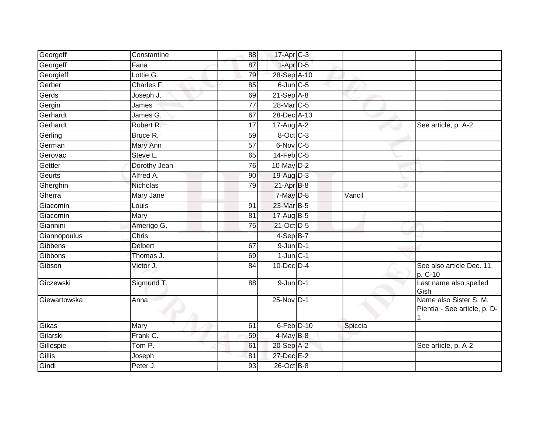| Georgeff     | Constantine    | 88              | $17$ -Apr $C-3$ |         |                                                        |
|--------------|----------------|-----------------|-----------------|---------|--------------------------------------------------------|
| Georgeff     | Fana           | 87              | $1-Apr$ D-5     |         |                                                        |
| Georgieff    | Lottie G.      | 79              | 28-Sep A-10     |         |                                                        |
| Gerber       | Charles F.     | 85              | $6$ -Jun $C$ -5 |         |                                                        |
| Gerds        | Joseph J.      | 69              | $21-Sep$ A-8    |         |                                                        |
| Gergin       | James          | $\overline{77}$ | 28-Mar C-5      |         |                                                        |
| Gerhardt     | James G.       | 67              | 28-Dec A-13     |         |                                                        |
| Gerhardt     | Robert R.      | 17              | 17-Aug A-2      |         | See article, p. A-2                                    |
| Gerling      | Bruce R.       | 59              | 8-Oct C-3       |         |                                                        |
| German       | Mary Ann       | $\overline{57}$ | 6-Nov C-5       |         |                                                        |
| Gerovac      | Steve L.       | 65              | $14$ -Feb $C-5$ |         |                                                        |
| Gettler      | Dorothy Jean   | 76              | 10-May $D-2$    |         |                                                        |
| Geurts       | Alfred A.      | 90              | 19-Aug D-3      |         |                                                        |
| Gherghin     | Nicholas       | 79              | 21-Apr B-8      |         |                                                        |
| Gherra       | Mary Jane      |                 | $7$ -May $D-8$  | Vancil  |                                                        |
| Giacomin     | Louis          | 91              | 23-Mar B-5      |         |                                                        |
| Giacomin     | Mary           | 81              | 17-Aug B-5      |         |                                                        |
| Giannini     | Amerigo G.     | 75              | 21-Oct D-5      |         |                                                        |
| Giannopoulus | Chris          |                 | 4-Sep B-7       |         |                                                        |
| Gibbens      | <b>Delbert</b> | 67              | $9$ -Jun $D-1$  |         |                                                        |
| Gibbons      | Thomas J.      | 69              | $1$ -Jun $C-1$  |         |                                                        |
| Gibson       | Victor J.      | 84              | $10$ -Dec $D-4$ |         | See also article Dec. 11,<br>p. C-10                   |
| Giczewski    | Sigmund T.     | 88              | $9$ -Jun $D-1$  |         | Last name also spelled<br>Gish                         |
| Giewartowska | Anna           |                 | 25-Nov D-1      |         | Name also Sister S. M.<br>Pientia - See article, p. D- |
| Gikas        | Mary           | 61              | $6$ -Feb $D-10$ | Spiccia |                                                        |
| Gilarski     | Frank C.       | 59              | $4$ -May B-8    |         |                                                        |
| Gillespie    | Tom P.         | 61              | 20-Sep A-2      |         | See article, p. A-2                                    |
| Gillis       | Joseph         | 81              | 27-Dec E-2      |         |                                                        |
| Gindl        | Peter J.       | 93              | 26-Oct B-8      |         |                                                        |
|              |                |                 |                 |         |                                                        |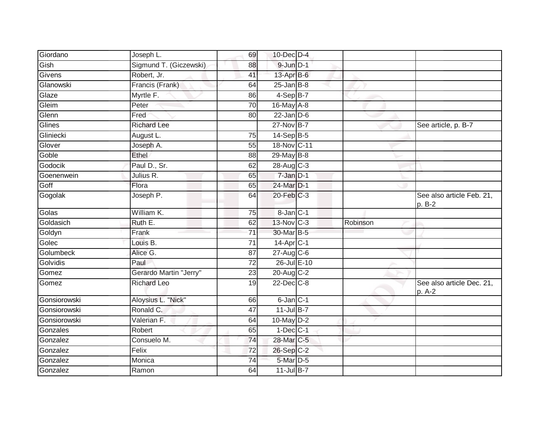| Giordano     | Joseph L.              | 69              | $10$ -Dec $D-4$         |          |                                     |
|--------------|------------------------|-----------------|-------------------------|----------|-------------------------------------|
| Gish         | Sigmund T. (Giczewski) | 88              | $9$ -Jun $D-1$          |          |                                     |
| Givens       | Robert, Jr.            | 41              | 13-Apr B-6              |          |                                     |
| Glanowski    | Francis (Frank)        | 64              | $25$ -Jan $B$ -8        |          |                                     |
| Glaze        | Myrtle F.              | 86              | $4-Sep$ B-7             |          |                                     |
| Gleim        | Peter                  | $\overline{70}$ | 16-May A-8              |          |                                     |
| Glenn        | Fred                   | 80              | $22$ -Jan $D-6$         |          |                                     |
| Glines       | <b>Richard Lee</b>     |                 | 27-Nov B-7              |          | See article, p. B-7                 |
| Gliniecki    | August L.              | 75              | 14-Sep B-5              |          |                                     |
| Glover       | Joseph A.              | 55              | 18-Nov C-11             |          |                                     |
| Goble        | Ethel                  | 88              | 29-May B-8              |          |                                     |
| Godocik      | Paul D., Sr.           | 62              | $28-Aug$ <sub>C-3</sub> |          |                                     |
| Goenenwein   | Julius R.              | 65              | $7 - Jan$ $D-1$         |          |                                     |
| Goff         | Flora                  | 65              | 24-Mar D-1              |          |                                     |
| Gogolak      | Joseph P.              | 64              | $20$ -Feb $C-3$         |          | See also article Feb. 21,<br>p. B-2 |
| Golas        | William K.             | 75              | 8-Jan C-1               |          |                                     |
| Goldasich    | Ruth E.                | 62              | 13-Nov C-3              | Robinson |                                     |
| Goldyn       | Frank                  | $\overline{71}$ | 30-Mar B-5              |          |                                     |
| Golec        | Louis B.               | 71              | $14$ -Apr $ C-1 $       |          |                                     |
| Golumbeck    | Alice G.               | $\overline{87}$ | $27$ -Aug C-6           |          |                                     |
| Golvidis     | Paul                   | $\overline{72}$ | 26-Jul E-10             |          |                                     |
| Gomez        | Gerardo Martin "Jerry" | 23              | 20-Aug C-2              |          |                                     |
| Gomez        | <b>Richard Leo</b>     | 19              | 22-Dec C-8              |          | See also article Dec. 21,<br>p. A-2 |
| Gonsiorowski | Aloysius L. "Nick"     | 66              | 6-Jan C-1               |          |                                     |
| Gonsiorowski | Ronald C.              | 47              | $11$ -Jul B-7           |          |                                     |
| Gonsiorowski | Valerian F.            | 64              | 10-May D-2              |          |                                     |
| Gonzales     | Robert                 | 65              | $1-Dec$ $C-1$           |          |                                     |
| Gonzalez     | Consuelo M.            | 74              | 28-Mar C-5              |          |                                     |
| Gonzalez     | Felix                  | 72              | 26-Sep C-2              |          |                                     |
| Gonzalez     | Monica                 | 74              | 5-Mar D-5               |          |                                     |
| Gonzalez     | Ramon                  | 64              | $11$ -Jul B-7           |          |                                     |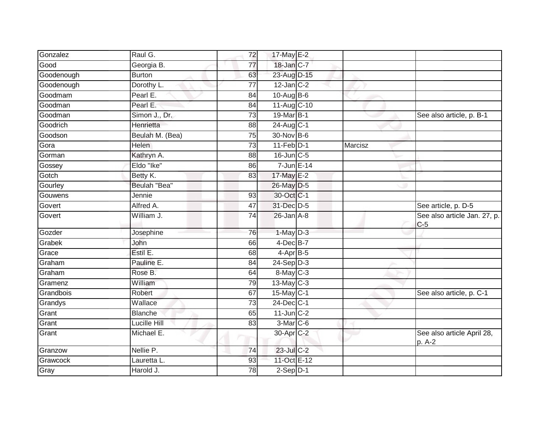| Gonzalez   | Raul G.             | 72 | 17-May E-2      |         |                                       |
|------------|---------------------|----|-----------------|---------|---------------------------------------|
| Good       | Georgia B.          | 77 | 18-Jan C-7      |         |                                       |
| Goodenough | <b>Burton</b>       | 63 | 23-Aug D-15     |         |                                       |
| Goodenough | Dorothy L.          | 77 | $12$ -Jan C-2   |         |                                       |
| Goodmam    | Pearl E.            | 84 | $10-Auq$ B-6    |         |                                       |
| Goodman    | Pearl E:            | 84 | 11-Aug C-10     |         |                                       |
| Goodman    | Simon J., Dr.       | 73 | 19-Mar B-1      |         | See also article, p. B-1              |
| Goodrich   | Henrietta           | 88 | 24-Aug C-1      |         |                                       |
| Goodson    | Beulah M. (Bea)     | 75 | 30-Nov B-6      |         |                                       |
| Gora       | <b>Helen</b>        | 73 | $11-Feb$ D-1    | Marcisz |                                       |
| Gorman     | Kathryn A.          | 88 | 16-Jun C-5      |         |                                       |
| Gossey     | Eldo "Ike"          | 86 | 7-Jun E-14      |         |                                       |
| Gotch      | Betty K.            | 83 | 17-May E-2      |         |                                       |
| Gourley    | Beulah "Bea"        |    | 26-May D-5      |         |                                       |
| Gouwens    | Jennie              | 93 | 30-Oct C-1      |         |                                       |
| Govert     | Alfred A.           | 47 | 31-Dec D-5      |         | See article, p. D-5                   |
| Govert     | William J.          | 74 | $26$ -Jan $A-8$ |         | See also article Jan. 27, p.<br>$C-5$ |
| Gozder     | Josephine           | 76 | $1-May$ D-3     |         |                                       |
| Grabek     | John                | 66 | 4-Dec B-7       |         |                                       |
| Grace      | Estil E.            | 68 | 4-Apr B-5       |         |                                       |
| Graham     | Pauline E.          | 84 | $24-Sep$ D-3    |         |                                       |
| Graham     | Rose B.             | 64 | $8-May$ $C-3$   |         |                                       |
| Gramenz    | William             | 79 | 13-May C-3      |         |                                       |
| Grandbois  | Robert              | 67 | 15-May C-1      |         | See also article, p. C-1              |
| Grandys    | Wallace             | 73 | 24-Dec C-1      |         |                                       |
| Grant      | <b>Blanche</b>      | 65 | $11$ -Jun $C-2$ |         |                                       |
| Grant      | <b>Lucille Hill</b> | 83 | $3-Mar$ C-6     |         |                                       |
| Grant      | Michael E.          |    | 30-Apr C-2      |         | See also article April 28,<br>p. A-2  |
| Granzow    | Nellie P.           | 74 | 23-Jul C-2      |         |                                       |
| Grawcock   | Lauretta L.         | 93 | 11-Oct E-12     |         |                                       |
| Gray       | Harold J.           | 78 | $2-Sep$ $D-1$   |         |                                       |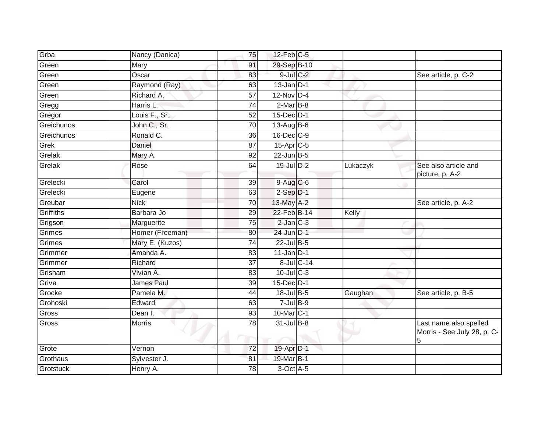| Grba       | Nancy (Danica)  | 75              | $12$ -Feb $C-5$ |          |                                                       |
|------------|-----------------|-----------------|-----------------|----------|-------------------------------------------------------|
| Green      | Mary            | 91              | 29-Sep B-10     |          |                                                       |
| Green      | Oscar           | 83              | $9$ -Jul $C$ -2 |          | See article, p. C-2                                   |
| Green      | Raymond (Ray)   | 63              | $13$ -Jan D-1   |          |                                                       |
| Green      | Richard A.      | 57              | $12$ -Nov D-4   |          |                                                       |
| Gregg      | Harris L.       | $\overline{74}$ | $2$ -Mar $B-8$  |          |                                                       |
| Gregor     | Louis F., Sr.   | 52              | $15$ -Dec $D-1$ |          |                                                       |
| Greichunos | John C., Sr.    | 70              | 13-Aug B-6      |          |                                                       |
| Greichunos | Ronald C.       | 36              | 16-Dec C-9      |          |                                                       |
| Grek       | Daniel          | $\overline{87}$ | 15-Apr C-5      |          |                                                       |
| Grelak     | Mary A.         | 92              | 22-Jun B-5      |          |                                                       |
| Grelak     | Rose            | 64              | $19$ -Jul $D-2$ | Lukaczyk | See also article and<br>picture, p. A-2               |
| Grelecki   | Carol           | 39              | 9-Aug C-6       |          |                                                       |
| Grelecki   | Eugene          | 63              | $2-Sep$ $D-1$   |          |                                                       |
| Greubar    | <b>Nick</b>     | 70              | 13-May A-2      |          | See article, p. A-2                                   |
| Griffiths  | Barbara Jo      | 29              | 22-Feb B-14     | Kelly    |                                                       |
| Grigson    | Marguerite      | 75              | $2$ -Jan $C-3$  |          |                                                       |
| Grimes     | Homer (Freeman) | 80              | 24-Jun D-1      |          |                                                       |
| Grimes     | Mary E. (Kuzos) | 74              | $22$ -Jul B-5   |          |                                                       |
| Grimmer    | Amanda A.       | $\overline{83}$ | $11$ -Jan D-1   |          |                                                       |
| Grimmer    | Richard         | $\overline{37}$ | 8-Jul C-14      |          |                                                       |
| Grisham    | Vivian A.       | 83              | $10$ -Jul C-3   |          |                                                       |
| Griva      | James Paul      | 39              | 15-Dec D-1      |          |                                                       |
| Grocke     | Pamela M.       | 44              | 18-Jul B-5      | Gaughan  | See article, p. B-5                                   |
| Grohoski   | Edward          | 63              | $7 -$ Jul B-9   |          |                                                       |
| Gross      | Dean I.         | 93              | 10-Mar C-1      |          |                                                       |
| Gross      | <b>Morris</b>   | $\overline{78}$ | $31$ -Jul B-8   |          | Last name also spelled<br>Morris - See July 28, p. C- |
| Grote      | Vernon          | 72              | 19-Apr D-1      |          |                                                       |
| Grothaus   | Sylvester J.    | 81              | 19-Mar B-1      |          |                                                       |
| Grotstuck  | Henry A.        | 78              | 3-Oct A-5       |          |                                                       |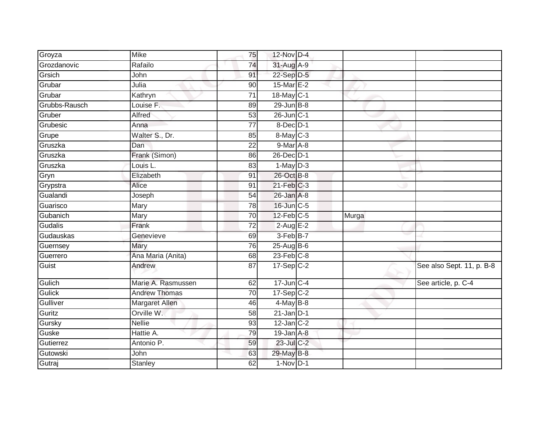| Groyza        | <b>Mike</b>              | 75              | 12-Nov D-4      |       |                           |
|---------------|--------------------------|-----------------|-----------------|-------|---------------------------|
| Grozdanovic   | Rafailo                  | 74              | 31-Aug A-9      |       |                           |
| Grsich        | John                     | 91              | 22-Sep D-5      |       |                           |
| Grubar        | Julia                    | 90              | 15-Mar E-2      |       |                           |
| Grubar        | Kathryn                  | $\overline{71}$ | 18-May C-1      |       |                           |
| Grubbs-Rausch | Louise F.                | 89              | $29$ -Jun $B-8$ |       |                           |
| Gruber        | Alfred                   | $\overline{53}$ | $26$ -Jun $C-1$ |       |                           |
| Grubesic      | Anna                     | 77              | 8-Dec D-1       |       |                           |
| Grupe         | Walter S., Dr.           | 85              | 8-May C-3       |       |                           |
| Gruszka       | Dan                      | $\overline{22}$ | $9$ -Mar $A$ -8 |       |                           |
| Gruszka       | Frank (Simon)            | 86              | 26-Dec D-1      |       |                           |
| Gruszka       | Louis L.                 | 83              | $1-May$ D-3     |       |                           |
| Gryn          | Elizabeth                | 91              | 26-Oct B-8      |       |                           |
| Grypstra      | Alice                    | 91              | $21$ -Feb $C-3$ |       |                           |
| Gualandi      | Joseph                   | 54              | $26$ -Jan $A-8$ |       |                           |
| Guarisco      | $\overline{\text{Mary}}$ | 78              | $16$ -Jun $C-5$ |       |                           |
| Gubanich      | Mary                     | $\overline{70}$ | $12$ -Feb $C-5$ | Murga |                           |
| Gudalis       | Frank                    | 72              | $2$ -Aug E-2    |       |                           |
| Gudauskas     | Genevieve                | 69              | 3-Feb B-7       |       |                           |
| Guernsey      | Mary                     | 76              | 25-Aug B-6      |       |                           |
| Guerrero      | Ana Maria (Anita)        | 68              | $23$ -Feb $C-8$ |       |                           |
| Guist         | Andrew                   | 87              | $17-Sep C-2$    |       | See also Sept. 11, p. B-8 |
| Gulich        | Marie A. Rasmussen       | 62              | $17$ -Jun $C-4$ |       | See article, p. C-4       |
| Gulick        | <b>Andrew Thomas</b>     | 70              | 17-Sep C-2      |       |                           |
| Gulliver      | <b>Margaret Allen</b>    | 46              | $4$ -May B-8    |       |                           |
| Guritz        | Orville W.               | 58              | $21$ -Jan D-1   |       |                           |
| Gursky        | <b>Nellie</b>            | 93              | $12$ -Jan $C-2$ |       |                           |
| Guske         | Hattie A.                | 79              | $19$ -Jan $A-8$ |       |                           |
| Gutierrez     | Antonio P.               | 59              | 23-Jul C-2      |       |                           |
| Gutowski      | John                     | 63              | 29-May B-8      |       |                           |
| Gutraj        | Stanley                  | 62              | $1-Nov$ D-1     |       |                           |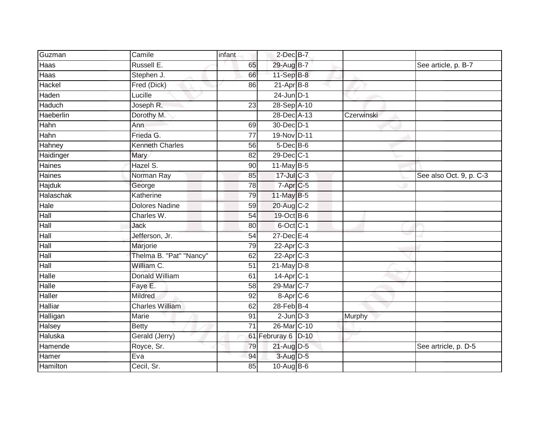| Guzman           | Camile                  | infant          | $2$ -Dec $B-7$            |            |                         |
|------------------|-------------------------|-----------------|---------------------------|------------|-------------------------|
| <b>Haas</b>      | Russell E.              | 65              | 29-Aug B-7                |            | See article, p. B-7     |
| Haas             | Stephen J.              | 66              | 11-Sep B-8                |            |                         |
| Hackel           | Fred (Dick)             | 86              | $21 - \overline{Apr}$ B-8 |            |                         |
| Haden            | Lucille                 |                 | $24$ -Jun D-1             |            |                         |
| <b>Haduch</b>    | Joseph R.               | 23              | 28-Sep A-10               |            |                         |
| Haeberlin        | Dorothy M.              |                 | 28-Dec A-13               | Czerwinski |                         |
| Hahn             | Ann                     | 69              | 30-Dec D-1                |            |                         |
| Hahn             | Frieda G.               | $\overline{77}$ | 19-Nov D-11               |            |                         |
| Hahney           | <b>Kenneth Charles</b>  | 56              | 5-Dec B-6                 |            |                         |
| Haidinger        | Mary                    | 82              | 29-Dec C-1                |            |                         |
| Haines           | Hazel S.                | 90              | 11-May B-5                |            |                         |
| <b>Haines</b>    | Norman Ray              | 85              | 17-Jul C-3                |            | See also Oct. 9, p. C-3 |
| Hajduk           | George                  | 78              | $7 - Apr$ $C - 5$         |            |                         |
| <b>Halaschak</b> | Katherine               | 79              | 11-May B-5                |            |                         |
| Hale             | <b>Dolores Nadine</b>   | 59              | 20-Aug C-2                |            |                         |
| Hall             | Charles W.              | $\overline{54}$ | 19-Oct B-6                |            |                         |
| Hall             | <b>Jack</b>             | 80              | 6-Oct C-1                 |            |                         |
| Hall             | Jefferson, Jr.          | 54              | 27-Dec E-4                |            |                         |
| Hall             | Marjorie                | 79              | 22-Apr <sub>C-3</sub>     |            |                         |
| Hall             | Thelma B. "Pat" "Nancy" | 62              | $22-Apr$ C-3              |            |                         |
| Hall             | William C.              | $\overline{51}$ | $21$ -May $D-8$           |            |                         |
| Halle            | <b>Donald William</b>   | 61              | 14-Apr <sub>C-1</sub>     |            |                         |
| Halle            | Faye E.                 | 58              | 29-Mar C-7                |            |                         |
| <b>Haller</b>    | Mildred                 | 92              | $8-Apr$ C-6               |            |                         |
| <b>Halliar</b>   | <b>Charles William</b>  | 62              | $28$ -Feb $B-4$           |            |                         |
| Halligan         | Marie                   | $\overline{91}$ | $2$ -Jun $D-3$            | Murphy     |                         |
| Halsey           | <b>Betty</b>            | 71              | 26-Mar C-10               |            |                         |
| Haluska          | Gerald (Jerry)          |                 | 61 Februray 6 D-10        |            |                         |
| Hamende          | Royce, Sr.              | 79              | $21$ -Aug D-5             |            | See artricle, p. D-5    |
| Hamer            | Eva                     | 94              | 3-Aug D-5                 |            |                         |
| <b>Hamilton</b>  | Cecil, Sr.              | 85              | 10-Aug B-6                |            |                         |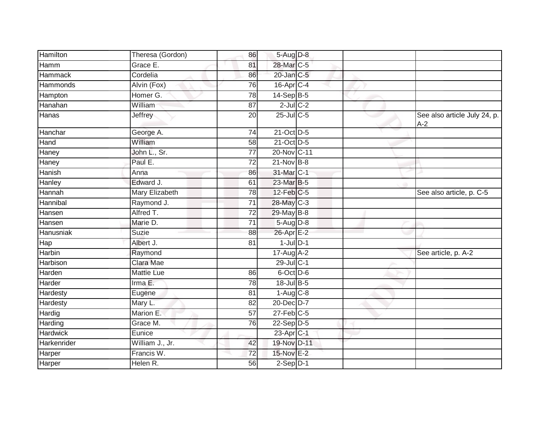| Hamilton        | Theresa (Gordon)  | 86              | 5-Aug D-8       |  |                                       |
|-----------------|-------------------|-----------------|-----------------|--|---------------------------------------|
| Hamm            | Grace E.          | 81              | 28-Mar C-5      |  |                                       |
| <b>Hammack</b>  | Cordelia          | 86              | 20-Jan C-5      |  |                                       |
| Hammonds        | Alvin (Fox)       | 76              | 16-Apr C-4      |  |                                       |
| Hampton         | Homer G.          | 78              | 14-Sep B-5      |  |                                       |
| Hanahan         | William           | 87              | $2$ -Jul $C-2$  |  |                                       |
| Hanas           | Jeffrey           | 20              | $25$ -Jul C-5   |  | See also article July 24, p.<br>$A-2$ |
| Hanchar         | George A.         | 74              | 21-Oct D-5      |  |                                       |
| Hand            | William           | 58              | 21-Oct D-5      |  |                                       |
| Haney           | John L., Sr.      | 77              | 20-Nov C-11     |  |                                       |
| Haney           | Paul E.           | $\overline{72}$ | $21-Nov$ B-8    |  |                                       |
| Hanish          | Anna              | 86              | 31-Mar C-1      |  |                                       |
| Hanley          | Edward J.         | 61              | 23-Mar B-5      |  |                                       |
| Hannah          | Mary Elizabeth    | 78              | 12-Feb C-5      |  | See also article, p. C-5              |
| Hannibal        | Raymond J.        | $\overline{71}$ | 28-May C-3      |  |                                       |
| Hansen          | Alfred T.         | 72              | 29-May B-8      |  |                                       |
| Hansen          | Marie D.          | 71              | 5-Aug D-8       |  |                                       |
| Hanusniak       | Suzie             | 88              | 26-Apr E-2      |  |                                       |
| Hap             | Albert J.         | 81              | $1$ -Jul $D-1$  |  |                                       |
| <b>Harbin</b>   | Raymond           |                 | 17-Aug A-2      |  | See article, p. A-2                   |
| Harbison        | Clara Mae         |                 | 29-Jul C-1      |  |                                       |
| Harden          | <b>Mattie Lue</b> | 86              | 6-Oct D-6       |  |                                       |
| Harder          | Irma E.           | 78              | 18-Jul B-5      |  |                                       |
| Hardesty        | Eugene            | 81              | $1-Aug$ $C-8$   |  |                                       |
| Hardesty        | Mary L.           | 82              | 20-Dec D-7      |  |                                       |
| Hardig          | Marion E.         | 57              | $27$ -Feb $C-5$ |  |                                       |
| Harding         | Grace M.          | 76              | $22-Sep D-5$    |  |                                       |
| <b>Hardwick</b> | Eunice            |                 | 23-Apr C-1      |  |                                       |
| Harkenrider     | William J., Jr.   | 42              | 19-Nov D-11     |  |                                       |
| Harper          | Francis W.        | 72              | 15-Nov E-2      |  |                                       |
| Harper          | Helen R.          | 56              | $2-Sep$ D-1     |  |                                       |
|                 |                   |                 |                 |  |                                       |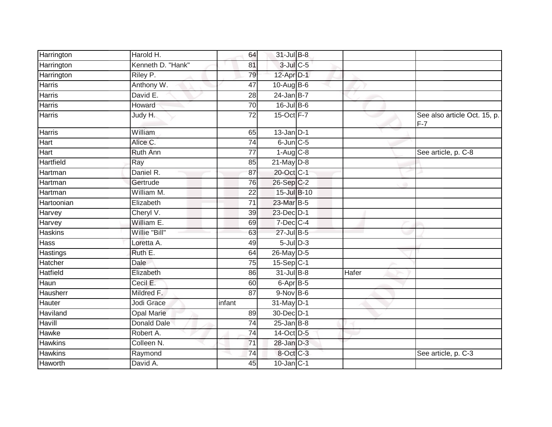| Harrington       | Harold H.          | 64              | 31-Jul B-8        |       |                                       |
|------------------|--------------------|-----------------|-------------------|-------|---------------------------------------|
| Harrington       | Kenneth D. "Hank"  | 81              | $3$ -Jul $C$ -5   |       |                                       |
| Harrington       | Riley P.           | 79              | 12-Apr D-1        |       |                                       |
| Harris           | Anthony W.         | 47              | $10$ -Aug $B$ -6  |       |                                       |
| <b>Harris</b>    | David E.           | $\overline{28}$ | $24$ -Jan B-7     |       |                                       |
| <b>Harris</b>    | Howard             | 70              | $16$ -Jul $B$ -6  |       |                                       |
| Harris           | Judy H.            | 72              | 15-Oct F-7        |       | See also article Oct. 15, p.<br>$F-7$ |
| <b>Harris</b>    | William            | 65              | $13$ -Jan D-1     |       |                                       |
| Hart             | Alice C.           | 74              | $6$ -Jun $C$ -5   |       |                                       |
| Hart             | Ruth Ann           | 77              | $1-Aug$ $C-8$     |       | See article, p. C-8                   |
| Hartfield<br>Ray |                    | 85              | $21$ -May $D-8$   |       |                                       |
| Hartman          | Daniel R.          | 87              | 20-Oct C-1        |       |                                       |
| Hartman          | Gertrude           | 76              | 26-Sep C-2        |       |                                       |
| Hartman          | William M.         | 22              | 15-Jul B-10       |       |                                       |
| Hartoonian       | Elizabeth          | $\overline{71}$ | 23-Mar B-5        |       |                                       |
| Harvey           | Cheryl V.          | 39              | 23-Dec D-1        |       |                                       |
| Harvey           | William E.         | 69              | $7$ -Dec $C$ -4   |       |                                       |
| <b>Haskins</b>   | Willie "Bill"      | 63              | 27-Jul B-5        |       |                                       |
| Hass             | Loretta A.         | 49              | $5$ -Jul $D-3$    |       |                                       |
| Hastings         | Ruth E.            | 64              | 26-May D-5        |       |                                       |
| Hatcher          | Dale               | 75              | $15 - Sep$ C-1    |       |                                       |
| Hatfield         | Elizabeth          | 86              | 31-Jul B-8        | Hafer |                                       |
| Haun             | Cecil E.           | 60              | $6-AprB-5$        |       |                                       |
| Hausherr         | Mildred F.         | 87              | $9-Nov$ B-6       |       |                                       |
| Hauter           | Jodi Grace         | infant          | 31-May D-1        |       |                                       |
| Haviland         | <b>Opal Marie</b>  | 89              | 30-Dec D-1        |       |                                       |
| Havill           | <b>Donald Dale</b> | $\overline{74}$ | $25$ -Jan B-8     |       |                                       |
| Hawke            | Robert A.          | 74              | $14$ -Oct D-5     |       |                                       |
| <b>Hawkins</b>   | Colleen N.         | $\overline{71}$ | 28-Jan D-3        |       |                                       |
| <b>Hawkins</b>   | Raymond            | 74              | 8-Oct C-3         |       | See article, p. C-3                   |
| Haworth          | David A.           | 45              | $10$ -Jan $ C-1 $ |       |                                       |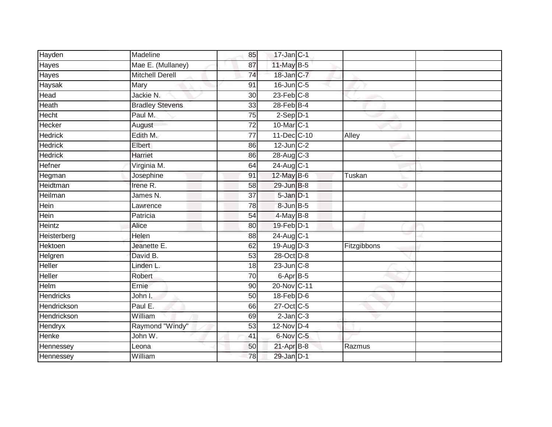| Hayden           | Madeline               | 85              | 17-Jan C-1      |             |  |
|------------------|------------------------|-----------------|-----------------|-------------|--|
| Hayes            | Mae E. (Mullaney)      | 87              | 11-May B-5      |             |  |
| Hayes            | <b>Mitchell Derell</b> | 74              | 18-Jan C-7      |             |  |
| Haysak           | Mary                   | 91              | 16-Jun C-5      |             |  |
| Head             | Jackie N.              | $\overline{30}$ | $23$ -Feb $C-8$ |             |  |
| Heath            | <b>Bradley Stevens</b> | 33              | 28-Feb B-4      |             |  |
| <b>Hecht</b>     | Paul M.                | 75              | $2-Sep$ D-1     |             |  |
| Hecker           | August                 | 72              | 10-Mar C-1      |             |  |
| <b>Hedrick</b>   | Edith M.               | 77              | 11-Dec C-10     | Alley       |  |
| <b>Hedrick</b>   | Elbert                 | 86              | $12$ -Jun $C-2$ |             |  |
| <b>Hedrick</b>   | <b>Harriet</b>         | 86              | 28-Aug C-3      |             |  |
| Hefner           | Virginia M.            | 64              | 24-Aug C-1      |             |  |
| Hegman           | Josephine              | 91              | 12-May B-6      | Tuskan      |  |
| Heidtman         | Irene R.               | 58              | 29-Jun B-8      |             |  |
| Heilman          | James N.               | 37              | 5-Jan D-1       |             |  |
| Hein             | Lawrence               | 78              | 8-Jun B-5       |             |  |
| <b>Hein</b>      | Patricia               | $\overline{54}$ | 4-May B-8       |             |  |
| Heintz           | Alice                  | 80              | 19-Feb D-1      |             |  |
| Heisterberg      | Helen                  | 88              | 24-Aug C-1      |             |  |
| Hektoen          | Jeanette E.            | 62              | $19-Auq$ D-3    | Fitzgibbons |  |
| Helgren          | David B.               | 53              | 28-Oct D-8      |             |  |
| <b>Heller</b>    | Linden L.              | $\overline{18}$ | $23$ -Jun $C-8$ |             |  |
| Heller           | Robert                 | 70              | 6-Apr B-5       |             |  |
| Helm             | Ernie                  | 90              | 20-Nov C-11     |             |  |
| <b>Hendricks</b> | John I.                | 50              | $18$ -Feb $D-6$ |             |  |
| Hendrickson      | Paul E.                | 66              | 27-Oct C-5      |             |  |
| Hendrickson      | William                | 69              | $2$ -Jan $C-3$  |             |  |
| Hendryx          | Raymond "Windy"        | 53              | $12-Nov$ D-4    |             |  |
| Henke            | John W.                | 41              | 6-Nov C-5       |             |  |
| Hennessey        | Leona                  | 50              | 21-Apr B-8      | Razmus      |  |
| Hennessey        | William                | 78              | 29-Jan D-1      |             |  |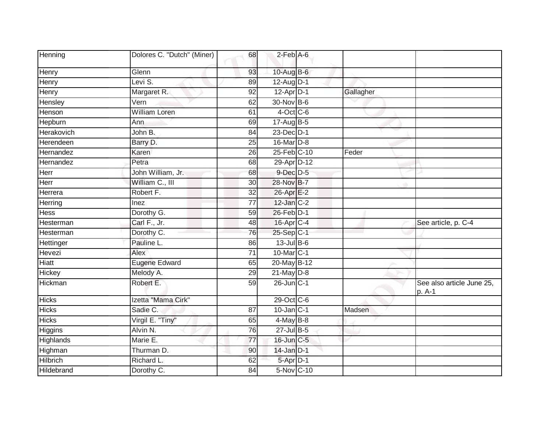| Henning      | Dolores C. "Dutch" (Miner) | 68              | $2$ -Feb $A$ -6        |           |                                     |
|--------------|----------------------------|-----------------|------------------------|-----------|-------------------------------------|
| Henry        | Glenn                      | 93              | 10-Aug B-6             |           |                                     |
| Henry        | Levi S.                    | 89              | 12-Aug D-1             |           |                                     |
| Henry        | Margaret R.                | 92              | $12-Apr\overline{D-1}$ | Gallagher |                                     |
| Hensley      | Vern                       | 62              | 30-Nov B-6             |           |                                     |
| Henson       | <b>William Loren</b>       | 61              | $4$ -Oct C-6           |           |                                     |
| Hepburn      | Ann                        | 69              | 17-Aug B-5             |           |                                     |
| Herakovich   | John B.                    | 84              | 23-Dec D-1             |           |                                     |
| Herendeen    | Barry D.                   | 25              | 16-Mar D-8             |           |                                     |
| Hernandez    | Karen                      | 26              | 25-Feb C-10            | Feder     |                                     |
| Hernandez    | Petra                      | 68              | 29-Apr D-12            |           |                                     |
| Herr         | John William, Jr.          | 68              | 9-Dec D-5              |           |                                     |
| Herr         | William C., III            | 30              | 28-Nov B-7             |           |                                     |
| Herrera      | Robert F.                  | 32              | 26-Apr <sub>E</sub> -2 |           |                                     |
| Herring      | Inez                       | $\overline{77}$ | 12-Jan C-2             |           |                                     |
| <b>Hess</b>  | Dorothy G.                 | 59              | 26-Feb D-1             |           |                                     |
| Hesterman    | Carl F., Jr.               | 48              | 16-Apr <sub>C-4</sub>  |           | See article, p. C-4                 |
| Hesterman    | Dorothy C.                 | 76              | 25-Sep C-1             |           |                                     |
| Hettinger    | Pauline L.                 | 86              | 13-Jul B-6             |           |                                     |
| Hevezi       | Alex                       | $\overline{71}$ | 10-Mar C-1             |           |                                     |
| Hiatt        | <b>Eugene Edward</b>       | 65              | 20-May B-12            |           |                                     |
| Hickey       | Melody A.                  | 29              | $21$ -May $D-8$        |           |                                     |
| Hickman      | Robert E.                  | 59              | $26$ -Jun $C-1$        |           | See also article June 25,<br>p. A-1 |
| <b>Hicks</b> | Izetta "Mama Cirk"         |                 | 29-Oct C-6             |           |                                     |
| <b>Hicks</b> | Sadie C.                   | 87              | $10$ -Jan $C-1$        | Madsen    |                                     |
| Hicks        | Virgil E. "Tiny"           | 65              | $4$ -May B-8           |           |                                     |
| Higgins      | Alvin N.                   | 76              | $27$ -Jul B-5          |           |                                     |
| Highlands    | Marie E.                   | 77              | 16-Jun C-5             |           |                                     |
| Highman      | Thurman D.                 | 90              | $14$ -Jan $D-1$        |           |                                     |
| Hilbrich     | Richard L.                 | 62              | 5-Apr D-1              |           |                                     |
| Hildebrand   | Dorothy C.                 | 84              | 5-Nov C-10             |           |                                     |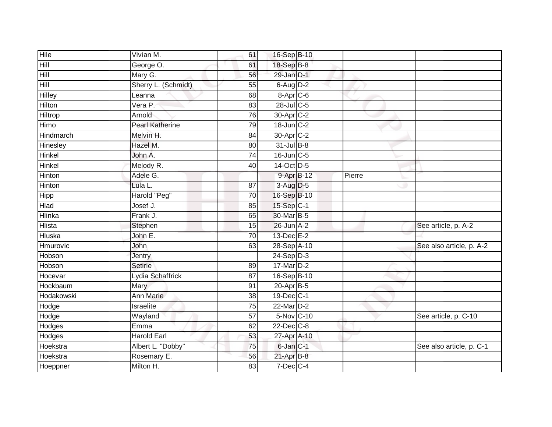| Hile          | Vivian M.              | 61              | 16-Sep B-10           |        |                          |
|---------------|------------------------|-----------------|-----------------------|--------|--------------------------|
| Hill          | George O.              | 61              | 18-Sep B-8            |        |                          |
| Hill          | Mary G.                | 56              | 29-Jan D-1            |        |                          |
| Hill          | Sherry L. (Schmidt)    | 55              | $6$ -Aug $D-2$        |        |                          |
| <b>Hilley</b> | Leanna                 | 68              | 8-Apr <sub>C-6</sub>  |        |                          |
| <b>Hilton</b> | Vera P.                | 83              | 28-Jul C-5            |        |                          |
| Hiltrop       | Arnold                 | 76              | 30-Apr <sub>C-2</sub> |        |                          |
| Himo          | <b>Pearl Katherine</b> | 79              | 18-Jun C-2            |        |                          |
| Hindmarch     | Melvin H.              | 84              | 30-Apr C-2            |        |                          |
| Hinesley      | Hazel M.               | 80              | $31$ -Jul B-8         |        |                          |
| Hinkel        | John A.                | 74              | 16-Jun C-5            |        |                          |
| Hinkel        | Melody R.              | 40              | 14-Oct D-5            |        |                          |
| Hinton        | Adele G.               |                 | 9-Apr B-12            | Pierre |                          |
| Hinton        | Lula L.                | 87              | 3-Aug D-5             |        |                          |
| <b>Hipp</b>   | Harold "Peg"           | 70              | 16-Sep B-10           |        |                          |
| Hlad          | Josef J.               | 85              | 15-Sep C-1            |        |                          |
| <b>Hlinka</b> | Frank J.               | 65              | 30-Mar B-5            |        |                          |
| Hlista        | Stephen                | 15              | $26$ -Jun $A-2$       |        | See article, p. A-2      |
| Hluska        | John E.                | 70              | 13-Dec E-2            |        |                          |
| Hmurovic      | John                   | 63              | 28-Sep A-10           |        | See also article, p. A-2 |
| Hobson        | Jentry                 |                 | $24-Sep D-3$          |        |                          |
| Hobson        | <b>Setirie</b>         | 89              | 17-Mar D-2            |        |                          |
| Hocevar       | Lydia Schaffrick       | 87              | 16-Sep B-10           |        |                          |
| Hockbaum      | Mary                   | 91              | $20$ -Apr $B-5$       |        |                          |
| Hodakowski    | <b>Ann Marie</b>       | 38              | 19-Dec C-1            |        |                          |
| Hodge         | Israelite              | 75              | 22-Mar D-2            |        |                          |
| Hodge         | Wayland                | $\overline{57}$ | 5-Nov C-10            |        | See article, p. C-10     |
| Hodges        | Emma                   | 62              | $22$ -Dec $C$ -8      |        |                          |
| Hodges        | <b>Harold Earl</b>     | 53              | 27-Apr A-10           |        |                          |
| Hoekstra      | Albert L. "Dobby"      | 75              | 6-Jan C-1             |        | See also article, p. C-1 |
| Hoekstra      | Rosemary E.            | 56              | 21-Apr B-8            |        |                          |
| Hoeppner      | Milton H.              | 83              | $7$ -Dec $C$ -4       |        |                          |
|               |                        |                 |                       |        |                          |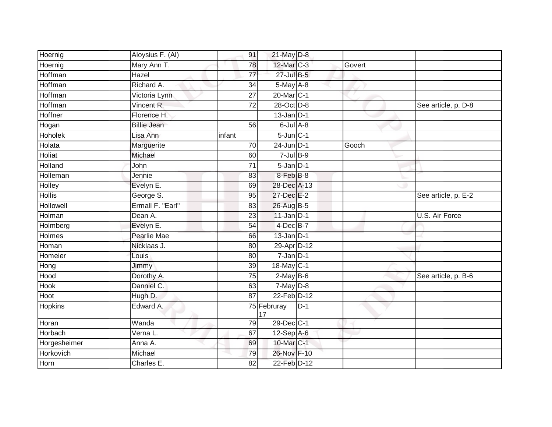| Hoernig          | Aloysius F. (AI)   | 91              | 21-May D-8        |       |        |                     |
|------------------|--------------------|-----------------|-------------------|-------|--------|---------------------|
| Hoernig          | Mary Ann T.        | 78              | 12-Mar C-3        |       | Govert |                     |
| Hoffman          | Hazel              | $\overline{77}$ | 27-Jul B-5        |       |        |                     |
| Hoffman          | Richard A.         | 34              | 5-May A-8         |       |        |                     |
| Hoffman          | Victoria Lynn      | $\overline{27}$ | 20-Mar C-1        |       |        |                     |
| Hoffman          | Vincent R.         | 72              | 28-Oct D-8        |       |        | See article, p. D-8 |
| Hoffner          | Florence H.        |                 | $13$ -Jan $D-1$   |       |        |                     |
| Hogan            | <b>Billie Jean</b> | 56              | 6-Jul A-8         |       |        |                     |
| <b>Hoholek</b>   | Lisa Ann           | infant          | $5 - Jun$ $C - 1$ |       |        |                     |
| Holata           | Marguerite         | 70              | 24-Jun D-1        |       | Gooch  |                     |
| Holiat           | Michael            | 60              | $7 -$ Jul $B - 9$ |       |        |                     |
| Holland          | John               | $\overline{71}$ | $5 - Jan$ $D-1$   |       |        |                     |
| Holleman         | Jennie             | 83              | 8-Feb B-8         |       |        |                     |
| Holley           | Evelyn E.          | 69              | 28-Dec A-13       |       |        |                     |
| <b>Hollis</b>    | George S.          | 95              | 27-Dec E-2        |       |        | See article, p. E-2 |
| <b>Hollowell</b> | Ermall F. "Earl"   | 83              | 26-Aug B-5        |       |        |                     |
| Holman           | Dean A.            | $\overline{23}$ | $11$ -Jan $D-1$   |       |        | U.S. Air Force      |
| Holmberg         | Evelyn E.          | 54              | $4$ -Dec $B$ -7   |       |        |                     |
| Holmes           | Pearlie Mae        | 66              | $13$ -Jan $D-1$   |       |        |                     |
| Homan            | Nicklaas J.        | 80              | 29-Apr D-12       |       |        |                     |
| Homeier          | Louis              | 80              | $7 - Jan$ $D-1$   |       |        |                     |
| Hong             | Jimmy              | 39              | 18-May C-1        |       |        |                     |
| Hood             | Dorothy A.         | 75              | $2$ -May B-6      |       |        | See article, p. B-6 |
| Hook             | Danniel C.         | 63              | $7$ -May $D-8$    |       |        |                     |
| Hoot             | Hugh D.            | $\overline{87}$ | 22-Feb D-12       |       |        |                     |
| Hopkins          | Edward A.          |                 | 75 Februray<br>17 | $D-1$ |        |                     |
| Horan            | Wanda              | 79              | 29-Dec C-1        |       |        |                     |
| Horbach          | Verna L.           | 67              | 12-Sep A-6        |       |        |                     |
| Horgesheimer     | Anna A.            | 69              | 10-Mar C-1        |       |        |                     |
| Horkovich        | Michael            | 79              | 26-Nov F-10       |       |        |                     |
| Horn             | Charles E.         | 82              | 22-Feb D-12       |       |        |                     |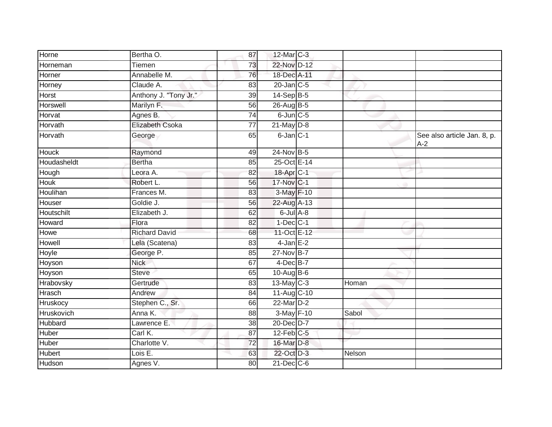| Horne           | Bertha O.             | 87              | 12-Mar C-3             |        |                                      |
|-----------------|-----------------------|-----------------|------------------------|--------|--------------------------------------|
| Horneman        | Tiemen                | 73              | 22-Nov D-12            |        |                                      |
| Horner          | Annabelle M.          | 76              | 18-Dec A-11            |        |                                      |
| Horney          | Claude A.             | 83              | $20$ -Jan $C-5$        |        |                                      |
| Horst           | Anthony J. "Tony Jr." | $\overline{39}$ | $14-Sep$ B-5           |        |                                      |
| Horswell        | Marilyn F.            | 56              | 26-Aug B-5             |        |                                      |
| Horvat          | Agnes B.              | 74              | $6$ -Jun $C$ -5        |        |                                      |
| Horvath         | Elizabeth Csoka       | 77              | $21$ -May $D-8$        |        |                                      |
| Horvath         | George                | 65              | $6$ -Jan $C-1$         |        | See also article Jan. 8, p.<br>$A-2$ |
| <b>Houck</b>    | Raymond               | 49              | 24-Nov B-5             |        |                                      |
| Houdasheldt     | <b>Bertha</b>         | 85              | 25-Oct E-14            |        |                                      |
| Hough           | Leora A.              | 82              | 18-Apr C-1             |        |                                      |
| <b>Houk</b>     | Robert L.             | $\overline{56}$ | 17-Nov C-1             |        |                                      |
| Houlihan        | Frances M.            | 83              | 3-May F-10             |        |                                      |
| Houser          | Goldie J.             | 56              | 22-Aug A-13            |        |                                      |
| Houtschilt      | Elizabeth J.          | 62              | $6$ -Jul $A$ -8        |        |                                      |
| Howard          | Flora                 | 82              | $1-Dec$ <sub>C-1</sub> |        |                                      |
| Howe            | <b>Richard David</b>  | 68              | 11-Oct E-12            |        |                                      |
| Howell          | Lela (Scatena)        | 83              | $4$ -Jan $E-2$         |        |                                      |
| Hoyle           | George P.             | 85              | 27-Nov B-7             |        |                                      |
| Hoyson          | <b>Nick</b>           | 67              | 4-Dec B-7              |        |                                      |
| Hoyson          | <b>Steve</b>          | 65              | $10$ -Aug $B$ -6       |        |                                      |
| Hrabovsky       | Gertrude              | 83              | 13-May C-3             | Homan  |                                      |
| Hrasch          | Andrew                | 84              | 11-Aug C-10            |        |                                      |
| <b>Hruskocy</b> | Stephen C., Sr.       | 66              | 22-Mar D-2             |        |                                      |
| Hruskovich      | Anna K.               | 88              | 3-May F-10             | Sabol  |                                      |
| Hubbard         | Lawrence E.           | 38              | 20-Dec D-7             |        |                                      |
| Huber           | Carl K.               | 87              | $12$ -Feb $C-5$        |        |                                      |
| Huber           | Charlotte V.          | $\overline{72}$ | 16-Mar D-8             |        |                                      |
| Hubert          | Lois E.               | 63              | 22-Oct D-3             | Nelson |                                      |
| Hudson          | Agnes V.              | 80              | 21-Dec C-6             |        |                                      |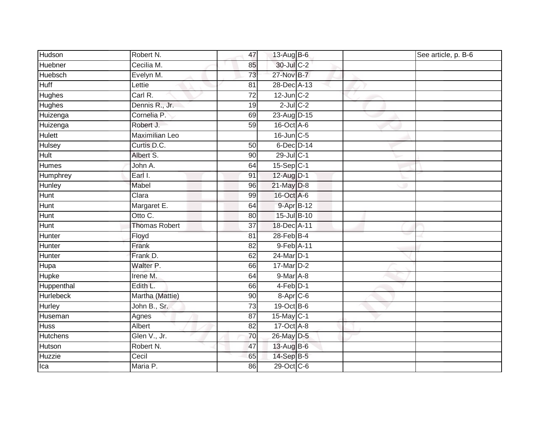| Hudson           | Robert N.             | 47              | 13-Aug B-6              |  | See article, p. B-6 |
|------------------|-----------------------|-----------------|-------------------------|--|---------------------|
| Huebner          | Cecilia M.            | 85              | 30-Jul C-2              |  |                     |
| <b>Huebsch</b>   | Evelyn M.             | 73              | 27-Nov B-7              |  |                     |
| <b>Huff</b>      | Lettie                | 81              | 28-Dec A-13             |  |                     |
| <b>Hughes</b>    | Carl R.               | $\overline{72}$ | $12$ -Jun $C-2$         |  |                     |
| <b>Hughes</b>    | Dennis R., Jr.        | 19              | $2$ -Jul $C-2$          |  |                     |
| Huizenga         | Cornelia P.           | 69              | 23-Aug D-15             |  |                     |
| Huizenga         | Robert J.             | 59              | 16-Oct A-6              |  |                     |
| <b>Hulett</b>    | <b>Maximilian Leo</b> |                 | $16$ -Jun $C$ -5        |  |                     |
| <b>Hulsey</b>    | Curtis D.C.           | 50              | 6-Dec D-14              |  |                     |
| Hult             | Albert S.             | 90              | 29-Jul C-1              |  |                     |
| <b>Humes</b>     | John A.               | 64              | $15-Sep$ <sub>C-1</sub> |  |                     |
| Humphrey         | Earl I.               | 91              | 12-Aug D-1              |  |                     |
| Hunley           | Mabel                 | 96              | 21-May D-8              |  |                     |
| <b>Hunt</b>      | Clara                 | 99              | 16-Oct A-6              |  |                     |
| Hunt             | Margaret E.           | 64              | 9-Apr B-12              |  |                     |
| <b>Hunt</b>      | Otto C.               | 80              | 15-Jul B-10             |  |                     |
| Hunt             | <b>Thomas Robert</b>  | 37              | 18-Dec A-11             |  |                     |
| <b>Hunter</b>    | Floyd                 | 81              | $28$ -Feb $B-4$         |  |                     |
| Hunter           | Frank                 | $\overline{82}$ | 9-Feb A-11              |  |                     |
| Hunter           | Frank D.              | 62              | 24-Mar D-1              |  |                     |
| <b>Hupa</b>      | Walter P.             | 66              | 17-Mar D-2              |  |                     |
| <b>Hupke</b>     | Irene M.              | 64              | $9-MarA-8$              |  |                     |
| Huppenthal       | Edith L.              | 66              | $4-Feb$ D-1             |  |                     |
| <b>Hurlebeck</b> | Martha (Mattie)       | 90              | 8-Apr C-6               |  |                     |
| <b>Hurley</b>    | John B., Sr.          | $\overline{73}$ | 19-Oct B-6              |  |                     |
| Huseman          | Agnes                 | 87              | $15$ -May C-1           |  |                     |
| <b>Huss</b>      | Albert                | 82              | 17-Oct A-8              |  |                     |
| <b>Hutchens</b>  | Glen V., Jr.          | 70              | 26-May D-5              |  |                     |
| Hutson           | Robert N.             | 47              | 13-Aug B-6              |  |                     |
| Huzzie           | Cecil                 | 65              | 14-Sep B-5              |  |                     |
| Ica              | Maria P.              | 86              | 29-Oct C-6              |  |                     |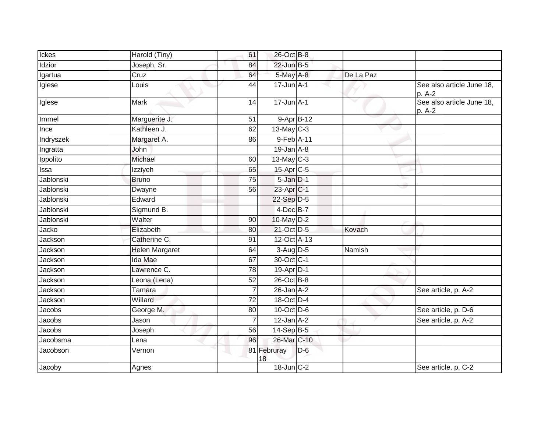| Ickes     | Harold (Tiny)         | 61              | 26-Oct B-8              |       |           |                                     |
|-----------|-----------------------|-----------------|-------------------------|-------|-----------|-------------------------------------|
| Idzior    | Joseph, Sr.           | 84              | $22$ -Jun $B-5$         |       |           |                                     |
| Igartua   | Cruz                  | 64              | 5-May A-8               |       | De La Paz |                                     |
| Iglese    | Louis                 | 44              | $17$ -Jun $A-1$         |       |           | See also article June 18,<br>p. A-2 |
| Iglese    | <b>Mark</b>           | 14              | $17 - Jun$ A-1          |       |           | See also article June 18,<br>p. A-2 |
| Immel     | Marguerite J.         | $\overline{51}$ | 9-Apr B-12              |       |           |                                     |
| Ince      | Kathleen J.           | 62              | 13-May C-3              |       | e s       |                                     |
| Indryszek | Margaret A.           | 86              | 9-Feb A-11              |       |           |                                     |
| Ingratta  | John                  |                 | $19$ -Jan $A$ -8        |       |           |                                     |
| Ippolito  | Michael               | 60              | 13-May C-3              |       |           |                                     |
| Issa      | Izziyeh               | 65              | 15-Apr C-5              |       |           |                                     |
| Jablonski | <b>Bruno</b>          | 75              | 5-Jan D-1               |       |           |                                     |
| Jablonski | Dwayne                | 56              | 23-Apr C-1              |       |           |                                     |
| Jablonski | Edward                |                 | 22-Sep D-5              |       |           |                                     |
| Jablonski | Sigmund B.            |                 | 4-Dec B-7               |       |           |                                     |
| Jablonski | Walter                | 90              | 10-May D-2              |       |           |                                     |
| Jacko     | Elizabeth             | 80              | 21-Oct D-5              |       | Kovach    |                                     |
| Jackson   | Catherine C.          | 91              | 12-Oct A-13             |       |           |                                     |
| Jackson   | <b>Helen Margaret</b> | 64              | $\overline{3}$ -Aug D-5 |       | Namish    |                                     |
| Jackson   | Ida Mae               | 67              | 30-Oct C-1              |       |           |                                     |
| Jackson   | Lawrence C.           | 78              | $19-Apr D-1$            |       |           |                                     |
| Jackson   | Leona (Lena)          | 52              | 26-Oct B-8              |       |           |                                     |
| Jackson   | <b>Tamara</b>         | 7               | $26$ -Jan $A-2$         |       |           | See article, p. A-2                 |
| Jackson   | Willard               | 72              | 18-Oct D-4              |       |           |                                     |
| Jacobs    | George M.             | 80              | 10-Oct D-6              |       |           | See article, p. D-6                 |
| Jacobs    | Jason                 | $\overline{7}$  | $12$ -Jan $A-2$         |       |           | See article, p. A-2                 |
| Jacobs    | Joseph                | 56              | 14-Sep B-5              |       |           |                                     |
| Jacobsma  | Lena                  | 96              | 26-Mar C-10             |       |           |                                     |
| Jacobson  | Vernon                |                 | 81 Februray<br>18       | $D-6$ |           |                                     |
| Jacoby    | Agnes                 |                 | 18-Jun C-2              |       |           | See article, p. C-2                 |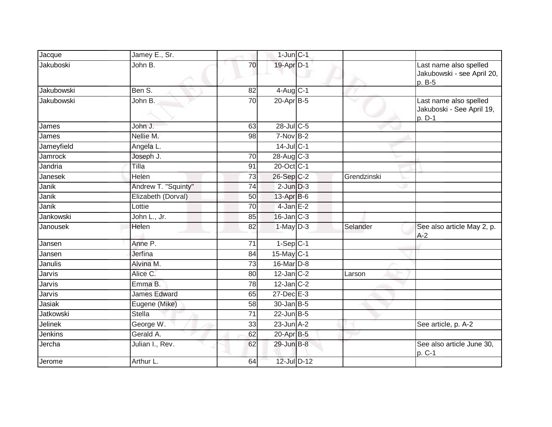| Jacque           | Jamey E., Sr.       |                 | $1$ -Jun $C-1$   |             |                                                                |
|------------------|---------------------|-----------------|------------------|-------------|----------------------------------------------------------------|
| Jakuboski        | John B.             | 70              | 19-Apr D-1       |             | Last name also spelled<br>Jakubowski - see April 20,<br>p. B-5 |
| Jakubowski       | Ben S.              | 82              | $4$ -Aug C-1     |             |                                                                |
| Jakubowski       | John B.             | $\overline{70}$ | $20$ -Apr $B-5$  |             | Last name also spelled<br>Jakuboski - See April 19,<br>p. D-1  |
| James            | John J.             | 63              | 28-Jul C-5       |             |                                                                |
| James            | Nellie M.           | 98              | $7-Nov$ B-2      |             |                                                                |
| Jameyfield       | Angela L.           |                 | $14$ -Jul C-1    |             |                                                                |
| Jamrock          | Joseph J.           | 70              | 28-Aug C-3       |             |                                                                |
| Jandria          | Tilla               | 91              | 20-Oct C-1       |             |                                                                |
| <b>Janesek</b>   | Helen               | 73              | 26-Sep C-2       | Grendzinski |                                                                |
| Janik            | Andrew T. "Squinty" | $\overline{74}$ | $2$ -Jun $D-3$   |             |                                                                |
| Janik            | Elizabeth (Dorval)  | 50              | 13-Apr B-6       |             |                                                                |
| Janik            | Lottie              | 70              | 4-Jan E-2        |             |                                                                |
| Jankowski        | John L., Jr.        | 85              | $16$ -Jan $C-3$  |             |                                                                |
| <b>Janousek</b>  | Helen               | $\overline{82}$ | $1$ -May $D-3$   | Selander    | See also article May 2, p.<br>$A-2$                            |
| Jansen           | Anne P.             | 71              | $1-Sep C-1$      |             |                                                                |
| Jansen           | Jerfina             | 84              | $15$ -May C-1    |             |                                                                |
| Janulis          | Alvina M.           | 73              | 16-Mar D-8       |             |                                                                |
| Jarvis           | Alice C.            | 80              | $12$ -Jan C-2    | Larson      |                                                                |
| Jarvis           | Emma B.             | 78              | $12$ -Jan C-2    |             |                                                                |
| Jarvis           | <b>James Edward</b> | 65              | 27-Dec E-3       |             |                                                                |
| Jasiak           | Eugene (Mike)       | 58              | $30 - Jan$ $B-5$ |             |                                                                |
| <b>Jatkowski</b> | Stella              | $\overline{71}$ | $22$ -Jun $B-5$  |             |                                                                |
| Jelinek          | George W.           | 33              | $23$ -Jun $A-2$  |             | See article, p. A-2                                            |
| Jenkins          | Gerald A.           | 62              | 20-Apr B-5       |             |                                                                |
| Jercha           | Julian I., Rev.     | 62              | 29-Jun B-8       |             | See also article June 30,<br>$p. C-1$                          |
| Jerome           | Arthur L.           | 64              | 12-Jul D-12      |             |                                                                |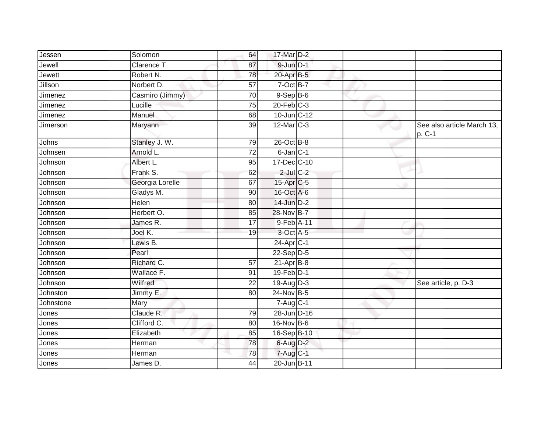| Jessen    | Solomon         | 64              | 17-Mar D-2               |  |                                      |
|-----------|-----------------|-----------------|--------------------------|--|--------------------------------------|
| Jewell    | Clarence T.     | 87              | $9$ -Jun $D-1$           |  |                                      |
| Jewett    | Robert N.       | 78              | 20-Apr B-5               |  |                                      |
| Jillson   | Norbert D.      | 57              | 7-Oct B-7                |  |                                      |
| Jimenez   | Casmiro (Jimmy) | 70              | $9-$ Sep $B-6$           |  |                                      |
| Jimenez   | Lucille         | $\overline{75}$ | $20$ -Feb $C-3$          |  |                                      |
| Jimenez   | Manuel          | 68              | 10-Jun C-12              |  |                                      |
| Jimerson  | Maryann         | 39              | 12-Mar C-3               |  | See also article March 13,<br>p. C-1 |
| Johns     | Stanley J. W.   | 79              | 26-Oct B-8               |  |                                      |
| Johnsen   | Arnold L.       | 72              | $6$ -Jan $C-1$           |  |                                      |
| Johnson   | Albert L.       | 95              | 17-Dec C-10              |  |                                      |
| Johnson   | Frank S.        | 62              | $2$ -Jul $C$ -2          |  |                                      |
| Johnson   | Georgia Lorelle | 67              | 15-Apr C-5               |  |                                      |
| Johnson   | Gladys M.       | 90              | 16-Oct A-6               |  |                                      |
| Johnson   | Helen           | 80              | 14-Jun D-2               |  |                                      |
| Johnson   | Herbert O.      | 85              | 28-Nov B-7               |  |                                      |
| Johnson   | James R.        | 17              | 9-Feb A-11               |  |                                      |
| Johnson   | Joel K.         | 19              | 3-Oct A-5                |  |                                      |
| Johnson   | Lewis B.        |                 | $24-Apr$ $C-1$           |  |                                      |
| Johnson   | Pearl           |                 | $22-Sep D-5$             |  |                                      |
| Johnson   | Richard C.      | 57              | $21-Apr$ B-8             |  |                                      |
| Johnson   | Wallace F.      | 91              | 19-Feb D-1               |  |                                      |
| Johnson   | Wilfred         | 22              | $19$ -Aug $D-3$          |  | See article, p. D-3                  |
| Johnston  | Jimmy E.        | 80              | 24-Nov B-5               |  |                                      |
| Johnstone | Mary            |                 | $7-Aug$ C-1              |  |                                      |
| Jones     | Claude R.       | 79              | 28-Jun D-16              |  |                                      |
| Jones     | Clifford C.     | 80              | 16-Nov B-6               |  |                                      |
| Jones     | Elizabeth       | 85              | 16-Sep B-10              |  |                                      |
| Jones     | Herman          | 78              | 6-Aug D-2                |  |                                      |
| Jones     | Herman          | 78              | $7 - Aug$ <sub>C-1</sub> |  |                                      |
| Jones     | James D.        | 44              | 20-Jun B-11              |  |                                      |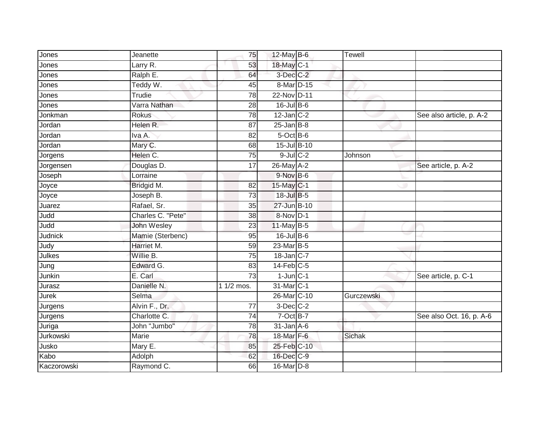| Jones             | Jeanette          | 75              | 12-May B-6       | Tewell     |                          |
|-------------------|-------------------|-----------------|------------------|------------|--------------------------|
| Jones             | Larry R.          | 53              | 18-May C-1       |            |                          |
| Jones             | Ralph E.          | 64              | 3-Dec C-2        |            |                          |
| Jones             | Teddy W.          | 45              | 8-Mar D-15       |            |                          |
| Jones             | Trudie            | 78              | 22-Nov D-11      |            |                          |
| Jones             | Varra Nathan      | 28              | $16$ -Jul $B$ -6 |            |                          |
| Jonkman           | <b>Rokus</b>      | 78              | $12$ -Jan $C-2$  |            | See also article, p. A-2 |
| Jordan            | Helen R.          | 87              | $25$ -Jan B-8    |            |                          |
| <b>Jordan</b>     | Iva A.            | 82              | $5$ -Oct $B$ -6  |            |                          |
| Jordan            | Mary C.           | 68              | 15-Jul B-10      |            |                          |
| Jorgens           | Helen C.          | 75              | $9$ -Jul $C-2$   | Johnson    |                          |
| Jorgensen         | Douglas D.        | $\overline{17}$ | 26-May A-2       |            | See article, p. A-2      |
| Joseph            | Lorraine          |                 | 9-Nov B-6        |            |                          |
| Joyce             | Bridgid M.        | 82              | 15-May C-1       |            |                          |
| Joyce             | Joseph B.         | 73              | 18-Jul B-5       |            |                          |
| Juarez            | Rafael, Sr.       | 35              | 27-Jun B-10      |            |                          |
| Judd              | Charles C. "Pete" | 38              | 8-Nov D-1        |            |                          |
| Judd              | John Wesley       | 23              | 11-May B-5       |            |                          |
| Judnick           | Mamie (Sterbenc)  | 95              | 16-Jul B-6       |            |                          |
| Judy              | Harriet M.        | 59              | 23-Mar B-5       |            |                          |
| Julkes            | Willie B.         | 75              | $18$ -Jan $C-7$  |            |                          |
| Jung              | Edward G.         | 83              | $14$ -Feb $C-5$  |            |                          |
| Junkin            | E. Carl           | 73              | $1$ -Jun $C-1$   |            | See article, p. C-1      |
| Jurasz            | Danielle N.       | 1 1/2 mos.      | 31-Mar C-1       |            |                          |
| Jure <sub>k</sub> | Selma             |                 | 26-Mar C-10      | Gurczewski |                          |
| Jurgens           | Alvin F., Dr.     | $\overline{77}$ | $3$ -Dec $C-2$   |            |                          |
| Jurgens           | Charlotte C.      | $\overline{74}$ | $7$ -Oct B-7     |            | See also Oct. 16, p. A-6 |
| Juriga            | John "Jumbo"      | 78              | $31$ -Jan $A-6$  |            |                          |
| Jurkowski         | <b>Marie</b>      | 78              | 18-Mar F-6       | Sichak     |                          |
| Jusko             | Mary E.           | 85              | 25-Feb C-10      |            |                          |
| Kabo              | Adolph            | 62              | 16-Dec C-9       |            |                          |
| Kaczorowski       | Raymond C.        | 66              | 16-Mar D-8       |            |                          |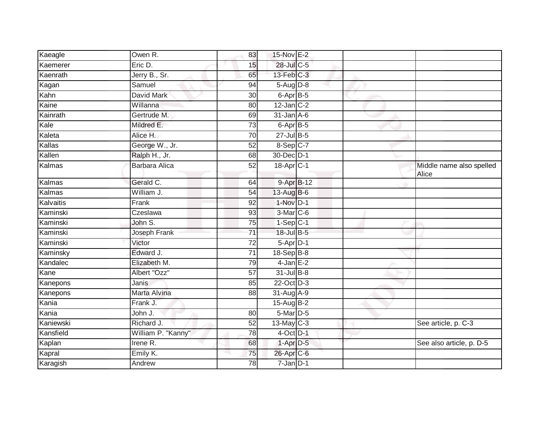| Kaeagle   | Owen R.                | 83              | 15-Nov E-2              |  |                                   |
|-----------|------------------------|-----------------|-------------------------|--|-----------------------------------|
| Kaemerer  | Eric D.                | 15              | 28-Jul C-5              |  |                                   |
| Kaenrath  | Jerry B., Sr.          | 65              | 13-Feb C-3              |  |                                   |
| Kagan     | Samuel                 | 94              | $5 - Aug$ $D-8$         |  |                                   |
| Kahn      | David Mark             | $\overline{30}$ | $6 - Apr$ B-5           |  |                                   |
| Kaine     | Willanna               | 80              | $12$ -Jan C-2           |  |                                   |
| Kainrath  | Gertrude M.            | 69              | $31$ -Jan $A$ -6        |  |                                   |
| Kale      | Mildred E.             | 73              | 6-Apr B-5               |  |                                   |
| Kaleta    | Alice H.               | 70              | $27$ -Jul $B-5$         |  |                                   |
| Kallas    | George W., Jr.         | 52              | 8-Sep C-7               |  |                                   |
| Kallen    | Ralph H., Jr.          | 68              | 30-Dec D-1              |  |                                   |
| Kalmas    | Barbara Alica          | 52              | $18-Apr$ <sub>C-1</sub> |  | Middle name also spelled<br>Alice |
| Kalmas    | Gerald C.              | 64              | 9-Apr B-12              |  |                                   |
| Kalmas    | William J.             | 54              | 13-Aug B-6              |  |                                   |
| Kalvaitis | Frank                  | 92              | 1-Nov D-1               |  |                                   |
| Kaminski  | Czeslawa               | 93              | 3-Mar C-6               |  |                                   |
| Kaminski  | John S.                | 75              | $1-Sep$ C-1             |  |                                   |
| Kaminski  | Joseph Frank           | $\overline{71}$ | 18-Jul B-5              |  |                                   |
| Kaminski  | Victor                 | $\overline{72}$ | $5-Apr$ D-1             |  |                                   |
| Kaminsky  | Edward J.              | 71              | 18-Sep B-8              |  |                                   |
| Kandalec  | Elizabeth M.           | 79              | $4$ -Jan $E-2$          |  |                                   |
| Kane      | Albert "Ozz"           | 57              | 31-Jul B-8              |  |                                   |
| Kanepons  | Janis                  | 85              | 22-Oct D-3              |  |                                   |
| Kanepons  | Marta Alvina           | 88              | 31-Aug A-9              |  |                                   |
| Kania     | Frank J.               |                 | 15-Aug B-2              |  |                                   |
| Kania     | John J.                | 80              | $5$ -Mar $D-5$          |  |                                   |
| Kaniewski | Richard J.             | 52              | $13$ -May C-3           |  | See article, p. C-3               |
| Kansfield | William P. "Kanny"     | 78              | $4$ -Oct D-1            |  |                                   |
| Kaplan    | Irene $\overline{R}$ . | 68              | 1-Apr D-5               |  | See also article, p. D-5          |
| Kapral    | Emily $\overline{K}$ . | 75              | 26-Apr C-6              |  |                                   |
| Karagish  | Andrew                 | 78              | 7-Jan D-1               |  |                                   |
|           |                        |                 |                         |  |                                   |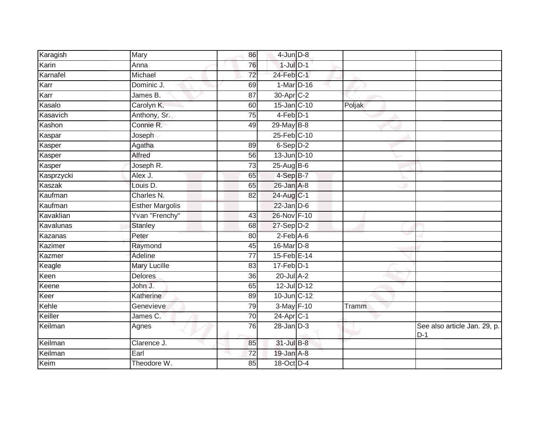| Karagish   | Mary                   | 86              | $4$ -Jun $D-8$          |        |                                       |
|------------|------------------------|-----------------|-------------------------|--------|---------------------------------------|
| Karin      | Anna                   | 76              | $1$ -Jul $D-1$          |        |                                       |
| Karnafel   | Michael                | 72              | 24-Feb C-1              |        |                                       |
| Karr       | Dominic J.             | 69              | 1-Mar D-16              |        |                                       |
| Karr       | James B.               | $\overline{87}$ | 30-Apr C-2              |        |                                       |
| Kasalo     | Carolyn K.             | 60              | 15-Jan C-10             | Poljak |                                       |
| Kasavich   | Anthony, Sr.           | 75              | 4-Feb D-1               |        |                                       |
| Kashon     | Connie R.              | 49              | 29-May B-8              |        |                                       |
| Kaspar     | Joseph                 |                 | 25-Feb C-10             |        |                                       |
| Kasper     | Agatha                 | 89              | $6-Sep$ $D-2$           |        |                                       |
| Kasper     | Alfred                 | 56              | 13-Jun D-10             |        |                                       |
| Kasper     | Joseph R.              | 73              | $25$ -AugB-6            |        |                                       |
| Kasprzycki | Alex J.                | 65              | $4-SepB-7$              |        |                                       |
| Kaszak     | Louis D.               | 65              | 26-Jan A-8              |        |                                       |
| Kaufman    | Charles N.             | 82              | 24-Aug C-1              |        |                                       |
| Kaufman    | <b>Esther Margolis</b> |                 | $22$ -Jan $D-6$         |        |                                       |
| Kavaklian  | Yvan "Frenchy"         | 43              | 26-Nov F-10             |        |                                       |
| Kavalunas  | <b>Stanley</b>         | 68              | $27-Sep D-2$            |        |                                       |
| Kazanas    | Peter                  | 80              | $2$ -Feb $A$ -6         |        |                                       |
| Kazimer    | Raymond                | 45              | 16-Mar D-8              |        |                                       |
| Kazmer     | Adeline                | $\overline{77}$ | 15-Feb E-14             |        |                                       |
| Keagle     | <b>Mary Lucille</b>    | 83              | $17 - Feb$ $D-1$        |        |                                       |
| Keen       | <b>Delores</b>         | 36              | 20-Jul A-2              |        |                                       |
| Keene      | John J.                | 65              | 12-Jul D-12             |        |                                       |
| Keer       | Katherine              | 89              | 10-Jun C-12             |        |                                       |
| Kehle      | Genevieve              | 79              | 3-May F-10              | Tramm  |                                       |
| Keiller    | James C.               | $\overline{70}$ | $24-Apr$ <sub>C-1</sub> |        |                                       |
| Keilman    | Agnes                  | 76              | $28$ -Jan $D-3$         |        | See also article Jan. 29, p.<br>$D-1$ |
| Keilman    | Clarence J.            | 85              | 31-Jul B-8              |        |                                       |
| Keilman    | Earl                   | 72              | 19-Jan A-8              |        |                                       |
| Keim       | Theodore W.            | 85              | 18-Oct D-4              |        |                                       |
|            |                        |                 |                         |        |                                       |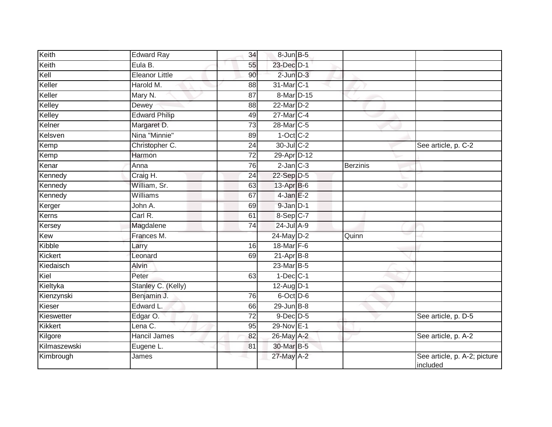| Keith          | <b>Edward Ray</b>     | 34              | 8-Jun B-5       |          |                                          |
|----------------|-----------------------|-----------------|-----------------|----------|------------------------------------------|
| Keith          | Eula B.               | 55              | 23-Dec D-1      |          |                                          |
| Kell           | <b>Eleanor Little</b> | 90              | $2$ -Jun $D-3$  |          |                                          |
| Keller         | Harold M.             | 88              | 31-Mar C-1      |          |                                          |
| Keller         | Mary N.               | $\overline{87}$ | 8-Mar D-15      |          |                                          |
| Kelley         | Dewey                 | 88              | 22-Mar D-2      |          |                                          |
| Kelley         | <b>Edward Philip</b>  | 49              | 27-Mar C-4      |          |                                          |
| Kelner         | Margaret D.           | 73              | 28-Mar C-5      |          |                                          |
| Kelsven        | Nina "Minnie"         | 89              | $1-Oct$ $C-2$   |          |                                          |
| Kemp           | Christopher C.        | $\overline{24}$ | 30-Jul C-2      |          | See article, p. C-2                      |
| Kemp           | Harmon                | 72              | 29-Apr D-12     |          |                                          |
| Kenar          | Anna                  | 76              | $2$ -Jan $C-3$  | Berzinis |                                          |
| Kennedy        | Craig H.              | 24              | 22-Sep D-5      |          |                                          |
| Kennedy        | William, Sr.          | 63              | 13-Apr B-6      |          |                                          |
| Kennedy        | Williams              | 67              | $4$ -Jan $E-2$  |          |                                          |
| Kerger         | John A.               | 69              | 9-Jan D-1       |          |                                          |
| Kerns          | Carl R.               | 61              | 8-Sep C-7       |          |                                          |
| Kersey         | Magdalene             | 74              | 24-Jul A-9      |          |                                          |
| Kew            | Frances M.            |                 | 24-May D-2      | Quinn    |                                          |
| Kibble         | Larry                 | 16              | 18-Mar F-6      |          |                                          |
| <b>Kickert</b> | Leonard               | 69              | $21-Apr$ B-8    |          |                                          |
| Kiedaisch      | Alvin                 |                 | 23-Mar B-5      |          |                                          |
| Kiel           | Peter                 | 63              | $1-Dec$ $C-1$   |          |                                          |
| Kieltyka       | Stanley C. (Kelly)    |                 | $12$ -Aug $D-1$ |          |                                          |
| Kienzynski     | Benjamin J.           | 76              | 6-Oct D-6       |          |                                          |
| Kieser         | Edward L.             | 66              | $29$ -Jun B-8   |          |                                          |
| Kieswetter     | Edgar O.              | $\overline{72}$ | $9$ -Dec $D$ -5 |          | See article, p. D-5                      |
| <b>Kikkert</b> | Lena C.               | 95              | 29-Nov E-1      |          |                                          |
| Kilgore        | Hancil James          | 82              | 26-May A-2      |          | See article, p. A-2                      |
| Kilmaszewski   | Eugene L.             | 81              | 30-Mar B-5      |          |                                          |
| Kimbrough      | James                 |                 | 27-May A-2      |          | See article, p. A-2; picture<br>included |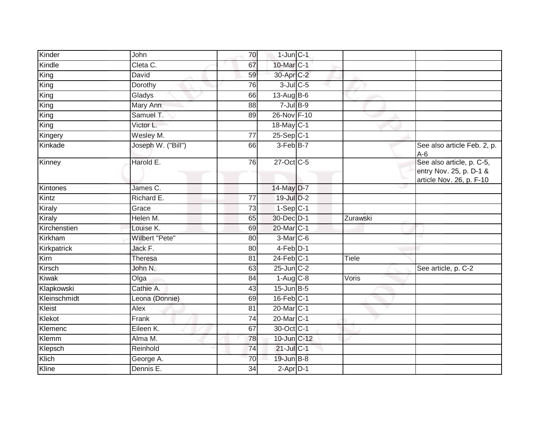| Kinder       | John                  | 70              | $1$ -Jun $C-1$         |              |                                                                                  |
|--------------|-----------------------|-----------------|------------------------|--------------|----------------------------------------------------------------------------------|
| Kindle       | Cleta C.              | 67              | 10-Mar C-1             |              |                                                                                  |
| King         | David                 | 59              | 30-Apr C-2             |              |                                                                                  |
| King         | Dorothy               | 76              | $3$ -Jul $C$ -5        |              |                                                                                  |
| King         | Gladys                | 66              | $13-Aug$ B-6           |              |                                                                                  |
| King         | Mary Ann              | 88              | $7 -$ Jul $B - 9$      |              |                                                                                  |
| King         | Samuel T.             | 89              | 26-Nov F-10            |              |                                                                                  |
| King         | Victor L.             |                 | 18-May C-1             |              |                                                                                  |
| Kingery      | Wesley M.             | 77              | 25-Sep C-1             |              |                                                                                  |
| Kinkade      | Joseph W. ("Bill")    | 66              | $3-FebB-7$             |              | See also article Feb. 2, p.<br>$A-6$                                             |
| Kinney       | Harold E.             | 76              | 27-Oct C-5             |              | See also article, p. C-5,<br>entry Nov. 25, p. D-1 &<br>article Nov. 26, p. F-10 |
| Kintones     | James C.              |                 | 14-May D-7             |              |                                                                                  |
| Kintz        | Richard E.            | 77              | 19-Jul D-2             |              |                                                                                  |
| Kiraly       | Grace                 | $\overline{73}$ | $1-Sep$ $C-1$          |              |                                                                                  |
| Kiraly       | Helen M.              | 65              | 30-Dec D-1             | Zurawski     |                                                                                  |
| Kirchenstien | Louise K.             | 69              | 20-Mar C-1             |              |                                                                                  |
| Kirkham      | <b>Wilbert "Pete"</b> | 80              | 3-Mar C-6              |              |                                                                                  |
| Kirkpatrick  | Jack F.               | 80              | $4-Feb$ D-1            |              |                                                                                  |
| Kirn         | Theresa               | 81              | $24$ -Feb $C-1$        | <b>Tiele</b> |                                                                                  |
| Kirsch       | John N.               | 63              | $25$ -Jun $C-2$        |              | See article, p. C-2                                                              |
| Kiwak        | Olga                  | 84              | $1-Aug$ <sub>C-8</sub> | Voris        |                                                                                  |
| Klapkowski   | Cathie A.             | 43              | $15$ -Jun $B$ -5       |              |                                                                                  |
| Kleinschmidt | Leona (Donnie)        | 69              | $16$ -Feb $C-1$        |              |                                                                                  |
| Kleist       | Alex                  | 81              | 20-Mar C-1             |              |                                                                                  |
| Klekot       | Frank                 | 74              | 20-Mar C-1             |              |                                                                                  |
| Klemenc      | Eileen K.             | 67              | 30-Oct C-1             |              |                                                                                  |
| Klemm        | Alma M.               | 78              | 10-Jun C-12            |              |                                                                                  |
| Klepsch      | Reinhold              | 74              | 21-Jul C-1             |              |                                                                                  |
| Klich        | George A.             | 70              | 19-Jun B-8             |              |                                                                                  |
| Kline        | Dennis E.             | 34              | $2$ -Apr $D-1$         |              |                                                                                  |
|              |                       |                 |                        |              |                                                                                  |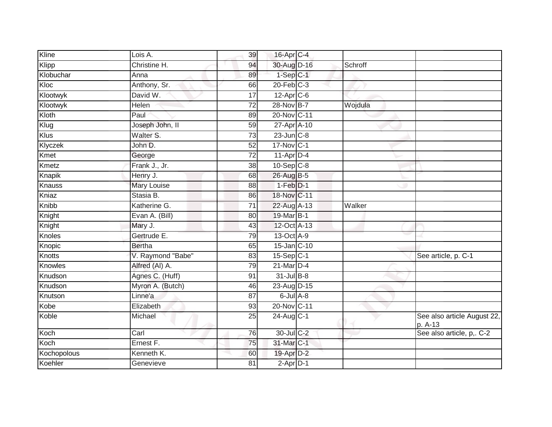| Kline       | Lois $A$ .        | 39              | 16-Apr C-4              |         |                                        |
|-------------|-------------------|-----------------|-------------------------|---------|----------------------------------------|
| Klipp       | Christine H.      | 94              | 30-Aug D-16             | Schroff |                                        |
| Klobuchar   | Anna              | 89              | $1-Sep$ $C-1$           |         |                                        |
| Kloc        | Anthony, Sr.      | 66              | $20$ -Feb $C-3$         |         |                                        |
| Klootwyk    | David W.          | $\overline{17}$ | $12-Apr$ <sub>C-6</sub> |         |                                        |
| Klootwyk    | Helen             | 72              | 28-Nov B-7              | Wojdula |                                        |
| Kloth       | Paul              | 89              | 20-Nov C-11             |         |                                        |
| Klug        | Joseph John, II   | 59              | 27-Apr A-10             |         |                                        |
| Klus        | Walter S.         | 73              | $23$ -Jun $C-8$         |         |                                        |
| Klyczek     | John D.           | 52              | 17-Nov C-1              |         |                                        |
| Kmet        | George            | $\overline{72}$ | $11-AprD-4$             |         |                                        |
| Kmetz       | Frank J., Jr.     | 38              | $10-Sep$ C-8            |         |                                        |
| Knapik      | Henry J.          | 68              | 26-Aug B-5              |         |                                        |
| Knauss      | Mary Louise       | 88              | $1-Feb$ $D-1$           |         |                                        |
| Kniaz       | Stasia B.         | 86              | 18-Nov C-11             |         |                                        |
| Knibb       | Katherine G.      | 71              | 22-Aug A-13             | Walker  |                                        |
| Knight      | Evan A. (Bill)    | 80              | 19-Mar B-1              |         |                                        |
| Knight      | Mary J.           | 43              | 12-Oct A-13             |         |                                        |
| Knoles      | Gertrude E.       | 79              | 13-Oct A-9              |         |                                        |
| Knopic      | <b>Bertha</b>     | 65              | 15-Jan C-10             |         |                                        |
| Knotts      | V. Raymond "Babe" | 83              | $15-Sep C-1$            |         | See article, p. C-1                    |
| Knowles     | Alfred (AI) A.    | 79              | 21-Mar D-4              |         |                                        |
| Knudson     | Agnes C. (Huff)   | 91              | 31-Jul B-8              |         |                                        |
| Knudson     | Myron A. (Butch)  | 46              | 23-Aug D-15             |         |                                        |
| Knutson     | Linne'a           | 87              | $6$ -Jul $A$ -8         |         |                                        |
| Kobe        | Elizabeth         | 93              | 20-Nov C-11             |         |                                        |
| Koble       | Michael           | $\overline{25}$ | $24$ -Aug C-1           |         | See also article August 22,<br>p. A-13 |
| Koch        | Carl              | 76              | 30-Jul C-2              |         | See also article, p,. C-2              |
| Koch        | Ernest F.         | 75              | 31-Mar C-1              |         |                                        |
| Kochopolous | Kenneth K.        | 60              | 19-Apr D-2              |         |                                        |
| Koehler     | Genevieve         | 81              | 2-Apr D-1               |         |                                        |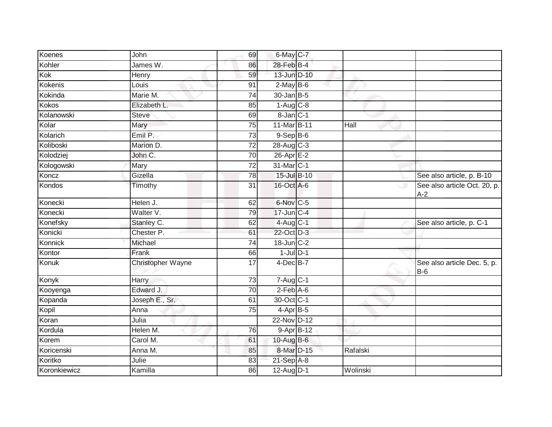| Koenes       | John                     | 69              | 6-May C-7              |          |                                       |
|--------------|--------------------------|-----------------|------------------------|----------|---------------------------------------|
| Kohler       | James W.                 | 86              | 28-Feb B-4             |          |                                       |
| Kok          | Henry                    | 59              | 13-Jun D-10            |          |                                       |
| Kokenis      | Louis                    | 91              | $2$ -May B-6           |          |                                       |
| Kokinda      | Marie M.                 | 74              | $30 - Jan$ $B-5$       |          |                                       |
| <b>Kokos</b> | Elizabeth L              | 85              | $1-Aug$ $C-8$          |          |                                       |
| Kolanowski   | <b>Steve</b>             | 69              | $8 - Jan$ $C-1$        |          |                                       |
| Kolar        | Mary                     | $\overline{75}$ | 11-Mar B-11            | Hall     |                                       |
| Kolarich     | Emil P.                  | 73              | $9-$ Sep $B-6$         |          |                                       |
| Koliboski    | Marion D.                | 72              | 28-Aug C-3             |          |                                       |
| Kolodziej    | John C.                  | 70              | 26-Apr E-2             |          |                                       |
| Kologowski   | Mary                     | $\overline{72}$ | 31-Mar C-1             |          |                                       |
| Koncz        | Gizella                  | 78              | 15-Jul B-10            |          | See also article, p. B-10             |
| Kondos       | Timothy                  | 31              | 16-Oct A-6             |          | See also article Oct. 20, p.<br>$A-2$ |
| Konecki      | Helen J.                 | 62              | 6-Nov C-5              |          |                                       |
| Konecki      | Walter V.                | 79              | 17-Jun C-4             |          |                                       |
| Konefsky     | Stanley C.               | 62              | $4$ -Aug $C-1$         |          | See also article, p. C-1              |
| Konicki      | Chester P.               | 61              | 22-Oct D-3             |          |                                       |
| Konnick      | Michael                  | 74              | $18$ -Jun $C-2$        |          |                                       |
| Kontor       | Frank                    | 66              | $1$ -Jul $D-1$         |          |                                       |
| Konuk        | <b>Christopher Wayne</b> | 17              | 4-Dec B-7              |          | See also article Dec. 5, p.<br>$B-6$  |
| Konyk        | Harry                    | $\overline{73}$ | $7-Aug$ <sub>C-1</sub> |          |                                       |
| Kooyenga     | Edward J.                | 70              | $2-Feb$ A-6            |          |                                       |
| Kopanda      | Joseph E., Sr.           | 61              | 30-Oct C-1             |          |                                       |
| Kopil        | Anna                     | $\overline{75}$ | $4-AprB-5$             |          |                                       |
| Koran        | Julia                    |                 | 22-Nov D-12            |          |                                       |
| Kordula      | Helen M.                 | 76              | 9-Apr B-12             |          |                                       |
| Korem        | Carol M.                 | 61              | 10-Aug B-6             |          |                                       |
| Koricenski   | Anna M.                  | 85              | 8-Mar D-15             | Rafalski |                                       |
| Koritko      | Julie                    | 83              | 21-Sep A-8             |          |                                       |
| Koronkiewicz | Kamilla                  | 86              | 12-Aug $D-1$           | Wolinski |                                       |
|              |                          |                 |                        |          |                                       |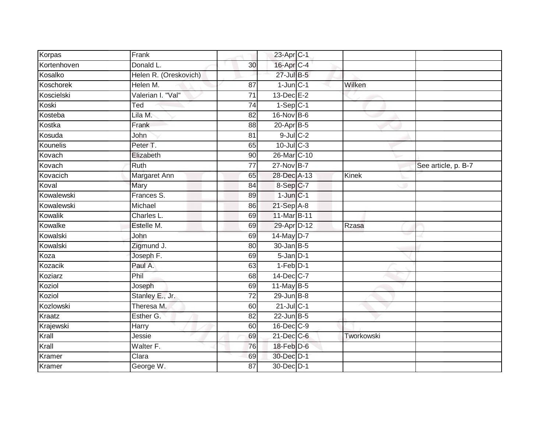| Korpas      | Frank                 |                 | 23-Apr C-1            |              |                     |
|-------------|-----------------------|-----------------|-----------------------|--------------|---------------------|
| Kortenhoven | Donald L.             | 30              | 16-Apr C-4            |              |                     |
| Kosalko     | Helen R. (Oreskovich) |                 | 27-Jul B-5            |              |                     |
| Koschorek   | Helen M.              | 87              | $1$ -Jun $C-1$        | Wilken       |                     |
| Koscielski  | Valerian I. "Val"     | $\overline{71}$ | $13$ -Dec $E-2$       |              |                     |
| Koski       | Ted                   | 74              | $1-Sep$ C-1           |              |                     |
| Kosteba     | Lila M.               | 82              | 16-Nov B-6            |              |                     |
| Kostka      | Frank                 | 88              | 20-Apr <sub>B-5</sub> |              |                     |
| Kosuda      | John                  | 81              | $9$ -Jul $C$ -2       |              |                     |
| Kounelis    | Peter T.              | 65              | $10$ -Jul C-3         |              |                     |
| Kovach      | Elizabeth             | 90              | 26-Mar C-10           |              |                     |
| Kovach      | Ruth                  | 77              | $27$ -Nov B-7         |              | See article, p. B-7 |
| Kovacich    | Margaret Ann          | 65              | 28-Dec A-13           | <b>Kinek</b> |                     |
| Koval       | <b>Mary</b>           | 84              | 8-Sep C-7             |              |                     |
| Kowalewski  | Frances S.            | 89              | $1$ -Jun $C-1$        |              |                     |
| Kowalewski  | Michael               | 86              | $21-SepA-8$           |              |                     |
| Kowalik     | Charles L.            | 69              | 11-Mar B-11           |              |                     |
| Kowalke     | Estelle M.            | 69              | 29-Apr D-12           | Rzasa        |                     |
| Kowalski    | John                  | 69              | 14-May D-7            |              |                     |
| Kowalski    | Zigmund J.            | $\overline{80}$ | $30 - Jan$ $B-5$      |              |                     |
| Koza        | Joseph F.             | 69              | $5 - Jan$ $D-1$       |              |                     |
| Kozacik     | Paul A.               | 63              | $1-Feb$ $D-1$         |              |                     |
| Koziarz     | Phil                  | 68              | 14-Dec C-7            |              |                     |
| Koziol      | Joseph                | 69              | $11$ -May B-5         |              |                     |
| Koziol      | Stanley E., Jr.       | 72              | $29$ -Jun B-8         |              |                     |
| Kozlowski   | Theresa M.            | 60              | $21$ -Jul C-1         |              |                     |
| Kraatz      | Esther G.             | 82              | $22$ -Jun $B-5$       |              |                     |
| Krajewski   | Harry                 | 60              | 16-Dec C-9            |              |                     |
| Krall       | Jessie                | 69              | 21-Dec C-6            | Tworkowski   |                     |
| Krall       | Walter F.             | 76              | 18-Feb D-6            |              |                     |
| Kramer      | Clara                 | 69              | 30-Dec D-1            |              |                     |
| Kramer      | George W.             | $\overline{87}$ | 30-Dec D-1            |              |                     |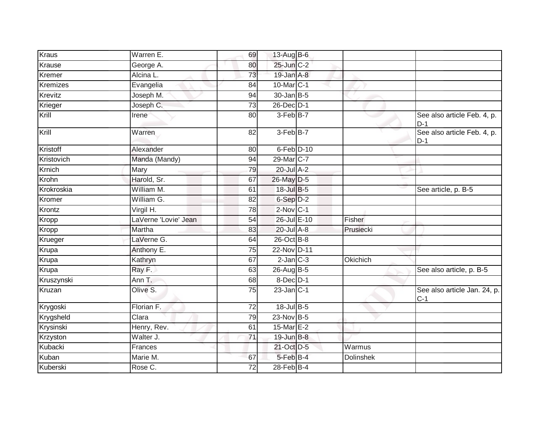| <b>Kraus</b>   | Warren E.            | 69              | 13-Aug B-6       |           |                                       |
|----------------|----------------------|-----------------|------------------|-----------|---------------------------------------|
| Krause         | George A.            | 80              | 25-Jun C-2       |           |                                       |
| Kremer         | Alcina L.            | 73              | 19-Jan A-8       |           |                                       |
| Kremizes       | Evangelia            | 84              | 10-Mar C-1       |           |                                       |
| <b>Krevitz</b> | Joseph M.            | 94              | $30 - Jan$ $B-5$ |           |                                       |
| Krieger        | Joseph C.            | 73              | 26-Dec D-1       |           |                                       |
| Krill          | Irene                | 80              | 3-Feb B-7        |           | See also article Feb. 4, p.<br>$D-1$  |
| Krill          | Warren               | $\overline{82}$ | 3-Feb B-7        |           | See also article Feb. 4, p.<br>$D-1$  |
| Kristoff       | Alexander            | 80              | $6$ -Feb $D-10$  |           |                                       |
| Kristovich     | Manda (Mandy)        | 94              | 29-Mar C-7       |           |                                       |
| Krnich         | Mary                 | 79              | 20-Jul A-2       |           |                                       |
| Krohn          | Harold, Sr.          | 67              | 26-May D-5       |           |                                       |
| Krokroskia     | William M.           | 61              | 18-Jul B-5       |           | See article, p. B-5                   |
| Kromer         | William G.           | 82              | 6-Sep D-2        |           |                                       |
| Krontz         | Virgil H.            | 78              | $2$ -Nov $C-1$   |           |                                       |
| Kropp          | LaVerne 'Lovie' Jean | 54              | 26-Jul E-10      | Fisher    |                                       |
| Kropp          | Martha               | 83              | 20-Jul A-8       | Prusiecki |                                       |
| Krueger        | LaVerne G.           | 64              | $26$ -Oct B-8    |           |                                       |
| Krupa          | Anthony E.           | 75              | 22-Nov D-11      |           |                                       |
| Krupa          | Kathryn              | 67              | $2$ -Jan $C-3$   | Okichich  |                                       |
| Krupa          | Ray F.               | 63              | 26-Aug B-5       |           | See also article, p. B-5              |
| Kruszynski     | Ann T.               | 68              | 8-Dec D-1        |           |                                       |
| Kruzan         | Olive S.             | 75              | $23$ -Jan C-1    |           | See also article Jan. 24, p.<br>$C-1$ |
| Krygoski       | Florian F.           | 72              | 18-Jul B-5       |           |                                       |
| Krygsheld      | Clara                | 79              | 23-Nov B-5       |           |                                       |
| Krysinski      | Henry, Rev.          | 61              | 15-Mar $E-2$     |           |                                       |
| Krzyston       | Walter J.            | 71              | 19-Jun B-8       |           |                                       |
| Kubacki        | Frances              |                 | 21-Oct D-5       | Warmus    |                                       |
| Kuban          | Marie M.             | 67              | 5-Feb B-4        | Dolinshek |                                       |
| Kuberski       | Rose C.              | $\overline{72}$ | $28$ -Feb $B-4$  |           |                                       |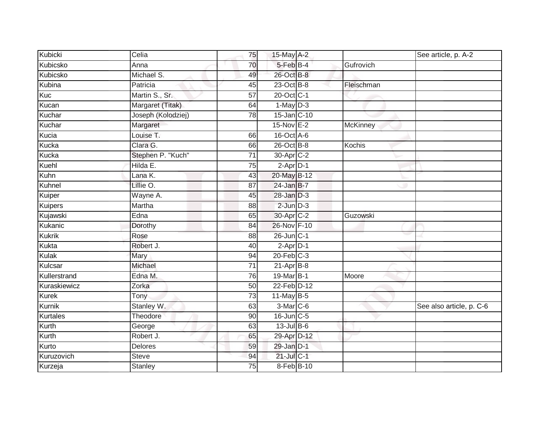| Kubicki        | Celia              | 75              | 15-May A-2            |               | See article, p. A-2      |
|----------------|--------------------|-----------------|-----------------------|---------------|--------------------------|
| Kubicsko       | Anna               | 70              | 5-Feb B-4             | Gufrovich     |                          |
| Kubicsko       | Michael S.         | 49              | 26-Oct B-8            |               |                          |
| Kubina         | Patricia           | 45              | 23-Oct B-8            | Fleischman    |                          |
| Kuc            | Martin S., Sr.     | $\overline{57}$ | 20-Oct C-1            |               |                          |
| Kucan          | Margaret (Titak)   | 64              | $1-May$ D-3           |               |                          |
| Kuchar         | Joseph (Kolodziej) | 78              | 15-Jan C-10           |               |                          |
| Kuchar         | Margaret           |                 | 15-Nov E-2            | McKinney      |                          |
| Kucia          | Louise T.          | 66              | 16-Oct A-6            |               |                          |
| <b>Kucka</b>   | Clara G.           | 66              | 26-Oct B-8            | <b>Kochis</b> |                          |
| Kucka          | Stephen P. "Kuch"  | 71              | 30-Apr <sub>C-2</sub> |               |                          |
| Kuehl          | Hilda E.           | 75              | $2-AprD-1$            |               |                          |
| Kuhn           | Lana K.            | 43              | 20-May B-12           |               |                          |
| Kuhnel         | Lillie O.          | 87              | 24-Jan B-7            |               |                          |
| Kuiper         | Wayne A.           | 45              | 28-Jan D-3            |               |                          |
| <b>Kuipers</b> | Martha             | 88              | $2$ -Jun $D-3$        |               |                          |
| Kujawski       | Edna               | 65              | 30-Apr C-2            | Guzowski      |                          |
| Kukanic        | Dorothy            | 84              | 26-Nov F-10           |               |                          |
| <b>Kukrik</b>  | Rose               | 88              | 26-Jun C-1            |               |                          |
| <b>Kukta</b>   | Robert J.          | 40              | $2-AprD-1$            |               |                          |
| Kulak          | Mary               | 94              | $20$ -Feb $C-3$       |               |                          |
| Kulcsar        | Michael            | $\overline{71}$ | $21 - Apr$ B-8        |               |                          |
| Kullerstrand   | Edna M.            | 76              | 19-Mar B-1            | Moore         |                          |
| Kuraskiewicz   | Zorka              | 50              | 22-Feb D-12           |               |                          |
| <b>Kurek</b>   | Tony               | 73              | $11$ -May B-5         |               |                          |
| Kurnik         | Stanley W.         | 63              | 3-Mar <sub>IC-6</sub> |               | See also article, p. C-6 |
| Kurtales       | Theodore           | 90              | $16$ -Jun $C$ -5      |               |                          |
| Kurth          | George             | 63              | 13-Jul B-6            |               |                          |
| Kurth          | Robert J.          | 65              | 29-Apr D-12           |               |                          |
| Kurto          | <b>Delores</b>     | 59              | 29-Jan D-1            |               |                          |
| Kuruzovich     | <b>Steve</b>       | 94              | $21$ -Jul C-1         |               |                          |
| Kurzeja        | Stanley            | $\overline{75}$ | 8-Feb B-10            |               |                          |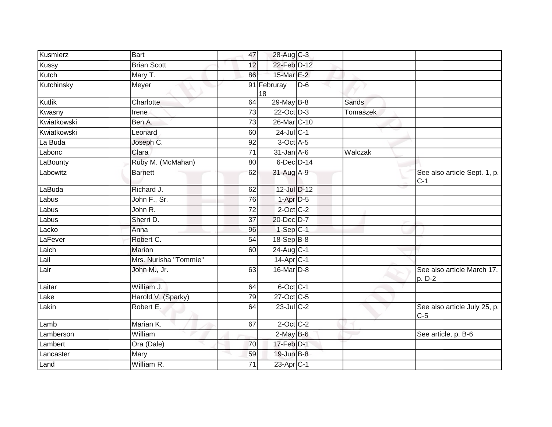| Kusmierz     | Bart                  | 47              | 28-Aug C-3              |       |          |                                       |
|--------------|-----------------------|-----------------|-------------------------|-------|----------|---------------------------------------|
| <b>Kussy</b> | <b>Brian Scott</b>    | 12              | 22-Feb D-12             |       |          |                                       |
| Kutch        | Mary $\overline{T}$ . | 86              | 15-Mar E-2              |       |          |                                       |
| Kutchinsky   | Meyer                 |                 | 91 Februray<br>18       | $D-6$ |          |                                       |
| Kutlik       | Charlotte             | 64              | 29-May B-8              |       | Sands    |                                       |
| Kwasny       | Irene                 | $\overline{73}$ | 22-Oct D-3              |       | Tomaszek |                                       |
| Kwiatkowski  | Ben A.                | 73              | 26-Mar C-10             |       |          |                                       |
| Kwiatkowski  | Leonard               | 60              | $24$ -Jul C-1           |       |          |                                       |
| La Buda      | Joseph C.             | 92              | 3-Oct A-5               |       |          |                                       |
| Labonc       | Clara                 | 71              | $31$ -Jan $A$ -6        |       | Walczak  |                                       |
| LaBounty     | Ruby M. (McMahan)     | 80              | $6$ -Dec $D$ -14        |       |          |                                       |
| Labowitz     | <b>Barnett</b>        | 62              | $31$ -Aug $A-9$         |       |          | See also article Sept. 1, p.<br>$C-1$ |
| LaBuda       | Richard J.            | 62              | 12-Jul D-12             |       |          |                                       |
| Labus        | John F., Sr.          | 76              | 1-Apr <sub>D-5</sub>    |       |          |                                       |
| Labus        | John R.               | 72              | $2$ -Oct C-2            |       |          |                                       |
| Labus        | Sherri D.             | 37              | 20-Dec D-7              |       |          |                                       |
| Lacko        | Anna                  | 96              | $1-Sep C-1$             |       |          |                                       |
| LaFever      | Robert C.             | 54              | 18-Sep B-8              |       |          |                                       |
| Laich        | Marion                | 60              | 24-Aug C-1              |       |          |                                       |
| Lail         | Mrs. Nurisha "Tommie" |                 | $14-Apr$ <sub>C-1</sub> |       |          |                                       |
| Lair         | John M., Jr.          | 63              | 16-Mar D-8              |       |          | See also article March 17,<br>p. D-2  |
| Laitar       | William J.            | 64              | 6-Oct C-1               |       |          |                                       |
| Lake         | Harold V. (Sparky)    | 79              | 27-Oct C-5              |       |          |                                       |
| Lakin        | Robert E.             | 64              | 23-Jul C-2              |       |          | See also article July 25, p.<br>$C-5$ |
| Lamb         | Marian K.             | 67              | $2$ -Oct C-2            |       |          |                                       |
| Lamberson    | William               |                 | $2$ -May B-6            |       |          | See article, p. B-6                   |
| Lambert      | Ora (Dale)            | 70              | 17-Feb D-1              |       |          |                                       |
| Lancaster    | Mary                  | 59              | 19-Jun B-8              |       |          |                                       |
| $L$ and      | William R.            | 71              | $23$ -Apr $C-1$         |       |          |                                       |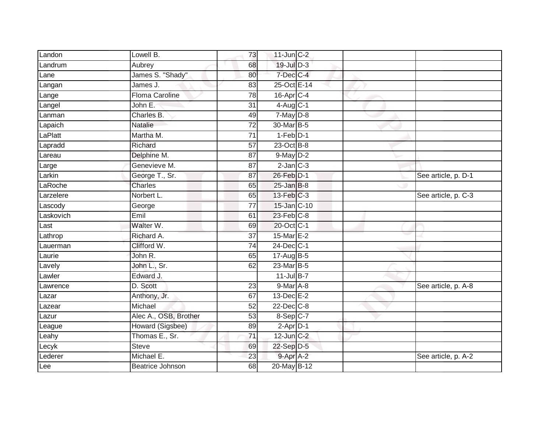| Landon    | Lowell B.             | 73              | $11$ -Jun $C-2$       |  |                     |
|-----------|-----------------------|-----------------|-----------------------|--|---------------------|
| Landrum   | Aubrey                | 68              | $19$ -Jul $D-3$       |  |                     |
| Lane      | James S. "Shady"      | 80              | 7-Dec C-4             |  |                     |
| Langan    | James J.              | 83              | 25-Oct E-14           |  |                     |
| Lange     | <b>Floma Caroline</b> | $\overline{78}$ | $16$ -Apr $C-4$       |  |                     |
| Langel    | John E.               | 31              | $4$ -Aug C-1          |  |                     |
| Lanman    | Charles B.            | 49              | $7-May$ $D-8$         |  |                     |
| Lapaich   | Natalie               | 72              | 30-Mar <sub>B-5</sub> |  |                     |
| LaPlatt   | Martha M.             | $\overline{71}$ | $1-Feb$ $D-1$         |  |                     |
| Lapradd   | Richard               | $\overline{57}$ | 23-Oct B-8            |  |                     |
| Lareau    | Delphine M.           | 87              | $9-May$ $D-2$         |  |                     |
| Large     | Genevieve M.          | 87              | $2$ -Jan $C-3$        |  |                     |
| Larkin    | George T., Sr.        | 87              | 26-Feb D-1            |  | See article, p. D-1 |
| LaRoche   | Charles               | 65              | $25 - Jan$ $B-8$      |  |                     |
| Larzelere | Norbert L.            | 65              | $13$ -Feb $C-3$       |  | See article, p. C-3 |
| Lascody   | George                | 77              | 15-Jan C-10           |  |                     |
| Laskovich | Emil                  | 61              | $23$ -Feb $C-8$       |  |                     |
| Last      | Walter W.             | 69              | 20-Oct C-1            |  |                     |
| Lathrop   | Richard A.            | 37              | 15-Mar E-2            |  |                     |
| Lauerman  | Clifford W.           | 74              | 24-Dec C-1            |  |                     |
| Laurie    | John R.               | 65              | $17$ -Aug $B$ -5      |  |                     |
| Lavely    | John L., Sr.          | 62              | 23-Mar B-5            |  |                     |
| Lawler    | Edward J.             |                 | 11-Jul B-7            |  |                     |
| Lawrence  | D. Scott              | 23              | 9-Mar A-8             |  | See article, p. A-8 |
| Lazar     | Anthony, Jr.          | 67              | 13-Dec E-2            |  |                     |
| Lazear    | Michael               | 52              | 22-Dec C-8            |  |                     |
| Lazur     | Alec A., OSB, Brother | 53              | 8-Sep C-7             |  |                     |
| League    | Howard (Sigsbee)      | 89              | $2-Apr$ D-1           |  |                     |
| Leahy     | Thomas E., Sr.        | $\overline{71}$ | $12$ -Jun $C-2$       |  |                     |
| Lecyk     | <b>Steve</b>          | 69              | 22-Sep D-5            |  |                     |
| Lederer   | Michael E.            | 23              | 9-Apr A-2             |  | See article, p. A-2 |
| Lee       | Beatrice Johnson      | 68              | 20-May B-12           |  |                     |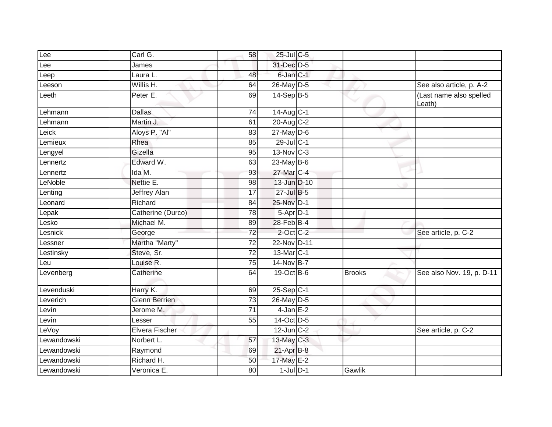| Lee         | Carl G.              | 58              | 25-Jul C-5              |               |                                   |
|-------------|----------------------|-----------------|-------------------------|---------------|-----------------------------------|
| Lee         | James                |                 | 31-Dec D-5              |               |                                   |
| Leep        | Laura L.             | 48              | 6-Jan C-1               |               |                                   |
| Leeson      | Willis H.            | 64              | 26-May D-5              |               | See also article, p. A-2          |
| Leeth       | Peter E.             | 69              | $14-Sep$ B-5            |               | (Last name also spelled<br>Leath) |
| Lehmann     | <b>Dallas</b>        | 74              | $14$ -Aug $C-1$         |               |                                   |
| Lehmann     | Martin J.            | 61              | 20-Aug C-2              |               |                                   |
| Leick       | Aloys P. "Al"        | 83              | $27$ -May $D-6$         |               |                                   |
| Lemieux     | Rhea                 | 85              | 29-Jul C-1              |               |                                   |
| Lengyel     | Gizella              | 95              | 13-Nov C-3              |               |                                   |
| Lennertz    | Edward W.            | 63              | 23-May B-6              |               |                                   |
| _ennertz    | Ida M.               | 93              | 27-Mar C-4              |               |                                   |
| LeNoble     | Nettie E.            | 98              | $13$ -Jun $D-10$        |               |                                   |
| Lenting     | Jeffrey Alan         | 17              | 27-Jul B-5              |               |                                   |
| Leonard     | Richard              | 84              | 25-Nov D-1              |               |                                   |
| Lepak       | Catherine (Durco)    | 78              | $5-Apr$ D-1             |               |                                   |
| Lesko       | Michael M.           | 89              | $28$ -Feb $B-4$         |               |                                   |
| _esnick     | George               | 72              | $2$ -Oct C-2            |               | See article, p. C-2               |
| _essner     | Martha "Marty"       | 72              | 22-Nov D-11             |               |                                   |
| Lestinsky   | Steve, Sr.           | $\overline{72}$ | 13-Mar C-1              |               |                                   |
| Leu         | Louise <sub>R.</sub> | 75              | 14-Nov B-7              |               |                                   |
| Levenberg   | Catherine            | 64              | $19-Oct$ B-6            | <b>Brooks</b> | See also Nov. 19, p. D-11         |
| Levenduski  | Harry K.             | 69              | $25-Sep$ <sub>C-1</sub> |               |                                   |
| Leverich    | <b>Glenn Berrien</b> | $\overline{73}$ | 26-May D-5              |               |                                   |
| Levin       | Jerome M.            | $\overline{71}$ | $4$ -Jan E-2            |               |                                   |
| Levin       | Lesser               | 55              | 14-Oct D-5              |               |                                   |
| LeVoy       | Elvera Fischer       |                 | $12$ -Jun $C-2$         |               | See article, p. C-2               |
| Lewandowski | Norbert L.           | 57              | 13-May C-3              |               |                                   |
| Lewandowski | Raymond              | 69              | $21-AprB-8$             |               |                                   |
| Lewandowski | Richard H.           | 50              | 17-May E-2              |               |                                   |
| Lewandowski | Veronica E.          | 80              | $1$ -Jul $D-1$          | Gawlik        |                                   |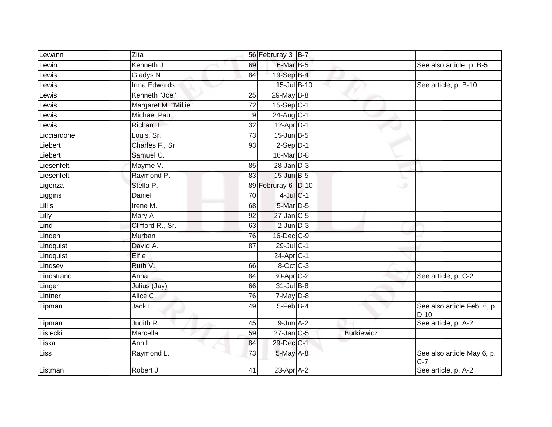| Lewann       | <b>Zita</b>          |                 | 56 Februray 3 B-7     |                   |                                       |
|--------------|----------------------|-----------------|-----------------------|-------------------|---------------------------------------|
| Lewin        | Kenneth J.           | 69              | 6-Mar <sub>B-5</sub>  |                   | See also article, p. B-5              |
| Lewis        | Gladys N.            | 84              | 19-Sep B-4            |                   |                                       |
| Lewis        | Irma Edwards         |                 | 15-Jul B-10           |                   | See article, p. B-10                  |
| Lewis        | Kenneth "Joe"        | 25              | $29$ -May B-8         |                   |                                       |
| Lewis        | Margaret M. "Millie" | $\overline{72}$ | 15-Sep C-1            |                   |                                       |
| <b>Lewis</b> | <b>Michael Paul</b>  | 9               | 24-Aug C-1            |                   |                                       |
| Lewis        | Richard I.           | 32              | $12-Apr D-1$          |                   |                                       |
| Licciardone  | Louis, Sr.           | 73              | $15$ -Jun $B$ -5      |                   |                                       |
| Liebert      | Charles F., Sr.      | 93              | $2-Sep$ D-1           |                   |                                       |
| Liebert      | Samuel C.            |                 | $16$ -Mar $ D-8 $     |                   |                                       |
| Liesenfelt   | Mayme V.             | 85              | $28 - Jan$ $D-3$      |                   |                                       |
| Liesenfelt   | Raymond P.           | 83              | $15$ -Jun $B - 5$     |                   |                                       |
| Ligenza      | Stella P.            | 89              | Februray 6 D-10       |                   |                                       |
| Liggins      | Daniel               | 70              | $4$ -Jul $C-1$        |                   |                                       |
| Lillis       | Irene M.             | 68              | 5-Mar D-5             |                   |                                       |
| Lilly        | Mary A.              | 92              | $27$ -Jan $C$ -5      |                   |                                       |
| Lind         | Clifford R., Sr.     | 63              | $2$ -Jun $D-3$        |                   |                                       |
| Linden       | Murban               | 76              | $16$ -Dec $C-9$       |                   |                                       |
| Lindquist    | David A.             | 87              | 29-Jul C-1            |                   |                                       |
| Lindquist    | Elfie                |                 | $24-Apr$ $C-1$        |                   |                                       |
| Lindsey      | Ruth V.              | 66              | 8-Oct C-3             |                   |                                       |
| Lindstrand   | Anna                 | 84              | 30-Apr <sub>C-2</sub> |                   | See article, p. C-2                   |
| Linger       | Julius (Jay)         | 66              | $31$ -Jul B-8         |                   |                                       |
| Lintner      | Alice C.             | 76              | $7$ -May $D-8$        |                   |                                       |
| Lipman       | Jack L.              | 49              | 5-Feb B-4             |                   | See also article Feb. 6, p.<br>$D-10$ |
| Lipman       | Judith R.            | 45              | $19$ -Jun $A-2$       |                   | See article, p. A-2                   |
| Lisiecki     | Marcella             | 59              | $27$ -Jan $C$ -5      | <b>Burkiewicz</b> |                                       |
| Liska        | Ann L.               | 84              | 29-Dec C-1            |                   |                                       |
| <b>Liss</b>  | Raymond L.           | 73              | $5$ -May $A-8$        |                   | See also article May 6, p.<br>$C-7$   |
| Listman      | Robert J.            | 41              | 23-Apr A-2            |                   | See article, p. A-2                   |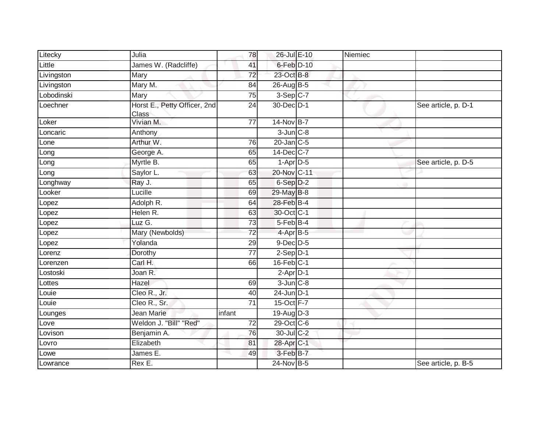| Litecky    | Julia                                 | 78              | 26-Jul E-10     | Niemiec |                     |
|------------|---------------------------------------|-----------------|-----------------|---------|---------------------|
| Little     | James W. (Radcliffe)                  | 41              | 6-Feb D-10      |         |                     |
| Livingston | Mary                                  | 72              | 23-Oct B-8      |         |                     |
| Livingston | Mary M.                               | 84              | 26-Aug B-5      |         |                     |
| Lobodinski | <b>Mary</b>                           | $\overline{75}$ | $3-Sep$ C-7     |         |                     |
| Loechner   | Horst E., Petty Officer, 2nd<br>Class | $\overline{24}$ | 30-Dec D-1      |         | See article, p. D-1 |
| Loker      | Vivian M.                             | 77              | 14-Nov B-7      |         |                     |
| _oncaric   | Anthony                               |                 | $3$ -Jun $C-8$  |         |                     |
| Lone       | Arthur W.                             | 76              | $20$ -Jan $C-5$ |         |                     |
| Long       | George A.                             | 65              | 14-Dec C-7      |         |                     |
| Long       | Myrtle B.                             | 65              | $1-Apr$ D-5     |         | See article, p. D-5 |
| Long       | Saylor L.                             | 63              | 20-Nov C-11     |         |                     |
| Longhway   | Ray J.                                | 65              | $6-Sep D-2$     |         |                     |
| Looker     | Lucille                               | 69              | 29-May B-8      |         |                     |
| _opez      | Adolph R.                             | 64              | 28-Feb B-4      |         |                     |
| Lopez      | Helen R.                              | 63              | 30-Oct C-1      |         |                     |
| Lopez      | Luz G.                                | $\overline{73}$ | 5-Feb B-4       |         |                     |
| Lopez      | Mary (Newbolds)                       | 72              | $4-AprB-5$      |         |                     |
| Lopez      | Yolanda                               | 29              | $9$ -Dec $D$ -5 |         |                     |
| Lorenz     | Dorothy                               | $\overline{77}$ | $2-Sep$ $D-1$   |         |                     |
| Lorenzen   | Carl H.                               | 66              | $16$ -Feb $C-1$ |         |                     |
| Lostoski   | Joan R.                               |                 | $2-Apr1$ D-1    |         |                     |
| Lottes     | <b>Hazel</b>                          | 69              | $3$ -Jun $C-8$  |         |                     |
| Louie      | Cleo R., Jr.                          | 40              | 24-Jun D-1      |         |                     |
| Louie      | Cleo R., Sr.                          | $\overline{71}$ | 15-Oct F-7      |         |                     |
| Lounges    | Jean Marie                            | infant          | 19-Aug D-3      |         |                     |
| Love       | Weldon J. "Bill" "Red"                | 72              | 29-Oct C-6      |         |                     |
| Lovison    | Benjamin A.                           | 76              | 30-Jul C-2      |         |                     |
| Lovro      | Elizabeth                             | 81              | 28-Apr C-1      |         |                     |
| Lowe       | James E.                              | 49              | 3-Feb B-7       |         |                     |
| Lowrance   | Rex E.                                |                 | 24-Nov B-5      |         | See article, p. B-5 |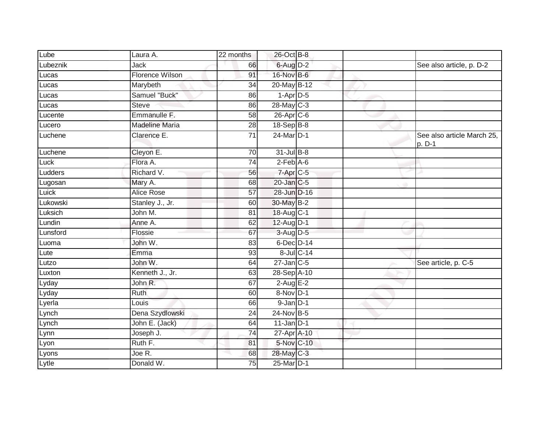| Lube     | Laura A.               | 22 months       | 26-Oct B-8       |            |                                      |
|----------|------------------------|-----------------|------------------|------------|--------------------------------------|
| Lubeznik | Jack                   | 66              | 6-Aug D-2        |            | See also article, p. D-2             |
| Lucas    | <b>Florence Wilson</b> | 91              | 16-Nov B-6       |            |                                      |
| Lucas    | Marybeth               | 34              | 20-May B-12      |            |                                      |
| Lucas    | Samuel "Buck"          | 86              | $1-Apr$ D-5      |            |                                      |
| Lucas    | <b>Steve</b>           | 86              | 28-May C-3       |            |                                      |
| Lucente  | Emmanulle F.           | 58              | $26$ -Apr $C$ -6 |            |                                      |
| Lucero   | <b>Madeline Maria</b>  | 28              | 18-Sep B-8       |            |                                      |
| Luchene  | Clarence E.            | $\overline{71}$ | 24-Mar D-1       |            | See also article March 25,<br>p. D-1 |
| Luchene  | Cleyon E.              | 70              | $31$ -Jul B-8    |            |                                      |
| Luck     | Flora A.               | 74              | $2$ -Feb $A$ -6  |            |                                      |
| Ludders  | Richard V.             | 56              | $7$ -Apr $C$ -5  |            |                                      |
| Lugosan  | Mary A.                | 68              | 20-Jan C-5       |            |                                      |
| Luick    | <b>Alice Rose</b>      | 57              | 28-Jun D-16      |            |                                      |
| Lukowski | Stanley J., Jr.        | 60              | 30-May B-2       |            |                                      |
| Luksich  | John M.                | 81              | 18-Aug C-1       |            |                                      |
| Lundin   | Anne A.                | 62              | 12-Aug D-1       |            |                                      |
| Lunsford | Flossie                | 67              | 3-Aug D-5        |            |                                      |
| Luoma    | John W.                | 83              | $6$ -Dec $D$ -14 |            |                                      |
| Lute     | Emma                   | 93              |                  | 8-Jul C-14 |                                      |
| Lutzo    | John W.                | 64              | $27$ -Jan $C$ -5 |            | See article, p. C-5                  |
| Luxton   | Kenneth J., Jr.        | 63              | 28-Sep A-10      |            |                                      |
| Lyday    | John R.                | 67              | $2$ -Aug E-2     |            |                                      |
| Lyday    | Ruth                   | 60              | 8-Nov D-1        |            |                                      |
| Lyerla   | Louis                  | 66              | $9$ -Jan $D-1$   |            |                                      |
| Lynch    | Dena Szydlowski        | 24              | 24-Nov B-5       |            |                                      |
| Lynch    | John E. (Jack)         | 64              | $11$ -Jan D-1    |            |                                      |
| Lynn     | Joseph J.              | $\overline{74}$ | 27-Apr A-10      |            |                                      |
| Lyon     | Ruth F.                | 81              | 5-Nov C-10       |            |                                      |
| Lyons    | Joe R.                 | 68              | 28-May C-3       |            |                                      |
| Lytle    | Donald W.              | 75              | 25-Mar D-1       |            |                                      |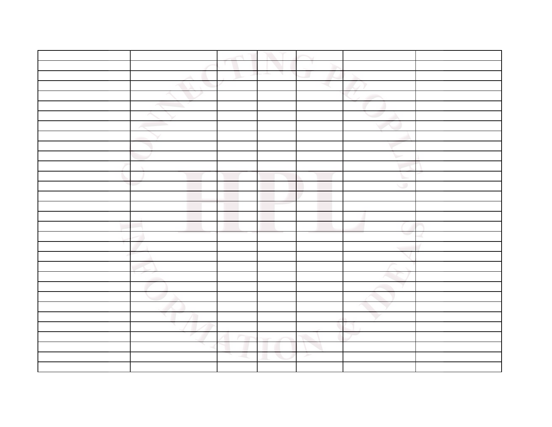| U<br>A              |    | A.<br>$\frac{1}{2}$ |               |                          |   |
|---------------------|----|---------------------|---------------|--------------------------|---|
| Ó                   |    |                     | $\mathbb{R}$  |                          |   |
| ୵                   |    |                     |               | x                        |   |
|                     |    |                     |               |                          |   |
|                     |    |                     |               |                          |   |
|                     |    |                     |               |                          |   |
|                     |    |                     |               |                          |   |
| N)                  |    |                     |               |                          |   |
|                     |    |                     |               | ◡                        |   |
|                     |    |                     |               |                          |   |
|                     |    |                     |               |                          |   |
|                     |    |                     |               | $\circ$                  |   |
|                     |    |                     |               |                          |   |
|                     |    |                     |               |                          |   |
|                     |    |                     |               |                          |   |
|                     |    |                     |               |                          |   |
|                     |    |                     |               | $\overline{\phantom{0}}$ | 4 |
|                     |    |                     |               | $\sim$                   |   |
|                     |    |                     |               |                          |   |
|                     |    |                     |               |                          |   |
|                     |    |                     |               |                          |   |
|                     |    |                     |               | Y                        |   |
|                     |    |                     |               |                          |   |
|                     |    |                     |               | V                        |   |
| Х. <sub>П</sub>     |    |                     |               | v                        |   |
| ш                   |    |                     |               |                          |   |
| $\mathbb{R}^n$<br>o | 78 |                     |               |                          |   |
|                     |    |                     |               |                          |   |
|                     | и, |                     | $\frac{1}{2}$ |                          |   |
|                     |    |                     |               |                          |   |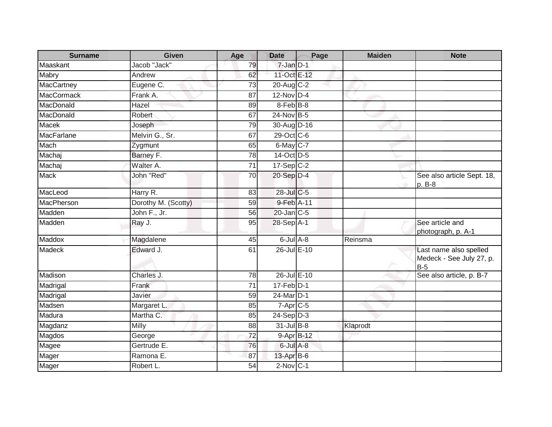| <b>Surname</b>    | <b>Given</b>        | Age | <b>Date</b>           | Page | <b>Maiden</b> | <b>Note</b>                                                 |
|-------------------|---------------------|-----|-----------------------|------|---------------|-------------------------------------------------------------|
| Maaskant          | Jacob "Jack"        | 79  | $7$ -Jan $D-1$        |      |               |                                                             |
| <b>Mabry</b>      | Andrew              | 62  | 11-Oct E-12           |      |               |                                                             |
| MacCartney        | Eugene C.           | 73  | 20-Aug C-2            |      |               |                                                             |
| <b>MacCormack</b> | Frank A.            | 87  | 12-Nov D-4            |      |               |                                                             |
| MacDonald         | Hazel               | 89  | $8-FebB-8$            |      |               |                                                             |
| MacDonald         | Robert              | 67  | 24-Nov B-5            |      |               |                                                             |
| <b>Macek</b>      | Joseph              | 79  | 30-Aug D-16           |      |               |                                                             |
| MacFarlane        | Melvin G., Sr.      | 67  | 29-Oct C-6            |      |               |                                                             |
| Mach              | Zygmunt             | 65  | $6$ -May $C$ -7       |      |               |                                                             |
| Machaj            | Barney F.           | 78  | 14-Oct D-5            |      |               |                                                             |
| Machaj            | Walter A.           | 71  | $17-Sep$ C-2          |      |               |                                                             |
| Mack              | John "Red"          | 70  | 20-Sep D-4            |      |               | See also article Sept. 18,<br>p. B-8                        |
| MacLeod           | Harry R.            | 83  | 28-Jul C-5            |      |               |                                                             |
| MacPherson        | Dorothy M. (Scotty) | 59  | 9-Feb A-11            |      |               |                                                             |
| Madden            | John F., Jr.        | 56  | $20$ -Jan $C-5$       |      |               |                                                             |
| Madden            | Ray J.              | 95  | 28-Sep A-1            |      |               | See article and<br>photograph, p. A-1                       |
| Maddox            | Magdalene           | 45  | $6$ -Jul $A$ -8       |      | Reinsma       |                                                             |
| Madeck            | Edward J.           | 61  | 26-Jul E-10           |      |               | Last name also spelled<br>Medeck - See July 27, p.<br>$B-5$ |
| Madison           | Charles J.          | 78  | 26-Jul E-10           |      |               | See also article, p. B-7                                    |
| Madrigal          | Frank               | 71  | $17$ -Feb $D-1$       |      |               |                                                             |
| Madrigal          | Javier              | 59  | 24-Mar <sub>D-1</sub> |      |               |                                                             |
| Madsen            | Margaret L.         | 85  | $7-Apr$ $C-5$         |      |               |                                                             |
| Madura            | Martha C.           | 85  | $24-Sep D-3$          |      |               |                                                             |
| Magdanz           | Milly               | 88  | $31$ -Jul B-8         |      | Klaprodt      |                                                             |
| Magdos            | George              | 72  | 9-Apr B-12            |      |               |                                                             |
| Magee             | Gertrude E.         | 76  | 6-Jul A-8             |      |               |                                                             |
| Mager             | Ramona E.           | 87  | 13-Apr B-6            |      |               |                                                             |
| Mager             | Robert L.           | 54  | $2$ -Nov $C-1$        |      |               |                                                             |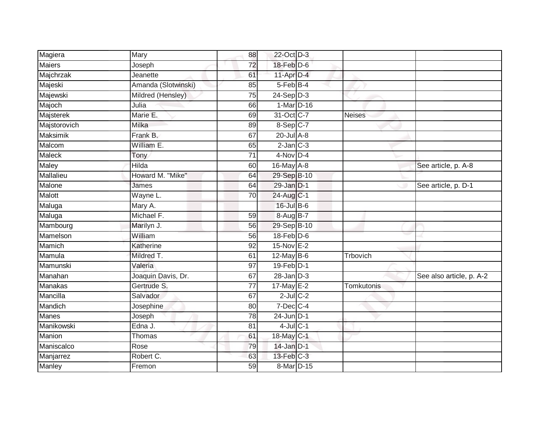| Magiera       | Mary                | 88              | 22-Oct D-3      |               |                          |
|---------------|---------------------|-----------------|-----------------|---------------|--------------------------|
| Maiers        | Joseph              | 72              | 18-Feb D-6      |               |                          |
| Majchrzak     | Jeanette            | 61              | 11-Apr D-4      |               |                          |
| Majeski       | Amanda (Slotwinski) | 85              | 5-Feb B-4       |               |                          |
| Majewski      | Mildred (Hensley)   | $\overline{75}$ | $24-Sep D-3$    |               |                          |
| Majoch        | Julia               | 66              | 1-Mar D-16      |               |                          |
| Majsterek     | Marie E.            | 69              | 31-Oct C-7      | <b>Neises</b> |                          |
| Majstorovich  | Milka               | 89              | $8-Sep C-7$     |               |                          |
| Maksimik      | Frank B.            | 67              | $20$ -Jul $A-8$ |               |                          |
| Malcom        | William E.          | 65              | $2$ -Jan $C-3$  |               |                          |
| Maleck        | Tony                | 71              | $4-Nov$ D-4     |               |                          |
| Maley         | Hilda               | 60              | 16-May A-8      |               | See article, p. A-8      |
| Mallalieu     | Howard M. "Mike"    | 64              | 29-Sep B-10     |               |                          |
| Malone        | James               | 64              | 29-Jan D-1      |               | See article, p. D-1      |
| <b>Malott</b> | Wayne L.            | $\overline{70}$ | 24-Aug C-1      |               |                          |
| Maluga        | Mary A.             |                 | $16$ -Jul B-6   |               |                          |
| Maluga        | Michael F.          | 59              | 8-Aug B-7       |               |                          |
| Mambourg      | Marilyn J.          | 56              | 29-Sep B-10     |               |                          |
| Mamelson      | William             | 56              | 18-Feb D-6      |               |                          |
| Mamich        | Katherine           | 92              | $15-Nov$ E-2    |               |                          |
| Mamula        | Mildred T.          | 61              | $12$ -May B-6   | Trbovich      |                          |
| Mamunski      | Valeria             | 97              | 19-Feb D-1      |               |                          |
| Manahan       | Joaquin Davis, Dr.  | 67              | $28$ -Jan $D-3$ |               | See also article, p. A-2 |
| Manakas       | Gertrude S.         | $\overline{77}$ | $17$ -May E-2   | Tomkutonis    |                          |
| Mancilla      | Salvador            | 67              | $2$ -Jul $C$ -2 |               |                          |
| Mandich       | Josephine           | 80              | $7$ -Dec $C$ -4 |               |                          |
| <b>Manes</b>  | Joseph              | 78              | $24$ -Jun $D-1$ |               |                          |
| Manikowski    | Edna J.             | 81              | $4$ -Jul $C-1$  |               |                          |
| <b>Manion</b> | Thomas              | 61              | 18-May C-1      |               |                          |
| Maniscalco    | Rose                | 79              | $14$ -Jan $D-1$ |               |                          |
| Manjarrez     | Robert C.           | 63              | 13-Feb C-3      |               |                          |
| <b>Manley</b> | Fremon              | $\overline{59}$ | 8-Mar D-15      |               |                          |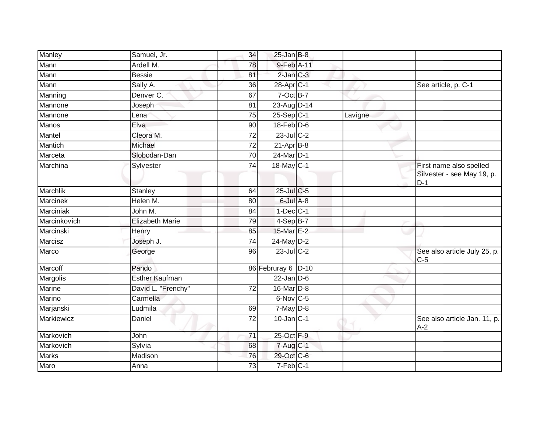| Manley          | Samuel, Jr.            | 34              | $25$ -Jan B-8      |         |                                                                |
|-----------------|------------------------|-----------------|--------------------|---------|----------------------------------------------------------------|
| Mann            | Ardell M.              | 78              | 9-Feb A-11         |         |                                                                |
| Mann            | <b>Bessie</b>          | 81              | $2$ -Jan $C-3$     |         |                                                                |
| Mann            | Sally A.               | 36              | 28-Apr C-1         |         | See article, p. C-1                                            |
| Manning         | Denver C.              | 67              | 7-Oct B-7          |         |                                                                |
| Mannone         | Joseph                 | 81              | 23-Aug D-14        |         |                                                                |
| Mannone         | Lena                   | 75              | $25 - Sep$ C-1     | Lavigne |                                                                |
| Manos           | Elva                   | 90              | $18$ -Feb $D-6$    |         |                                                                |
| Mantel          | Cleora M.              | $\overline{72}$ | $23$ -Jul C-2      |         |                                                                |
| Mantich         | Michael                | 72              | $21-AprB-8$        |         |                                                                |
| Marceta         | Slobodan-Dan           | 70              | 24-Mar D-1         |         |                                                                |
| Marchina        | Sylvester              | 74              | 18-May C-1         |         | First name also spelled<br>Silvester - see May 19, p.<br>$D-1$ |
| <b>Marchlik</b> | Stanley                | 64              | 25-Jul C-5         |         |                                                                |
| Marcinek        | Helen M.               | 80              | 6-Jul A-8          |         |                                                                |
| Marciniak       | John M.                | 84              | $1-Dec$ $C-1$      |         |                                                                |
| Marcinkovich    | <b>Elizabeth Marie</b> | 79              | $4-SepB-7$         |         |                                                                |
| Marcinski       | Henry                  | 85              | 15-Mar E-2         |         |                                                                |
| Marcisz         | Joseph J.              | 74              | $24$ -May D-2      |         |                                                                |
| Marco           | George                 | 96              | $23$ -Jul C-2      |         | See also article July 25, p.<br>$C-5$                          |
| Marcoff         | Pando                  |                 | 86 Februray 6 D-10 |         |                                                                |
| Margolis        | <b>Esther Kaufman</b>  |                 | $22$ -Jan $D-6$    |         |                                                                |
| Marine          | David L. "Frenchy"     | 72              | 16-Mar D-8         |         |                                                                |
| Marino          | Carmella               |                 | 6-Nov C-5          |         |                                                                |
| Marjanski       | Ludmila                | 69              | $7-May$ D-8        |         |                                                                |
| Markiewicz      | Daniel                 | 72              | $10$ -Jan C-1      |         | See also article Jan. 11, p.<br>$A-2$                          |
| Markovich       | John                   | 71              | 25-Oct F-9         |         |                                                                |
| Markovich       | Sylvia                 | 68              | 7-Aug C-1          |         |                                                                |
| <b>Marks</b>    | Madison                | 76              | 29-Oct C-6         |         |                                                                |
| Maro            | Anna                   | 73              | $7-Feb$ C-1        |         |                                                                |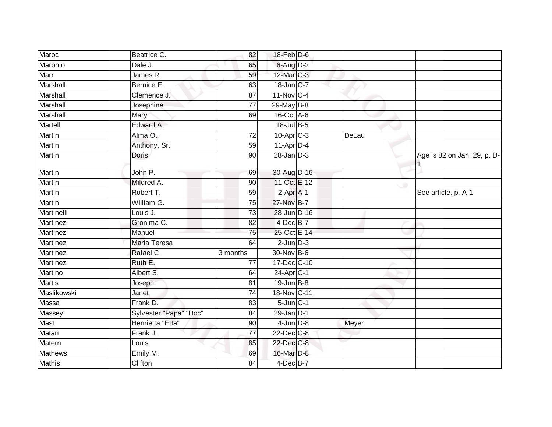| Maroc           | Beatrice C.            | 82              | $18$ -Feb $D-6$         |       |                             |
|-----------------|------------------------|-----------------|-------------------------|-------|-----------------------------|
| Maronto         | Dale J.                | 65              | 6-Aug D-2               |       |                             |
| Marr            | James R.               | 59              | 12-Mar C-3              |       |                             |
| Marshall        | Bernice E.             | 63              | 18-Jan C-7              |       |                             |
| Marshall        | Clemence J.            | 87              | $11-Nov$ <sub>C-4</sub> |       |                             |
| Marshall        | Josephine              | 77              | 29-May B-8              |       |                             |
| Marshall        | Mary                   | 69              | 16-Oct A-6              |       |                             |
| Martell         | Edward A.              |                 | 18-Jul B-5              |       |                             |
| Martin          | Alma O.                | 72              | $10-Apr$ <sub>C-3</sub> | DeLau |                             |
| Martin          | Anthony, Sr.           | 59              | $11$ -Apr $D-4$         |       |                             |
| Martin          | <b>Doris</b>           | 90              | $28$ -Jan $D-3$         |       | Age is 82 on Jan. 29, p. D- |
| <b>Martin</b>   | John P.                | 69              | 30-Aug D-16             |       |                             |
| Martin          | Mildred A.             | 90              | 11-Oct E-12             |       |                             |
| <b>Martin</b>   | Robert T.              | 59              | $2-Apr$ A-1             |       | See article, p. A-1         |
| <b>Martin</b>   | William G.             | 75              | 27-Nov B-7              |       |                             |
| Martinelli      | Louis J.               | $\overline{73}$ | 28-Jun D-16             |       |                             |
| Martinez        | Gronima C.             | 82              | $4$ -Dec B-7            |       |                             |
| Martinez        | Manuel                 | 75              | 25-Oct E-14             |       |                             |
| Martinez        | <b>Maria Teresa</b>    | 64              | $2$ -Jun $D-3$          |       |                             |
| <b>Martinez</b> | Rafael C.              | 3 months        | 30-Nov B-6              |       |                             |
| Martinez        | Ruth E.                | 77              | 17-Dec C-10             |       |                             |
| Martino         | Albert S.              | 64              | 24-Apr C-1              |       |                             |
| <b>Martis</b>   | Joseph                 | 81              | $19$ -Jun $B - 8$       |       |                             |
| Maslikowski     | Janet                  | 74              | 18-Nov C-11             |       |                             |
| Massa           | Frank D.               | 83              | $5 - Jun$ $C - 1$       |       |                             |
| Massey          | Sylvester "Papa" "Doc" | 84              | $29$ -Jan $D-1$         |       |                             |
| Mast            | Henrietta "Etta"       | 90              | $4$ -Jun $D-8$          | Meyer |                             |
| Matan           | Frank J.               | $\overline{77}$ | $22$ -Dec $C-8$         |       |                             |
| Matern          | Louis                  | 85              | 22-Dec C-8              |       |                             |
| Mathews         | Emily M.               | 69              | 16-Mar D-8              |       |                             |
| Mathis          | Clifton                | 84              | $4$ -Dec $B$ -7         |       |                             |
|                 |                        |                 |                         |       |                             |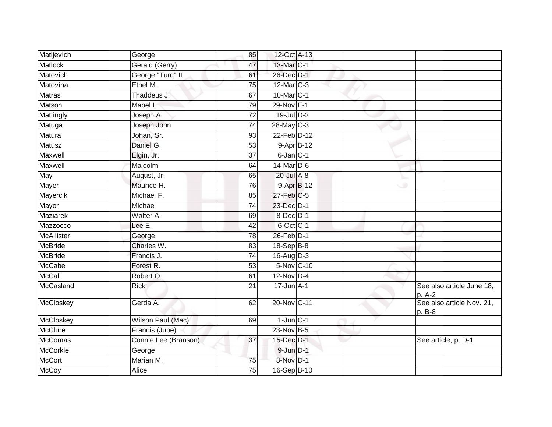| Matijevich        | George               | 85              | 12-Oct A-13     |                                     |
|-------------------|----------------------|-----------------|-----------------|-------------------------------------|
| Matlock           | Gerald (Gerry)       | 47              | 13-Mar C-1      |                                     |
| Matovich          | George "Turq" II     | 61              | 26-Dec D-1      |                                     |
| Matovina          | Ethel M.             | 75              | 12-Mar C-3      |                                     |
| <b>Matras</b>     | Thaddeus J.          | 67              | 10-Mar C-1      |                                     |
| Matson            | Mabel I.             | 79              | 29-Nov E-1      |                                     |
| Mattingly         | Joseph A.            | 72              | 19-Jul D-2      |                                     |
| Matuga            | Joseph John          | 74              | 28-May C-3      |                                     |
| Matura            | Johan, Sr.           | 93              | 22-Feb D-12     |                                     |
| Matusz            | Daniel G.            | 53              | 9-Apr B-12      |                                     |
| Maxwell           | Elgin, Jr.           | 37              | 6-Jan C-1       |                                     |
| Maxwell           | Malcolm              | 64              | 14-Mar $D-6$    |                                     |
| May               | August, Jr.          | 65              | 20-Jul A-8      |                                     |
| Mayer             | Maurice H.           | 76              | $9-Apr$ $B-12$  |                                     |
| Mayercik          | Michael F.           | 85              | $27$ -Feb $C-5$ |                                     |
| Mayor             | Michael              | $\overline{74}$ | 23-Dec D-1      |                                     |
| <b>Maziarek</b>   | Walter A.            | 69              | $8$ -Dec $D-1$  |                                     |
| Mazzocco          | Lee $E$ .            | 42              | 6-Oct C-1       |                                     |
| <b>McAllister</b> | George               | 78              | 26-Feb D-1      |                                     |
| <b>McBride</b>    | Charles W.           | 83              | 18-Sep B-8      |                                     |
| <b>McBride</b>    | Francis J.           | 74              | 16-Aug D-3      |                                     |
| <b>McCabe</b>     | Forest R.            | 53              | 5-Nov C-10      |                                     |
| McCall            | Robert O.            | 61              | $12-Nov$ D-4    |                                     |
| McCasland         | <b>Rick</b>          | 21              | $17$ -Jun $A-1$ | See also article June 18,<br>p. A-2 |
| McCloskey         | Gerda A.             | 62              | 20-Nov C-11     | See also article Nov. 21,<br>p. B-8 |
| McCloskey         | Wilson Paul (Mac)    | 69              | $1$ -Jun $C-1$  |                                     |
| McClure           | Francis (Jupe)       |                 | 23-Nov B-5      |                                     |
| McComas           | Connie Lee (Branson) | 37              | 15-Dec D-1      | See article, p. D-1                 |
| <b>McCorkle</b>   | George               |                 | $9$ -Jun $D-1$  |                                     |
| <b>McCort</b>     | Marian M.            | 75              | 8-Nov D-1       |                                     |
| McCoy             | Alice                | 75              | 16-Sep B-10     |                                     |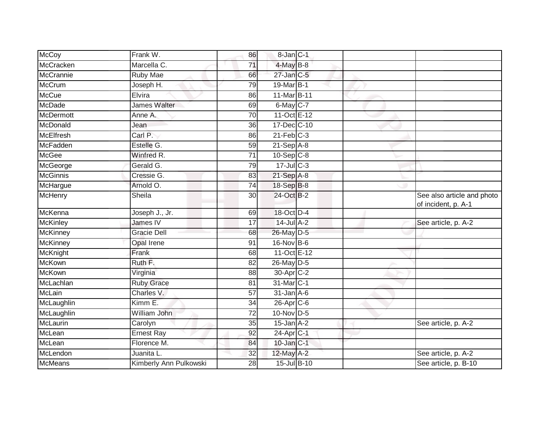| <b>McCoy</b>     | Frank W.               | 86              | 8-Jan C-1             |  |                                                   |
|------------------|------------------------|-----------------|-----------------------|--|---------------------------------------------------|
| McCracken        | Marcella C.            | 71              | $4$ -May $B-8$        |  |                                                   |
| McCrannie        | <b>Ruby Mae</b>        | 66              | $27$ -Jan $C-5$       |  |                                                   |
| <b>McCrum</b>    | Joseph H.              | 79              | 19-Mar B-1            |  |                                                   |
| <b>McCue</b>     | Elvira                 | 86              | 11-Mar B-11           |  |                                                   |
| McDade           | <b>James Walter</b>    | 69              | 6-May C-7             |  |                                                   |
| McDermott        | Anne A.                | 70              | 11-Oct E-12           |  |                                                   |
| McDonald         | Jean                   | 36              | 17-Dec C-10           |  |                                                   |
| <b>McElfresh</b> | Carl P.                | 86              | $21$ -Feb $C-3$       |  |                                                   |
| McFadden         | Estelle G.             | 59              | 21-Sep A-8            |  |                                                   |
| McGee            | Winfred R.             | 71              | $10-Sep$ C-8          |  |                                                   |
| McGeorge         | Gerald G.              | 79              | $17$ -Jul C-3         |  |                                                   |
| <b>McGinnis</b>  | Cressie G.             | 83              | $21-Sep$ A-8          |  |                                                   |
| McHargue         | Arnold O.              | 74              | 18-Sep B-8            |  |                                                   |
| <b>McHenry</b>   | Sheila                 | 30              | 24-Oct B-2            |  | See also article and photo<br>of incident, p. A-1 |
| McKenna          | Joseph J., Jr.         | 69              | 18-Oct D-4            |  |                                                   |
| <b>McKinley</b>  | James IV               | 17              | $14$ -Jul A-2         |  | See article, p. A-2                               |
| <b>McKinney</b>  | <b>Gracie Dell</b>     | 68              | 26-May D-5            |  |                                                   |
| <b>McKinney</b>  | <b>Opal Irene</b>      | 91              | $16$ -Nov B-6         |  |                                                   |
| McKnight         | Frank                  | 68              | 11-Oct E-12           |  |                                                   |
| <b>McKown</b>    | Ruth F.                | 82              | 26-May D-5            |  |                                                   |
| <b>McKown</b>    | Virginia               | 88              | 30-Apr <sub>C-2</sub> |  |                                                   |
| McLachlan        | <b>Ruby Grace</b>      | 81              | 31-Mar C-1            |  |                                                   |
| <b>McLain</b>    | Charles V.             | 57              | $31$ -Jan $A$ -6      |  |                                                   |
| McLaughlin       | Kimm E.                | 34              | 26-Apr C-6            |  |                                                   |
| McLaughlin       | William John           | 72              | 10-Nov D-5            |  |                                                   |
| McLaurin         | Carolyn                | $\overline{35}$ | $15$ -Jan $A-2$       |  | See article, p. A-2                               |
| McLean           | <b>Ernest Ray</b>      | 92              | 24-Apr C-1            |  |                                                   |
| McLean           | Florence M.            | 84              | $10$ -Jan $C-1$       |  |                                                   |
| McLendon         | Juanita L.             | 32              | 12-May A-2            |  | See article, p. A-2                               |
| <b>McMeans</b>   | Kimberly Ann Pulkowski | 28              | 15-Jul B-10           |  | See article, p. B-10                              |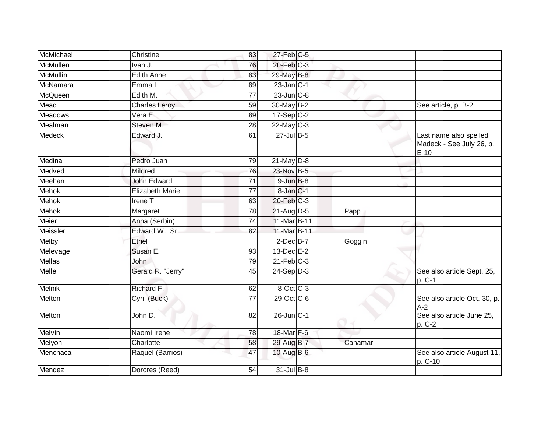| McMichael       | Christine              | 83              | $27$ -Feb $C-5$   |         |                                                              |
|-----------------|------------------------|-----------------|-------------------|---------|--------------------------------------------------------------|
| McMullen        | Ivan J.                | 76              | $20$ -Feb $C-3$   |         |                                                              |
| <b>McMullin</b> | <b>Edith Anne</b>      | 83              | 29-May B-8        |         |                                                              |
| McNamara        | Emma L.                | 89              | $23$ -Jan $ C-1 $ |         |                                                              |
| McQueen         | Edith M.               | $\overline{77}$ | $23$ -Jun $C-8$   |         |                                                              |
| Mead            | Charles Leroy          | 59              | 30-May B-2        |         | See article, p. B-2                                          |
| <b>Meadows</b>  | Vera E.                | 89              | $17-Sep$ C-2      |         |                                                              |
| Mealman         | Steven M.              | 28              | $22$ -May C-3     |         |                                                              |
| Medeck          | Edward J.              | 61              | 27-Jul B-5        |         | Last name also spelled<br>Madeck - See July 26, p.<br>$E-10$ |
| Medina          | Pedro Juan             | 79              | $21$ -May $D-8$   |         |                                                              |
| Medved          | Mildred                | 76              | 23-Nov B-5        |         |                                                              |
| Meehan          | <b>John Edward</b>     | 71              | $19$ -Jun $B$ -8  |         |                                                              |
| <b>Mehok</b>    | <b>Elizabeth Marie</b> | 77              | 8-Jan C-1         |         |                                                              |
| <b>Mehok</b>    | Irene T.               | 63              | 20-Feb C-3        |         |                                                              |
| <b>Mehok</b>    | Margaret               | 78              | $21$ -Aug $D-5$   | Papp    |                                                              |
| <b>Meier</b>    | Anna (Serbin)          | $\overline{74}$ | 11-Mar B-11       |         |                                                              |
| Meissler        | Edward W., Sr.         | 82              | 11-Mar B-11       |         |                                                              |
| Melby           | Ethel                  |                 | $2$ -Dec $B$ -7   | Goggin  |                                                              |
| Melevage        | Susan E.               | 93              | $13$ -Dec $E-2$   |         |                                                              |
| <b>Mellas</b>   | John                   | 79              | $21$ -Feb $C-3$   |         |                                                              |
| <b>Melle</b>    | Gerald R. "Jerry"      | 45              | $24-Sep D-3$      |         | See also article Sept. 25,<br>p. C-1                         |
| <b>Melnik</b>   | Richard F.             | 62              | 8-Oct C-3         |         |                                                              |
| Melton          | Cyril (Buck)           | 77              | 29-Oct C-6        |         | See also article Oct. 30, p.<br>$A-2$                        |
| <b>Melton</b>   | John D.                | $\overline{82}$ | 26-Jun C-1        |         | See also article June 25,<br>p. C-2                          |
| Melvin          | Naomi Irene            | 78              | 18-Mar F-6        |         |                                                              |
| Melyon          | Charlotte              | 58              | 29-Aug B-7        | Canamar |                                                              |
| Menchaca        | Raquel (Barrios)       | 47              | $10$ -Aug B-6     |         | See also article August 11,<br>p. C-10                       |
| Mendez          | Dorores (Reed)         | 54              | 31-Jul B-8        |         |                                                              |
|                 |                        |                 |                   |         |                                                              |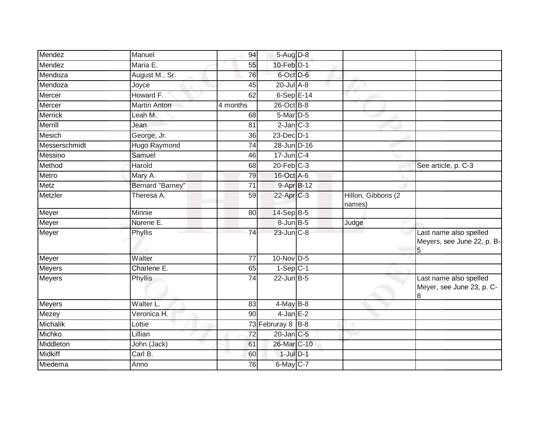| Mendez         | Manuel              | 94                   | 5-Aug D-8             |            |                               |                                                            |
|----------------|---------------------|----------------------|-----------------------|------------|-------------------------------|------------------------------------------------------------|
| Mendez         | Maria E.            | 55                   | 10-Feb D-1            |            |                               |                                                            |
| Mendoza        | August M., Sr.      | 76                   | 6-Oct D-6             |            |                               |                                                            |
| Mendoza        | Joyce               | 45                   | $20$ -Jul $A-8$       |            |                               |                                                            |
| Mercer         | Howard F.           | 62                   | $6-SepE-14$           |            |                               |                                                            |
| Mercer         | <b>Martin Anton</b> | $\frac{1}{4}$ months | $26$ -Oct B-8         |            |                               |                                                            |
| <b>Merrick</b> | Leah M.             | 68                   | $5$ -Mar $D-5$        |            |                               |                                                            |
| Merrill        | Jean                | 81                   | $2$ -Jan $ C-3 $      |            |                               |                                                            |
| Mesich         | George, Jr.         | 36                   | 23-Dec D-1            |            |                               |                                                            |
| Messerschmidt  | <b>Hugo Raymond</b> | 74                   | 28-Jun D-16           |            |                               |                                                            |
| Messino        | Samuel              | 46                   | $17$ -Jun $ C-4 $     |            |                               |                                                            |
| Method         | Harold              | 68                   | $20$ -Feb $C-3$       |            |                               | See article, p. C-3                                        |
| Metro          | Mary A.             | 79                   | 16-Oct A-6            |            |                               |                                                            |
| Metz           | Bernard "Barney"    | 71                   |                       | 9-Apr B-12 |                               |                                                            |
| Metzler        | Theresa A.          | 59                   | 22-Apr <sub>C-3</sub> |            | Hillon, Gibbons (2)<br>names) |                                                            |
| Meyer          | Minnie              | 80                   | 14-Sep B-5            |            |                               |                                                            |
| Meyer          | Norene E.           |                      | $8$ -Jun $B$ -5       |            | Judge                         |                                                            |
| Meyer          | Phyllis             | 74                   | $23$ -Jun $C-8$       |            |                               | Last name also spelled<br>Meyers, see June 22, p. B-<br>15 |
| Meyer          | Walter              | $\overline{77}$      | $10$ -Nov $D-5$       |            |                               |                                                            |
| <b>Meyers</b>  | Charlene E.         | 65                   | $1-Sep$ C-1           |            |                               |                                                            |
| <b>Meyers</b>  | Phyllis             | $\overline{74}$      | $22$ -Jun B-5         |            |                               | Last name also spelled<br>Meyer, see June 23, p. C-<br>8   |
| <b>Meyers</b>  | Walter L.           | 83                   | $4$ -May B-8          |            |                               |                                                            |
| Mezey          | Veronica H.         | 90                   | $4-JanE-2$            |            |                               |                                                            |
| Michalik       | Lottie              |                      | 73 Februray 8 B-8     |            |                               |                                                            |
| Michko         | Lillian             | 72                   | $20$ -Jan $C-5$       |            |                               |                                                            |
| Middleton      | John (Jack)         | 61                   | 26-Mar C-10           |            |                               |                                                            |
| <b>Midkiff</b> | Carl B.             | 60                   | $1$ -Jul $D-1$        |            |                               |                                                            |
| Miedema        | Anno                | 76                   | $6$ -May $C$ -7       |            |                               |                                                            |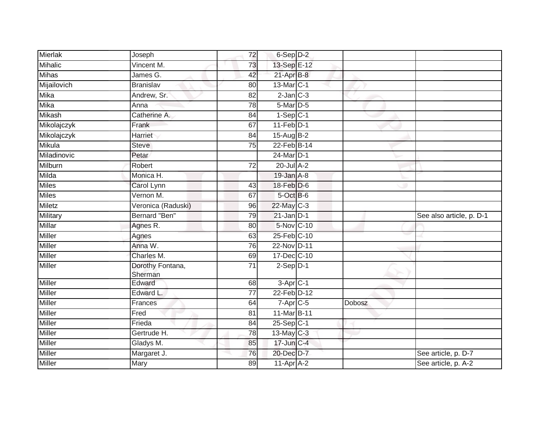| <b>Mierlak</b> | Joseph                      | $\overline{72}$ | 6-Sep D-2              |        |                          |
|----------------|-----------------------------|-----------------|------------------------|--------|--------------------------|
| Mihalic        | Vincent M.                  | 73              | 13-Sep E-12            |        |                          |
| <b>Mihas</b>   | James G.                    | 42              | $21-AprB-8$            |        |                          |
| Mijailovich    | <b>Branislav</b>            | 80              | 13-Mar C-1             |        |                          |
| <b>Mika</b>    | Andrew, Sr.                 | $\overline{82}$ | $2$ -Jan $C-3$         |        |                          |
| Mika           | Anna                        | 78              | 5-Mar D-5              |        |                          |
| Mikash         | Catherine A.                | 84              | $1-Sep$ C-1            |        |                          |
| Mikolajczyk    | Frank                       | 67              | $11-Feb$ D-1           |        |                          |
| Mikolajczyk    | Harriet                     | 84              | 15-Aug B-2             |        |                          |
| Mikula         | Steve                       | $\overline{75}$ | 22-Feb B-14            |        |                          |
| Miladinovic    | Petar                       |                 | 24-Mar D-1             |        |                          |
| Milburn        | Robert                      | 72              | 20-Jul A-2             |        |                          |
| Milda          | Monica H.                   |                 | $19$ -Jan $A-8$        |        |                          |
| <b>Miles</b>   | Carol Lynn                  | 43              | 18-Feb D-6             |        |                          |
| <b>Miles</b>   | Vernon M.                   | 67              | 5-Oct B-6              |        |                          |
| Miletz         | Veronica (Raduski)          | 96              | 22-May C-3             |        |                          |
|                |                             |                 |                        |        |                          |
| Military       | Bernard "Ben"               | 79              | $21$ -Jan D-1          |        | See also article, p. D-1 |
| Millar         | Agnes R.                    | 80              | 5-Nov C-10             |        |                          |
| Miller         | Agnes                       | 63              | 25-Feb C-10            |        |                          |
| <b>Miller</b>  | Anna W.                     | 76              | 22-Nov D-11            |        |                          |
| Miller         | Charles M.                  | 69              | $17$ -Dec $C$ -10      |        |                          |
| <b>Miller</b>  | Dorothy Fontana,<br>Sherman | $\overline{71}$ | $2-Sep$ $D-1$          | D.,    |                          |
| <b>Miller</b>  | Edward                      | 68              | $3-Apr$ C-1            |        |                          |
| Miller         | Edward L.                   | 77              | 22-Feb D-12            |        |                          |
| Miller         | Frances                     | 64              | $7-Apr$ <sub>C-5</sub> | Dobosz |                          |
| Miller         | Fred                        | 81              | 11-Mar B-11            |        |                          |
| Miller         | Frieda                      | 84              | 25-Sep C-1             |        |                          |
| Miller         | Gertrude H.                 | 78              | 13-May C-3             |        |                          |
| Miller         | Gladys M.                   | 85              | 17-Jun C-4             |        |                          |
| <b>Miller</b>  | Margaret J.                 | 76              | 20-Dec D-7             |        | See article, p. D-7      |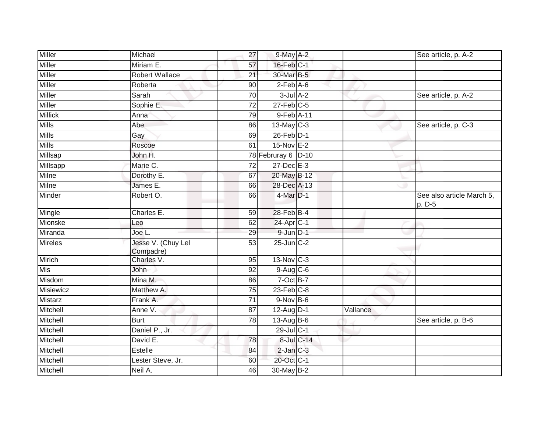| <b>Miller</b>  | Michael                         | 27              | 9-May A-2               |          | See article, p. A-2                 |
|----------------|---------------------------------|-----------------|-------------------------|----------|-------------------------------------|
| Miller         | Miriam E.                       | 57              | 16-Feb C-1              |          |                                     |
| <b>Miller</b>  | <b>Robert Wallace</b>           | $\overline{21}$ | 30-Mar B-5              |          |                                     |
| Miller         | Roberta                         | 90              | $2-Feb$ A-6             |          |                                     |
| Miller         | Sarah                           | $\overline{70}$ | $3$ -Jul $A-2$          |          | See article, p. A-2                 |
| Miller         | Sophie E.                       | $\overline{72}$ | $27$ -Feb $C-5$         |          |                                     |
| <b>Millick</b> | Anna                            | 79              | 9-Feb A-11              |          |                                     |
| <b>Mills</b>   | Abe                             | 86              | $13$ -May C-3           |          | See article, p. C-3                 |
| <b>Mills</b>   | Gay                             | 69              | $26$ -Feb $D-1$         |          |                                     |
| <b>Mills</b>   | Roscoe                          | 61              | $15-Nov$ E-2            |          |                                     |
| Millsap        | John H.                         |                 | 78 Februray 6 D-10      |          |                                     |
| Millsapp       | Marie C.                        | 72              | $27 - Dec$ E-3          |          |                                     |
| Milne          | Dorothy E.                      | 67              | 20-May B-12             |          |                                     |
| Milne          | James E.                        | 66              | 28-Dec A-13             |          |                                     |
| Minder         | Robert O.                       | 66              | $4$ -Mar $D-1$          |          | See also article March 5,<br>p. D-5 |
| Mingle         | Charles E.                      | 59              | 28-Feb B-4              |          |                                     |
| Mionske        | Leo                             | 62              | 24-Apr <sub>C-1</sub>   |          |                                     |
| Miranda        | Joe L.                          | 29              | 9-Jun D-1               |          |                                     |
| <b>Mireles</b> | Jesse V. (Chuy Lel<br>Compadre) | 53              | $25$ -Jun $C-2$         |          |                                     |
| <b>Mirich</b>  | Charles V.                      | 95              | $13-Nov$ <sub>C-3</sub> |          |                                     |
| Mis            | John                            | 92              | $9-Aug$ $C-6$           |          |                                     |
| Misdom         | Mina M.                         | 86              | 7-Oct B-7               |          |                                     |
| Misiewicz      | Matthew A.                      | 75              | $23$ -Feb $C-8$         |          |                                     |
| Mistarz        | Frank A.                        | 71              | $9-Nov$ B-6             |          |                                     |
| Mitchell       | Anne V.                         | $\overline{87}$ | 12-Aug D-1              | Vallance |                                     |
| Mitchell       | <b>Burt</b>                     | 78              | 13-Aug B-6              |          | See article, p. B-6                 |
| Mitchell       | Daniel P., Jr.                  |                 | 29-Jul C-1              |          |                                     |
| Mitchell       | David E.                        | 78              | 8-Jul C-14              |          |                                     |
| Mitchell       | Estelle                         | 84              | $2$ -Jan $C-3$          |          |                                     |
| Mitchell       | Lester Steve, Jr.               | 60              | 20-Oct C-1              |          |                                     |
| Mitchell       | Neil A.                         | 46              | 30-May B-2              |          |                                     |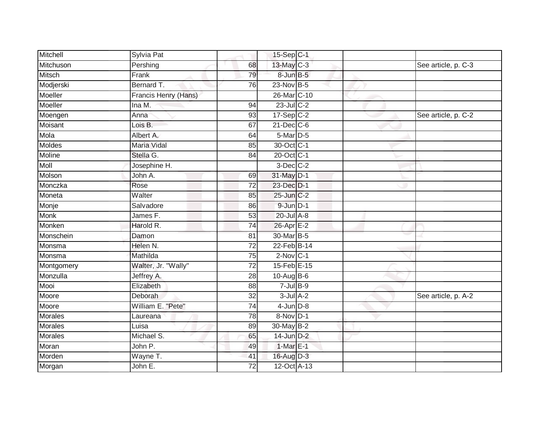| Mitchell       | Sylvia Pat           |                 | 15-Sep C-1              |  |                     |
|----------------|----------------------|-----------------|-------------------------|--|---------------------|
| Mitchuson      | Pershing             | 68              | 13-May C-3              |  | See article, p. C-3 |
| <b>Mitsch</b>  | Frank                | 79              | $8$ -Jun $B$ -5         |  |                     |
| Modjerski      | Bernard T.           | 76              | 23-Nov B-5              |  |                     |
| Moeller        | Francis Henry (Hans) |                 | 26-Mar C-10             |  |                     |
| Moeller        | Ina M.               | 94              | $23$ -Jul C-2           |  |                     |
| Moengen        | Anna                 | 93              | $17-Sep$ <sub>C-2</sub> |  | See article, p. C-2 |
| Moisant        | Lois B.              | 67              | $21$ -Dec $C$ -6        |  |                     |
| Mola           | Albert A.            | 64              | $5$ -Mar $D-5$          |  |                     |
| <b>Moldes</b>  | <b>Maria Vidal</b>   | 85              | 30-Oct C-1              |  |                     |
| Moline         | Stella G.            | 84              | 20-Oct C-1              |  |                     |
| Moll           | Josephine H.         |                 | $3$ -Dec $C-2$          |  |                     |
| Molson         | John A.              | 69              | 31-May D-1              |  |                     |
| Monczka        | Rose                 | 72              | 23-Dec D-1              |  |                     |
| Moneta         | Walter               | 85              | 25-Jun C-2              |  |                     |
| Monje          | Salvadore            | 86              | $9$ -Jun $D-1$          |  |                     |
| <b>Monk</b>    | James F.             | $\overline{53}$ | $20$ -Jul $A-8$         |  |                     |
| Monken         | Harold R.            | 74              | 26-Apr E-2              |  |                     |
| Monschein      | Damon                | 81              | 30-Mar B-5              |  |                     |
| Monsma         | Helen N.             | 72              | 22-Feb B-14             |  |                     |
| Monsma         | Mathilda             | 75              | $2-Nov$ C-1             |  |                     |
| Montgomery     | Walter, Jr. "Wally"  | $\overline{72}$ | 15-Feb E-15             |  |                     |
| Monzulla       | Jeffrey A.           | 28              | 10-Aug B-6              |  |                     |
| Mooi           | Elizabeth            | 88              | $7$ -Jul $B-9$          |  |                     |
| Moore          | Deborah              | 32              | $3$ -Jul $A-2$          |  | See article, p. A-2 |
| Moore          | William E. "Pete"    | 74              | $4$ -Jun $D-8$          |  |                     |
| <b>Morales</b> | Laureana             | 78              | 8-Nov D-1               |  |                     |
| Morales        | Luisa                | 89              | 30-May B-2              |  |                     |
| Morales        | Michael S.           | 65              | 14-Jun D-2              |  |                     |
| Moran          | John P.              | 49              | $1-MarE-1$              |  |                     |
| Morden         | Wayne T.             | 41              | 16-Aug D-3              |  |                     |
| Morgan         | John E.              | $\overline{72}$ | 12-Oct A-13             |  |                     |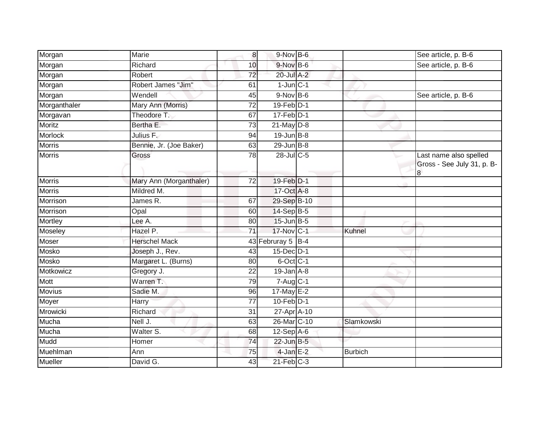| Morgan         | Marie                   | 8 <sup>1</sup>  | 9-Nov B-6              |                | See article, p. B-6                                  |
|----------------|-------------------------|-----------------|------------------------|----------------|------------------------------------------------------|
| Morgan         | Richard                 | 10              | 9-Nov B-6              |                | See article, p. B-6                                  |
| Morgan         | Robert                  | 72              | 20-Jul A-2             |                |                                                      |
| Morgan         | Robert James "Jim"      | 61              | $1$ -Jun $C-1$         |                |                                                      |
| Morgan         | Wendell                 | 45              | $9-Nov$ B-6            |                | See article, p. B-6                                  |
| Morganthaler   | Mary Ann (Morris)       | $\overline{72}$ | $19$ -Feb $D-1$        |                |                                                      |
| Morgavan       | Theodore T.             | 67              | $17 - Feb$ D-1         |                |                                                      |
| Moritz         | Bertha E.               | 73              | $21$ -May $D-8$        |                |                                                      |
| Morlock        | Julius F.               | 94              | 19-Jun B-8             |                |                                                      |
| <b>Morris</b>  | Bennie, Jr. (Joe Baker) | 63              | $29$ -Jun $B-8$        |                |                                                      |
| Morris         | Gross                   | 78              | $28$ -Jul C-5          |                | Last name also spelled<br>Gross - See July 31, p. B- |
| <b>Morris</b>  | Mary Ann (Morganthaler) | 72              | 19-Feb D-1             |                |                                                      |
| <b>Morris</b>  | Mildred M.              |                 | 17-Oct A-8             |                |                                                      |
| Morrison       | James R.                | 67              | 29-Sep B-10            |                |                                                      |
| Morrison       | Opal                    | 60              | 14-Sep B-5             |                |                                                      |
| <b>Mortley</b> | Lee A.                  | 80              | 15-Jun B-5             |                |                                                      |
| Moseley        | Hazel P.                | 71              | 17-Nov C-1             | Kuhnel         |                                                      |
| Moser          | <b>Herschel Mack</b>    |                 | 43 Februray 5 B-4      |                |                                                      |
| Mosko          | Joseph J., Rev.         | 43              | 15-Dec D-1             |                |                                                      |
| Mosko          | Margaret L. (Burns)     | 80              | 6-Oct C-1              |                |                                                      |
| Motkowicz      | Gregory J.              | 22              | $19$ -Jan $A$ -8       |                |                                                      |
| Mott           | Warren T.               | 79              | $7-Aug$ <sub>C-1</sub> |                |                                                      |
| <b>Movius</b>  | Sadie M.                | 96              | 17-May E-2             |                |                                                      |
| Moyer          | Harry                   | 77              | $10$ -Feb $D-1$        |                |                                                      |
| Mrowicki       | Richard                 | 31              | 27-Apr A-10            |                |                                                      |
| Mucha          | Nell J.                 | 63              | 26-Mar C-10            | Slamkowski     |                                                      |
| Mucha          | Walter S.               | 68              | $12$ -Sep $A$ -6       |                |                                                      |
| Mudd           | Homer                   | 74              | 22-Jun B-5             |                |                                                      |
| Muehlman       | Ann                     | 75              | $4$ -Jan E-2           | <b>Burbich</b> |                                                      |
| <b>Mueller</b> | David G.                | 43              | $21$ -Feb $ C-3$       |                |                                                      |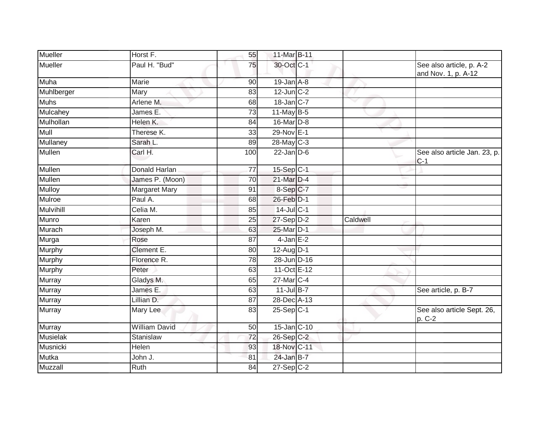| Mueller          | Horst F.             | 55              | 11-Mar B-11     |          |                                                 |
|------------------|----------------------|-----------------|-----------------|----------|-------------------------------------------------|
| <b>Mueller</b>   | Paul H. "Bud"        | 75              | 30-Oct C-1      |          | See also article, p. A-2<br>and Nov. 1, p. A-12 |
| Muha             | <b>Marie</b>         | $\overline{90}$ | $19$ -Jan $A-8$ |          |                                                 |
| Muhlberger       | Mary                 | 83              | $12$ -Jun $C-2$ |          |                                                 |
| <b>Muhs</b>      | Arlene M.            | 68              | 18-Jan C-7      |          |                                                 |
| Mulcahey         | James E.             | 73              | $11$ -May B-5   |          |                                                 |
| Mulhollan        | Helen K.             | 84              | 16-Mar D-8      |          |                                                 |
| Mull             | Therese K.           | $\overline{33}$ | 29-Nov E-1      |          |                                                 |
| Mullaney         | Sarah L.             | 89              | 28-May C-3      |          |                                                 |
| Mullen           | Carl H.              | 100             | $22$ -Jan $D-6$ |          | See also article Jan. 23, p.<br>$C-1$           |
| <b>Mullen</b>    | <b>Donald Harlan</b> | 77              | $15-Sep C-1$    |          |                                                 |
| Mullen           | James P. (Moon)      | 70              | 21-Mar D-4      |          |                                                 |
| <b>Mulloy</b>    | <b>Margaret Mary</b> | 91              | 8-Sep C-7       |          |                                                 |
| Mulroe           | Paul A.              | 68              | 26-Feb D-1      |          |                                                 |
| <b>Mulvihill</b> | Celia M.             | 85              | 14-Jul C-1      |          |                                                 |
| Munro            | Karen                | 25              | $27-Sep$ D-2    | Caldwell |                                                 |
| Murach           | Joseph M.            | 63              | 25-Mar D-1      |          |                                                 |
| Murga            | Rose                 | 87              | $4$ -Jan $E-2$  |          |                                                 |
| Murphy           | Clement E.           | 80              | $12$ -Aug $D-1$ |          |                                                 |
| <b>Murphy</b>    | Florence R.          | 78              | 28-Jun D-16     |          |                                                 |
| Murphy           | Peter                | 63              | 11-Oct E-12     |          |                                                 |
| Murray           | Gladys M.            | 65              | 27-Mar C-4      |          |                                                 |
| Murray           | James E.             | 63              | $11$ -Jul B-7   |          | See article, p. B-7                             |
| Murray           | Lillian D.           | 87              | 28-Dec A-13     |          |                                                 |
| Murray           | Mary Lee             | $\overline{83}$ | 25-Sep C-1      |          | See also article Sept. 26,<br>p. C-2            |
| Murray           | <b>William David</b> | 50              | 15-Jan C-10     |          |                                                 |
| <b>Musielak</b>  | Stanislaw            | 72              | 26-Sep C-2      |          |                                                 |
| Musnicki         | Helen                | 93              | 18-Nov C-11     |          |                                                 |
| Mutka            | John J.              | 81              | 24-Jan B-7      |          |                                                 |
| Muzzall          | <b>Ruth</b>          | $\overline{84}$ | $27-Sep$ $C-2$  |          |                                                 |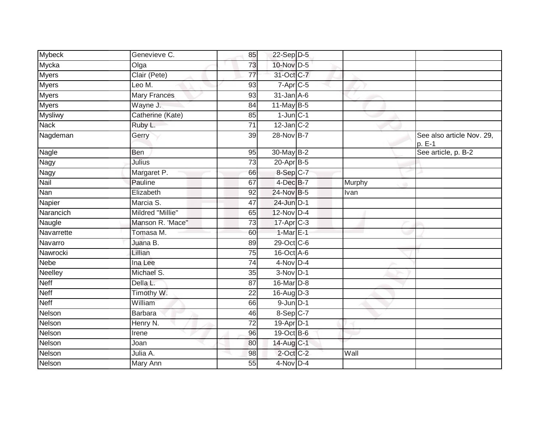| Mybeck         | Genevieve C.        | 85              | $22-Sep$ D-5    |        |                                     |
|----------------|---------------------|-----------------|-----------------|--------|-------------------------------------|
| Mycka          | Olga                | 73              | 10-Nov D-5      |        |                                     |
| <b>Myers</b>   | Clair (Pete)        | 77              | 31-Oct C-7      |        |                                     |
| Myers          | Leo M.              | 93              | $7-Apr$ C-5     |        |                                     |
| Myers          | <b>Mary Frances</b> | $\overline{93}$ | $31$ -Jan $A-6$ |        |                                     |
| Myers          | Wayne J.            | 84              | $11$ -May B-5   |        |                                     |
| <b>Mysliwy</b> | Catherine (Kate)    | 85              | $1$ -Jun $C-1$  |        |                                     |
| <b>Nack</b>    | Ruby L.             | 71              | $12$ -Jan $C-2$ |        |                                     |
| Nagdeman       | Gerry               | 39              | 28-Nov B-7      |        | See also article Nov. 29,<br>p. E-1 |
| Nagle          | Ben                 | 95              | 30-May B-2      |        | See article, p. B-2                 |
| Nagy           | Julius              | $\overline{73}$ | $20$ -Apr $B-5$ |        |                                     |
| Nagy           | Margaret P.         | 66              | 8-Sep C-7       |        |                                     |
| Nail           | Pauline             | 67              | 4-Dec B-7       | Murphy |                                     |
| Nan            | Elizabeth           | 92              | 24-Nov B-5      | Ivan   |                                     |
| Napier         | Marcia S.           | 47              | 24-Jun D-1      |        |                                     |
| Narancich      | Mildred "Millie"    | 65              | 12-Nov D-4      |        |                                     |
| Naugle         | Manson R. 'Mace"    | 73              | 17-Apr C-3      |        |                                     |
| Navarrette     | Tomasa M.           | 60              | $1-MarE-1$      |        |                                     |
| Navarro        | Juana B.            | 89              | 29-Oct C-6      |        |                                     |
| Nawrocki       | Lillian             | 75              | 16-Oct A-6      |        |                                     |
| <b>Nebe</b>    | Ina Lee             | 74              | $4$ -Nov D-4    |        |                                     |
| Neelley        | Michael S.          | 35              | $3-Nov$ D-1     |        |                                     |
| <b>Neff</b>    | Della L.            | 87              | 16-Mar D-8      |        |                                     |
| <b>Neff</b>    | Timothy W.          | 22              | 16-Aug D-3      |        |                                     |
| <b>Neff</b>    | William             | 66              | $9$ -Jun $D-1$  |        |                                     |
| Nelson         | <b>Barbara</b>      | 46              | 8-Sep C-7       |        |                                     |
| Nelson         | Henry N.            | $\overline{72}$ | 19-Apr D-1      |        |                                     |
| Nelson         | Irene               | 96              | $19$ -Oct B-6   |        |                                     |
| Nelson         | Joan                | 80              | 14-Aug C-1      |        |                                     |
| Nelson         | Julia A.            | 98              | $2$ -Oct C-2    | Wall   |                                     |
| Nelson         | Mary Ann            | 55              | 4-Nov D-4       |        |                                     |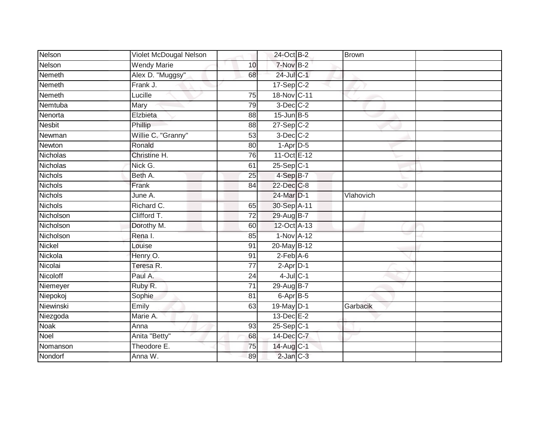| Nelson         | Violet McDougal Nelson |                 | 24-Oct B-2        | Brown     |  |
|----------------|------------------------|-----------------|-------------------|-----------|--|
| Nelson         | <b>Wendy Marie</b>     | 10              | $7-Nov$ B-2       |           |  |
| Nemeth         | Alex D. "Muggsy"       | 68              | 24-Jul C-1        |           |  |
| Nemeth         | Frank J.               |                 | 17-Sep C-2        |           |  |
|                | Lucille                |                 | 18-Nov C-11       |           |  |
| Nemeth         |                        | $\overline{75}$ |                   |           |  |
| Nemtuba        | Mary                   | 79              | 3-Dec C-2         |           |  |
| Nenorta        | Elzbieta               | 88              | $15$ -Jun $B - 5$ |           |  |
| <b>Nesbit</b>  | Phillip                | 88              | $27-Sep$ C-2      |           |  |
| Newman         | Willie C. "Granny"     | 53              | $3-Dec$ $C-2$     |           |  |
| Newton         | Ronald                 | $\overline{80}$ | $1-Apr$ D-5       |           |  |
| Nicholas       | Christine H.           | 76              | 11-Oct E-12       |           |  |
| Nicholas       | Nick G.                | 61              | 25-Sep C-1        |           |  |
| <b>Nichols</b> | Beth A.                | $\overline{25}$ | 4-Sep B-7         |           |  |
| Nichols        | Frank                  | 84              | 22-Dec C-8        |           |  |
| <b>Nichols</b> | June A.                |                 | 24-Mar D-1        | Vlahovich |  |
| <b>Nichols</b> | Richard C.             | 65              | 30-Sep A-11       |           |  |
| Nicholson      | Clifford T.            | $\overline{72}$ | 29-Aug B-7        |           |  |
| Nicholson      | Dorothy M.             | 60              | 12-Oct A-13       |           |  |
| Nicholson      | Rena I.                | 85              | 1-Nov A-12        |           |  |
| <b>Nickel</b>  | Louise                 | 91              | 20-May B-12       |           |  |
| Nickola        | Henry O.               | 91              | $2-Feb$ A-6       |           |  |
| Nicolai        | Teresa R.              | $\overline{77}$ | $2$ -Apr $D-1$    |           |  |
| Nicoloff       | Paul A.                | 24              | $4$ -Jul $C-1$    |           |  |
| Niemeyer       | Ruby R.                | 71              | 29-Aug B-7        |           |  |
| Niepokoj       | Sophie                 | 81              | 6-Apr B-5         |           |  |
| Niewinski      | Emily                  | 63              | 19-May D-1        | Garbacik  |  |
| Niezgoda       | Marie A.               |                 | 13-Dec E-2        |           |  |
| <b>Noak</b>    | Anna                   | 93              | 25-Sep C-1        |           |  |
| Noel           | Anita "Betty"          | 68              | 14-Dec C-7        |           |  |
| Nomanson       | Theodore E.            | 75              | 14-Aug C-1        |           |  |
| Nondorf        | Anna W.                | 89              | $2$ -Jan $C$ -3   |           |  |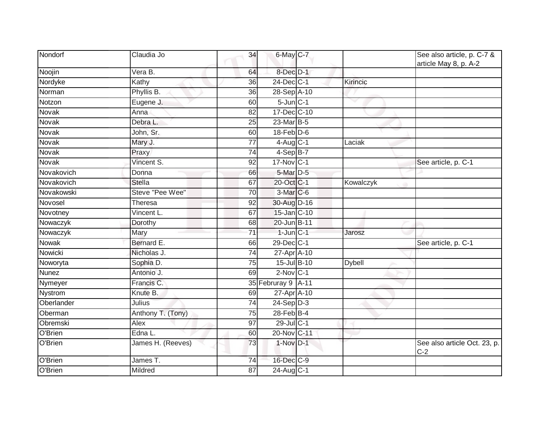| Nondorf      | Claudia Jo        | 34              | 6-May C-7            |               | See also article, p. C-7 &<br>article May 8, p. A-2 |
|--------------|-------------------|-----------------|----------------------|---------------|-----------------------------------------------------|
| Noojin       | Vera B.           | 64              | 8-Dec D-1            |               |                                                     |
| Nordyke      | Kathy             | 36              | 24-Dec C-1           | Kirincic      |                                                     |
| Norman       | Phyllis B.        | 36              | 28-Sep A-10          |               |                                                     |
| Notzon       | Eugene J.         | 60              | $5 - Jun$ $C - 1$    | $\checkmark$  |                                                     |
| Novak        | Anna              | 82              | 17-Dec C-10          |               |                                                     |
| Novak        | Debra L.          | 25              | 23-Mar B-5           |               |                                                     |
| <b>Novak</b> | John, Sr.         | 60              | $18$ -Feb $D-6$      |               |                                                     |
| Novak        | Mary J.           | 77              | $4$ -Aug $C-1$       | Laciak        |                                                     |
| Novak        | Praxy             | 74              | 4-Sep B-7            |               |                                                     |
| Novak        | Vincent S.        | 92              | 17-Nov C-1           |               | See article, p. C-1                                 |
| Novakovich   | Donna             | 66              | 5-Mar D-5            |               |                                                     |
| Novakovich   | <b>Stella</b>     | 67              | 20-Oct C-1           | Kowalczyk     |                                                     |
| Novakowski   | Steve "Pee Wee"   | 70              | 3-Mar C-6            |               |                                                     |
| Novosel      | Theresa           | 92              | 30-Aug D-16          |               |                                                     |
| Novotney     | Vincent L.        | 67              | 15-Jan C-10          |               |                                                     |
| Nowaczyk     | Dorothy           | 68              | 20-Jun B-11          |               |                                                     |
| Nowaczyk     | Mary              | 71              | $1-Jun$ $C-1$        | Jarosz        |                                                     |
| Nowak        | Bernard E.        | 66              | 29-Dec C-1           |               | See article, p. C-1                                 |
| Nowicki      | Nicholas J.       | 74              | 27-Apr A-10          |               |                                                     |
| Noworyta     | Sophia D.         | $\overline{75}$ | 15-Jul B-10          | <b>Dybell</b> |                                                     |
| Nunez        | Antonio J.        | 69              | $2$ -Nov $C-1$       |               |                                                     |
| Nymeyer      | Francis C.        |                 | 35 Februray 9   A-11 |               |                                                     |
| Nystrom      | Knute B.          | 69              | 27-Apr A-10          |               |                                                     |
| Oberlander   | Julius            | 74              | $24-Sep$ D-3         |               |                                                     |
| Oberman      | Anthony T. (Tony) | 75              | 28-Feb B-4           |               |                                                     |
| Obremski     | Alex              | $\overline{97}$ | 29-Jul C-1           |               |                                                     |
| O'Brien      | Edna L.           | 60              | 20-Nov C-11          |               |                                                     |
| O'Brien      | James H. (Reeves) | 73              | 1-Nov D-1            |               | See also article Oct. 23, p.<br>$C-2$               |
| O'Brien      | James T.          | $\overline{74}$ | 16-Dec C-9           |               |                                                     |
| O'Brien      | Mildred           | 87              | 24-Aug C-1           |               |                                                     |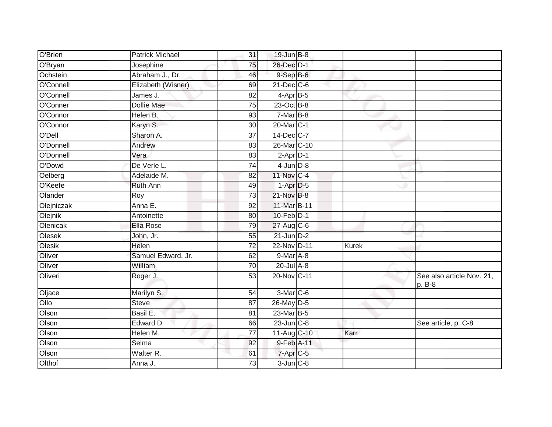| O'Brien             | <b>Patrick Michael</b> | 31              | 19-Jun B-8       |              |                                     |
|---------------------|------------------------|-----------------|------------------|--------------|-------------------------------------|
| O'Bryan             | Josephine              | 75              | 26-Dec D-1       |              |                                     |
| Ochstein            | Abraham J., Dr.        | 46              | $9-$ Sep $B-6$   |              |                                     |
| O'Connell           | Elizabeth (Wisner)     | 69              | $21$ -Dec $C$ -6 |              |                                     |
| O'Connell           | James J.               | $\overline{82}$ | $4-AprB-5$       |              |                                     |
| O'Conner            | Dollie Mae             | 75              | 23-Oct B-8       |              |                                     |
| O'Connor            | Helen B.               | 93              | $7-Mar$ B-8      |              |                                     |
| O'Connor            | Karyn S.               | 30              | 20-Mar C-1       |              |                                     |
| O'Dell              | Sharon A.              | 37              | 14-Dec C-7       |              |                                     |
| O'Donnell           | Andrew                 | 83              | 26-Mar C-10      |              |                                     |
| O'Donnell           | Vera                   | 83              | $2$ -Apr $D-1$   |              |                                     |
| O'Dowd              | De Verle L.            | 74              | $4$ -Jun $D-8$   |              |                                     |
| Oelberg             | Adelaide M.            | 82              | 11-Nov C-4       |              |                                     |
| O'Keefe             | <b>Ruth Ann</b>        | 49              | $1-Apr$ D-5      |              |                                     |
| Olander             | Roy                    | $\overline{73}$ | 21-Nov B-8       |              |                                     |
| Olejniczak          | Anna E.                | 92              | 11-Mar B-11      |              |                                     |
| Olejnik             | Antoinette             | 80              | 10-Feb D-1       |              |                                     |
| Olenicak            | <b>Ella Rose</b>       | 79              | $27$ -Aug C-6    |              |                                     |
| Olesek              | John, Jr.              | 55              | $21$ -Jun $D-2$  |              |                                     |
| Olesik              | Helen                  | 72              | 22-Nov D-11      | <b>Kurek</b> |                                     |
| Oliver              | Samuel Edward, Jr.     | 62              | $9$ -Mar $A$ -8  |              |                                     |
| Oliver              | William                | 70              | $20$ -Jul $A-8$  |              |                                     |
| Oliveri             | Roger J.               | 53              | 20-Nov C-11      |              | See also article Nov. 21,<br>p. B-8 |
| Oljace              | Marilyn S.             | 54              | 3-Mar C-6        |              |                                     |
| Ollo                | <b>Steve</b>           | $\overline{87}$ | 26-May D-5       |              |                                     |
| Olson               | Basil E.               | 81              | $23$ -Mar B-5    |              |                                     |
| Olson               | Edward D.              | 66              | $23$ -Jun $C-8$  |              | See article, p. C-8                 |
| Olson               | Helen M.               | $\overline{77}$ | 11-Aug C-10      | Karr         |                                     |
| Olson               | Selma                  | 92              | 9-Feb A-11       |              |                                     |
| $\overline{O}$ Ison | Walter R.              | 61              | 7-Apr C-5        |              |                                     |
| Olthof              | Anna J.                | 73              | $3$ -Jun $C-8$   |              |                                     |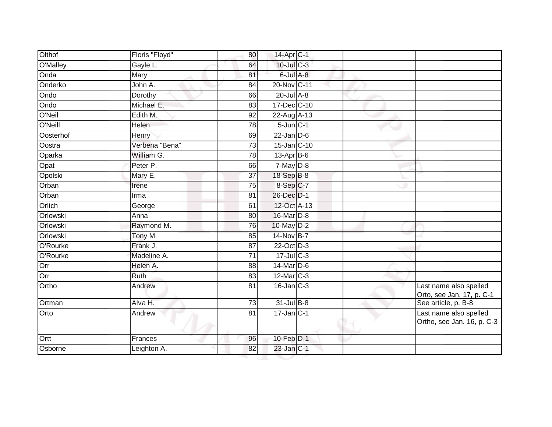| Olthof    | Floris "Floyd" | 80              | 14-Apr <sub>C-1</sub> |                                                      |
|-----------|----------------|-----------------|-----------------------|------------------------------------------------------|
| O'Malley  | Gayle L.       | 64              | 10-Jul C-3            |                                                      |
| Onda      | Mary           | 81              | 6-Jul A-8             |                                                      |
| Onderko   | John A.        | 84              | 20-Nov C-11           |                                                      |
| Ondo      | Dorothy        | 66              | $20$ -Jul $A-8$       |                                                      |
| Ondo      | Michael E.     | 83              | 17-Dec C-10           |                                                      |
| O'Neil    | Edith M.       | 92              | 22-Aug A-13           |                                                      |
| O'Neill   | Helen          | $\overline{78}$ | $5$ -Jun $C-1$        |                                                      |
| Oosterhof | Henry          | 69              | $22$ -Jan $D-6$       |                                                      |
| Oostra    | Verbena "Bena" | 73              | 15-Jan C-10           |                                                      |
| Oparka    | William G.     | 78              | $13$ -Apr $B$ -6      |                                                      |
| Opat      | Peter P.       | 66              | $7$ -May $D-8$        |                                                      |
| Opolski   | Mary E.        | 37              | 18-Sep B-8            |                                                      |
| Orban     | Irene          | $\overline{75}$ | 8-Sep C-7             |                                                      |
| Orban     | Irma           | 81              | 26-Dec D-1            |                                                      |
| Orlich    | George         | 61              | 12-Oct A-13           |                                                      |
| Orlowski  | Anna           | 80              | 16-Mar D-8            |                                                      |
| Orlowski  | Raymond M.     | 76              | $10$ -May $D-2$       |                                                      |
| Orlowski  | Tony M.        | 85              | 14-Nov B-7            |                                                      |
| O'Rourke  | Frank J.       | 87              | 22-Oct D-3            |                                                      |
| O'Rourke  | Madeline A.    | 71              | $17 -$ Jul C-3        |                                                      |
| Orr       | Helen A.       | 88              | 14-Mar D-6            |                                                      |
| Orr       | Ruth           | 83              | 12-Mar C-3            |                                                      |
| Ortho     | Andrew         | 81              | $16$ -Jan $C-3$       | Last name also spelled<br>Orto, see Jan. 17, p. C-1  |
| Ortman    | Alva H.        | $\overline{73}$ | $31$ -Jul $B-8$       | See article, p. B-8                                  |
| Orto      | Andrew         | $\overline{81}$ | $17$ -Jan $ C-1 $     | Last name also spelled<br>Ortho, see Jan. 16, p. C-3 |
| Ortt      | Frances        | 96              | 10-Feb D-1            |                                                      |
| Osborne   | Leighton A.    | 82              | $23$ -Jan $C-1$       |                                                      |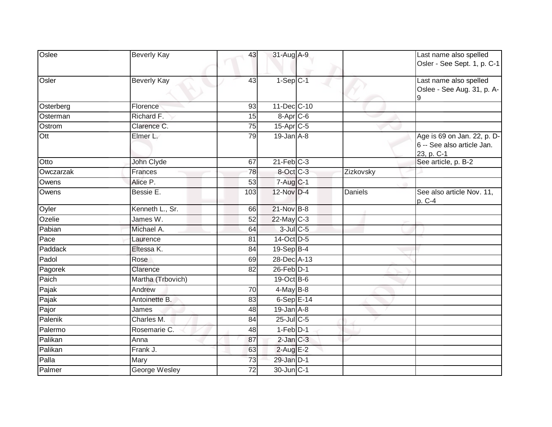| Oslee     | <b>Beverly Kay</b> | 43              | 31-Aug A-9           |           | Last name also spelled<br>Osler - See Sept. 1, p. C-1                   |
|-----------|--------------------|-----------------|----------------------|-----------|-------------------------------------------------------------------------|
| Osler     | <b>Beverly Kay</b> | 43              | $1-Sep$ $C-1$        |           | Last name also spelled<br>Oslee - See Aug. 31, p. A-                    |
| Osterberg | Florence           | 93              | 11-Dec C-10          |           |                                                                         |
| Osterman  | Richard F.         | 15              | 8-Apr <sub>C-6</sub> |           |                                                                         |
| Ostrom    | Clarence C.        | 75              | 15-Apr C-5           |           |                                                                         |
| Ott       | Elmer L.           | 79              | $19$ -Jan $A-8$      |           | Age is 69 on Jan. 22, p. D-<br>6 -- See also article Jan.<br>23, p. C-1 |
| Otto      | John Clyde         | 67              | $21$ -Feb $C-3$      |           | See article, p. B-2                                                     |
| Owczarzak | Frances            | 78              | 8-Oct C-3            | Zizkovsky |                                                                         |
| Owens     | Alice P.           | 53              | 7-Aug C-1            |           |                                                                         |
| Owens     | Bessie E.          | 103             | $12$ -Nov D-4        | Daniels   | See also article Nov. 11,<br>p. C-4                                     |
| Oyler     | Kenneth L., Sr.    | 66              | $21$ -Nov $B-8$      |           |                                                                         |
| Ozelie    | James W.           | 52              | 22-May C-3           |           |                                                                         |
| Pabian    | Michael A.         | 64              | 3-Jul C-5            |           |                                                                         |
| Pace      | Laurence           | 81              | 14-Oct D-5           |           |                                                                         |
| Paddack   | Eltessa K.         | 84              | $19-Sep$ B-4         |           |                                                                         |
| Padol     | Rose               | 69              | 28-Dec A-13          |           |                                                                         |
| Pagorek   | Clarence           | 82              | 26-Feb D-1           |           |                                                                         |
| Paich     | Martha (Trbovich)  |                 | 19-Oct B-6           |           |                                                                         |
| Pajak     | Andrew             | 70              | $4$ -May B-8         |           |                                                                         |
| Pajak     | Antoinette B.      | 83              | $6-SepE-14$          |           |                                                                         |
| Pajor     | James              | 48              | $19$ -Jan $A-8$      |           |                                                                         |
| Palenik   | Charles M.         | 84              | 25-Jul C-5           |           |                                                                         |
| Palermo   | Rosemarie C.       | $\overline{48}$ | $1-Feb$ D-1          |           |                                                                         |
| Palikan   | Anna               | 87              | $2$ -Jan $C-3$       |           |                                                                         |
| Palikan   | Frank J.           | 63              | $2$ -Aug E-2         |           |                                                                         |
| Palla     | Mary               | $\overline{73}$ | 29-Jan D-1           |           |                                                                         |
| Palmer    | George Wesley      | 72              | $30$ -Jun $ C-1 $    |           |                                                                         |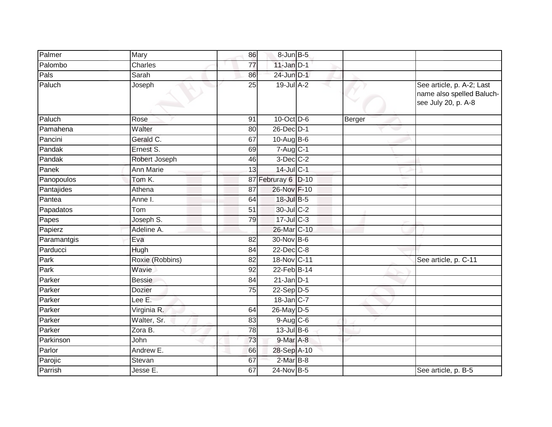| Palmer      | Mary            | 86              | $8$ -Jun $B$ -5          |        |                                                                               |
|-------------|-----------------|-----------------|--------------------------|--------|-------------------------------------------------------------------------------|
| Palombo     | Charles         | 77              | $11$ -Jan D-1            |        |                                                                               |
| Pals        | Sarah           | 86              | 24-Jun D-1               |        |                                                                               |
| Paluch      | Joseph          | $\overline{25}$ | $19$ -Jul $A-2$          |        | See article, p. A-2; Last<br>name also spelled Baluch-<br>see July 20, p. A-8 |
| Paluch      | Rose            | 91              | 10-Oct D-6               | Berger |                                                                               |
| Pamahena    | Walter          | 80              | 26-Dec D-1               |        |                                                                               |
| Pancini     | Gerald C.       | 67              | $10-Aug$ B-6             |        |                                                                               |
| Pandak      | Ernest S.       | 69              | $7 - \overline{Aug}$ C-1 |        |                                                                               |
| Pandak      | Robert Joseph   | 46              | $3$ -Dec $C-2$           |        |                                                                               |
| Panek       | Ann Marie       | 13              | 14-Jul C-1               |        |                                                                               |
| Panopoulos  | Tom K.          |                 | 87 Februray 6 D-10       |        |                                                                               |
| Pantajides  | Athena          | 87              | 26-Nov F-10              |        |                                                                               |
| Pantea      | Anne I.         | 64              | $18$ -Jul B-5            |        |                                                                               |
| Papadatos   | Tom             | $\overline{51}$ | 30-Jul C-2               |        |                                                                               |
| Papes       | Joseph S.       | 79              | 17-Jul C-3               |        |                                                                               |
| Papierz     | Adeline A.      |                 | 26-Mar C-10              |        |                                                                               |
| Paramantgis | Eva             | 82              | 30-Nov B-6               |        |                                                                               |
| Parducci    | Hugh            | 84              | 22-Dec C-8               |        |                                                                               |
| Park        | Roxie (Robbins) | 82              | 18-Nov C-11              |        | See article, p. C-11                                                          |
| Park        | Wavie           | 92              | 22-Feb B-14              |        |                                                                               |
| Parker      | <b>Bessie</b>   | 84              | $21$ -Jan D-1            |        |                                                                               |
| Parker      | Dozier          | 75              | $22-Sep D-5$             |        |                                                                               |
| Parker      | Lee E.          |                 | $18$ -Jan $ C-7 $        |        |                                                                               |
| Parker      | Virginia R.     | 64              | 26-May D-5               |        |                                                                               |
| Parker      | Walter, Sr.     | 83              | $9-Aug$ $C-6$            |        |                                                                               |
| Parker      | Zora B.         | 78              | $13$ -Jul B-6            |        |                                                                               |
| Parkinson   | John            | 73              | 9-Mar A-8                |        |                                                                               |
| Parlor      | Andrew E.       | 66              | 28-Sep A-10              |        |                                                                               |
| Parojic     | Stevan          | 67              | $2$ -Mar $B-8$           |        |                                                                               |
| Parrish     | Jesse E.        | 67              | $24$ -Nov B-5            |        | See article, p. B-5                                                           |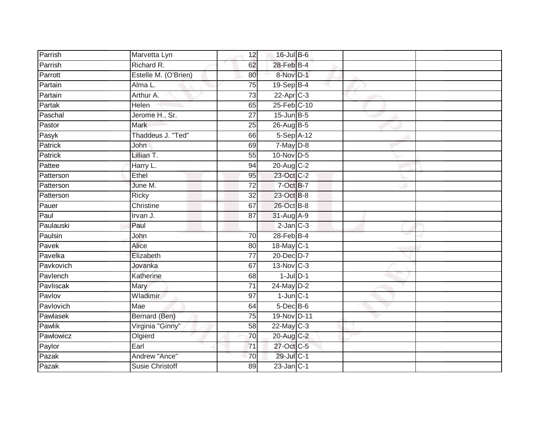| Parrish   | Marvetta Lyn           | 12              | 16-Jul B-6        |  |  |
|-----------|------------------------|-----------------|-------------------|--|--|
| Parrish   | Richard R.             | 62              | 28-Feb B-4        |  |  |
| Parrott   | Estelle M. (O'Brien)   | 80              | 8-Nov D-1         |  |  |
| Partain   | Alma L.                | 75              | $19-Sep$ B-4      |  |  |
| Partain   | Arthur A.              | $\overline{73}$ | $22$ -Apr $C-3$   |  |  |
| Partak    | Helen                  | 65              | 25-Feb C-10       |  |  |
| Paschal   | Jerome H., Sr.         | $\overline{27}$ | $15$ -Jun $B - 5$ |  |  |
| Pastor    | Mark                   | 25              | $26$ -Aug B-5     |  |  |
| Pasyk     | Thaddeus J. "Ted"      | 66              | 5-Sep A-12        |  |  |
| Patrick   | <b>John</b>            | 69              | $7$ -May $D-8$    |  |  |
| Patrick   | Lillian T.             | 55              | 10-Nov D-5        |  |  |
| Pattee    | Harry L.               | 94              | 20-Aug C-2        |  |  |
| Patterson | Ethel                  | 95              | 23-Oct C-2        |  |  |
| Patterson | June M.                | 72              | 7-Oct B-7         |  |  |
| Patterson | <b>Ricky</b>           | 32              | 23-Oct B-8        |  |  |
| Pauer     | Christine              | 67              | 26-Oct B-8        |  |  |
| Paul      | Irvan J.               | $\overline{87}$ | 31-Aug A-9        |  |  |
| Paulauski | Paul                   |                 | $2$ -Jan $C-3$    |  |  |
| Paulsin   | John                   | 70              | 28-Feb B-4        |  |  |
| Pavek     | <b>Alice</b>           | 80              | 18-May C-1        |  |  |
| Pavelka   | Elizabeth              | $\overline{77}$ | 20-Dec D-7        |  |  |
| Pavkovich | Jovanka                | 67              | 13-Nov C-3        |  |  |
| Pavlench  | Katherine              | 68              | $1$ -Jul $D-1$    |  |  |
| Pavliscak | Mary                   | 71              | $24$ -May D-2     |  |  |
| Pavlov    | <b>Wladimir</b>        | 97              | $1$ -Jun $C-1$    |  |  |
| Pavlovich | Mae                    | 64              | $5$ -Dec $B$ -6   |  |  |
| Pawlasek  | Bernard (Ben)          | $\overline{75}$ | 19-Nov D-11       |  |  |
| Pawlik    | Virginia "Ginny"       | 58              | $22$ -May C-3     |  |  |
| Pawlowicz | Olgierd                | 70              | 20-Aug C-2        |  |  |
| Paylor    | Earl                   | $\overline{71}$ | 27-Oct C-5        |  |  |
| Pazak     | Andrew "Ance"          | 70              | 29-Jul C-1        |  |  |
| Pazak     | <b>Susie Christoff</b> | 89              | $23$ -Jan $ C-1 $ |  |  |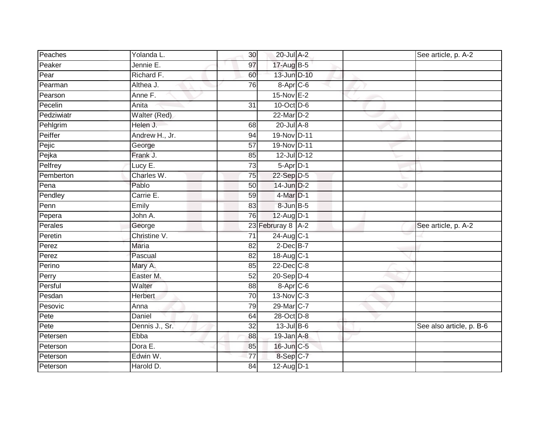| Peaches    | Yolanda L.     | 30 <sup>°</sup> | 20-Jul A-2              |  | See article, p. A-2      |
|------------|----------------|-----------------|-------------------------|--|--------------------------|
| Peaker     | Jennie E.      | 97              | 17-Aug B-5              |  |                          |
| Pear       | Richard F.     | 60              | 13-Jun D-10             |  |                          |
| Pearman    | Althea J.      | 76              | 8-Apr C-6               |  |                          |
| Pearson    | Anne F.        |                 | $15-Nov$ E-2            |  |                          |
| Pecelin    | Anita          | $\overline{31}$ | 10-Oct D-6              |  |                          |
| Pedziwiatr | Walter (Red)   |                 | 22-Mar D-2              |  |                          |
| Pehlgrim   | Helen J.       | 68              | $20$ -Jul $A-8$         |  |                          |
| Peiffer    | Andrew H., Jr. | 94              | 19-Nov D-11             |  |                          |
| Pejic      | George         | $\overline{57}$ | 19-Nov D-11             |  |                          |
| Pejka      | Frank J.       | 85              | 12-Jul D-12             |  |                          |
| Pelfrey    | Lucy $E$ .     | 73              | 5-Apr D-1               |  |                          |
| Pemberton  | Charles W.     | 75              | 22-Sep D-5              |  |                          |
| Pena       | Pablo          | 50              | 14-Jun D-2              |  |                          |
| Pendley    | Carrie E.      | 59              | $4$ -Mar $D-1$          |  |                          |
| Penn       | Emily          | 83              | 8-Jun B-5               |  |                          |
| Pepera     | John A.        | 76              | 12-Aug D-1              |  |                          |
| Perales    | George         |                 | 23 Februray 8 A-2       |  | See article, p. A-2      |
| Peretin    | Christine V.   | 71              | 24-Aug C-1              |  |                          |
| Perez      | <b>Maria</b>   | 82              | $2$ -Dec $B$ -7         |  |                          |
| Perez      | Pascual        | 82              | 18-Aug C-1              |  |                          |
| Perino     | Mary A.        | 85              | $22$ -Dec $C-8$         |  |                          |
| Perry      | Easter M.      | 52              | $20-Sep D-4$            |  |                          |
| Persful    | Walter         | 88              | 8-Apr <sub>C-6</sub>    |  |                          |
| Pesdan     | Herbert        | 70              | $13-Nov$ <sub>C-3</sub> |  |                          |
| Pesovic    | Anna           | 79              | 29-Mar C-7              |  |                          |
| Pete       | Daniel         | 64              | 28-Oct D-8              |  |                          |
| Pete       | Dennis J., Sr. | 32              | 13-Jul B-6              |  | See also article, p. B-6 |
| Petersen   | Ebba           | 88              | 19-Jan A-8              |  |                          |
| Peterson   | Dora E.        | 85              | 16-Jun C-5              |  |                          |
| Peterson   | Edwin W.       | 77              | 8-Sep C-7               |  |                          |
| Peterson   | Harold D.      | 84              | 12-Aug D-1              |  |                          |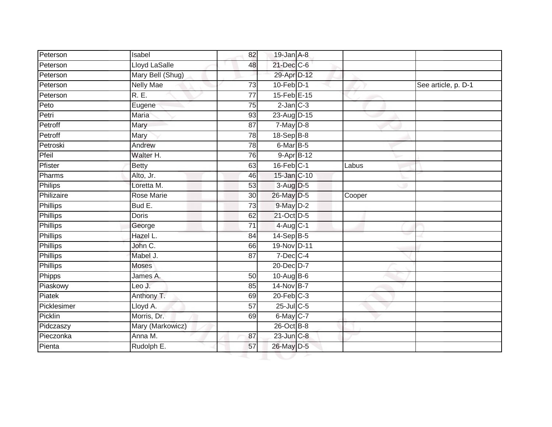| Peterson        | Isabel            | 82              | $19$ -Jan $A-8$ |        |                     |
|-----------------|-------------------|-----------------|-----------------|--------|---------------------|
| Peterson        | Lloyd LaSalle     | 48              | 21-Dec C-6      |        |                     |
| Peterson        | Mary Bell (Shug)  |                 | 29-Apr D-12     |        |                     |
| Peterson        | Nelly Mae         | 73              | 10-Feb D-1      |        | See article, p. D-1 |
| Peterson        | R.E.              | $\overline{77}$ | 15-Feb E-15     |        |                     |
| Peto            | Eugene            | 75              | $2$ -Jan $C-3$  |        |                     |
| Petri           | <b>Maria</b>      | 93              | 23-Aug D-15     |        |                     |
| Petroff         | Mary              | 87              | $7-May$ D-8     |        |                     |
| Petroff         | Mary              | $\overline{78}$ | 18-Sep B-8      |        |                     |
| Petroski        | Andrew            | 78              | $6$ -Mar $B$ -5 |        |                     |
| Pfeil           | Walter H.         | 76              | 9-Apr B-12      |        |                     |
| Pfister         | <b>Betty</b>      | 63              | $16$ -Feb $C-1$ | Labus  |                     |
| Pharms          | Alto, Jr.         | 46              | 15-Jan C-10     |        |                     |
| Philips         | Loretta M.        | 53              | 3-Aug D-5       |        |                     |
| Philizaire      | <b>Rose Marie</b> | 30              | 26-May D-5      | Cooper |                     |
| <b>Phillips</b> | Bud E.            | 73              | 9-May D-2       |        |                     |
| <b>Phillips</b> | <b>Doris</b>      | 62              | 21-Oct D-5      |        |                     |
| Phillips        | George            | 71              | $4$ -Aug $C-1$  |        |                     |
| Phillips        | Hazel L.          | 84              | 14-Sep B-5      |        |                     |
| <b>Phillips</b> | John C.           | 66              | 19-Nov D-11     |        |                     |
| Phillips        | Mabel J.          | 87              | $7$ -Dec $C$ -4 |        |                     |
| Phillips        | <b>Moses</b>      |                 | 20-Dec D-7      |        |                     |
| Phipps          | James A.          | 50              | $10-Auq$ B-6    |        |                     |
| Piaskowy        | Leo J.            | 85              | 14-Nov B-7      |        |                     |
| Piatek          | Anthony T.        | 69              | $20$ -Feb $C-3$ |        |                     |
| Picklesimer     | Lloyd A.          | 57              | 25-Jul C-5      |        |                     |
| Picklin         | Morris, Dr.       | 69              | 6-May C-7       |        |                     |
| Pidczaszy       | Mary (Markowicz)  |                 | $26$ -Oct B-8   |        |                     |
| Pieczonka       | Anna M.           | 87              | $23$ -Jun $C-8$ |        |                     |
| Pienta          | Rudolph E.        | 57              | 26-May D-5      |        |                     |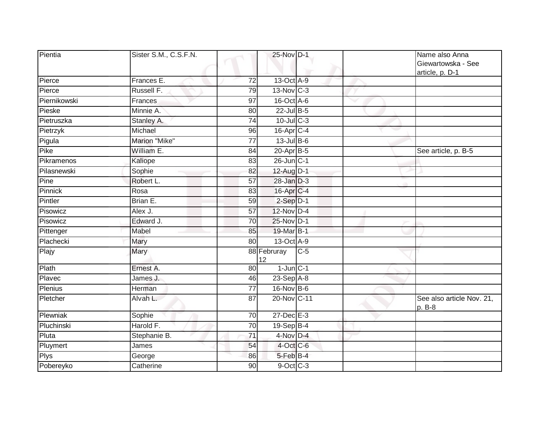| Pientia      | Sister S.M., C.S.F.N. |                 | 25-Nov D-1            |       | Name also Anna<br>Giewartowska - See<br>article, p. D-1 |
|--------------|-----------------------|-----------------|-----------------------|-------|---------------------------------------------------------|
| Pierce       | Frances E.            | 72              | 13-Oct A-9            |       |                                                         |
| Pierce       | Russell F.            | 79              | 13-Nov C-3            |       |                                                         |
| Piernikowski | Frances               | 97              | 16-Oct A-6            |       |                                                         |
| Pieske       | Minnie A.             | 80              | $22$ -Jul B-5         |       |                                                         |
| Pietruszka   | Stanley A.            | 74              | $10$ -Jul $C-3$       |       |                                                         |
| Pietrzyk     | Michael               | 96              | 16-Apr C-4            |       |                                                         |
| Pigula       | <b>Marion "Mike"</b>  | $\overline{77}$ | $13$ -Jul B-6         |       |                                                         |
| Pike         | William E.            | 84              | 20-Apr <sub>B-5</sub> |       | See article, p. B-5                                     |
| Pikramenos   | Kaliope               | 83              | $26$ -Jun $C-1$       |       |                                                         |
| Pilasnewski  | Sophie                | 82              | 12-Aug D-1            |       |                                                         |
| Pine         | Robert L.             | $\overline{57}$ | $28$ -Jan $D-3$       |       |                                                         |
| Pinnick      | Rosa                  | 83              | 16-Apr C-4            |       |                                                         |
| Pintler      | Brian E.              | 59              | $2-Sep$ D-1           |       |                                                         |
| Pisowicz     | Alex J.               | 57              | 12-Nov D-4            |       |                                                         |
| Pisowicz     | Edward J.             | 70              | 25-Nov D-1            |       |                                                         |
| Pittenger    | Mabel                 | 85              | 19-Mar B-1            |       |                                                         |
| Plachecki    | Mary                  | 80              | 13-Oct A-9            |       |                                                         |
| Plajy        | Mary                  |                 | 88 Februray<br>12     | $C-5$ |                                                         |
| Plath        | Ernest A.             | 80              | $1$ -Jun $C-1$        |       |                                                         |
| Plavec       | James J.              | 46              | 23-Sep A-8            |       |                                                         |
| Plenius      | Herman                | 77              | 16-Nov B-6            |       |                                                         |
| Pletcher     | Alvah L.              | 87              | 20-Nov C-11           |       | See also article Nov. 21,<br>p. B-8                     |
| Plewniak     | Sophie                | 70              | 27-Dec E-3            |       |                                                         |
| Pluchinski   | Harold F.             | 70              | $19-Sep$ B-4          |       |                                                         |
| Pluta        | Stephanie B.          | $\overline{71}$ | 4-Nov D-4             |       |                                                         |
| Pluymert     | James                 | 54              | $4$ -Oct C-6          |       |                                                         |
| Plys         | George                | 86              | 5-Feb B-4             |       |                                                         |
| Pobereyko    | Catherine             | 90              | $9$ -Oct $C$ -3       |       |                                                         |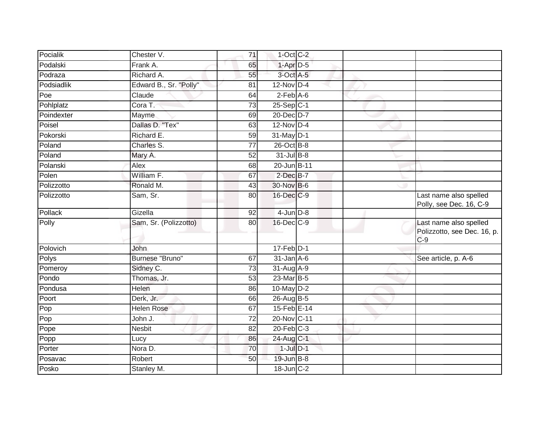| Pocialik          | Chester V.             | 71              | $1$ -Oct C-2      |  |                                                                |
|-------------------|------------------------|-----------------|-------------------|--|----------------------------------------------------------------|
| Podalski          | Frank A.               | 65              | $1-Apr$ D-5       |  |                                                                |
| Podraza           | Richard A.             | 55              | $3$ -Oct A-5      |  |                                                                |
| Podsiadlik        | Edward B., Sr. "Polly" | 81              | 12-Nov D-4        |  |                                                                |
| Poe               | Claude                 | 64              | $2$ -Feb $A$ -6   |  |                                                                |
| Pohlplatz         | Cora T.                | $\overline{73}$ | 25-Sep C-1        |  |                                                                |
| Poindexter        | Mayme                  | 69              | 20-Dec D-7        |  |                                                                |
| Poisel            | Dallas D. "Tex"        | 63              | 12-Nov D-4        |  |                                                                |
| Pokorski          | Richard E.             | 59              | 31-May D-1        |  |                                                                |
| Poland            | Charles S.             | 77              | $26$ -Oct B-8     |  |                                                                |
| Poland            | Mary A.                | 52              | $31$ -Jul B-8     |  |                                                                |
| Polanski          | Alex                   | 68              | 20-Jun B-11       |  |                                                                |
| Polen             | William F.             | 67              | $2$ -Dec $B - 7$  |  |                                                                |
| Polizzotto        | Ronald M.              | 43              | 30-Nov B-6        |  |                                                                |
| Polizzotto        | Sam, Sr.               | 80              | 16-Dec C-9        |  | Last name also spelled<br>Polly, see Dec. 16, C-9              |
| Pollack           | Gizella                | 92              | $4$ -Jun $D-8$    |  |                                                                |
| Polly             | Sam, Sr. (Polizzotto)  | 80              | 16-Dec C-9        |  | Last name also spelled<br>Polizzotto, see Dec. 16, p.<br>$C-9$ |
| Polovich          | John                   |                 | 17-Feb D-1        |  |                                                                |
| <b>Polys</b>      | Burnese "Bruno"        | 67              | $31$ -Jan $A-6$   |  | See article, p. A-6                                            |
| Pomeroy           | Sidney C.              | 73              | $31$ -Aug A-9     |  |                                                                |
| Pondo             | Thomas, Jr.            | $\overline{53}$ | 23-Mar B-5        |  |                                                                |
| Pondusa           | Helen                  | 86              | 10-May D-2        |  |                                                                |
| Poort             | Derk, Jr.              | 66              | 26-Aug B-5        |  |                                                                |
| $\overline{P}$ op | <b>Helen Rose</b>      | 67              | 15-Feb E-14       |  |                                                                |
| Pop               | John J.                | 72              | 20-Nov C-11       |  |                                                                |
| Pope              | <b>Nesbit</b>          | $\overline{82}$ | $20$ -Feb $C-3$   |  |                                                                |
| Popp              | Lucy                   | 86              | 24-Aug C-1        |  |                                                                |
| Porter            | Nora D.                | 70              | $1$ -Jul $D-1$    |  |                                                                |
| Posavac           | Robert                 | 50              | $19$ -Jun $B - 8$ |  |                                                                |
| Posko             | Stanley M.             |                 | 18-Jun C-2        |  |                                                                |
|                   |                        |                 |                   |  |                                                                |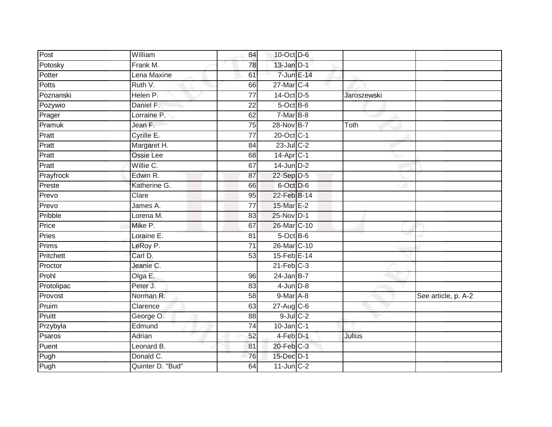| Post         | William          | 84              | 10-Oct D-6            |             |                     |
|--------------|------------------|-----------------|-----------------------|-------------|---------------------|
| Potosky      | Frank M.         | 78              | $13$ -Jan $D-1$       |             |                     |
| Potter       | Lena Maxine      | 61              | 7-Jun E-14            |             |                     |
| Potts        | Ruth V.          | 66              | 27-Mar C-4            |             |                     |
| Poznanski    | Helen P.         | $\overline{77}$ | 14-Oct D-5            | Jaroszewski |                     |
| Pozywio      | Daniel F.        | 22              | $5$ -Oct $B$ -6       |             |                     |
| Prager       | Lorraine P.      | 62              | 7-Mar B-8             |             |                     |
| Pramuk       | Jean F.          | 75              | 28-Nov B-7            | Toth        |                     |
| Pratt        | Cyrille E.       | 77              | 20-Oct C-1            |             |                     |
| Pratt        | Margaret H.      | 84              | 23-Jul C-2            |             |                     |
| Pratt        | <b>Ossie Lee</b> | 68              | 14-Apr <sub>C-1</sub> |             |                     |
| Pratt        | Willie C.        | 67              | $14$ -Jun $D-2$       |             |                     |
| Prayfrock    | Edwin R.         | 87              | 22-Sep D-5            |             |                     |
| Preste       | Katherine G.     | 66              | 6-Oct D-6             |             |                     |
| Prevo        | Clare            | 95              | 22-Feb B-14           |             |                     |
| Prevo        | James A.         | 77              | 15-Mar E-2            |             |                     |
| Pribble      | Lorena M.        | 83              | 25-Nov D-1            |             |                     |
| Price        | Mike P.          | 67              | 26-Mar C-10           |             |                     |
| Pries        | Loraine E.       | 81              | 5-Oct B-6             |             |                     |
| <b>Prims</b> | LeRoy P.         | $\overline{71}$ | 26-Mar C-10           |             |                     |
| Pritchett    | Carl D.          | 53              | $15$ -Feb $E$ -14     |             |                     |
| Proctor      | Jeanie C.        |                 | $21$ -Feb $C-3$       |             |                     |
| Prohl        | Olga E.          | 96              | $24$ -Jan B-7         |             |                     |
| Protolipac   | Peter J.         | 83              | $4$ -Jun $D-8$        |             |                     |
| Provost      | Norman R.        | 58              | $9$ -Mar $A$ -8       |             | See article, p. A-2 |
| Pruim        | Clarence         | 63              | 27-Aug C-6            |             |                     |
| Pruitt       | George O.        | 88              | $9$ -Jul $C$ -2       |             |                     |
| Przybyla     | Edmund           | 74              | $10$ -Jan $ C-1 $     |             |                     |
| Psaros       | <b>Adrian</b>    | 52              | $4$ -Feb $D-1$        | Julius      |                     |
| Puent        | Leonard B.       | 81              | 20-Feb C-3            |             |                     |
| Pugh         | Donald C.        | $\overline{76}$ | 15-Dec D-1            |             |                     |
| Pugh         | Quinter D. "Bud" | 64              | $11$ -Jun $C-2$       |             |                     |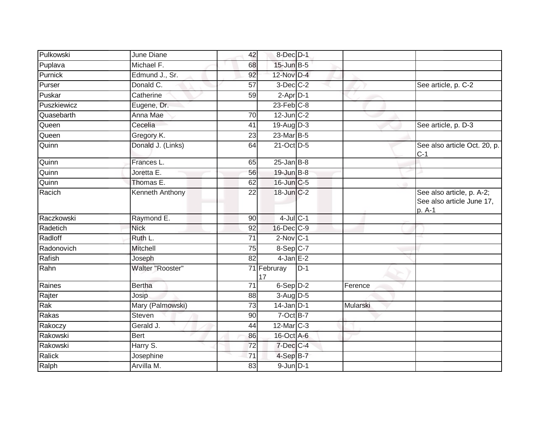| Pulkowski   | June Diane        | 42              | 8-DecD-1               |       |          |                                                                  |
|-------------|-------------------|-----------------|------------------------|-------|----------|------------------------------------------------------------------|
| Puplava     | Michael F.        | 68              | $15$ -Jun $B-5$        |       |          |                                                                  |
| Purnick     | Edmund J., Sr.    | 92              | 12-Nov D-4             |       |          |                                                                  |
| Purser      | Donald C.         | 57              | $3-Dec$ $C-2$          |       |          | See article, p. C-2                                              |
| Puskar      | Catherine         | $\overline{59}$ | $2$ -Apr $D-1$         |       |          |                                                                  |
| Puszkiewicz | Eugene, Dr.       |                 | $23$ -Feb $C-8$        |       |          |                                                                  |
| Quasebarth  | Anna Mae          | 70              | $12$ -Jun $C-2$        |       |          |                                                                  |
| Queen       | Cecelia           | 41              | 19-Aug D-3             |       |          | See article, p. D-3                                              |
| Queen       | Gregory K.        | 23              | 23-Mar B-5             |       |          |                                                                  |
| Quinn       | Donald J. (Links) | 64              | 21-Oct D-5             |       |          | See also article Oct. 20, p.<br>$C-1$                            |
| Quinn       | Frances L.        | 65              | $25$ -Jan B-8          |       |          |                                                                  |
| Quinn       | Joretta E.        | 56              | 19-Jun B-8             |       |          |                                                                  |
| Quinn       | Thomas E.         | 62              | 16-Jun C-5             |       |          |                                                                  |
| Racich      | Kenneth Anthony   | 22              | 18-Jun C-2             |       |          | See also article, p. A-2;<br>See also article June 17,<br>p. A-1 |
| Raczkowski  | Raymond E.        | 90              | $4$ -Jul $C-1$         |       |          |                                                                  |
| Radetich    | <b>Nick</b>       | 92              | 16-Dec C-9             |       |          |                                                                  |
| Radloff     | Ruth L.           | 71              | $2-Nov$ C-1            |       |          |                                                                  |
| Radonovich  | <b>Mitchell</b>   | $\overline{75}$ | $8-Sep$ <sub>C-7</sub> |       |          |                                                                  |
| Rafish      | Joseph            | $\overline{82}$ | $4$ -Jan $E-2$         |       |          |                                                                  |
| Rahn        | Walter "Rooster"  |                 | 71 Februray<br>17      | $D-1$ |          |                                                                  |
| Raines      | <b>Bertha</b>     | $\overline{71}$ | 6-Sep D-2              |       | Ference  |                                                                  |
| Rajter      | Josip             | 88              | 3-Aug D-5              |       |          |                                                                  |
| Rak         | Mary (Palmowski)  | 73              | $14$ -Jan D-1          |       | Mularski |                                                                  |
| Rakas       | Steven            | 90              | 7-Oct B-7              |       |          |                                                                  |
| Rakoczy     | Gerald J.         | 44              | $12$ -Mar $ C-3 $      |       |          |                                                                  |
| Rakowski    | <b>Bert</b>       | 86              | 16-Oct A-6             |       |          |                                                                  |
| Rakowski    | Harry S.          | $\overline{72}$ | 7-Dec C-4              |       |          |                                                                  |
| Ralick      | Josephine         | $\overline{71}$ | 4-Sep B-7              |       |          |                                                                  |
| Ralph       | Arvilla M.        | 83              | $9$ -Jun $D-1$         |       |          |                                                                  |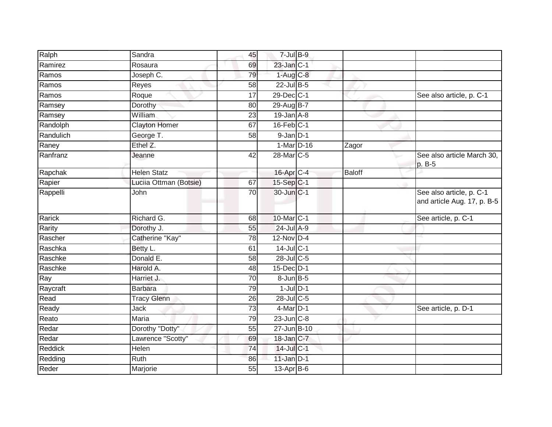| Ralph     | Sandra                 | 45              | $7$ -Jul $B-9$        |               |                                                         |
|-----------|------------------------|-----------------|-----------------------|---------------|---------------------------------------------------------|
| Ramirez   | Rosaura                | 69              | $23$ -Jan $ C-1 $     |               |                                                         |
| Ramos     | Joseph C.              | 79              | $1-Aug$ $C-8$         |               |                                                         |
| Ramos     | Reyes                  | 58              | 22-Jul B-5            |               |                                                         |
| Ramos     | Roque                  | $\overline{17}$ | 29-Dec C-1            |               | See also article, p. C-1                                |
| Ramsey    | Dorothy                | 80              | 29-Aug B-7            |               |                                                         |
| Ramsey    | William                | 23              | $19$ -Jan $A$ -8      |               |                                                         |
| Randolph  | <b>Clayton Homer</b>   | 67              | $16$ -Feb $C-1$       |               |                                                         |
| Randulich | George T.              | 58              | $9$ -Jan $D-1$        |               |                                                         |
| Raney     | Ethel Z.               |                 | 1-Mar D-16            | Zagor         |                                                         |
| Ranfranz  | Jeanne                 | 42              | 28-Mar <sub>C-5</sub> |               | See also article March 30,<br>p. B-5                    |
| Rapchak   | <b>Helen Statz</b>     |                 | 16-Apr C-4            | <b>Baloff</b> |                                                         |
| Rapier    | Luciia Ottman (Botsie) | 67              | 15-Sep C-1            |               |                                                         |
| Rappelli  | John                   | 70              | 30-Jun C-1            |               | See also article, p. C-1<br>and article Aug. 17, p. B-5 |
| Rarick    | Richard G.             | 68              | 10-Mar C-1            |               | See article, p. C-1                                     |
| Rarity    | Dorothy J.             | $\overline{55}$ | 24-Jul A-9            |               |                                                         |
| Rascher   | Catherine "Kay"        | 78              | $12-Nov$ D-4          |               |                                                         |
| Raschka   | Betty L.               | 61              | $14$ -Jul C-1         |               |                                                         |
| Raschke   | Donald E.              | 58              | 28-Jul C-5            |               |                                                         |
| Raschke   | Harold A.              | 48              | $15$ -Dec $D-1$       |               |                                                         |
| Ray       | Harriet J.             | 70              | 8-Jun B-5             |               |                                                         |
| Raycraft  | <b>Barbara</b>         | 79              | $1$ -Jul $D-1$        |               |                                                         |
| Read      | <b>Tracy Glenn</b>     | 26              | 28-Jul C-5            |               |                                                         |
| Ready     | Jack                   | 73              | $4$ -Mar $D-1$        |               | See article, p. D-1                                     |
| Reato     | Maria                  | 79              | $23$ -Jun $C-8$       |               |                                                         |
| Redar     | Dorothy "Dotty"        | $\overline{55}$ | 27-Jun B-10           |               |                                                         |
| Redar     | Lawrence "Scotty"      | 69              | 18-Jan C-7            |               |                                                         |
| Reddick   | Helen                  | 74              | 14-Jul C-1            |               |                                                         |
| Redding   | Ruth                   | 86              | $11$ -Jan $D-1$       |               |                                                         |
| Reder     | Marjorie               | 55              | $13-Apr$ B-6          |               |                                                         |
|           |                        |                 |                       |               |                                                         |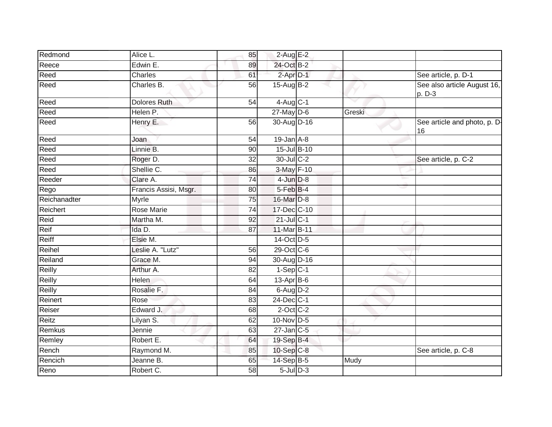| Redmond      | Alice L.              | 85              | $2$ -Aug E-2     |        |                                       |
|--------------|-----------------------|-----------------|------------------|--------|---------------------------------------|
| Reece        | Edwin E.              | 89              | 24-Oct B-2       |        |                                       |
| Reed         | Charles               | 61              | $2$ -Apr $D-1$   |        | See article, p. D-1                   |
| Reed         | Charles B.            | 56              | $15$ -AugB-2     |        | See also article August 16,<br>p. D-3 |
| Reed         | <b>Dolores Ruth</b>   | 54              | $4-Aug$ C-1      |        |                                       |
| Reed         | Helen <sub>P.</sub>   |                 | $27$ -May $D-6$  | Greski |                                       |
| Reed         | Henry E.              | 56              | 30-Aug D-16      |        | See article and photo, p. D-<br>16    |
| Reed         | Joan                  | 54              | $19$ -Jan $A-8$  |        |                                       |
| Reed         | Linnie B.             | 90              | 15-Jul B-10      |        |                                       |
| Reed         | Roger D.              | $\overline{32}$ | 30-Jul C-2       |        | See article, p. C-2                   |
| Reed         | Shellie C.            | 86              | 3-May F-10       |        |                                       |
| Reeder       | Clare A.              | 74              | $4$ -Jun $D-8$   |        |                                       |
| Rego         | Francis Assisi, Msgr. | $\overline{80}$ | 5-Feb B-4        |        |                                       |
| Reichanadter | Myrle                 | 75              | $16$ -Mar $D-8$  |        |                                       |
| Reichert     | Rose Marie            | 74              | 17-Dec C-10      |        |                                       |
| Reid         | Martha M.             | 92              | 21-Jul C-1       |        |                                       |
| Reif         | Ida D.                | 87              | 11-Mar B-11      |        |                                       |
| Reiff        | Elsie M.              |                 | 14-Oct D-5       |        |                                       |
| Reihel       | Leslie A. "Lutz"      | 56              | 29-Oct C-6       |        |                                       |
| Reiland      | Grace M.              | 94              | 30-Aug D-16      |        |                                       |
| Reilly       | Arthur A.             | 82              | $1-Sep$ C-1      |        |                                       |
| Reilly       | Helen                 | 64              | $13$ -Apr $B$ -6 |        |                                       |
| Reilly       | Rosalie F.            | 84              | $6$ -Aug $D-2$   |        |                                       |
| Reinert      | Rose                  | 83              | $24$ -Dec $C-1$  |        |                                       |
| Reiser       | Edward J.             | 68              | $2$ -Oct C-2     |        |                                       |
| Reitz        | Lilyan S.             | 62              | 10-Nov D-5       |        |                                       |
| Remkus       | Jennie                | 63              | $27$ -Jan $C$ -5 |        |                                       |
| Remley       | Robert E.             | 64              | 19-Sep B-4       |        |                                       |
| Rench        | Raymond M.            | 85              | $10-Sep$ C-8     |        | See article, p. C-8                   |
| Rencich      | Jeanne B.             | 65              | 14-Sep B-5       | Mudy   |                                       |
| Reno         | Robert C.             | 58              | $5$ -Jul $D-3$   |        |                                       |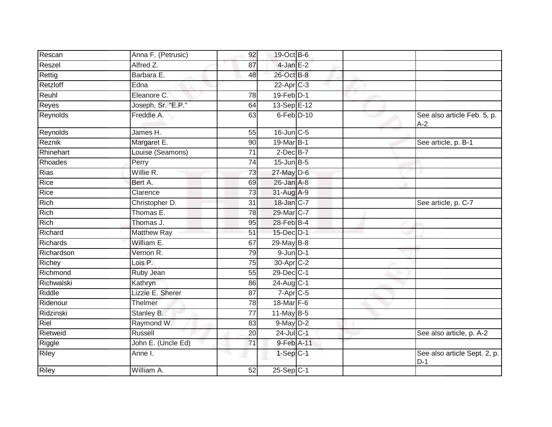| Rescan          | Anna F. (Petrusic) | 92              | 19-Oct B-6            |  |                                       |
|-----------------|--------------------|-----------------|-----------------------|--|---------------------------------------|
| Reszel          | Alfred Z.          | 87              | $4$ -Jan E-2          |  |                                       |
| Rettig          | Barbara E.         | 48              | 26-Oct B-8            |  |                                       |
| Retzloff        | Edna               |                 | $22$ -Apr $C-3$       |  |                                       |
| Reuhl           | Eleanore C.        | 78              | 19-Feb D-1            |  |                                       |
| Reyes           | Joseph, Sr. "E.P." | 64              | 13-Sep E-12           |  |                                       |
| Reynolds        | Freddie A.         | 63              | 6-Feb D-10            |  | See also article Feb. 5, p.<br>$A-2$  |
| Reynolds        | James H.           | $\overline{55}$ | 16-Jun C-5            |  |                                       |
| Reznik          | Margaret E.        | 90              | $19$ -Mar $B-1$       |  | See article, p. B-1                   |
| Rhinehart       | Louise (Seamons)   | 71              | $2$ -Dec $B$ -7       |  |                                       |
| <b>Rhoades</b>  | Perry              | 74              | $15$ -Jun $B - 5$     |  |                                       |
| Rias            | Willie R.          | 73              | 27-May D-6            |  |                                       |
| Rice            | Bert A.            | 69              | $26$ -Jan $A-8$       |  |                                       |
| Rice            | Clarence           | $\overline{73}$ | 31-Aug A-9            |  |                                       |
| Rich            | Christopher D.     | 31              | 18-Jan C-7            |  | See article, p. C-7                   |
| Rich            | Thomas E.          | 78              | 29-Mar C-7            |  |                                       |
| Rich            | Thomas J.          | 95              | 28-Feb B-4            |  |                                       |
| Richard         | <b>Matthew Ray</b> | 51              | 15-Dec D-1            |  |                                       |
| <b>Richards</b> | William E.         | 67              | 29-May B-8            |  |                                       |
| Richardson      | Vernon R.          | 79              | $9$ -Jun $D-1$        |  |                                       |
| Richey          | Lois P.            | 75              | 30-Apr <sub>C-2</sub> |  |                                       |
| Richmond        | Ruby Jean          | 55              | 29-Dec C-1            |  |                                       |
| Richwalski      | Kathryn            | 86              | 24-Aug C-1            |  |                                       |
| Riddle          | Lizzie E. Sherer   | 87              | $7$ -Apr $C$ -5       |  |                                       |
| Ridenour        | Thelmer            | 78              | 18-Mar F-6            |  |                                       |
| Ridzinski       | Stanley B.         | 77              | 11-May $B-5$          |  |                                       |
| Riel            | Raymond W.         | $\overline{83}$ | $9$ -May $D-2$        |  |                                       |
| Rietweid        | Russell            | 20              | 24-Jul C-1            |  | See also article, p. A-2              |
| Riggle          | John E. (Uncle Ed) | $\overline{71}$ | 9-Feb A-11            |  |                                       |
| <b>Riley</b>    | Anne I.            |                 | $1-SepC-1$            |  | See also article Sept. 2, p.<br>$D-1$ |
| Riley           | William A.         | 52              | $25-Sep C-1$          |  |                                       |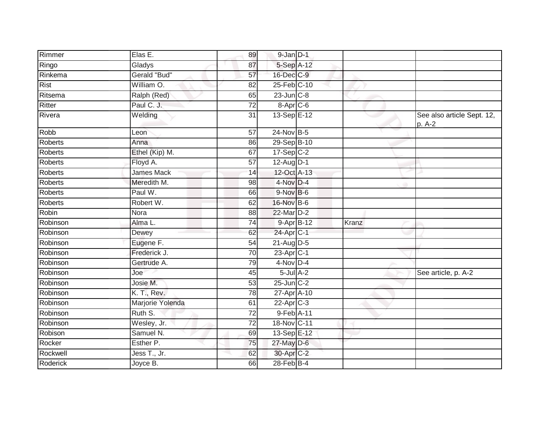| Rimmer         | Elas E.           | 89              | $9$ -Jan $D-1$         |       |                                      |
|----------------|-------------------|-----------------|------------------------|-------|--------------------------------------|
| Ringo          | Gladys            | 87              | 5-Sep A-12             |       |                                      |
| Rinkema        | Gerald "Bud"      | 57              | 16-Dec C-9             |       |                                      |
| Rist           | William O.        | 82              | 25-Feb C-10            |       |                                      |
| Ritsema        | Ralph (Red)       | 65              | $23$ -Jun $C-8$        |       |                                      |
| Ritter         | Paul C. J.        | $\overline{72}$ | 8-Apr C-6              |       |                                      |
| Rivera         | Welding           | 31              | 13-Sep E-12            |       | See also article Sept. 12,<br>p. A-2 |
| Robb           | Leon              | $\overline{57}$ | 24-Nov B-5             |       |                                      |
| Roberts        | Anna              | 86              | 29-Sep B-10            |       |                                      |
| <b>Roberts</b> | Ethel (Kip) M.    | 67              | $17-Sep$ C-2           |       |                                      |
| <b>Roberts</b> | Floyd A.          | 57              | 12-Aug D-1             |       |                                      |
| Roberts        | <b>James Mack</b> | 14              | 12-Oct A-13            |       |                                      |
| Roberts        | Meredith M.       | 98              | 4-Nov D-4              |       |                                      |
| Roberts        | Paul W.           | 66              | $9-Nov$ B-6            |       |                                      |
| Roberts        | Robert W.         | 62              | 16-Nov B-6             |       |                                      |
| Robin          | Nora              | 88              | 22-Mar D-2             |       |                                      |
| Robinson       | Alma L.           | $\overline{74}$ | 9-Apr B-12             | Kranz |                                      |
| Robinson       | Dewey             | 62              | 24-Apr <sub>IC-1</sub> |       |                                      |
| Robinson       | Eugene F.         | 54              | $21$ -Aug D-5          |       |                                      |
| Robinson       | Frederick J.      | 70              | 23-Apr <sub>C-1</sub>  |       |                                      |
| Robinson       | Gertrude A.       | 79              | 4-Nov D-4              |       |                                      |
| Robinson       | Joe               | 45              | $5$ -Jul $A-2$         |       | See article, p. A-2                  |
| Robinson       | Josie M.          | 53              | $25$ -Jun $C-2$        |       |                                      |
| Robinson       | K. T., Rev.       | 78              | 27-Apr <sub>A-10</sub> |       |                                      |
| Robinson       | Marjorie Yolenda  | 61              | $22$ -Apr $C-3$        |       |                                      |
| Robinson       | Ruth S.           | $\overline{72}$ | 9-Feb A-11             |       |                                      |
| Robinson       | Wesley, Jr.       | $\overline{72}$ | 18-Nov C-11            |       |                                      |
| Robison        | Samuel N.         | 69              | 13-Sep E-12            |       |                                      |
| Rocker         | Esther P.         | 75              | 27-May D-6             |       |                                      |
| Rockwell       | Jess T., Jr.      | 62              | 30-Apr C-2             |       |                                      |
| Roderick       | Joyce B.          | 66              | 28-Feb B-4             |       |                                      |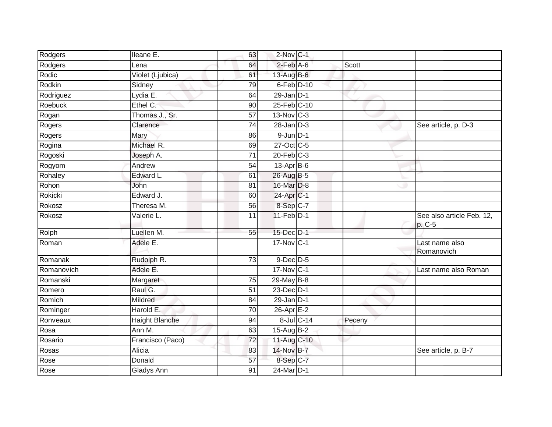| Ileane E.             | 63                             |  |                                                                                                                                                                                                                                                                                                                                                                                                                                                                                                                                    |                                     |
|-----------------------|--------------------------------|--|------------------------------------------------------------------------------------------------------------------------------------------------------------------------------------------------------------------------------------------------------------------------------------------------------------------------------------------------------------------------------------------------------------------------------------------------------------------------------------------------------------------------------------|-------------------------------------|
| Lena                  | 64                             |  | Scott                                                                                                                                                                                                                                                                                                                                                                                                                                                                                                                              |                                     |
|                       | 61                             |  |                                                                                                                                                                                                                                                                                                                                                                                                                                                                                                                                    |                                     |
| Sidney                | 79                             |  |                                                                                                                                                                                                                                                                                                                                                                                                                                                                                                                                    |                                     |
| Lydia E.              | 64                             |  |                                                                                                                                                                                                                                                                                                                                                                                                                                                                                                                                    |                                     |
| Ethel C:              | 90                             |  |                                                                                                                                                                                                                                                                                                                                                                                                                                                                                                                                    |                                     |
| Thomas J., Sr.        | 57                             |  |                                                                                                                                                                                                                                                                                                                                                                                                                                                                                                                                    |                                     |
| Clarence              | 74                             |  |                                                                                                                                                                                                                                                                                                                                                                                                                                                                                                                                    | See article, p. D-3                 |
| Mary                  | 86                             |  |                                                                                                                                                                                                                                                                                                                                                                                                                                                                                                                                    |                                     |
|                       | 69                             |  |                                                                                                                                                                                                                                                                                                                                                                                                                                                                                                                                    |                                     |
| Joseph A.             | $\overline{71}$                |  |                                                                                                                                                                                                                                                                                                                                                                                                                                                                                                                                    |                                     |
| Andrew                | 54                             |  |                                                                                                                                                                                                                                                                                                                                                                                                                                                                                                                                    |                                     |
| Edward L.             | 61                             |  |                                                                                                                                                                                                                                                                                                                                                                                                                                                                                                                                    |                                     |
| John                  | 81                             |  |                                                                                                                                                                                                                                                                                                                                                                                                                                                                                                                                    |                                     |
| Edward J.             | 60                             |  |                                                                                                                                                                                                                                                                                                                                                                                                                                                                                                                                    |                                     |
| Theresa M.            | 56                             |  |                                                                                                                                                                                                                                                                                                                                                                                                                                                                                                                                    |                                     |
| Valerie L.            | 11                             |  |                                                                                                                                                                                                                                                                                                                                                                                                                                                                                                                                    | See also article Feb. 12,<br>p. C-5 |
| Luellen M.            | 55                             |  |                                                                                                                                                                                                                                                                                                                                                                                                                                                                                                                                    |                                     |
| Adele E.              |                                |  |                                                                                                                                                                                                                                                                                                                                                                                                                                                                                                                                    | Last name also<br>Romanovich        |
| Rudolph R.            | 73                             |  |                                                                                                                                                                                                                                                                                                                                                                                                                                                                                                                                    |                                     |
| Adele E.              |                                |  |                                                                                                                                                                                                                                                                                                                                                                                                                                                                                                                                    | Last name also Roman                |
| Margaret              | $\overline{75}$                |  |                                                                                                                                                                                                                                                                                                                                                                                                                                                                                                                                    |                                     |
| Raul G.               | 51                             |  |                                                                                                                                                                                                                                                                                                                                                                                                                                                                                                                                    |                                     |
| Mildred               | 84                             |  |                                                                                                                                                                                                                                                                                                                                                                                                                                                                                                                                    |                                     |
| Harold E.             | $\overline{70}$                |  |                                                                                                                                                                                                                                                                                                                                                                                                                                                                                                                                    |                                     |
| <b>Haight Blanche</b> | 94                             |  | Peceny                                                                                                                                                                                                                                                                                                                                                                                                                                                                                                                             |                                     |
| Ann M.                | 63                             |  |                                                                                                                                                                                                                                                                                                                                                                                                                                                                                                                                    |                                     |
| Francisco (Paco)      | 72                             |  |                                                                                                                                                                                                                                                                                                                                                                                                                                                                                                                                    |                                     |
| Alicia                | 83                             |  |                                                                                                                                                                                                                                                                                                                                                                                                                                                                                                                                    | See article, p. B-7                 |
| Donald                | 57                             |  |                                                                                                                                                                                                                                                                                                                                                                                                                                                                                                                                    |                                     |
| Gladys Ann            | 91                             |  |                                                                                                                                                                                                                                                                                                                                                                                                                                                                                                                                    |                                     |
|                       | Violet (Ljubica)<br>Michael R. |  | $2$ -Nov $C-1$<br>$2$ -Feb $A$ -6<br>13-Aug B-6<br>$6$ -Feb $D-10$<br>$29$ -Jan $D-1$<br>25-Feb C-10<br>13-Nov C-3<br>$28$ -Jan $D-3$<br>$9$ -Jun $D-1$<br>27-Oct C-5<br>$20$ -Feb $C-3$<br>$13$ -Apr $B$ -6<br>26-Aug B-5<br>16-Mar D-8<br>24-Apr C-1<br>8-Sep C-7<br>11-Feb D-1<br>15-Dec D-1<br>17-Nov C-1<br>$9$ -Dec $D$ -5<br>$17-Nov$ <sub>C-1</sub><br>29-May B-8<br>23-Dec D-1<br>$29$ -Jan $D-1$<br>$26$ -Apr $E-2$<br>8-Jul C-14<br>$15-AugB-2$<br>11-Aug C-10<br>14-Nov B-7<br>8-Sep <sub>C-7</sub><br>$24$ -Mar $D-1$ |                                     |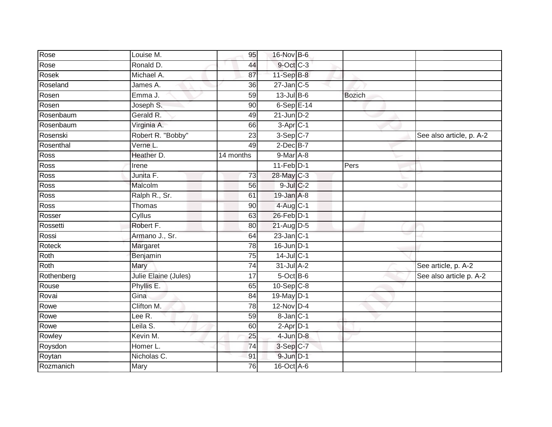| Rose       | Louise M.            | 95              | 16-Nov B-6                 |               |                          |
|------------|----------------------|-----------------|----------------------------|---------------|--------------------------|
| Rose       | Ronald D.            | 44              | $9$ -Oct $C-3$             |               |                          |
| Rosek      | Michael A.           | 87              | 11-Sep B-8                 |               |                          |
| Roseland   | James A.             | 36              | $27$ -Jan $ C-5 $          |               |                          |
| Rosen      | Emma J.              | 59              | $13$ -Jul B-6              | <b>Bozich</b> |                          |
| Rosen      | Joseph S.            | 90              | $6-SepE-14$                |               |                          |
| Rosenbaum  | Gerald R.            | 49              | $21$ -Jun $D-2$            |               |                          |
| Rosenbaum  | Virginia A.          | 66              | $3-Apr$ <sub>C-1</sub>     |               |                          |
| Rosenski   | Robert R. "Bobby"    | 23              | $3-Sep$ C-7                |               | See also article, p. A-2 |
| Rosenthal  | Verne L.             | 49              | $2$ -Dec $B$ -7            |               |                          |
| Ross       | Heather D.           | 14 months       | $9$ -Mar $\overline{A}$ -8 |               |                          |
| Ross       | Irene                |                 | $11$ -Feb $D-1$            | Pers          |                          |
| Ross       | Junita F.            | 73              | 28-May C-3                 |               |                          |
| Ross       | Malcolm              | 56              | $9$ -Jul $C$ -2            |               |                          |
| Ross       | Ralph R., Sr.        | 61              | 19-Jan A-8                 |               |                          |
| Ross       | Thomas               | 90              | 4-Aug C-1                  |               |                          |
| Rosser     | <b>Cyllus</b>        | 63              | 26-Feb D-1                 |               |                          |
| Rossetti   | Robert F.            | 80              | 21-Aug D-5                 |               |                          |
| Rossi      | Armano J., Sr.       | 64              | $23$ -Jan $C-1$            |               |                          |
| Roteck     | Margaret             | $\overline{78}$ | $16$ -Jun $D-1$            |               |                          |
| Roth       | Benjamin             | $\overline{75}$ | $14$ -Jul C-1              |               |                          |
| Roth       | Mary                 | 74              | $31$ -Jul A-2              |               | See article, p. A-2      |
| Rothenberg | Julie Elaine (Jules) | 17              | 5-Oct B-6                  |               | See also article p. A-2  |
| Rouse      | Phyllis E.           | 65              | $10 - Sep$ $C-8$           |               |                          |
| Rovai      | Gina                 | 84              | $19$ -May D-1              |               |                          |
| Rowe       | Clifton M.           | 78              | 12-Nov D-4                 |               |                          |
| Rowe       | Lee R.               | 59              | 8-Jan C-1                  |               |                          |
| Rowe       | Leila S.             | 60              | $2-Apr$ D-1                |               |                          |
| Rowley     | Kevin M.             | 25              | $4$ -Jun $D-8$             |               |                          |
| Roysdon    | Homer L.             | 74              | $3-Sep$ C-7                |               |                          |
| Roytan     | Nicholas C.          | 91              | $9$ -Jun $D-1$             |               |                          |
| Rozmanich  | Mary                 | 76              | 16-Oct A-6                 |               |                          |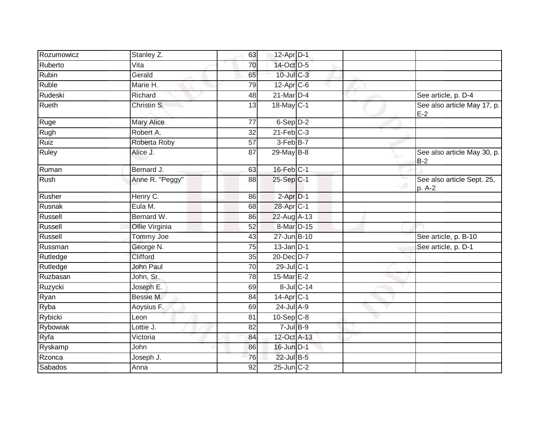| Rozumowicz   | Stanley Z.            | 63              | 12-Apr $D-1$          |  |                                      |
|--------------|-----------------------|-----------------|-----------------------|--|--------------------------------------|
| Ruberto      | Vita                  | 70              | 14-Oct D-5            |  |                                      |
| Rubin        | Gerald                | 65              | 10-Jul C-3            |  |                                      |
| <b>Ruble</b> | Marie H.              | 79              | $12-Apr$ $C-6$        |  |                                      |
| Rudeski      | Richard               | 48              | $21$ -Mar $D-4$       |  | See article, p. D-4                  |
| Rueth        | Christin S.           | 13              | 18-May C-1            |  | See also article May 17, p.<br>$E-2$ |
| Ruge         | Mary Alice            | 77              | $6-Sep$ $D-2$         |  |                                      |
| Rugh         | Robert A.             | $\overline{32}$ | $21$ -Feb $C-3$       |  |                                      |
| <b>Ruiz</b>  | Roberta Roby          | 57              | 3-Feb B-7             |  |                                      |
| Ruley        | Alice J.              | 87              | 29-May B-8            |  | See also article May 30, p.<br>$B-2$ |
| Ruman        | Bernard J.            | 63              | 16-Feb C-1            |  |                                      |
| Rush         | Anne R. "Peggy"       | 88              | $25-Sep$ C-1          |  | See also article Sept. 25,<br>p. A-2 |
| Rusher       | Henry C.              | 86              | $2$ -Apr $D-1$        |  |                                      |
| Rusnak       | Eula M.               | 68              | 28-Apr <sub>C-1</sub> |  |                                      |
| Russell      | Bernard W.            | 86              | 22-Aug A-13           |  |                                      |
| Russell      | <b>Ollie Virginia</b> | 52              | 8-Mar D-15            |  |                                      |
| Russell      | Tommy Joe             | 43              | 27-Jun B-10           |  | See article, p. B-10                 |
| Russman      | George N.             | 75              | $13$ -Jan $D-1$       |  | See article, p. D-1                  |
| Rutledge     | Clifford              | 35              | 20-Dec D-7            |  |                                      |
| Rutledge     | John Paul             | 70              | 29-Jul C-1            |  |                                      |
| Ruzbasan     | John, Sr.             | 78              | 15-Mar E-2            |  |                                      |
| Ruzycki      | Joseph E.             | 69              | 8-Jul C-14            |  |                                      |
| Ryan         | Bessie M.             | 84              | $14$ -Apr $ C-1 $     |  |                                      |
| Ryba         | Aoysius F.            | 69              | $24$ -Jul $A-9$       |  |                                      |
| Rybicki      | Leon                  | 81              | $10 - Sep$ $C-8$      |  |                                      |
| Rybowiak     | Lottie J.             | 82              | $7$ -Jul B-9          |  |                                      |
| Ryfa         | Victoria              | 84              | 12-Oct A-13           |  |                                      |
| Ryskamp      | John                  | 86              | 16-Jun D-1            |  |                                      |
| Rzonca       | Joseph J.             | 76              | 22-Jul B-5            |  |                                      |
| Sabados      | Anna                  | 92              | 25-Jun C-2            |  |                                      |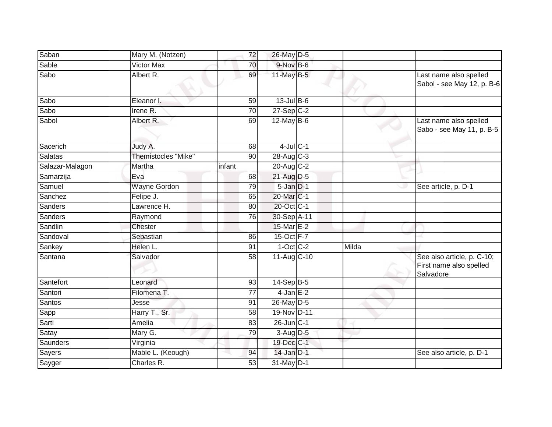| Saban           | Mary M. (Notzen)    | 72              | 26-May D-5              |       |                                                                    |
|-----------------|---------------------|-----------------|-------------------------|-------|--------------------------------------------------------------------|
| Sable           | <b>Victor Max</b>   | 70              | 9-Nov B-6               |       |                                                                    |
| Sabo            | Albert R.           | 69              | 11-May B-5              |       | Last name also spelled<br>Sabol - see May 12, p. B-6               |
| Sabo            | Eleanor I.          | 59              | $13$ -Jul $B$ -6        |       |                                                                    |
| Sabo            | Irene <sub>R.</sub> | 70              | $27-Sep$ <sub>C-2</sub> |       |                                                                    |
| Sabol           | Albert R.           | 69              | 12-May $B-6$            |       | Last name also spelled<br>Sabo - see May 11, p. B-5                |
| Sacerich        | Judy A.             | 68              | $4$ -Jul $C-1$          |       |                                                                    |
| Salatas         | Themistocles "Mike" | 90              | 28-Aug C-3              |       |                                                                    |
| Salazar-Malagon | Martha              | infant          | 20-Aug C-2              |       |                                                                    |
| Samarzija       | Eva                 | 68              | $21$ -Aug D-5           |       |                                                                    |
| Samuel          | <b>Wayne Gordon</b> | 79              | $5 - Jan$ $D-1$         |       | See article, p. D-1                                                |
| Sanchez         | Felipe J.           | 65              | 20-Mar C-1              |       |                                                                    |
| Sanders         | Lawrence H.         | 80              | 20-Oct C-1              |       |                                                                    |
| Sanders         | Raymond             | 76              | 30-Sep A-11             |       |                                                                    |
| Sandlin         | Chester             |                 | 15-Mar E-2              |       |                                                                    |
| Sandoval        | Sebastian           | 86              | 15-Oct F-7              |       |                                                                    |
| Sankey          | Helen L.            | 91              | $1-Oct$ C-2             | Milda |                                                                    |
| Santana         | Salvador            | 58              | 11-Aug C-10             |       | See also article, p. C-10;<br>First name also spelled<br>Salvadore |
| Santefort       | Leonard             | 93              | 14-Sep B-5              |       |                                                                    |
| Santori         | Filomena T.         | $\overline{77}$ | $4$ -Jan $E-2$          |       |                                                                    |
| Santos          | Jesse               | 91              | 26-May D-5              |       |                                                                    |
| Sapp            | Harry T., Sr.       | 58              | 19-Nov D-11             |       |                                                                    |
| Sarti           | Amelia              | 83              | $26$ -Jun $C-1$         |       |                                                                    |
| Satay           | Mary G.             | 79              | $3$ -Aug $D-5$          |       |                                                                    |
| Saunders        | Virginia            |                 | 19-Dec C-1              |       |                                                                    |
| Sayers          | Mable L. (Keough)   | 94              | $14$ -Jan $D-1$         |       | See also article, p. D-1                                           |
| Sayger          | Charles R.          | 53              | 31-May D-1              |       |                                                                    |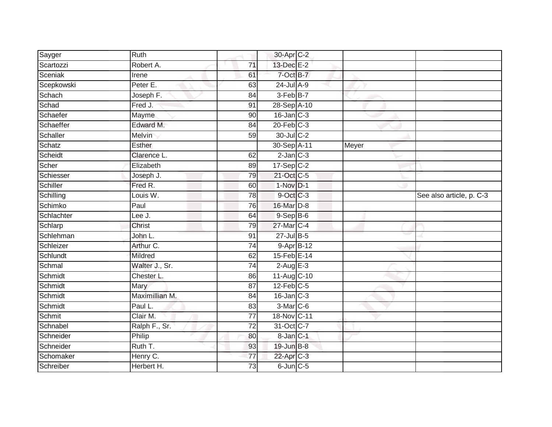| Sayger     | <b>Ruth</b>    |                 | 30-Apr C-2        |       |                          |
|------------|----------------|-----------------|-------------------|-------|--------------------------|
| Scartozzi  | Robert A.      | 71              | 13-Dec E-2        |       |                          |
| Sceniak    | Irene          | 61              | 7-Oct B-7         |       |                          |
| Scepkowski | Peter E.       | 63              | 24-Jul A-9        |       |                          |
| Schach     | Joseph F.      | $\overline{84}$ | $3-FebB-7$        |       |                          |
| Schad      | Fred J.        | 91              | 28-Sep A-10       |       |                          |
| Schaefer   | Mayme          | 90              | $16$ -Jan $C-3$   |       |                          |
| Schaeffer  | Edward M.      | 84              | $20$ -Feb $C-3$   |       |                          |
| Schaller   | Melvin         | 59              | 30-Jul C-2        |       |                          |
| Schatz     | Esther         |                 | 30-Sep A-11       | Meyer |                          |
| Scheidt    | Clarence L.    | 62              | $2$ -Jan $C-3$    |       |                          |
| Scher      | Elizabeth      | 89              | $17 - Sep$ $C-2$  |       |                          |
| Schiesser  | Joseph J.      | 79              | 21-Oct C-5        |       |                          |
| Schiller   | Fred R.        | 60              | $1-Nov$ D-1       |       |                          |
| Schilling  | Louis W.       | 78              | 9-Oct C-3         |       | See also article, p. C-3 |
| Schimko    | Paul           | 76              | 16-Mar D-8        |       |                          |
| Schlachter | Lee J.         | 64              | $9-$ Sep $B-6$    |       |                          |
| Schlarp    | Christ         | 79              | 27-Mar C-4        |       |                          |
| Schlehman  | John L.        | 91              | 27-Jul B-5        |       |                          |
| Schleizer  | Arthur C.      | 74              | 9-Apr B-12        |       |                          |
| Schlundt   | Mildred        | 62              | 15-Feb E-14       |       |                          |
| Schmal     | Walter J., Sr. | $\overline{74}$ | $2-AugE-3$        |       |                          |
| Schmidt    | Chester L.     | 86              | 11-Aug C-10       |       |                          |
| Schmidt    | Mary           | $\overline{87}$ | $12$ -Feb $C-5$   |       |                          |
| Schmidt    | Maximillian M. | 84              | $16$ -Jan $C-3$   |       |                          |
| Schmidt    | Paul L.        | 83              | 3-Mar C-6         |       |                          |
| Schmit     | Clair M.       | $\overline{77}$ | 18-Nov C-11       |       |                          |
| Schnabel   | Ralph F., Sr.  | 72              | 31-Oct C-7        |       |                          |
| Schneider  | Philip         | 80              | 8-Jan C-1         |       |                          |
| Schneider  | Ruth T.        | 93              | $19$ -Jun $B - 8$ |       |                          |
| Schomaker  | Henry C.       | 77              | 22-Apr C-3        |       |                          |
| Schreiber  | Herbert H.     | $\overline{73}$ | $6$ -Jun $C$ -5   |       |                          |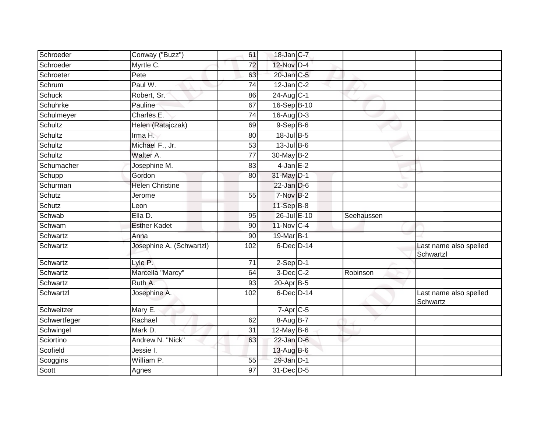| Schroeder     | Conway ("Buzz")          | 61              | 18-Jan C-7      |            |                                     |
|---------------|--------------------------|-----------------|-----------------|------------|-------------------------------------|
| Schroeder     | Myrtle C.                | 72              | 12-Nov D-4      |            |                                     |
| Schroeter     | Pete                     | 63              | 20-Jan C-5      |            |                                     |
| Schrum        | Paul W.                  | 74              | $12$ -Jan C-2   |            |                                     |
| <b>Schuck</b> | Robert, Sr.              | 86              | $24$ -Aug $C-1$ |            |                                     |
| Schuhrke      | Pauline                  | 67              | 16-Sep B-10     |            |                                     |
| Schulmeyer    | Charles E.               | 74              | $16$ -Aug $D-3$ |            |                                     |
| Schultz       | Helen (Ratajczak)        | 69              | $9-$ Sep $B-6$  |            |                                     |
| Schultz       | Irma H.                  | 80              | 18-Jul B-5      |            |                                     |
| Schultz       | Michael F., Jr.          | 53              | $13$ -Jul B-6   |            |                                     |
| Schultz       | Walter A.                | $\overline{77}$ | $30$ -May B-2   |            |                                     |
| Schumacher    | Josephine M.             | 83              | $4$ -Jan $E-2$  |            |                                     |
| Schupp        | Gordon                   | 80              | 31-May D-1      |            |                                     |
| Schurman      | <b>Helen Christine</b>   |                 | $22$ -Jan $D-6$ |            |                                     |
| Schutz        | Jerome                   | $\overline{55}$ | $7-NovB-2$      |            |                                     |
| Schutz        | Leon                     |                 | 11-Sep B-8      |            |                                     |
| Schwab        | Ella D.                  | 95              | 26-Jul E-10     | Seehaussen |                                     |
| Schwam        | <b>Esther Kadet</b>      | 90              | 11-Nov C-4      |            |                                     |
| Schwartz      | Anna                     | 90              | 19-Mar B-1      |            |                                     |
| Schwartz      | Josephine A. (Schwartzl) | 102             | 6-Dec D-14      |            | Last name also spelled<br>Schwartzl |
| Schwartz      | Lyle P.                  | 71              | $2-Sep$ $D-1$   |            |                                     |
| Schwartz      | Marcella "Marcy"         | 64              | $3$ -Dec $C-2$  | Robinson   |                                     |
| Schwartz      | Ruth A.                  | 93              | 20-Apr B-5      |            |                                     |
| Schwartzl     | Josephine A.             | 102             | 6-Dec D-14      |            | Last name also spelled<br>Schwartz  |
| Schweitzer    | Mary E.                  |                 | 7-Apr C-5       |            |                                     |
| Schwertfeger  | Rachael                  | 62              | 8-Aug B-7       |            |                                     |
| Schwingel     | Mark D.                  | 31              | 12-May $B-6$    |            |                                     |
| Sciortino     | Andrew N. "Nick"         | 63              | $22$ -Jan $D-6$ |            |                                     |
| Scofield      | Jessie I.                |                 | 13-Aug B-6      |            |                                     |
| Scoggins      | William P.               | 55              | 29-Jan D-1      |            |                                     |
| Scott         | Agnes                    | 97              | 31-Dec D-5      |            |                                     |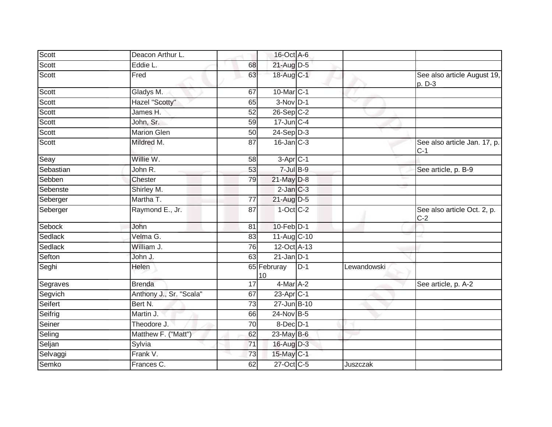| Scott     | Deacon Arthur L.        |    | 16-Oct A-6                  |       |             |                                       |
|-----------|-------------------------|----|-----------------------------|-------|-------------|---------------------------------------|
| Scott     | Eddie L.                | 68 | 21-Aug D-5                  |       |             |                                       |
| Scott     | Fred                    | 63 | 18-Aug C-1                  |       |             | See also article August 19,<br>p. D-3 |
| Scott     | Gladys M.               | 67 | 10-Mar C-1                  |       |             |                                       |
| Scott     | Hazel "Scotty"          | 65 | $3-Nov$ D-1                 |       |             |                                       |
| Scott     | James H.                | 52 | $26-Sep$ C-2                |       |             |                                       |
| Scott     | John, Sr.               | 59 | 17-Jun C-4                  |       |             |                                       |
| Scott     | <b>Marion Glen</b>      | 50 | $24-Sep$ D-3                |       |             |                                       |
| Scott     | Mildred M.              | 87 | $16$ -Jan $\overline{C}$ -3 |       |             | See also article Jan. 17, p.<br>$C-1$ |
| Seay      | Willie W.               | 58 | $3-Apr$ <sub>C-1</sub>      |       |             |                                       |
| Sebastian | John R.                 | 53 | $7$ -Jul $B-9$              |       |             | See article, p. B-9                   |
| Sebben    | Chester                 | 79 | 21-May D-8                  |       |             |                                       |
| Sebenste  | Shirley M.              |    | $2$ -Jan $C-3$              |       |             |                                       |
| Seberger  | Martha T.               | 77 | $21-Aug D-5$                |       |             |                                       |
| Seberger  | Raymond E., Jr.         | 87 | $1-Oct$ C-2                 |       |             | See also article Oct. 2, p.<br>$C-2$  |
| Sebock    | John                    | 81 | 10-Feb D-1                  |       |             |                                       |
| Sedlack   | Velma G.                | 83 | 11-Aug C-10                 |       |             |                                       |
| Sedlack   | William J.              | 76 | 12-Oct A-13                 |       |             |                                       |
| Sefton    | John J.                 | 63 | $21$ -Jan D-1               |       |             |                                       |
| Seghi     | Helen                   |    | 65 Februray<br>10           | $D-1$ | Lewandowski |                                       |
| Segraves  | <b>Brenda</b>           | 17 | 4-Mar A-2                   |       |             | See article, p. A-2                   |
| Segvich   | Anthony J., Sr. "Scala" | 67 | $23$ -Apr $ C-1 $           |       |             |                                       |
| Seifert   | Bert N.                 | 73 | 27-Jun B-10                 |       |             |                                       |
| Seifrig   | Martin J.               | 66 | 24-Nov B-5                  |       |             |                                       |
| Seiner    | Theodore J.             | 70 | $8$ -Dec $D-1$              |       |             |                                       |
| Seling    | Matthew F. ("Matt")     | 62 | 23-May B-6                  |       |             |                                       |
| Seljan    | Sylvia                  | 71 | $16$ -Aug $D-3$             |       |             |                                       |
| Selvaggi  | Frank V.                | 73 | 15-May C-1                  |       |             |                                       |
| Semko     | Frances C.              | 62 | 27-Oct C-5                  |       | Juszczak    |                                       |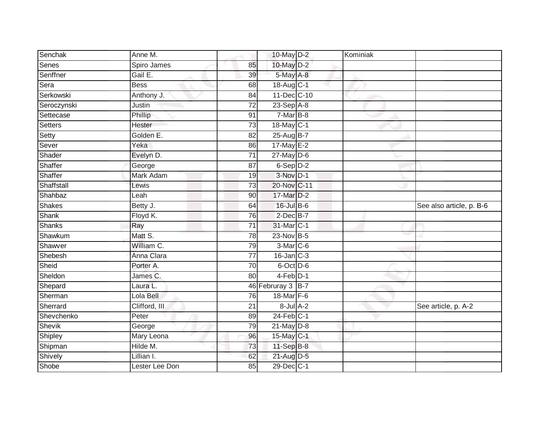| Senchak      | Anne M.        |                 | 10-May D-2        | Kominiak |                          |
|--------------|----------------|-----------------|-------------------|----------|--------------------------|
| Senes        | Spiro James    | 85              | 10-May D-2        |          |                          |
| Senffner     | Gail E.        | 39              | 5-May A-8         |          |                          |
| Sera         | <b>Bess</b>    | 68              | 18-Aug C-1        |          |                          |
| Serkowski    | Anthony J.     | 84              | 11-Dec C-10       |          |                          |
| Seroczynski  | Justin         | $\overline{72}$ | 23-Sep A-8        |          |                          |
| Settecase    | Phillip        | 91              | $7-MarB-8$        |          |                          |
| Setters      | Hester         | 73              | 18-May C-1        |          |                          |
| Setty        | Golden E.      | 82              | 25-Aug B-7        |          |                          |
| Sever        | Yeka           | 86              | 17-May E-2        |          |                          |
| Shader       | Evelyn D.      | 71              | $27$ -May $D-6$   |          |                          |
| Shaffer      | George         | 87              | 6-Sep D-2         |          |                          |
| Shaffer      | Mark Adam      | 19              | $3-Nov$ D-1       |          |                          |
| Shaffstall   | Lewis          | 73              | 20-Nov C-11       |          |                          |
| Shahbaz      | Leah           | 90              | 17-Mar D-2        |          |                          |
| Shakes       | Betty J.       | 64              | $16$ -Jul B-6     |          | See also article, p. B-6 |
| <b>Shank</b> | Floyd K.       | 76              | $2$ -Dec $B-7$    |          |                          |
| Shanks       | Ray            | 71              | 31-Mar C-1        |          |                          |
| Shawkum      | Matt S.        | 78              | 23-Nov B-5        |          |                          |
| Shawver      | William C.     | 79              | 3-Mar C-6         |          |                          |
| Shebesh      | Anna Clara     | 77              | $16$ -Jan $C-3$   |          |                          |
| Sheid        | Porter A.      | 70              | 6-Oct D-6         |          |                          |
| Sheldon      | James C.       | 80              | $4$ -Feb $D-1$    |          |                          |
| Shepard      | Laura L.       |                 | 46 Februray 3 B-7 |          |                          |
| Sherman      | Lola Bell      | 76              | 18-Mar F-6        |          |                          |
| Sherrard     | Clifford, III  | 21              | $8$ -Jul $A-2$    |          | See article, p. A-2      |
| Shevchenko   | Peter          | 89              | $24$ -Feb $C-1$   |          |                          |
| Shevik       | George         | 79              | $21$ -May $D-8$   |          |                          |
| Shipley      | Mary Leona     | 96              | 15-May C-1        |          |                          |
| Shipman      | Hilde M.       | 73              | 11-Sep B-8        |          |                          |
| Shively      | Lillian I.     | 62              | 21-Aug D-5        |          |                          |
| Shobe        | Lester Lee Don | 85              | 29-Dec C-1        |          |                          |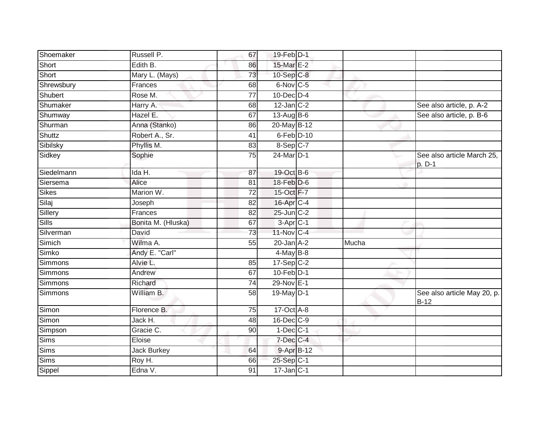| Shoemaker    | Russell P.         | 67              | 19-Feb D-1             |       |                                       |
|--------------|--------------------|-----------------|------------------------|-------|---------------------------------------|
| Short        | Edith B.           | 86              | 15-Mar E-2             |       |                                       |
| Short        | Mary L. (Mays)     | 73              | 10-Sep C-8             |       |                                       |
| Shrewsbury   | Frances            | 68              | 6-Nov C-5              |       |                                       |
| Shubert      | Rose M.            | $\overline{77}$ | $10$ -Dec $D-4$        |       |                                       |
| Shumaker     | Harry A.           | 68              | $12$ -Jan $C-2$        |       | See also article, p. A-2              |
| Shumway      | Hazel E.           | 67              | 13-Aug B-6             |       | See also article, p. B-6              |
| Shurman      | Anna (Stanko)      | 86              | 20-May B-12            |       |                                       |
| Shuttz       | Robert A., Sr.     | 41              | $6$ -Feb $D-10$        |       |                                       |
| Sibilsky     | Phyllis M.         | 83              | 8-Sep C-7              |       |                                       |
| Sidkey       | Sophie             | $\overline{75}$ | 24-Mar D-1             |       | See also article March 25,<br>p. D-1  |
| Siedelmann   | Ida H.             | 87              | 19-Oct B-6             |       |                                       |
| Siersema     | Alice              | 81              | $18$ -Feb $D-6$        |       |                                       |
| <b>Sikes</b> | Marion W.          | $\overline{72}$ | 15-Oct F-7             |       |                                       |
| Silaj        | Joseph             | 82              | 16-Apr C-4             |       |                                       |
| Sillery      | Frances            | 82              | $25$ -Jun $C-2$        |       |                                       |
| <b>Sills</b> | Bonita M. (Hluska) | 67              | $3-Apr$ <sub>C-1</sub> |       |                                       |
| Silverman    | David              | 73              | 11-Nov C-4             |       |                                       |
| Simich       | Wilma A.           | 55              | $20$ -Jan $A-2$        | Mucha |                                       |
| Simko        | Andy E. "Carl"     |                 | $4$ -May B-8           |       |                                       |
| Simmons      | Alvie L.           | 85              | $17-Sep$ C-2           |       |                                       |
| Simmons      | Andrew             | 67              | 10-Feb D-1             |       |                                       |
| Simmons      | Richard            | 74              | 29-Nov E-1             |       |                                       |
| Simmons      | William B.         | 58              | $19-May$ D-1           |       | See also article May 20, p.<br>$B-12$ |
| Simon        | Florence B.        | 75              | 17-Oct A-8             |       |                                       |
| Simon        | Jack H.            | 48              | 16-Dec C-9             |       |                                       |
| Simpson      | Gracie C.          | 90              | $1-Dec$ $C-1$          |       |                                       |
| <b>Sims</b>  | Eloise             |                 | $7$ -Dec $C$ -4        |       |                                       |
| <b>Sims</b>  | <b>Jack Burkey</b> | 64              | 9-Apr B-12             |       |                                       |
| Sims         | Roy H.             | 66              | 25-Sep C-1             |       |                                       |
| Sippel       | Edna V.            | 91              | $17$ -Jan $ C-1 $      |       |                                       |
|              |                    |                 |                        |       |                                       |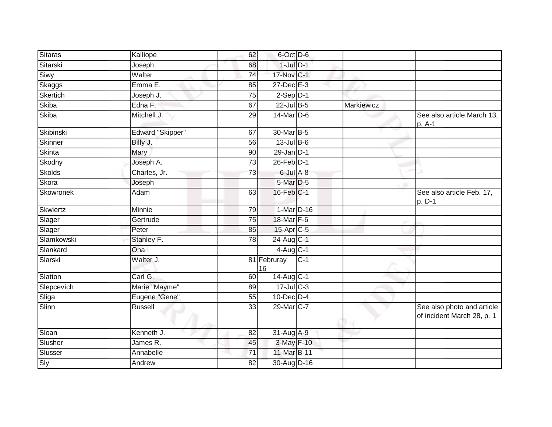|                         | 62              |    |             |                                                                                                                                                                                                                                                                                                                                                                                                                       |                                                          |
|-------------------------|-----------------|----|-------------|-----------------------------------------------------------------------------------------------------------------------------------------------------------------------------------------------------------------------------------------------------------------------------------------------------------------------------------------------------------------------------------------------------------------------|----------------------------------------------------------|
| Joseph                  | 68              |    |             |                                                                                                                                                                                                                                                                                                                                                                                                                       |                                                          |
| Walter                  | $\overline{74}$ |    |             |                                                                                                                                                                                                                                                                                                                                                                                                                       |                                                          |
| Emma E.                 | 85              |    |             |                                                                                                                                                                                                                                                                                                                                                                                                                       |                                                          |
| Joseph J.               | $\overline{75}$ |    |             |                                                                                                                                                                                                                                                                                                                                                                                                                       |                                                          |
| Edna F.                 | 67              |    |             | Markiewicz                                                                                                                                                                                                                                                                                                                                                                                                            |                                                          |
| Mitchell J.             | 29              |    |             |                                                                                                                                                                                                                                                                                                                                                                                                                       | See also article March 13,<br>p. A-1                     |
| <b>Edward "Skipper"</b> | 67              |    |             |                                                                                                                                                                                                                                                                                                                                                                                                                       |                                                          |
| Billy J.                | 56              |    |             |                                                                                                                                                                                                                                                                                                                                                                                                                       |                                                          |
| Mary                    | 90              |    |             |                                                                                                                                                                                                                                                                                                                                                                                                                       |                                                          |
| Joseph A.               | 73              |    |             |                                                                                                                                                                                                                                                                                                                                                                                                                       |                                                          |
| Charles, Jr.            | 73              |    |             |                                                                                                                                                                                                                                                                                                                                                                                                                       |                                                          |
| Joseph                  |                 |    |             |                                                                                                                                                                                                                                                                                                                                                                                                                       |                                                          |
| Adam                    | 63              |    |             |                                                                                                                                                                                                                                                                                                                                                                                                                       | See also article Feb. 17,<br>p. D-1                      |
| Minnie                  | 79              |    |             |                                                                                                                                                                                                                                                                                                                                                                                                                       |                                                          |
| Gertrude                | 75              |    |             |                                                                                                                                                                                                                                                                                                                                                                                                                       |                                                          |
| Peter                   | 85              |    |             |                                                                                                                                                                                                                                                                                                                                                                                                                       |                                                          |
| Stanley F.              | 78              |    |             |                                                                                                                                                                                                                                                                                                                                                                                                                       |                                                          |
| Ona                     |                 |    |             |                                                                                                                                                                                                                                                                                                                                                                                                                       |                                                          |
| Walter J.               |                 | 16 |             |                                                                                                                                                                                                                                                                                                                                                                                                                       |                                                          |
| Carl G.                 | 60              |    |             |                                                                                                                                                                                                                                                                                                                                                                                                                       |                                                          |
| Marie "Mayme"           | 89              |    |             |                                                                                                                                                                                                                                                                                                                                                                                                                       |                                                          |
| Eugene "Gene"           | 55              |    |             |                                                                                                                                                                                                                                                                                                                                                                                                                       |                                                          |
| <b>Russell</b>          | 33              |    |             |                                                                                                                                                                                                                                                                                                                                                                                                                       | See also photo and article<br>of incident March 28, p. 1 |
| Kenneth J.              | 82              |    |             |                                                                                                                                                                                                                                                                                                                                                                                                                       |                                                          |
| James R.                | 45              |    |             |                                                                                                                                                                                                                                                                                                                                                                                                                       |                                                          |
| Annabelle               | 71              |    |             |                                                                                                                                                                                                                                                                                                                                                                                                                       |                                                          |
| Andrew                  | 82              |    |             |                                                                                                                                                                                                                                                                                                                                                                                                                       |                                                          |
|                         | Kalliope        |    | 81 Februray | 6-Oct D-6<br>$1$ -Jul $D-1$<br>17-Nov C-1<br>27-Dec E-3<br>$2-Sep$ D-1<br>22-Jul B-5<br>14-Mar D-6<br>30-Mar B-5<br>$13$ -Jul $B$ -6<br>$29$ -Jan $D-1$<br>$26$ -Feb $D-1$<br>6-Jul A-8<br>5-Mar D-5<br>16-Feb C-1<br>1-Mar D-16<br>18-Mar F-6<br>15-Apr C-5<br>24-Aug C-1<br>$4$ -Aug C-1<br>$C-1$<br>14-Aug C-1<br>17-Jul C-3<br>10-Dec D-4<br>29-Mar C-7<br>31-Aug A-9<br>3-May F-10<br>11-Mar B-11<br>30-Aug D-16 |                                                          |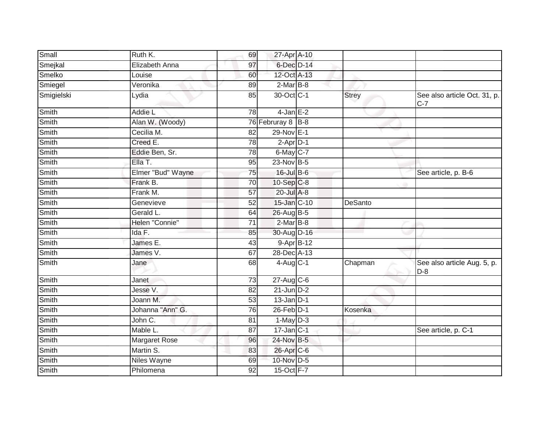| Small        | Ruth K.            | 69              | 27-Apr A-10       |                |                                       |
|--------------|--------------------|-----------------|-------------------|----------------|---------------------------------------|
| Smejkal      | Elizabeth Anna     | 97              | 6-Dec D-14        |                |                                       |
| Smelko       | Louise             | 60              | 12-Oct A-13       |                |                                       |
| Smiegel      | Veronika           | 89              | $2-MarB-8$        |                |                                       |
| Smigielski   | Lydia              | 85              | 30-Oct C-1        | <b>Strey</b>   | See also article Oct. 31, p.<br>$C-7$ |
| Smith        | Addie L            | 78              | $4$ -Jan $E-2$    |                |                                       |
| Smith        | Alan W. (Woody)    |                 | 76 Februray 8 B-8 |                |                                       |
| Smith        | Cecilia M.         | 82              | 29-Nov E-1        |                |                                       |
| Smith        | Creed E.           | 78              | $2-Apr$ D-1       |                |                                       |
| Smith        | Eddie Ben, Sr.     | 78              | 6-May C-7         |                |                                       |
| Smith        | Ella T.            | 95              | 23-Nov B-5        |                |                                       |
| Smith        | Elmer "Bud" Wayne  | 75              | 16-Jul B-6        |                | See article, p. B-6                   |
| Smith        | Frank B.           | 70              | $10-Sep$ $C-8$    |                |                                       |
| Smith        | Frank M.           | 57              | 20-Jul A-8        |                |                                       |
| Smith        | Genevieve          | $\overline{52}$ | 15-Jan C-10       | <b>DeSanto</b> |                                       |
| Smith        | Gerald L.          | 64              | 26-Aug B-5        |                |                                       |
| <b>Smith</b> | Helen "Connie"     | $\overline{71}$ | $2-MarB-8$        |                |                                       |
| Smith        | Ida F.             | 85              | 30-Aug D-16       |                |                                       |
| Smith        | James E.           | 43              | $9 - Apr$ B-12    |                |                                       |
| <b>Smith</b> | James V.           | 67              | 28-Dec A-13       |                |                                       |
| Smith        | Jane               | 68              | $4$ -Aug C-1      | Chapman        | See also article Aug. 5, p.<br>$D-8$  |
| Smith        | Janet              | 73              | 27-Aug C-6        |                |                                       |
| Smith        | Jesse V.           | 82              | $21$ -Jun $D-2$   |                |                                       |
| Smith        | Joann M.           | 53              | $13$ -Jan D-1     |                |                                       |
| Smith        | Johanna "Ann" G.   | $\overline{76}$ | $26$ -Feb $D-1$   | Kosenka        |                                       |
| Smith        | John C.            | 81              | $1-May$ D-3       |                |                                       |
| Smith        | Mable L.           | 87              | $17$ -Jan $C-1$   |                | See article, p. C-1                   |
| Smith        | Margaret Rose      | 96              | 24-Nov B-5        |                |                                       |
| Smith        | Martin S.          | 83              | 26-Apr C-6        |                |                                       |
| Smith        | <b>Niles Wayne</b> | 69              | 10-Nov D-5        |                |                                       |
| Smith        | Philomena          | 92              | 15-Oct F-7        |                |                                       |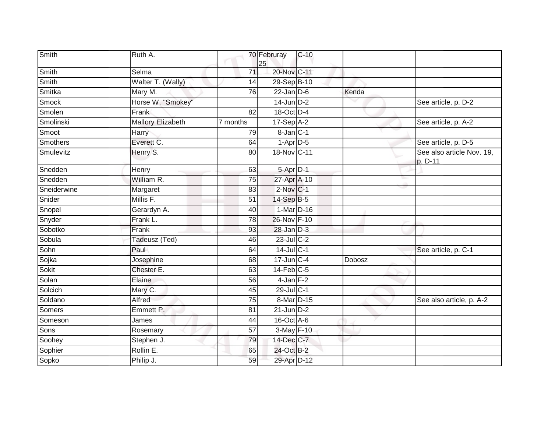| Smith       | Ruth A.                  |          | 70 Februray<br>25 | $C-10$ |               |                                      |
|-------------|--------------------------|----------|-------------------|--------|---------------|--------------------------------------|
| Smith       | Selma                    | 71       | 20-Nov C-11       |        |               |                                      |
| Smith       | Walter T. (Wally)        | 14       | 29-Sep B-10       |        |               |                                      |
| Smitka      | Mary M.                  | 76       | $22$ -Jan $D-6$   |        | Kenda         |                                      |
| Smock       | Horse W. "Smokey"        |          | $14$ -Jun $D-2$   |        |               | See article, p. D-2                  |
| Smolen      | Frank                    | 82       | 18-Oct D-4        |        |               |                                      |
| Smolinski   | <b>Mallory Elizabeth</b> | 7 months | $17-Sep$ A-2      |        |               | See article, p. A-2                  |
| Smoot       | Harry                    | 79       | $8$ -Jan $C-1$    |        |               |                                      |
| Smothers    | Everett C.               | 64       | $1-Apr$ D-5       |        |               | See article, p. D-5                  |
| Smulevitz   | Henry S.                 | 80       | 18-Nov C-11       |        |               | See also article Nov. 19,<br>p. D-11 |
| Snedden     | Henry                    | 63       | 5-Apr D-1         |        |               |                                      |
| Snedden     | William R.               | 75       | 27-Apr A-10       |        |               |                                      |
| Sneiderwine | Margaret                 | 83       | $2$ -Nov $C-1$    |        |               |                                      |
| Snider      | Millis F.                | 51       | $14-Sep$ B-5      |        |               |                                      |
| Snopel      | Gerardyn A.              | 40       | 1-Mar D-16        |        |               |                                      |
| Snyder      | Frank L.                 | 78       | 26-Nov F-10       |        |               |                                      |
| Sobotko     | Frank                    | 93       | $28$ -Jan $D-3$   |        |               |                                      |
| Sobula      | Tadeusz (Ted)            | 46       | $23$ -Jul C-2     |        |               |                                      |
| Sohn        | Paul                     | 64       | $14$ -Jul C-1     |        |               | See article, p. C-1                  |
| Sojka       | Josephine                | 68       | $17$ -Jun $C-4$   |        | <b>Dobosz</b> |                                      |
| Sokit       | Chester E.               | 63       | $14$ -Feb $C-5$   |        |               |                                      |
| Solan       | Elaine                   | 56       | $4$ -Jan $F-2$    |        |               |                                      |
| Solcich     | Mary C.                  | 45       | 29-Jul C-1        |        |               |                                      |
| Soldano     | Alfred                   | 75       | 8-Mar D-15        |        |               | See also article, p. A-2             |
| Somers      | Emmett P.                | 81       | $21$ -Jun $D-2$   |        |               |                                      |
| Someson     | James                    | 44       | 16-Oct A-6        |        |               |                                      |
| Sons        | Rosemary                 | 57       | 3-May F-10        |        |               |                                      |
| Soohey      | Stephen J.               | 79       | 14-Dec C-7        |        |               |                                      |
| Sophier     | Rollin E.                | 65       | 24-Oct B-2        |        |               |                                      |
| Sopko       | Philip J.                | 59       | 29-Apr D-12       |        |               |                                      |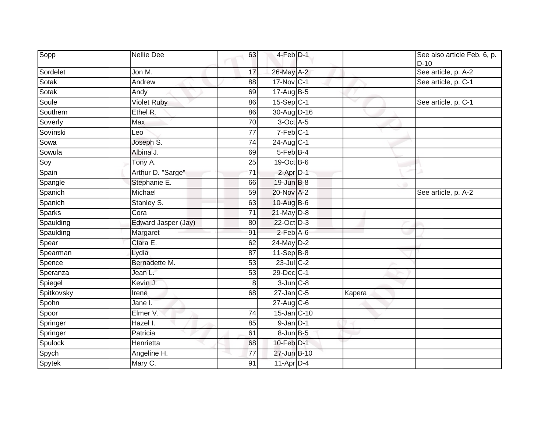| Sopp       | <b>Nellie Dee</b>   | 63              | 4-Feb D-1         |        | See also article Feb. 6, p.<br>$D-10$ |
|------------|---------------------|-----------------|-------------------|--------|---------------------------------------|
| Sordelet   | Jon M.              | 17              | 26-May A-2        |        | See article, p. A-2                   |
| Sotak      | Andrew              | 88              | 17-Nov C-1        |        | See article, p. C-1                   |
| Sotak      | Andy                | 69              | $17$ -Aug B-5     |        |                                       |
| Soule      | <b>Violet Ruby</b>  | 86              | $15-Sep C-1$      |        | See article, p. C-1                   |
| Southern   | Ethel R.            | 86              | 30-Aug D-16       |        |                                       |
| Soverly    | Max                 | 70              | 3-Oct A-5         |        |                                       |
| Sovinski   | Leo                 | $\overline{77}$ | $7-Feb$ C-1       |        |                                       |
| Sowa       | Joseph S.           | 74              | 24-Aug C-1        |        |                                       |
| Sowula     | Albina J.           | 69              | 5-Feb B-4         |        |                                       |
| Soy        | Tony A.             | 25              | $19-Oct$ B-6      |        |                                       |
| Spain      | Arthur D. "Sarge"   | $\overline{71}$ | $2$ -Apr $D-1$    |        |                                       |
| Spangle    | Stephanie E.        | 66              | $19$ -Jun $B - 8$ |        |                                       |
| Spanich    | Michael             | 59              | 20-Nov A-2        |        | See article, p. A-2                   |
| Spanich    | Stanley S.          | 63              | 10-Aug B-6        |        |                                       |
| Sparks     | Cora                | $\overline{71}$ | $21$ -May D-8     |        |                                       |
| Spaulding  | Edward Jasper (Jay) | 80              | 22-Oct D-3        |        |                                       |
| Spaulding  | Margaret            | 91              | $2$ -Feb $A$ -6   |        |                                       |
| Spear      | Clara E.            | 62              | $24$ -May D-2     |        |                                       |
| Spearman   | Lydia               | 87              | $11-Sep$ B-8      |        |                                       |
| Spence     | Bernadette M.       | 53              | $23$ -Jul $C-2$   |        |                                       |
| Speranza   | Jean L.             | 53              | $29$ -Dec $C-1$   |        |                                       |
| Spiegel    | Kevin J.            | 8               | $3$ -Jun $C-8$    |        |                                       |
| Spitkovsky | Irene               | 68              | $27$ -Jan $C-5$   | Kapera |                                       |
| Spohn      | Jane I.             |                 | 27-Aug C-6        |        |                                       |
| Spoor      | Elmer V.            | $\overline{74}$ | 15-Jan C-10       |        |                                       |
| Springer   | Hazel I.            | 85              | $9$ -Jan $D-1$    |        |                                       |
| Springer   | Patricia            | 61              | $8$ -Jun $B$ -5   |        |                                       |
| Spulock    | Henrietta           | 68              | 10-Feb D-1        |        |                                       |
| Spych      | Angeline H.         | 77              | 27-Jun B-10       |        |                                       |
| Spytek     | Mary C.             | 91              | $11-Apr$ D-4      |        |                                       |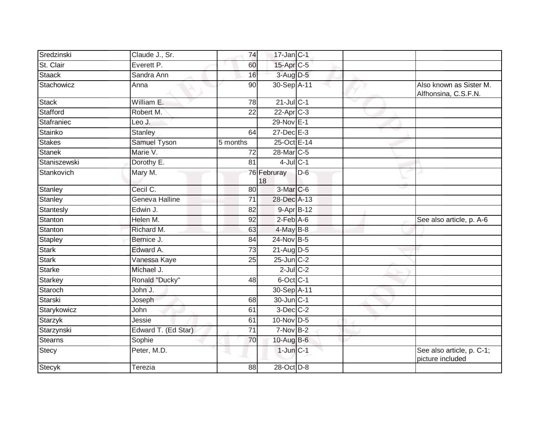| Sredzinski     | Claude J., Sr.      | 74              | 17-Jan C-1              |       |                                                 |
|----------------|---------------------|-----------------|-------------------------|-------|-------------------------------------------------|
| St. Clair      | Everett P.          | 60              | 15-Apr C-5              |       |                                                 |
| <b>Staack</b>  | Sandra Ann          | 16              | 3-Aug D-5               |       |                                                 |
| Stachowicz     | Anna                | 90              | 30-Sep A-11             |       | Also known as Sister M.<br>Alfhonsina, C.S.F.N. |
| <b>Stack</b>   | William E.          | 78              | $21$ -Jul C-1           |       |                                                 |
| Stafford       | Robert M.           | 22              | $22-Apr$ <sub>C-3</sub> |       |                                                 |
| Stafraniec     | Leo J.              |                 | 29-Nov E-1              |       |                                                 |
| Stainko        | <b>Stanley</b>      | 64              | $27$ -Dec $E-3$         |       |                                                 |
| <b>Stakes</b>  | Samuel Tyson        | 5 months        | 25-Oct E-14             |       |                                                 |
| <b>Stanek</b>  | Marie V.            | 72              | 28-Mar C-5              |       |                                                 |
| Staniszewski   | Dorothy E.          | 81              | $4$ -Jul $C-1$          |       |                                                 |
| Stankovich     | Mary M.             |                 | 76 Februray<br>18       | $D-6$ | ٠                                               |
| <b>Stanley</b> | Cecil C.            | $\overline{80}$ | 3-Mar C-6               |       |                                                 |
| Stanley        | Geneva Halline      | 71              | 28-Dec A-13             |       |                                                 |
| Stantesly      | Edwin J.            | 82              | 9-Apr B-12              |       |                                                 |
| Stanton        | Helen M.            | 92              | $2-Feb$ A-6             |       | See also article, p. A-6                        |
| Stanton        | Richard M.          | 63              | $4$ -May $B-8$          |       |                                                 |
| Stapley        | Bernice J.          | 84              | 24-Nov B-5              |       |                                                 |
| <b>Stark</b>   | Edward A.           | 73              | $21$ -Aug D-5           |       |                                                 |
| <b>Stark</b>   | Vanessa Kaye        | $\overline{25}$ | $25$ -Jun $C-2$         |       |                                                 |
| Starke         | Michael J.          |                 | $2$ -Jul $C-2$          |       |                                                 |
| <b>Starkey</b> | Ronald "Ducky"      | 48              | $6$ -Oct $ C-1 $        |       |                                                 |
| Staroch        | John J.             |                 | 30-Sep A-11             |       |                                                 |
| Starski        | Joseph              | 68              | 30-Jun C-1              |       |                                                 |
| Starykowicz    | John                | 61              | $3$ -Dec $C-2$          |       |                                                 |
| Starzyk        | Jessie              | 61              | 10-Nov D-5              |       |                                                 |
| Starzynski     | Edward T. (Ed Star) | 71              | $7-Nov$ B-2             |       |                                                 |
| <b>Stearns</b> | Sophie              | 70              | 10-Aug B-6              |       |                                                 |
| Stecy          | Peter, M.D.         |                 | $1$ -Jun $C-1$          |       | See also article, p. C-1;<br>picture included   |
| <b>Stecyk</b>  | Terezia             | 88              | 28-Oct D-8              |       |                                                 |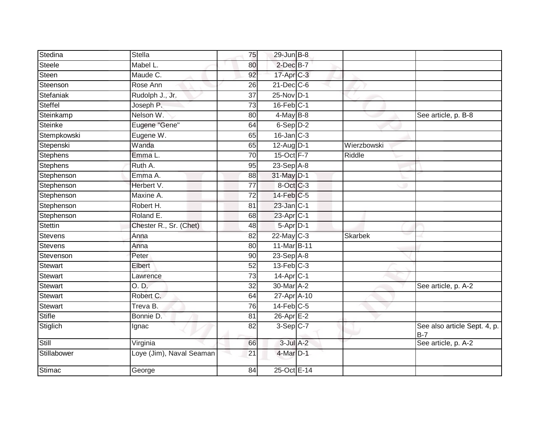| Stedina         | <b>Stella</b>            | 75              | 29-Jun B-8       |             |                                       |
|-----------------|--------------------------|-----------------|------------------|-------------|---------------------------------------|
| <b>Steele</b>   | Mabel L.                 | 80              | $2$ -Dec $B-7$   |             |                                       |
| Steen           | Maude C.                 | $\overline{92}$ | $17$ -Apr $C-3$  |             |                                       |
| Steenson        | Rose Ann                 | 26              | $21$ -Dec $C$ -6 |             |                                       |
| Stefaniak       | Rudolph J., Jr.          | $\overline{37}$ | 25-Nov D-1       |             |                                       |
| Steffel         | Joseph P.                | 73              | $16$ -Feb $C-1$  |             |                                       |
| Steinkamp       | Nelson W.                | 80              | $4$ -May B-8     |             | See article, p. B-8                   |
| Steinke         | Eugene "Gene"            | 64              | 6-Sep D-2        |             |                                       |
| Stempkowski     | Eugene W.                | 65              | $16$ -Jan $C-3$  |             |                                       |
| Stepenski       | Wanda                    | 65              | 12-Aug D-1       | Wierzbowski |                                       |
| <b>Stephens</b> | Emma L.                  | $\overline{70}$ | 15-Oct F-7       | Riddle      |                                       |
| <b>Stephens</b> | Ruth A.                  | 95              | 23-Sep A-8       |             |                                       |
| Stephenson      | Emma A.                  | 88              | 31-May D-1       |             |                                       |
| Stephenson      | Herbert V.               | 77              | 8-Oct C-3        |             |                                       |
| Stephenson      | Maxine A.                | $\overline{72}$ | $14$ -Feb $C-5$  |             |                                       |
| Stephenson      | Robert H.                | 81              | $23$ -Jan $C-1$  |             |                                       |
| Stephenson      | Roland E.                | 68              | 23-Apr C-1       |             |                                       |
| Stettin         | Chester R., Sr. (Chet)   | 48              | $5-Apr$ D-1      |             |                                       |
| Stevens         | Anna                     | 82              | 22-May C-3       | Skarbek     |                                       |
| <b>Stevens</b>  | Anna                     | 80              | 11-Mar B-11      |             |                                       |
| Stevenson       | Peter                    | 90              | $23-Sep$ A-8     |             |                                       |
| <b>Stewart</b>  | Elbert                   | 52              | $13$ -Feb $C-3$  |             |                                       |
| Stewart         | Lawrence                 | 73              | 14-Apr C-1       |             |                                       |
| Stewart         | O. D.                    | 32              | 30-Mar A-2       |             | See article, p. A-2                   |
| Stewart         | Robert C.                | 64              | 27-Apr A-10      |             |                                       |
| Stewart         | Treva B.                 | 76              | $14$ -Feb $C-5$  |             |                                       |
| Stifle          | Bonnie D.                | 81              | 26-Apr E-2       |             |                                       |
| Stiglich        | Ignac                    | 82              | 3-Sep C-7        |             | See also article Sept. 4, p.<br>$B-7$ |
| Still           | Virginia                 | 66              | $3$ -Jul $A-2$   |             | See article, p. A-2                   |
| Stillabower     | Loye (Jim), Naval Seaman | 21              | 4-Mar D-1        |             |                                       |
| Stimac          | George                   | 84              | 25-Oct E-14      |             |                                       |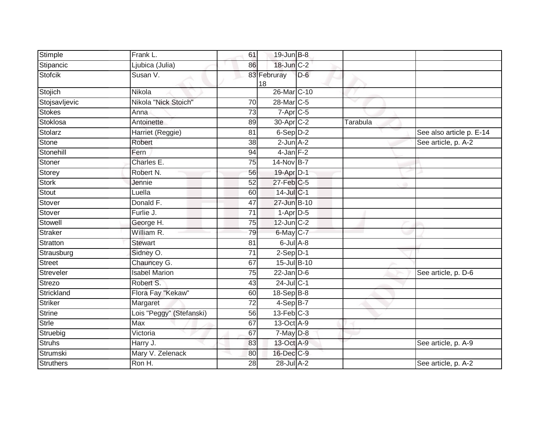| Stimple          | Frank L.                 | 61              | 19-Jun B-8            |       |          |                          |
|------------------|--------------------------|-----------------|-----------------------|-------|----------|--------------------------|
| Stipancic        | Ljubica (Julia)          | 86              | 18-Jun C-2            |       |          |                          |
| Stofcik          | Susan V.                 |                 | 83 Februray<br>18     | $D-6$ |          |                          |
| Stojich          | Nikola                   |                 | 26-Mar C-10           |       |          |                          |
| Stojsavljevic    | Nikola "Nick Stoich"     | 70              | 28-Mar <sub>C-5</sub> |       |          |                          |
| <b>Stokes</b>    | Anna                     | $\overline{73}$ | 7-Apr C-5             |       |          |                          |
| Stoklosa         | Antoinette               | 89              | 30-Apr C-2            |       | Tarabula |                          |
| Stolarz          | Harriet (Reggie)         | 81              | $6-Sep D-2$           |       |          | See also article p. E-14 |
| <b>Stone</b>     | Robert                   | 38              | $2$ -Jun $A-2$        |       |          | See article, p. A-2      |
| Stonehill        | Fern                     | 94              | $4$ -Jan $F-2$        |       |          |                          |
| Stoner           | Charles E.               | 75              | 14-Nov B-7            |       |          |                          |
| Storey           | Robert N.                | 56              | 19-Apr D-1            |       |          |                          |
| <b>Stork</b>     | Jennie                   | 52              | 27-Feb C-5            |       |          |                          |
| Stout            | Luella                   | 60              | 14-Jul C-1            |       |          |                          |
| Stover           | Donald F.                | 47              | 27-Jun B-10           |       |          |                          |
| Stover           | Furlie J.                | 71              | $1-Apr$ D-5           |       |          |                          |
| Stowell          | George H.                | 75              | $12$ -Jun $C-2$       |       |          |                          |
| Straker          | William R.               | 79              | 6-May C-7             |       |          |                          |
| Stratton         | <b>Stewart</b>           | 81              | $6$ -Jul $A$ -8       |       |          |                          |
| Strausburg       | Sidney O.                | 71              | $2-Sep$ $D-1$         |       |          |                          |
| <b>Street</b>    | Chauncey G.              | 67              | 15-Jul B-10           |       |          |                          |
| Streveler        | <b>Isabel Marion</b>     | 75              | $22$ -Jan $D-6$       |       |          | See article, p. D-6      |
| <b>Strezo</b>    | Robert S.                | 43              | 24-Jul C-1            |       |          |                          |
| Strickland       | Flora Fay "Kekaw"        | 60              | 18-Sep B-8            |       |          |                          |
| <b>Striker</b>   | Margaret                 | $\overline{72}$ | $4-SepB-7$            |       |          |                          |
| <b>Strine</b>    | Lois "Peggy" (Stefanski) | 56              | $13$ -Feb $C-3$       |       |          |                          |
| Strle            | <b>Max</b>               | 67              | 13-Oct A-9            |       |          |                          |
| Struebig         | Victoria                 | 67              | $7$ -May $D-8$        |       |          |                          |
| <b>Struhs</b>    | Harry J.                 | 83              | 13-Oct A-9            |       |          | See article, p. A-9      |
| Strumski         | Mary V. Zelenack         | 80              | 16-Dec C-9            |       |          |                          |
| <b>Struthers</b> | Ron H.                   | 28              | 28-Jul A-2            |       |          | See article, p. A-2      |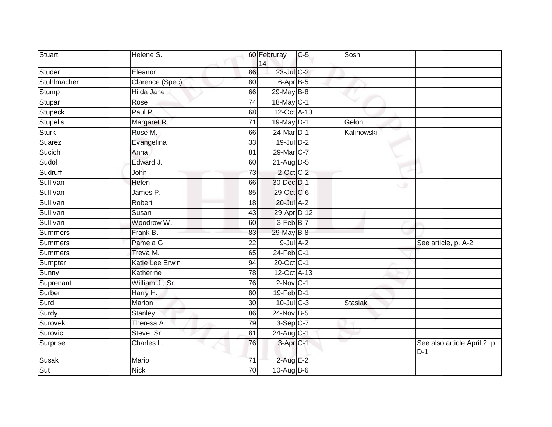| Stuart         | Helene S.       |                 | 60 Februray<br>14 | $C-5$ | Sosh           |                                       |
|----------------|-----------------|-----------------|-------------------|-------|----------------|---------------------------------------|
| Studer         | Eleanor         | 86              | 23-Jul C-2        |       |                |                                       |
| Stuhlmacher    | Clarence (Spec) | 80              | 6-Apr B-5         |       |                |                                       |
| Stump          | Hilda Jane      | 66              | 29-May B-8        |       |                |                                       |
| Stupar         | Rose            | 74              | 18-May C-1        |       |                |                                       |
| <b>Stupeck</b> | Paul P.         | 68              | 12-Oct A-13       |       |                |                                       |
| Stupelis       | Margaret R.     | $\overline{71}$ | 19-May D-1        |       | Gelon          |                                       |
| <b>Sturk</b>   | Rose M.         | 66              | 24-Mar D-1        |       | Kalinowski     |                                       |
| Suarez         | Evangelina      | 33              | $19$ -Jul $D-2$   |       |                |                                       |
| Sucich         | Anna            | 81              | 29-Mar C-7        |       |                |                                       |
| Sudol          | Edward J.       | 60              | 21-Aug D-5        |       |                |                                       |
| Sudruff        | John            | $\overline{73}$ | $2$ -Oct C-2      |       |                |                                       |
| Sullivan       | Helen           | 66              | 30-Dec D-1        |       |                |                                       |
| Sullivan       | James P.        | 85              | 29-Oct C-6        |       |                |                                       |
| Sullivan       | Robert          | 18              | 20-Jul A-2        |       |                |                                       |
| Sullivan       | Susan           | 43              | 29-Apr D-12       |       |                |                                       |
| Sullivan       | Woodrow W.      | 60              | 3-Feb B-7         |       |                |                                       |
| <b>Summers</b> | Frank B.        | 83              | 29-May B-8        |       |                |                                       |
| <b>Summers</b> | Pamela G.       | 22              | $9$ -Jul $A-2$    |       |                | See article, p. A-2                   |
| <b>Summers</b> | Treva M.        | 65              | $24$ -Feb $C-1$   |       |                |                                       |
| Sumpter        | Katie Lee Erwin | 94              | 20-Oct C-1        |       |                |                                       |
| Sunny          | Katherine       | 78              | 12-Oct A-13       |       |                |                                       |
| Suprenant      | William J., Sr. | 76              | $2$ -Nov $C-1$    |       |                |                                       |
| Surber         | Harry H.        | 80              | 19-Feb D-1        |       |                |                                       |
| Surd           | Marion          | $\overline{30}$ | 10-Jul C-3        |       | <b>Stasiak</b> |                                       |
| Surdy          | Stanley         | 86              | 24-Nov B-5        |       |                |                                       |
| Surovek        | Theresa A.      | 79              | $3-Sep$ C-7       |       |                |                                       |
| Surovic        | Steve, Sr.      | 81              | 24-Aug C-1        |       |                |                                       |
| Surprise       | Charles L.      | 76              | 3-Apr C-1         |       |                | See also article April 2, p.<br>$D-1$ |
| <b>Susak</b>   | Mario           | $\overline{71}$ | $2-AugE-2$        |       |                |                                       |
| Sut            | <b>Nick</b>     | $\overline{70}$ | 10-Aug B-6        |       |                |                                       |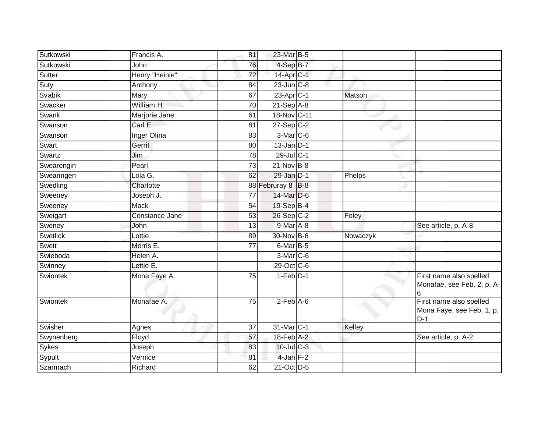| Sutkowski    | Francis A.         | 81              | 23-Mar B-5        |          |                                                               |
|--------------|--------------------|-----------------|-------------------|----------|---------------------------------------------------------------|
| Sutkowski    | John               | 76              | 4-Sep B-7         |          |                                                               |
| Sutter       | Henry "Heinie"     | $\overline{72}$ | 14-Apr C-1        |          |                                                               |
| Suty         | Anthony            | 84              | $23$ -Jun $C-8$   |          |                                                               |
| Svabik       | Mary               | 67              | $23$ -Apr $C-1$   | Matson   |                                                               |
| Swacker      | William H.         | 70              | $21-Sep$ A-8      |          |                                                               |
| Swank        | Marjorie Jane      | 61              | 18-Nov C-11       |          |                                                               |
| Swanson      | Carl E.            | 81              | $27-Sep$ C-2      |          |                                                               |
| Swanson      | <b>Inger Olina</b> | 83              | 3-Mar C-6         |          |                                                               |
| Swart        | Gerrit             | 80              | $13$ -Jan D-1     |          |                                                               |
| Swartz       | Jim                | 78              | 29-Jul C-1        |          |                                                               |
| Swearengin   | Pearl              | $\overline{73}$ | $21$ -Nov $B-8$   |          |                                                               |
| Swearingen   | Lola G.            | 62              | 29-Jan D-1        | Phelps   |                                                               |
| Swedling     | Charlotte          |                 | 88 Februray 8 B-8 |          |                                                               |
| Sweeney      | Joseph J.          | $\overline{77}$ | 14-Mar D-6        |          |                                                               |
| Sweeney      | Mack               | 54              | 19-Sep B-4        |          |                                                               |
| Sweigart     | Constance Jane     | $\overline{53}$ | 26-Sep C-2        | Foley    |                                                               |
| Sweney       | John               | 13              | 9-Mar A-8         |          | See article, p. A-8                                           |
| Swetlick     | Lottie             | 89              | 30-Nov B-6        | Nowaczyk |                                                               |
| Swett        | Morris E.          | 77              | $6$ -Mar $B$ -5   |          |                                                               |
| Swieboda     | Helen A.           |                 | 3-Mar C-6         |          |                                                               |
| Swinney      | Lettie E.          |                 | 29-Oct C-6        |          |                                                               |
| Swiontek     | Mona Faye A.       | 75              | $1-Feb$ $D-1$     |          | First name also spelled<br>Monafae, see Feb. 2, p. A-<br>6    |
| Swiontek     | Monafae A.         | 75              | $2-Feb$ A-6       |          | First name also spelled<br>Mona Faye, see Feb. 1, p.<br>$D-1$ |
| Swisher      | Agnes              | 37              | $31$ -Mar $ C-1 $ | Kelley   |                                                               |
| Swynenberg   | Floyd              | 57              | $18$ -Feb $A-2$   |          | See article, p. A-2                                           |
| <b>Sykes</b> | Joseph             | 83              | 10-Jul C-3        |          |                                                               |
| Sypult       | Vernice            | 81              | 4-Jan F-2         |          |                                                               |
| Szarmach     | Richard            | 62              | 21-Oct D-5        |          |                                                               |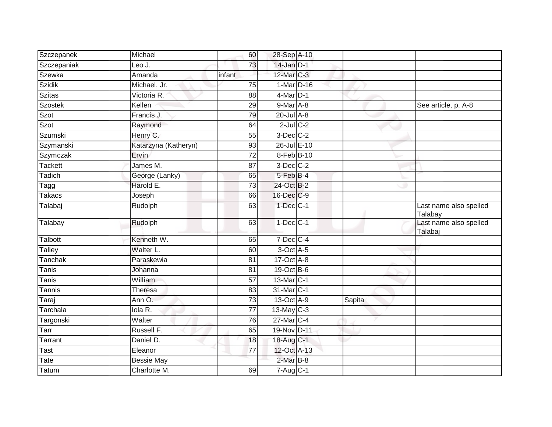| Szczepanek             | Michael              | 60              | 28-Sep A-10              |        |                                   |
|------------------------|----------------------|-----------------|--------------------------|--------|-----------------------------------|
| Szczepaniak            | Leo J.               | 73              | $14$ -Jan $D-1$          |        |                                   |
| Szewka                 | Amanda               | infant          | 12-Mar C-3               |        |                                   |
| <b>Szidik</b>          | Michael, Jr.         | 75              | $1-Mar$ D-16             |        |                                   |
| <b>Szitas</b>          | Victoria R.          | 88              | $4$ -Mar $D-1$           |        |                                   |
| <b>Szostek</b>         | Kellen               | 29              | 9-Mar A-8                |        | See article, p. A-8               |
| Szot                   | Francis J.           | 79              | $20$ -Jul $A-8$          |        |                                   |
| Szot                   | Raymond              | 64              | $2$ -Jul $C-2$           |        |                                   |
| <b>Szumski</b>         | Henry C.             | 55              | $3$ -Dec $C-2$           |        |                                   |
| Szymanski              | Katarzyna (Katheryn) | 93              | 26-Jul E-10              |        |                                   |
| Szymczak               | Ervin                | $\overline{72}$ | 8-Feb B-10               |        |                                   |
| Tackett                | James M.             | 87              | $3-Dec$ $C-2$            |        |                                   |
| Tadich                 | George (Lanky)       | 65              | 5-Feb B-4                |        |                                   |
| Tagg                   | Harold E.            | 73              | 24-Oct B-2               |        |                                   |
| Takacs                 | Joseph               | 66              | 16-Dec C-9               |        |                                   |
| Talabaj                | Rudolph              | 63              | $1-Dec$ $C-1$            |        | Last name also spelled<br>Talabay |
| Talabay                | Rudolph              | 63              | $1-Dec$ $C-1$            |        | Last name also spelled<br>Talabaj |
| Talbott                | Kenneth W.           | 65              | 7-Dec C-4                |        |                                   |
| Talley                 | Walter L.            | 60              | $3$ -Oct $A$ -5          |        |                                   |
| <b>Tanchak</b>         | Paraskewia           | 81              | 17-Oct A-8               |        |                                   |
| Tanis                  | Johanna              | 81              | 19-Oct B-6               |        |                                   |
| $T$ ani $\overline{s}$ | <b>William</b>       | $\overline{57}$ | 13-Mar C-1               |        |                                   |
| <b>Tannis</b>          | Theresa              | 83              | 31-Mar C-1               |        |                                   |
| Taraj                  | Ann O.               | $\overline{73}$ | 13-Oct A-9               | Sapita |                                   |
| Tarchala               | Iola R.              | $\overline{77}$ | 13-May C-3               |        |                                   |
| Targonski              | Walter               | 76              | 27-Mar C-4               |        |                                   |
| Tarr                   | Russell F.           | 65              | 19-Nov D-11              |        |                                   |
| Tarrant                | Daniel D.            | 18              | 18-Aug C-1               |        |                                   |
| Tast                   | Eleanor              | 77              | 12-Oct A-13              |        |                                   |
| Tate                   | <b>Bessie May</b>    |                 | 2-Mar B-8                |        |                                   |
| Tatum                  | Charlotte M.         | 69              | $7 - \overline{Aug}$ C-1 |        |                                   |
|                        |                      |                 |                          |        |                                   |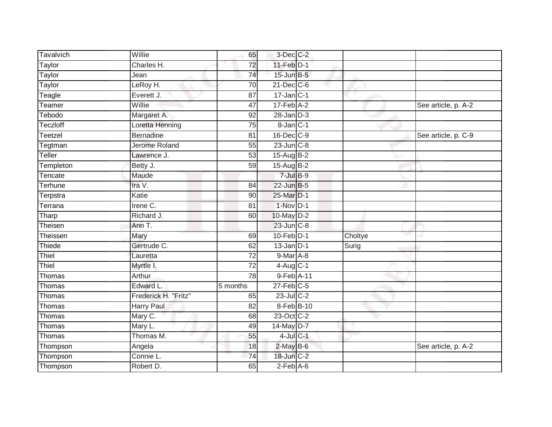| Tavalvich | Willie               | 65              | 3-Dec C-2         |         |                     |
|-----------|----------------------|-----------------|-------------------|---------|---------------------|
| Taylor    | Charles H.           | 72              | $11-Feb$ D-1      |         |                     |
| Taylor    | Jean                 | 74              | $15$ -Jun $B - 5$ |         |                     |
| Taylor    | LeRoy H.             | 70              | $21$ -Dec $C$ -6  |         |                     |
| Teagle    | Everett J.           | 87              | $17$ -Jan $ C-1 $ |         |                     |
| Teamer    | Willie               | 47              | $17$ -Feb $A-2$   |         | See article, p. A-2 |
| Tebodo    | Margaret A.          | 92              | $28$ -Jan $D-3$   |         |                     |
| Teczloff  | Loretta Henning      | 75              | 8-Jan C-1         |         |                     |
| Teetzel   | <b>Bernadine</b>     | 81              | 16-Dec C-9        |         | See article, p. C-9 |
| Tegtman   | Jerome Roland        | $\overline{55}$ | $23$ -Jun $C-8$   |         |                     |
| Teller    | Lawrence J.          | 53              | $15$ -AugB-2      |         |                     |
| Templeton | Betty J.             | 59              | $15$ -Aug $B$ -2  |         |                     |
| Tencate   | Maude                |                 | $7$ -Jul $B-9$    |         |                     |
| Terhune   | Ira V.               | 84              | 22-Jun B-5        |         |                     |
| Terpstra  | Katie                | 90              | 25-Mar D-1        |         |                     |
| Terrana   | Irene C.             | 81              | $1-Nov$ D-1       |         |                     |
| Tharp     | Richard J.           | 60              | 10-May D-2        |         |                     |
| Theisen   | Ann T.               |                 | 23-Jun C-8        |         |                     |
| Theissen  | Mary                 | 69              | 10-Feb D-1        | Choltye |                     |
| Thiede    | Gertrude C.          | 62              | $13$ -Jan D-1     | Surig   |                     |
| Thiel     | Lauretta             | 72              | 9-Mar A-8         |         |                     |
| Thiel     | Myrtle I.            | $\overline{72}$ | $4-Aug$ $C-1$     |         |                     |
| Thomas    | <b>Arthur</b>        | 78              | 9-Feb A-11        |         |                     |
| Thomas    | Edward L.            | 5 months        | $27$ -Feb $C-5$   |         |                     |
| Thomas    | Frederick H. "Fritz" | 65              | $23$ -Jul C-2     |         |                     |
| Thomas    | <b>Harry Paul</b>    | 82              | 8-Feb B-10        |         |                     |
| Thomas    | Mary C.              | 68              | 23-Oct C-2        |         |                     |
| Thomas    | Mary L.              | 49              | 14-May D-7        |         |                     |
| Thomas    | Thomas M.            | 55              | $4$ -Jul $C-1$    |         |                     |
| Thompson  | Angela               | 18              | $2$ -May $B$ -6   |         | See article, p. A-2 |
| Thompson  | Connie L.            | 74              | 18-Jun C-2        |         |                     |
| Thompson  | Robert D.            | 65              | $2-Feb$ A-6       |         |                     |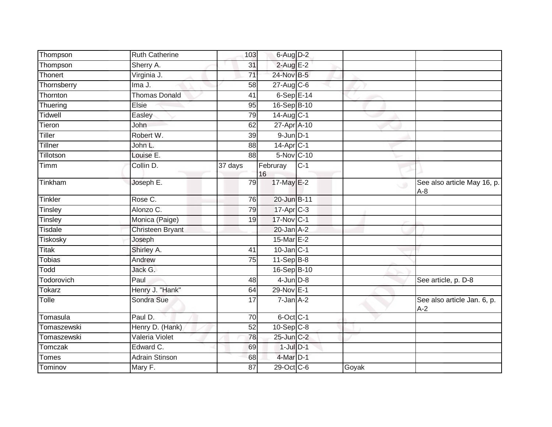| Thompson       | <b>Ruth Catherine</b> | 103             | $6$ -Aug $D-2$  |       |         |                                      |
|----------------|-----------------------|-----------------|-----------------|-------|---------|--------------------------------------|
| Thompson       | Sherry A.             | 31              | $2$ -Aug E-2    |       |         |                                      |
| Thonert        | Virginia J.           | 71              | 24-Nov B-5      |       |         |                                      |
| Thornsberry    | Ima J.                | 58              | $27$ -Aug C-6   |       |         |                                      |
| Thornton       | <b>Thomas Donald</b>  | 41              | $6-Sep$ E-14    |       |         |                                      |
| Thuering       | Elsie                 | $\overline{95}$ | 16-Sep B-10     |       |         |                                      |
| Tidwell        | Easley                | 79              | $14$ -Aug C-1   |       |         |                                      |
| Tieron         | John                  | 62              | 27-Apr A-10     |       |         |                                      |
| Tiller         | Robert W.             | 39              | $9$ -Jun $D-1$  |       |         |                                      |
| <b>Tillner</b> | John L.               | $\overline{88}$ | 14-Apr C-1      |       |         |                                      |
| Tillotson      | Louise E.             | 88              | 5-Nov C-10      |       |         |                                      |
| Timm           | Collin D.             | 37 days         | Februray        | $C-1$ |         |                                      |
|                |                       |                 | 16              |       |         |                                      |
| Tinkham        | Joseph E.             | 79              | 17-May E-2      |       | $\circ$ | See also article May 16, p.<br>$A-8$ |
| Tinkler        | Rose C.               | 76              | 20-Jun B-11     |       |         |                                      |
| Tinsley        | Alonzo C.             | 79              | 17-Apr C-3      |       |         |                                      |
| Tinsley        | Monica (Paige)        | 19              | 17-Nov C-1      |       |         |                                      |
| Tisdale        | Christeen Bryant      |                 | $20$ -Jan $A-2$ |       |         |                                      |
| Tiskosky       | Joseph                |                 | 15-Mar E-2      |       |         |                                      |
| <b>Titak</b>   | Shirley A.            | 41              | $10$ -Jan C-1   |       |         |                                      |
| <b>Tobias</b>  | Andrew                | 75              | $11-SepB-8$     |       |         |                                      |
| Todd           | Jack G.               |                 | 16-Sep B-10     |       |         |                                      |
| Todorovich     | Paul                  | 48              | $4$ -Jun $D-8$  |       |         | See article, p. D-8                  |
| Tokarz         | Henry J. "Hank"       | 64              | 29-Nov E-1      |       |         |                                      |
| Tolle          | Sondra Sue            | 17              | $7 - Jan A - 2$ |       |         | See also article Jan. 6, p.<br>$A-2$ |
| Tomasula       | Paul D.               | 70              | $6$ -Oct $C-1$  |       |         |                                      |
| Tomaszewski    | Henry D. (Hank)       | 52              | $10-Sep$ $C-8$  |       |         |                                      |
| Tomaszewski    | Valeria Violet        | 78              | $25$ -Jun $C-2$ |       |         |                                      |
| Tomczak        | Edward C.             | 69              | $1$ -Jul $D-1$  |       |         |                                      |
| Tomes          | <b>Adrain Stinson</b> | 68              | 4-Mar D-1       |       |         |                                      |
| Tominov        | Mary F.               | $\overline{87}$ | 29-Oct C-6      |       | Goyak   |                                      |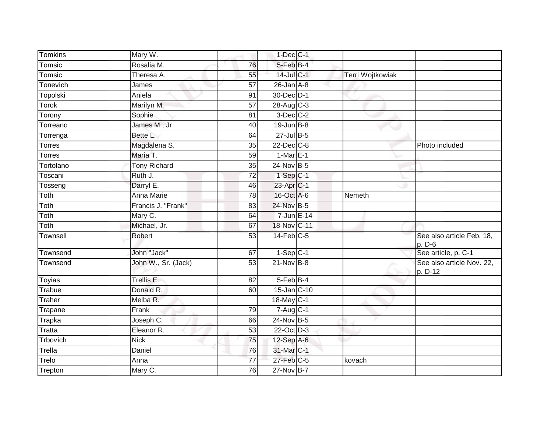| <b>Tomkins</b> | Mary W.             |                 | $1$ -Dec $C-1$         |                  |                                      |
|----------------|---------------------|-----------------|------------------------|------------------|--------------------------------------|
| Tomsic         | Rosalia M.          | 76              | 5-Feb B-4              |                  |                                      |
| Tomsic         | Theresa A.          | 55              | 14-Jul C-1             | Terri Wojtkowiak |                                      |
| Tonevich       | James               | 57              | $26$ -Jan $A$ -8       |                  |                                      |
| Topolski       | Aniela              | 91              | 30-Dec D-1             |                  |                                      |
| <b>Torok</b>   | Marilyn M.          | $\overline{57}$ | 28-Aug C-3             |                  |                                      |
| Torony         | Sophie              | 81              | $3$ -Dec $C-2$         |                  |                                      |
| Torreano       | James M., Jr.       | 40              | $19$ -Jun $B - 8$      |                  |                                      |
| Torrenga       | Bette L.            | 64              | $27$ -Jul B-5          |                  |                                      |
| Torres         | Magdalena S.        | 35              | 22-Dec C-8             |                  | Photo included                       |
| <b>Torres</b>  | Maria T.            | 59              | $1-MarE-1$             |                  |                                      |
| Tortolano      | <b>Tony Richard</b> | 35              | $24$ -Nov B-5          |                  |                                      |
| Toscani        | Ruth J.             | $\overline{72}$ | $1-Sep$ C-1            |                  |                                      |
| Tosseng        | Darryl E.           | 46              | 23-Apr <sub>IC-1</sub> |                  |                                      |
| Toth           | Anna Marie          | $\overline{78}$ | 16-Oct A-6             | Nemeth           |                                      |
| Toth           | Francis J. "Frank"  | 83              | 24-Nov B-5             |                  |                                      |
| Toth           | Mary C.             | 64              | 7-Jun E-14             |                  |                                      |
| Toth           | Michael, Jr.        | 67              | 18-Nov C-11            |                  |                                      |
| Townsell       | Robert              | 53              | 14-Feb C-5             |                  | See also article Feb. 18,<br>p. D-6  |
| Townsend       | John "Jack"         | 67              | $1-Sep$ C-1            |                  | See article, p. C-1                  |
| Townsend       | John W., Sr. (Jack) | $\overline{53}$ | $21-Nov$ B-8           |                  | See also article Nov. 22,<br>p. D-12 |
| Toyias         | Trellis E.          | 82              | 5-Feb B-4              |                  |                                      |
| Trabue         | Donald R.           | 60              | 15-Jan C-10            |                  |                                      |
| Traher         | Melba R.            |                 | 18-May C-1             |                  |                                      |
| Trapane        | Frank               | 79              | $7-Aug$ C-1            |                  |                                      |
| Trapka         | Joseph C.           | 66              | 24-Nov B-5             |                  |                                      |
| <b>Tratta</b>  | Eleanor R.          | 53              | 22-Oct D-3             |                  |                                      |
| Trbovich       | <b>Nick</b>         | 75              | 12-Sep A-6             |                  |                                      |
| Trella         | Daniel              | 76              | 31-Mar C-1             |                  |                                      |
| Trelo          | Anna                | $\overline{77}$ | 27-Feb C-5             | kovach           |                                      |
| Trepton        | Mary C.             | 76              | 27-Nov B-7             |                  |                                      |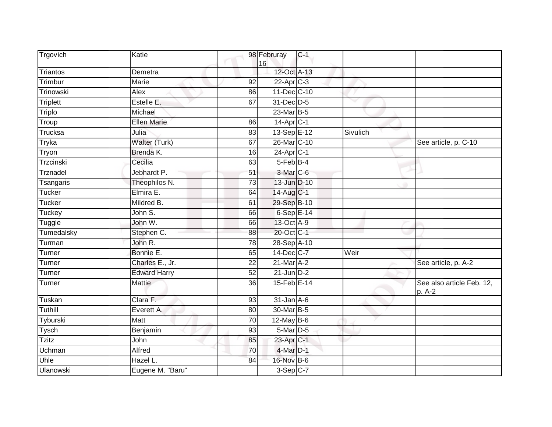| Trgovich         | Katie               |                 | 98 Februray<br>16       | $C-1$ |          |                                     |
|------------------|---------------------|-----------------|-------------------------|-------|----------|-------------------------------------|
| <b>Triantos</b>  | Demetra             |                 | 12-Oct A-13             |       |          |                                     |
| Trimbur          | <b>Marie</b>        | 92              | $22-Apr$ <sub>C-3</sub> |       |          |                                     |
| Trinowski        | Alex                | 86              | 11-Dec C-10             |       |          |                                     |
| <b>Triplett</b>  | Estelle E.          | 67              | 31-Dec D-5              |       |          |                                     |
| Triplo           | Michael             |                 | 23-Mar B-5              |       |          |                                     |
| Troup            | <b>Ellen Marie</b>  | 86              | $14-Apr$ <sub>C-1</sub> |       |          |                                     |
| Trucksa          | Julia               | 83              | 13-Sep E-12             |       | Sivulich |                                     |
| Tryka            | Walter (Turk)       | 67              | 26-Mar C-10             |       |          | See article, p. C-10                |
| Tryon            | Brenda K.           | 16              | $24-Apr$ <sub>C-1</sub> |       |          |                                     |
| Trzcinski        | Cecilia             | 63              | 5-Feb B-4               |       |          |                                     |
| Trznadel         | Jebhardt P.         | 51              | 3-Mar C-6               |       |          |                                     |
| Tsangaris        | Theophilos N.       | $\overline{73}$ | 13-Jun D-10             |       |          |                                     |
| <b>Tucker</b>    | Elmira E.           | 64              | 14-Aug C-1              |       |          |                                     |
| <b>Tucker</b>    | Mildred B.          | 61              | 29-Sep B-10             |       |          |                                     |
| Tuckey           | John S.             | 66              | 6-Sep E-14              |       |          |                                     |
| Tuggle           | John W.             | 66              | 13-Oct A-9              |       |          |                                     |
| Tumedalsky       | Stephen C.          | 88              | 20-Oct C-1              |       |          |                                     |
| Turman           | John R.             | 78              | 28-Sep A-10             |       |          |                                     |
| Turner           | Bonnie E.           | 65              | 14-Dec C-7              |       | Weir     |                                     |
| Turner           | Charles E., Jr.     | 22              | 21-Mar A-2              |       |          | See article, p. A-2                 |
| Turner           | <b>Edward Harry</b> | 52              | $21$ -Jun $D-2$         |       |          |                                     |
| Turner           | <b>Mattie</b>       | 36              | 15-Feb <sup>E-14</sup>  |       |          | See also article Feb. 12,<br>p. A-2 |
| Tuskan           | Clara F.            | 93              | $31$ -Jan $A-6$         |       |          |                                     |
| Tuthill          | Everett A.          | 80              | 30-Mar B-5              |       |          |                                     |
| <b>Tyburski</b>  | Matt                | 70              | $12$ -May B-6           |       |          |                                     |
| Tysch            | Benjamin            | 93              | 5-Mar D-5               |       |          |                                     |
| <b>Tzitz</b>     | John                | 85              | 23-Apr <sub>C-1</sub>   |       |          |                                     |
| Uchman           | Alfred              | 70              | 4-Mar D-1               |       |          |                                     |
| Uhle             | Hazel L.            | 84              | 16-Nov B-6              |       |          |                                     |
| <b>Ulanowski</b> | Eugene M. "Baru"    |                 | $3-Sep$ $C-7$           |       |          |                                     |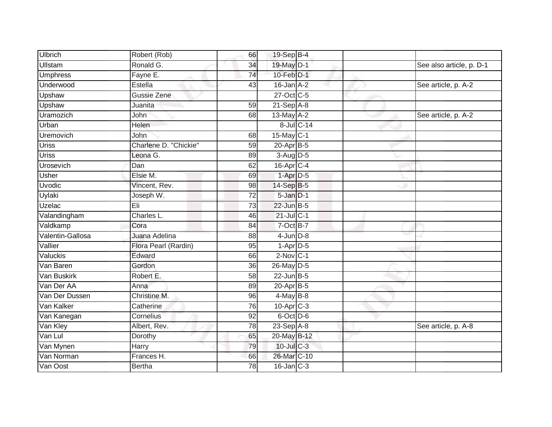| <b>Ulbrich</b>   | Robert (Rob)          | 66              | 19-Sep B-4           |            |                          |
|------------------|-----------------------|-----------------|----------------------|------------|--------------------------|
| <b>Ullstam</b>   | Ronald G.             | 34              | 19-May D-1           |            | See also article, p. D-1 |
| <b>Umphress</b>  | Fayne E.              | 74              | 10-Feb D-1           |            |                          |
| Underwood        | Estella               | 43              | $16$ -Jan $A$ -2     |            | See article, p. A-2      |
| Upshaw           | Gussie Zene           |                 | 27-Oct C-5           |            |                          |
| Upshaw           | Juanita               | 59              | $21-Sep$ A-8         |            |                          |
| Uramozich        | John                  | 68              | 13-May A-2           |            | See article, p. A-2      |
| Urban            | Helen                 |                 |                      | 8-Jul C-14 |                          |
| Uremovich        | John                  | 68              | 15-May C-1           |            |                          |
| <b>Uriss</b>     | Charlene D. "Chickie" | 59              | $20-Apr$ B-5         |            |                          |
| <b>Uriss</b>     | Leona G.              | 89              | $3-Aug$ D-5          |            |                          |
| Urosevich        | Dan                   | 62              | $16$ -Apr $C-4$      |            |                          |
| Usher            | Elsie M.              | 69              | 1-Apr <sub>D-5</sub> |            |                          |
| Uvodic           | Vincent, Rev.         | 98              | 14-Sep B-5           |            |                          |
| Uylaki           | Joseph W.             | $\overline{72}$ | 5-Jan D-1            |            |                          |
| Uzelac           | Eli                   | 73              | $22$ -Jun $B-5$      |            |                          |
| Valandingham     | Charles L.            | 46              | $21$ -Jul $C-1$      |            |                          |
| Valdkamp         | Cora                  | 84              | 7-Oct B-7            |            |                          |
| Valentin-Gallosa | Juana Adelina         | 88              | $4$ -Jun $D-8$       |            |                          |
| Vallier          | Flora Pearl (Rardin)  | 95              | $1-Apr$ D-5          |            |                          |
| Valuckis         | Edward                | 66              | $2-Nov$ C-1          |            |                          |
| Van Baren        | Gordon                | 36              | 26-May D-5           |            |                          |
| Van Buskirk      | Robert E.             | 58              | $22$ -Jun $B-5$      |            |                          |
| Van Der AA       | Anna                  | 89              | $20$ -Apr $B-5$      |            |                          |
| Van Der Dussen   | Christine M.          | 96              | $4$ -May B-8         |            |                          |
| Van Kalker       | Catherine             | 76              | $10$ -Apr $C-3$      |            |                          |
| Van Kanegan      | Cornelius             | 92              | 6-Oct D-6            |            |                          |
| Van Kley         | Albert, Rev.          | 78              | $23-Sep$ A-8         |            | See article, p. A-8      |
| Van Lul          | Dorothy               | 65              | 20-May B-12          |            |                          |
| Van Mynen        | Harry                 | 79              | $10$ -Jul $C-3$      |            |                          |
| Van Norman       | Frances H.            | 66              | 26-Mar C-10          |            |                          |
| Van Oost         | <b>Bertha</b>         | $\overline{78}$ | $16$ -Jan $C-3$      |            |                          |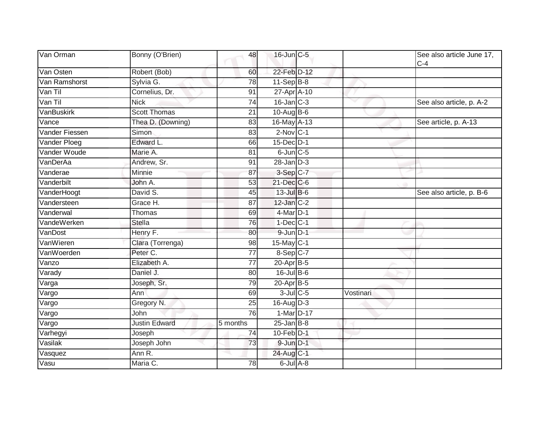| Van Orman             | Bonny (O'Brien)      | 48              | 16-Jun C-5                 |           | See also article June 17,<br>$C-4$ |
|-----------------------|----------------------|-----------------|----------------------------|-----------|------------------------------------|
| Van Osten             | Robert (Bob)         | 60              | 22-Feb D-12                |           |                                    |
| Van Ramshorst         | Sylvia G.            | $\overline{78}$ | $11$ -Sep B-8              |           |                                    |
| Van Til               | Cornelius, Dr.       | 91              | 27-Apr A-10                |           |                                    |
| Van Til               | <b>Nick</b>          | 74              | $16$ -Jan $C-3$            |           | See also article, p. A-2           |
| VanBuskirk            | <b>Scott Thomas</b>  | 21              | 10-Aug B-6                 |           |                                    |
| Vance                 | Thea D. (Downing)    | 83              | 16-May A-13                |           | See article, p. A-13               |
| <b>Vander Fiessen</b> | <b>Simon</b>         | 83              | $2-Nov$ C-1                |           |                                    |
| Vander Ploeg          | Edward L.            | 66              | 15-Dec D-1                 |           |                                    |
| Vander Woude          | Marie A.             | 81              | $6$ -Jun $C$ -5            |           |                                    |
| VanDerAa              | Andrew, Sr.          | 91              | $28$ -Jan $ D-3 $          |           |                                    |
| Vanderae              | Minnie               | 87              | 3-Sep C-7                  |           |                                    |
| Vanderbilt            | John A.              | 53              | 21-Dec C-6                 |           |                                    |
| VanderHoogt           | David S.             | 45              | $13$ -Jul B-6              |           | See also article, p. B-6           |
| Vandersteen           | Grace H.             | $\overline{87}$ | 12-Jan C-2                 |           |                                    |
| Vanderwal             | Thomas               | 69              | $4$ -Mar $\overline{D}$ -1 |           |                                    |
| VandeWerken           | <b>Stella</b>        | 76              | $1-Dec$ $C-1$              |           |                                    |
| VanDost               | Henry F.             | 80              | 9-Jun D-1                  |           |                                    |
| VanWieren             | Clara (Torrenga)     | 98              | $15$ -May C-1              |           |                                    |
| VanWoerden            | Peter C.             | $\overline{77}$ | 8-Sep C-7                  |           |                                    |
| Vanzo                 | Elizabeth A.         | 77              | 20-Apr B-5                 |           |                                    |
| Varady                | Daniel J.            | 80              | $16$ -Jul B-6              |           |                                    |
| Varga                 | Joseph, Sr.          | 79              | $20$ -Apr $B$ -5           |           |                                    |
| Vargo                 | Ann                  | 69              | $3$ -Jul $C$ -5            | Vostinari |                                    |
| Vargo                 | Gregory N.           | 25              | $16$ -Aug $D-3$            |           |                                    |
| Vargo                 | John                 | 76              | 1-Mar D-17                 |           |                                    |
| Vargo                 | <b>Justin Edward</b> | 5 months        | $25$ -Jan B-8              |           |                                    |
| Varhegyi              | Joseph               | 74              | 10-Feb D-1                 |           |                                    |
| Vasilak               | Joseph John          | 73              | $9$ -Jun $D-1$             |           |                                    |
| Vasquez               | Ann R.               |                 | 24-Aug C-1                 |           |                                    |
| Vasu                  | Maria C.             | 78              | 6-Jul A-8                  |           |                                    |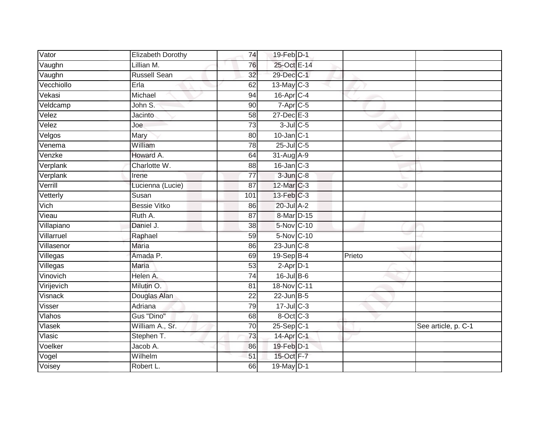| Vator      | Elizabeth Dorothy   | 74              | 19-Feb D-1               |        |                     |
|------------|---------------------|-----------------|--------------------------|--------|---------------------|
| Vaughn     | Lillian M.          | 76              | 25-Oct E-14              |        |                     |
| Vaughn     | <b>Russell Sean</b> | 32              | 29-Dec C-1               |        |                     |
| Vecchiollo | Erla                | 62              | $13$ -May C-3            |        |                     |
| Vekasi     | Michael             | 94              | 16-Apr C-4               |        |                     |
| Veldcamp   | John S.             | 90              | $7 - \overline{Apr}$ C-5 |        |                     |
| Velez      | Jacinto             | 58              | $27 - Dec$ $E-3$         |        |                     |
| Velez      | Joe                 | 73              | $3$ -Jul $C$ -5          |        |                     |
| Velgos     | Mary                | 80              | $10$ -Jan $ C-1 $        |        |                     |
| Venema     | William             | $\overline{78}$ | 25-Jul C-5               |        |                     |
| Venzke     | Howard A.           | 64              | 31-Aug A-9               |        |                     |
| Verplank   | Charlotte W.        | 88              | $16$ -Jan $C-3$          |        |                     |
| Verplank   | Irene               | 77              | $3$ -Jun $C-8$           |        |                     |
| Verrill    | Lucienna (Lucie)    | 87              | 12-Mar C-3               |        |                     |
| Vetterly   | Susan               | 101             | 13-Feb C-3               |        |                     |
| Vich       | <b>Bessie Vitko</b> | 86              | 20-Jul A-2               |        |                     |
| Vieau      | Ruth A.             | $\overline{87}$ | 8-Mar D-15               |        |                     |
| Villapiano | Daniel J.           | 38              | 5-Nov C-10               |        |                     |
| Villarruel | Raphael             | 59              | 5-Nov C-10               |        |                     |
| Villasenor | <b>Maria</b>        | 86              | $23$ -Jun $C-8$          |        |                     |
| Villegas   | Amada P.            | 69              | 19-Sep B-4               | Prieto |                     |
| Villegas   | Maria               | 53              | $2-Apr$ D-1              |        |                     |
| Vinovich   | Helen A.            | 74              | $16$ -Jul B-6            |        |                     |
| Virijevich | Milutin O.          | 81              | 18-Nov C-11              |        |                     |
| Visnack    | Douglas Alan        | 22              | $22$ -Jun $B-5$          |        |                     |
| Visser     | Adriana             | 79              | $17 -$ Jul C-3           |        |                     |
| Vlahos     | Gus "Dino"          | 68              | 8-Oct C-3                |        |                     |
| Vlasek     | William A., Sr.     | 70              | $25-Sep C-1$             |        | See article, p. C-1 |
| Vlasic     | Stephen T.          | 73              | 14-Apr <sub>C-1</sub>    |        |                     |
| Voelker    | Jacob A.            | 86              | 19-Feb D-1               |        |                     |
| Vogel      | Wilhelm             | 51              | 15-Oct F-7               |        |                     |
| Voisey     | Robert L.           | 66              | 19-May D-1               |        |                     |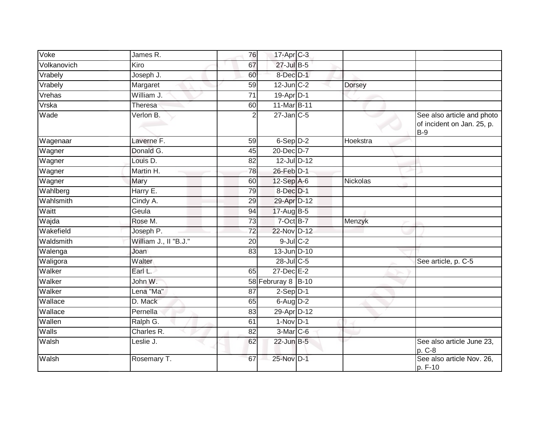| Voke         | James R.              | 76              | 17-Apr C-3         |               |                                                                   |
|--------------|-----------------------|-----------------|--------------------|---------------|-------------------------------------------------------------------|
| Volkanovich  | Kiro                  | 67              | 27-Jul B-5         |               |                                                                   |
| Vrabely      | Joseph J.             | 60              | 8-Dec D-1          |               |                                                                   |
| Vrabely      | Margaret              | 59              | $12$ -Jun $C-2$    | <b>Dorsey</b> |                                                                   |
| Vrehas       | William J.            | $\overline{71}$ | 19-Apr D-1         |               |                                                                   |
| Vrska        | <b>Theresa</b>        | 60              | 11-Mar B-11        |               |                                                                   |
| Wade         | Verlon B.             | $\overline{2}$  | $27$ -Jan $C$ -5   |               | See also article and photo<br>of incident on Jan. 25, p.<br>$B-9$ |
| Wagenaar     | Laverne F.            | 59              | $6-Sep$ $D-2$      | Hoekstra      |                                                                   |
| Wagner       | Donald G.             | 45              | 20-Dec D-7         |               |                                                                   |
| Wagner       | Louis D.              | 82              | 12-Jul D-12        |               |                                                                   |
| Wagner       | Martin H.             | 78              | 26-Feb D-1         |               |                                                                   |
| Wagner       | <b>Mary</b>           | 60              | 12-Sep A-6         | Nickolas      |                                                                   |
| Wahlberg     | Harry E.              | 79              | 8-Dec D-1          |               |                                                                   |
| Wahlsmith    | Cindy A.              | 29              | 29-Apr D-12        |               |                                                                   |
| Waitt        | Geula                 | 94              | 17-Aug B-5         |               |                                                                   |
| Wajda        | Rose M.               | 73              | 7-Oct B-7          | Menzyk        |                                                                   |
| Wakefield    | Joseph P.             | $\overline{72}$ | 22-Nov D-12        |               |                                                                   |
| Waldsmith    | William J., II "B.J." | 20              | $9$ -JulC-2        |               |                                                                   |
| Walenga      | Joan                  | 83              | 13-Jun D-10        |               |                                                                   |
| Waligora     | Walter                |                 | $28$ -Jul C-5      |               | See article, p. C-5                                               |
| Walker       | Earl L.               | 65              | $27$ -Dec $E-2$    |               |                                                                   |
| Walker       | John W.               |                 | 58 Februray 8 B-10 |               |                                                                   |
| Walker       | Lena "Ma"             | $\overline{87}$ | $2-Sep$ $D-1$      |               |                                                                   |
| Wallace      | D. Mack               | 65              | $6$ -Aug $D-2$     |               |                                                                   |
| Wallace      | Pernella              | 83              | 29-Apr D-12        |               |                                                                   |
| Wallen       | Ralph G.              | 61              | $1-Nov$ D-1        |               |                                                                   |
| <b>Walls</b> | Charles R.            | 82              | $3-Mar$ C-6        |               |                                                                   |
| Walsh        | Leslie J.             | 62              | $22$ -Jun $B-5$    |               | See also article June 23,<br>p. C-8                               |
| Walsh        | Rosemary T.           | 67              | 25-Nov D-1         |               | See also article Nov. 26,<br>p. F-10                              |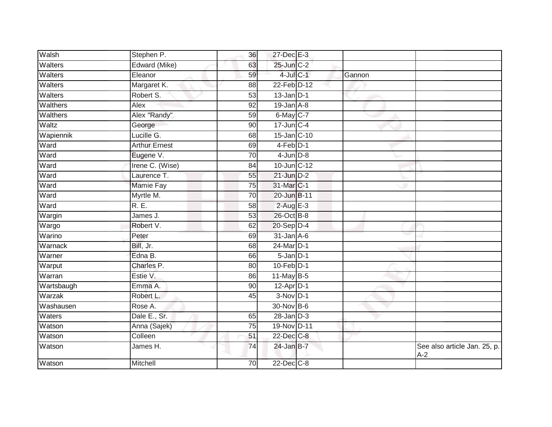| Walsh      | Stephen P.           | 36              | 27-Dec E-3         |        |                                       |
|------------|----------------------|-----------------|--------------------|--------|---------------------------------------|
| Walters    | Edward (Mike)        | 63              | 25-Jun C-2         |        |                                       |
| Walters    | Eleanor              | 59              | $4$ -Jul $C-1$     | Gannon |                                       |
| Walters    | Margaret K.          | 88              | 22-Feb D-12        |        |                                       |
| Walters    | Robert S.            | 53              | $13$ -Jan D-1      |        |                                       |
| Walthers   | Alex                 | 92              | $19$ -Jan $A-8$    |        |                                       |
| Walthers   | Alex "Randy"         | 59              | $6$ -May $C$ -7    |        |                                       |
| Waltz      | George               | 90              | $17 - Jun$ $C - 4$ |        |                                       |
| Wapiennik  | Lucille G.           | 68              | 15-Jan C-10        |        |                                       |
| Ward       | <b>Arthur Ernest</b> | 69              | $4-Feb$ D-1        |        |                                       |
| Ward       | Eugene V.            | 70              | $4$ -Jun $D-8$     |        |                                       |
| Ward       | Irene C. (Wise)      | 84              | 10-Jun C-12        |        |                                       |
| Ward       | Laurence T.          | 55              | $21$ -Jun $D-2$    |        |                                       |
| Ward       | Mamie Fay            | 75              | 31-Mar C-1         |        |                                       |
| Ward       | Myrtle M.            | $\overline{70}$ | 20-Jun B-11        |        |                                       |
| Ward       | R.E.                 | 58              | $2-Aug$ E-3        |        |                                       |
| Wargin     | James J.             | 53              | 26-Oct B-8         |        |                                       |
| Wargo      | Robert V.            | 62              | $20-Sep$ D-4       |        |                                       |
| Warino     | Peter                | 69              | $31$ -Jan $A-6$    |        |                                       |
| Warnack    | Bill, Jr.            | 68              | 24-Mar D-1         |        |                                       |
| Warner     | Edna B.              | 66              | $5$ -Jan $D-1$     |        |                                       |
| Warput     | Charles P.           | 80              | $10$ -Feb $D-1$    |        |                                       |
| Warran     | Estie V.             | 86              | $11$ -May B-5      |        |                                       |
| Wartsbaugh | Emma A.              | 90              | $12-Apr$ D-1       |        |                                       |
| Warzak     | Robert L.            | 45              | $3-Nov$ D-1        |        |                                       |
| Washausen  | Rose A.              |                 | 30-Nov B-6         |        |                                       |
| Waters     | Dale E., Sr.         | 65              | $28 - Jan$ $D-3$   |        |                                       |
| Watson     | Anna (Sajek)         | 75              | 19-Nov D-11        |        |                                       |
| Watson     | Colleen              | 51              | 22-Dec C-8         |        |                                       |
| Watson     | James H.             | 74              | 24-Jan B-7         |        | See also article Jan. 25, p.<br>$A-2$ |
| Watson     | Mitchell             | 70              | $22$ -Dec $C-8$    |        |                                       |
|            |                      |                 |                    |        |                                       |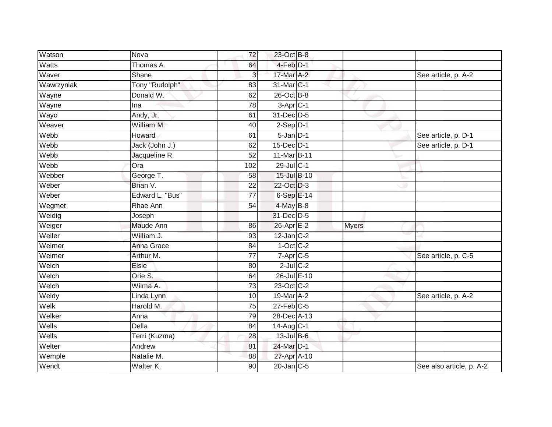| Watson     | Nova            | 72              | 23-Oct B-8             |              |                          |
|------------|-----------------|-----------------|------------------------|--------------|--------------------------|
| Watts      | Thomas A.       | 64              | $4-Feb$ D-1            |              |                          |
| Waver      | Shane           | 3               | 17-Mar A-2             |              | See article, p. A-2      |
| Wawrzyniak | Tony "Rudolph"  | 83              | 31-Mar <sub>C-1</sub>  |              |                          |
| Wayne      | Donald W.       | 62              | 26-Oct B-8             |              |                          |
| Wayne      | Ina             | $\overline{78}$ | $3-Apr$ <sub>C-1</sub> |              |                          |
| Wayo       | Andy, Jr.       | 61              | 31-Dec D-5             |              |                          |
| Weaver     | William M.      | 40              | $2-Sep$ $D-1$          |              |                          |
| Webb       | Howard          | 61              | $5$ -Jan $D-1$         |              | See article, p. D-1      |
| Webb       | Jack (John J.)  | 62              | 15-Dec D-1             |              | See article, p. D-1      |
| Webb       | Jacqueline R.   | 52              | 11-Mar B-11            |              |                          |
| Webb       | Ora             | 102             | 29-Jul C-1             |              |                          |
| Webber     | George T.       | 58              | 15-Jul B-10            |              |                          |
| Weber      | Brian V.        | 22              | 22-Oct D-3             |              |                          |
| Weber      | Edward L. "Bus" | $\overline{77}$ | 6-Sep E-14             |              |                          |
| Wegmet     | Rhae Ann        | 54              | $4$ -May B-8           |              |                          |
| Weidig     | Joseph          |                 | 31-Dec D-5             |              |                          |
| Weiger     | Maude Ann       | 86              | 26-Apr E-2             | <b>Myers</b> |                          |
| Weiler     | William J.      | 93              | $12$ -Jan $ C-2 $      |              |                          |
| Weimer     | Anna Grace      | 84              | $1-Oct$ $C-2$          |              |                          |
| Weimer     | Arthur M.       | 77              | $7 - Apr$ $C-5$        |              | See article, p. C-5      |
| Welch      | Elsie           | 80              | $2$ -Jul $C-2$         |              |                          |
| Welch      | Orie S.         | 64              | 26-Jul E-10            |              |                          |
| Welch      | Wilma A.        | $\overline{73}$ | 23-Oct C-2             |              |                          |
| Weldy      | Linda Lynn      | 10              | 19-Mar A-2             |              | See article, p. A-2      |
| Welk       | Harold M.       | 75              | $27$ -Feb $C-5$        |              |                          |
| Welker     | Anna            | 79              | 28-Dec A-13            |              |                          |
| Wells      | Della           | 84              | $14$ -Aug $C-1$        |              |                          |
| Wells      | Terri (Kuzma)   | 28              | $13$ -Jul B-6          |              |                          |
| Welter     | Andrew          | 81              | 24-Mar D-1             |              |                          |
| Wemple     | Natalie M.      | 88              | 27-Apr A-10            |              |                          |
| Wendt      | Walter K.       | $\overline{90}$ | 20-Jan C-5             |              | See also article, p. A-2 |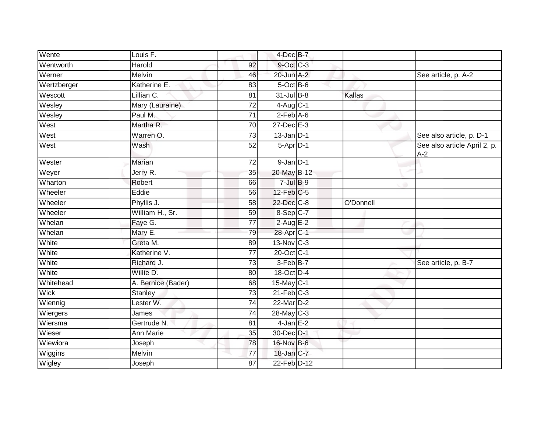| Wente       | Louis F.           |                 | 4-Dec B-7                  |               |                                       |
|-------------|--------------------|-----------------|----------------------------|---------------|---------------------------------------|
| Wentworth   | Harold             | 92              | $9$ -Oct $C$ -3            |               |                                       |
| Werner      | Melvin             | 46              | 20-Jun A-2                 |               | See article, p. A-2                   |
| Wertzberger | Katherine E.       | 83              | $5$ -Oct $\overline{B}$ -6 |               |                                       |
| Wescott     | Lillian C.         | $\overline{81}$ | $31$ -Jul B-8              | <b>Kallas</b> |                                       |
| Wesley      | Mary (Lauraine)    | 72              | $4$ -Aug C-1               |               |                                       |
| Wesley      | Paul M.            | 71              | $2-Feb$ A-6                |               |                                       |
| West        | Martha R.          | 70              | $27$ -Dec $E-3$            |               |                                       |
| West        | Warren O.          | 73              | $13$ -Jan $D-1$            |               | See also article, p. D-1              |
| West        | Wash               | 52              | 5-Apr D-1                  |               | See also article April 2, p.<br>$A-2$ |
| Wester      | <b>Marian</b>      | 72              | $9$ -Jan $D-1$             |               |                                       |
| Weyer       | Jerry R.           | 35              | 20-May B-12                |               |                                       |
| Wharton     | Robert             | 66              | $7$ -Jul $B-9$             |               |                                       |
| Wheeler     | Eddie              | 56              | $12$ -Feb $C-5$            |               |                                       |
| Wheeler     | Phyllis J.         | 58              | 22-Dec C-8                 | O'Donnell     |                                       |
| Wheeler     | William H., Sr.    | 59              | 8-Sep C-7                  |               |                                       |
| Whelan      | Faye G.            | 77              | $2$ -Aug E-2               |               |                                       |
| Whelan      | Mary E.            | 79              | 28-Apr <sub>C-1</sub>      |               |                                       |
| White       | Greta M.           | 89              | $13$ -Nov $ C-3 $          |               |                                       |
| White       | Katherine V.       | 77              | 20-Oct C-1                 |               |                                       |
| White       | Richard J.         | 73              | 3-Feb B-7                  |               | See article, p. B-7                   |
| White       | Willie D.          | 80              | 18-Oct D-4                 |               |                                       |
| Whitehead   | A. Bernice (Bader) | 68              | 15-May C-1                 |               |                                       |
| Wick        | <b>Stanley</b>     | 73              | $21$ -Feb $C-3$            |               |                                       |
| Wiennig     | Lester W.          | $\overline{74}$ | 22-Mar D-2                 |               |                                       |
| Wiergers    | James              | 74              | $28$ -May C-3              |               |                                       |
| Wiersma     | Gertrude N.        | $\overline{81}$ | $4$ -Jan $E-2$             |               |                                       |
| Wieser      | Ann Marie          | 35              | 30-Dec D-1                 |               |                                       |
| Wiewiora    | Joseph             | 78              | 16-Nov B-6                 |               |                                       |
| Wiggins     | Melvin             | 77              | 18-Jan C-7                 |               |                                       |
| Wigley      | Joseph             | 87              | 22-Feb D-12                |               |                                       |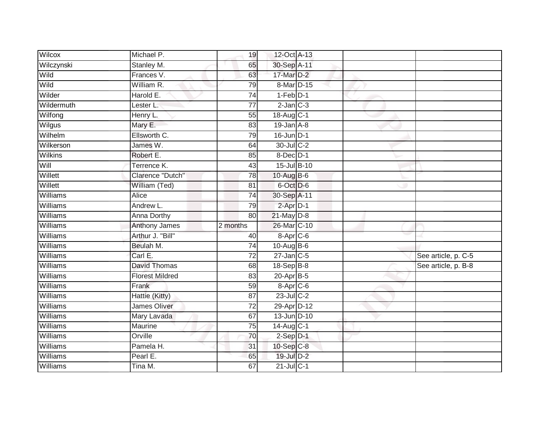| Wilcox     | Michael P.             | 19              | 12-Oct A-13     |  |                     |
|------------|------------------------|-----------------|-----------------|--|---------------------|
| Wilczynski | Stanley M.             | 65              | 30-Sep A-11     |  |                     |
| Wild       | Frances V.             | 63              | 17-Mar D-2      |  |                     |
| Wild       | William R.             | 79              | 8-Mar D-15      |  |                     |
| Wilder     | Harold E.              | $\overline{74}$ | $1-Feb$ $D-1$   |  |                     |
| Wildermuth | Lester L.              | 77              | $2$ -Jan $C-3$  |  |                     |
| Wilfong    | Henry L.               | 55              | $18$ -Aug C-1   |  |                     |
| Wilgus     | Mary E.                | 83              | $19$ -Jan $A-8$ |  |                     |
| Wilhelm    | Ellsworth C.           | 79              | $16$ -Jun $D-1$ |  |                     |
| Wilkerson  | James W.               | 64              | 30-Jul C-2      |  |                     |
| Wilkins    | Robert E.              | 85              | $8$ -Dec $D-1$  |  |                     |
| Will       | Terrence K.            | 43              | 15-Jul B-10     |  |                     |
| Willett    | Clarence "Dutch"       | 78              | 10-Aug $B-6$    |  |                     |
| Willett    | William (Ted)          | 81              | 6-Oct D-6       |  |                     |
| Williams   | Alice                  | 74              | 30-Sep A-11     |  |                     |
| Williams   | Andrew L.              | 79              | 2-Apr D-1       |  |                     |
| Williams   | <b>Anna Dorthy</b>     | 80              | $21$ -May $D-8$ |  |                     |
| Williams   | <b>Anthony James</b>   | 2 months        | 26-Mar C-10     |  |                     |
| Williams   | Arthur J. "Bill"       | 40              | 8-Apr C-6       |  |                     |
| Williams   | Beulah M.              | 74              | $10-Aug$ B-6    |  |                     |
| Williams   | Carl E.                | 72              | $27$ -Jan $C-5$ |  | See article, p. C-5 |
| Williams   | <b>David Thomas</b>    | 68              | 18-Sep B-8      |  | See article, p. B-8 |
| Williams   | <b>Florest Mildred</b> | 83              | 20-Apr B-5      |  |                     |
| Williams   | Frank                  | 59              | 8-Apr C-6       |  |                     |
| Williams   | Hattie (Kitty)         | 87              | $23$ -Jul C-2   |  |                     |
| Williams   | James Oliver           | 72              | 29-Apr D-12     |  |                     |
| Williams   | Mary Lavada            | 67              | 13-Jun D-10     |  |                     |
| Williams   | Maurine                | 75              | $14$ -Aug C-1   |  |                     |
| Williams   | Orville                | 70              | $2-Sep$ $D-1$   |  |                     |
| Williams   | Pamela H.              | 31              | 10-Sep C-8      |  |                     |
| Williams   | Pearl E.               | 65              | 19-Jul D-2      |  |                     |
| Williams   | Tina M.                | 67              | $21$ -Jul C-1   |  |                     |
|            |                        |                 |                 |  |                     |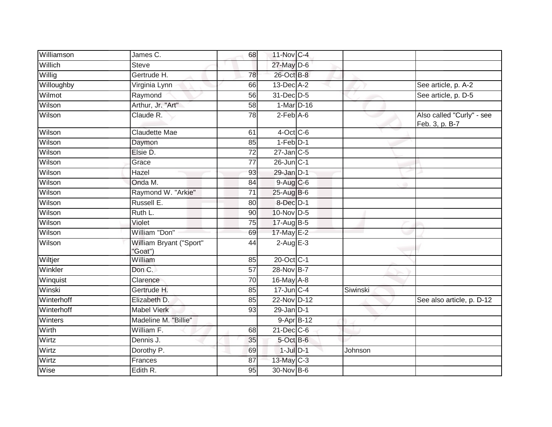| Williamson | James C.                           | 68              | 11-Nov C-4       |          |                                             |
|------------|------------------------------------|-----------------|------------------|----------|---------------------------------------------|
| Willich    | <b>Steve</b>                       |                 | 27-May D-6       |          |                                             |
| Willig     | Gertrude H.                        | 78              | 26-Oct B-8       |          |                                             |
| Willoughby | Virginia Lynn                      | 66              | $13$ -Dec $A-2$  |          | See article, p. A-2                         |
| Wilmot     | Raymond                            | 56              | 31-Dec D-5       |          | See article, p. D-5                         |
| Wilson     | Arthur, Jr. "Art"                  | $\overline{58}$ | 1-Mar D-16       |          |                                             |
| Wilson     | Claude R.                          | 78              | $2-Feb$ A-6      |          | Also called "Curly" - see<br>Feb. 3, p. B-7 |
| Wilson     | <b>Claudette Mae</b>               | 61              | $4$ -Oct C-6     |          |                                             |
| Wilson     | Daymon                             | 85              | $1-Feb$ $D-1$    |          |                                             |
| Wilson     | Elsie D.                           | 72              | $27$ -Jan $C$ -5 |          |                                             |
| Wilson     | Grace                              | 77              | $26$ -Jun $C-1$  |          |                                             |
| Wilson     | Hazel                              | 93              | $29$ -Jan $D-1$  |          |                                             |
| Wilson     | Onda M.                            | 84              | $9-Aug$ $C-6$    |          |                                             |
| Wilson     | Raymond W. "Arkie"                 | 71              | $25$ -Aug B-6    |          |                                             |
| Wilson     | Russell E.                         | 80              | 8-Dec D-1        |          |                                             |
| Wilson     | Ruth L.                            | 90              | $10$ -Nov D-5    |          |                                             |
| Wilson     | Violet                             | 75              | 17-Aug B-5       |          |                                             |
| Wilson     | William "Don"                      | 69              | 17-May E-2       |          |                                             |
| Wilson     | William Bryant ("Sport"<br>"Goat") | 44              | $2$ -Aug E-3     |          |                                             |
| Wiltjer    | William                            | 85              | 20-Oct C-1       |          |                                             |
| Winkler    | Don C.                             | $\overline{57}$ | 28-Nov B-7       |          |                                             |
| Winquist   | Clarence                           | 70              | 16-May A-8       |          |                                             |
| Winski     | Gertrude H.                        | 85              | $17$ -Jun $C-4$  | Siwinski |                                             |
| Winterhoff | Elizabeth D.                       | 85              | 22-Nov D-12      |          | See also article, p. D-12                   |
| Winterhoff | <b>Mabel Vierk</b>                 | 93              | $29$ -Jan $D-1$  |          |                                             |
| Winters    | Madeline M. "Billie"               |                 | $9 - Apr$ B-12   |          |                                             |
| Wirth      | William F.                         | 68              | $21$ -Dec $C$ -6 |          |                                             |
| Wirtz      | Dennis J.                          | 35              | 5-Oct B-6        |          |                                             |
| Wirtz      | Dorothy <sub>P.</sub>              | 69              | $1$ -Jul $D-1$   | Johnson  |                                             |
| Wirtz      | Frances                            | 87              | 13-May C-3       |          |                                             |
| Wise       | Edith R.                           | 95              | 30-Nov B-6       |          |                                             |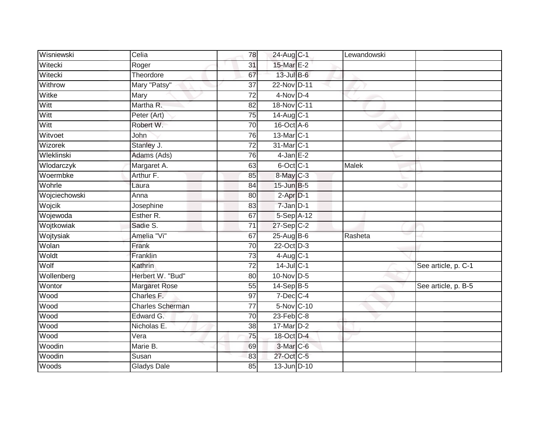| Wisniewski    | Celia                   | 78              | 24-Aug C-1                   | Lewandowski  |                     |
|---------------|-------------------------|-----------------|------------------------------|--------------|---------------------|
| Witecki       | Roger                   | 31              | 15-Mar E-2                   |              |                     |
| Witecki       | Theordore               | 67              | $13$ -Jul B-6                |              |                     |
| Withrow       | Mary "Patsy"            | 37              | 22-Nov D-11                  |              |                     |
| Witke         | Mary                    | 72              | $4-Nov$ D-4                  |              |                     |
| Witt          | Martha R.               | 82              | 18-Nov C-11                  |              |                     |
| Witt          | Peter (Art)             | 75              | $14$ -Aug $C-1$              |              |                     |
| Witt          | Robert W.               | 70              | 16-Oct A-6                   |              |                     |
| Witvoet       | John                    | 76              | 13-Mar C-1                   |              |                     |
| Wizorek       | Stanley J.              | $\overline{72}$ | 31-Mar C-1                   |              |                     |
| Wleklinski    | Adams (Ads)             | 76              | $4$ -Jan $E-2$               |              |                     |
| Wlodarczyk    | Margaret A.             | 63              | 6-Oct C-1                    | <b>Malek</b> |                     |
| Woermbke      | Arthur F.               | 85              | 8-May C-3                    |              |                     |
| Wohrle        | Laura                   | 84              | 15-Jun B-5                   |              |                     |
| Wojciechowski | Anna                    | 80              | $2$ -Apr $D-1$               |              |                     |
| Wojcik        | Josephine               | 83              | $7 - Jan$ $D-1$              |              |                     |
| Wojewoda      | Esther R.               | 67              | $5-Sep$ $A-12$               |              |                     |
| Wojtkowiak    | Sadie S.                | 71              | $27-Sep$ C-2                 |              |                     |
| Wojtysiak     | Amelia "Vi"             | 67              | $25$ -Aug $B$ -6             | Rasheta      |                     |
| Wolan         | Frank                   | 70              | 22-Oct D-3                   |              |                     |
| Woldt         | Franklin                | 73              | $4 - \text{Aug} \cdot C - 1$ |              |                     |
| Wolf          | Kathrin                 | $\overline{72}$ | $14$ -Jul C-1                |              | See article, p. C-1 |
| Wollenberg    | Herbert W. "Bud"        | 80              | $10$ -Nov D-5                |              |                     |
| Wontor        | <b>Margaret Rose</b>    | 55              | 14-Sep B-5                   |              | See article, p. B-5 |
| Wood          | Charles F.              | 97              | $7$ -Dec $C$ -4              |              |                     |
| Wood          | <b>Charles Scherman</b> | 77              | 5-Nov C-10                   |              |                     |
| Wood          | Edward G.               | 70              | $23$ -Feb $C-8$              |              |                     |
| Wood          | Nicholas E.             | 38              | 17-Mar D-2                   |              |                     |
| Wood          | Vera                    | 75              | 18-Oct D-4                   |              |                     |
| Woodin        | Marie B.                | 69              | 3-Mar C-6                    |              |                     |
| Woodin        | Susan                   | 83              | 27-Oct C-5                   |              |                     |
| Woods         | <b>Gladys Dale</b>      | 85              | 13-Jun D-10                  |              |                     |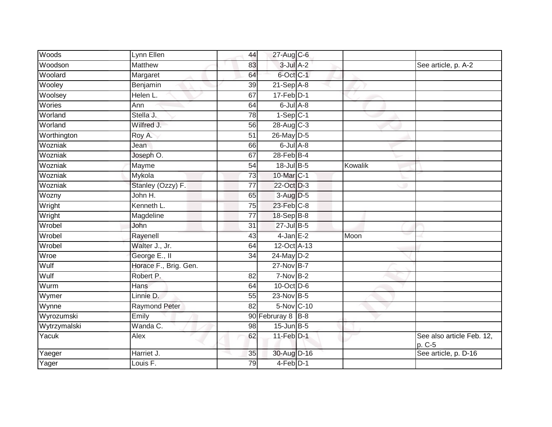| Woods        | Lynn Ellen            | 44              | 27-Aug C-6        |         |                                     |
|--------------|-----------------------|-----------------|-------------------|---------|-------------------------------------|
| Woodson      | <b>Matthew</b>        | 83              | $3$ -Jul $A-2$    |         | See article, p. A-2                 |
| Woolard      | Margaret              | 64              | 6-Oct C-1         |         |                                     |
| Wooley       | Benjamin              | 39              | $21-Sep$ A-8      |         |                                     |
| Woolsey      | Helen L.              | 67              | $17$ -Feb $D-1$   |         |                                     |
| Wories       | Ann                   | 64              | $6$ -Jul $A$ -8   |         |                                     |
| Worland      | Stella J.             | 78              | $1-Sep C-1$       |         |                                     |
| Worland      | Wilfred J.            | 56              | 28-Aug C-3        |         |                                     |
| Worthington  | Roy A.                | 51              | 26-May D-5        |         |                                     |
| Wozniak      | Jean                  | 66              | $6$ -Jul $A$ -8   |         |                                     |
| Wozniak      | Joseph O.             | 67              | $28$ -Feb $B-4$   |         |                                     |
| Wozniak      | Mayme                 | 54              | $18$ -Jul B-5     | Kowalik |                                     |
| Wozniak      | Mykola                | 73              | 10-Mar C-1        |         |                                     |
| Wozniak      | Stanley (Ozzy) F.     | $\overline{77}$ | 22-Oct D-3        |         |                                     |
| Wozny        | John H.               | 65              | 3-Aug D-5         |         |                                     |
| Wright       | Kenneth L.            | 75              | $23$ -Feb $C-8$   |         |                                     |
| Wright       | Magdeline             | $\overline{77}$ | 18-Sep B-8        |         |                                     |
| Wrobel       | John                  | 31              | 27-Jul B-5        |         |                                     |
| Wrobel       | Rayenell              | 43              | $4$ -Jan E-2      | Moon    |                                     |
| Wrobel       | Walter J., Jr.        | 64              | 12-Oct A-13       |         |                                     |
| Wroe         | George E., II         | 34              | 24-May D-2        |         |                                     |
| Wulf         | Horace F., Brig. Gen. |                 | 27-Nov B-7        |         |                                     |
| Wulf         | Robert P.             | 82              | $7-Nov$ B-2       |         |                                     |
| Wurm         | Hans                  | 64              | $10$ -Oct $D$ -6  |         |                                     |
| Wymer        | Linnie D.             | 55              | 23-Nov B-5        |         |                                     |
| Wynne        | <b>Raymond Peter</b>  | 82              | 5-Nov C-10        |         |                                     |
| Wyrozumski   | Emily                 |                 | 90 Februray 8 B-8 |         |                                     |
| Wytrzymalski | Wanda C.              | 98              | $15$ -Jun $B$ -5  |         |                                     |
| Yacuk        | Alex                  | 62              | 11-Feb D-1        |         | See also article Feb. 12,<br>p. C-5 |
| Yaeger       | Harriet J.            | 35              | 30-Aug D-16       |         | See article, p. D-16                |
| Yager        | Louis F.              | 79              | 4-Feb D-1         |         |                                     |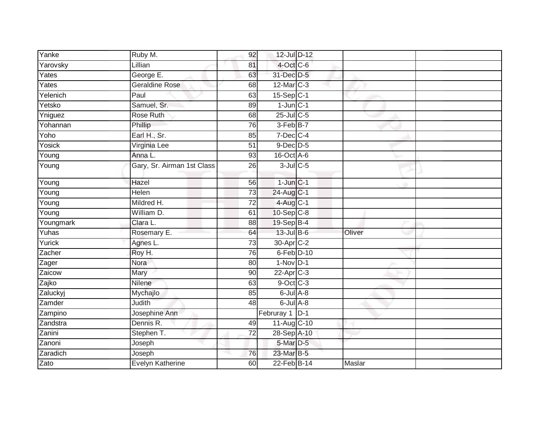| Yanke              | Ruby M.                    | 92              | 12-Jul D-12             |        |  |
|--------------------|----------------------------|-----------------|-------------------------|--------|--|
| Yarovsky           | Lillian                    | 81              | 4-Oct C-6               |        |  |
| Yates              | George E.                  | 63              | 31-Dec D-5              |        |  |
| Yates              | <b>Geraldine Rose</b>      | 68              | 12-Mar C-3              |        |  |
| Yelenich           | Paul                       | 63              | $15-Sep C-1$            |        |  |
| Yetsko             | Samuel, Sr.                | 89              | $1$ -Jun $C-1$          |        |  |
| Yniguez            | Rose Ruth                  | 68              | 25-Jul C-5              |        |  |
| Yohannan           | Phillip                    | 76              | 3-Feb B-7               |        |  |
| $\overline{Y}$ oho | Earl H., Sr.               | 85              | 7-Dec C-4               |        |  |
| Yosick             | Virginia Lee               | $\overline{51}$ | $9$ -Dec $D$ -5         |        |  |
| Young              | Anna L.                    | 93              | 16-Oct A-6              |        |  |
| Young              | Gary, Sr. Airman 1st Class | 26              | $3$ -Jul $C$ -5         |        |  |
| Young              | Hazel                      | 56              | $1$ -Jun $C-1$          |        |  |
| Young              | <b>Helen</b>               | 73              | 24-Aug C-1              |        |  |
| Young              | Mildred H.                 | $\overline{72}$ | 4-Aug C-1               |        |  |
| Young              | William D.                 | 61              | $10-Sep$ <sub>C-8</sub> |        |  |
| Youngmark          | Clara L.                   | 88              | 19-Sep B-4              |        |  |
| Yuhas              | Rosemary E.                | 64              | 13-Jul B-6              | Oliver |  |
| Yurick             | Agnes L.                   | 73              | $30$ -Apr $C-2$         |        |  |
| Zacher             | Roy H.                     | 76              | $6$ -Feb $D-10$         |        |  |
| Zager              | Nora                       | 80              | $1-Nov$ D-1             |        |  |
| Zaicow             | Mary                       | 90              | $22$ -Apr $C-3$         |        |  |
| Zajko              | Nilene                     | 63              | $9$ -Oct $C$ -3         |        |  |
| Zaluckyj           | Mychajlo                   | 85              | $6$ -Jul $A$ -8         |        |  |
| Zamder             | <b>Judith</b>              | 48              | $6$ -Jul $A-8$          |        |  |
| Zampino            | Josephine Ann              |                 | Februray 1 D-1          |        |  |
| Zandstra           | Dennis R.                  | 49              | 11-Aug C-10             |        |  |
| Zanini             | Stephen T.                 | 72              | 28-Sep A-10             |        |  |
| Zanoni             | Joseph                     |                 | 5-Mar D-5               |        |  |
| Zaradich           | Joseph                     | 76              | 23-Mar B-5              |        |  |
| $\overline{z}$ ato | Evelyn Katherine           | 60              | 22-Feb B-14             | Maslar |  |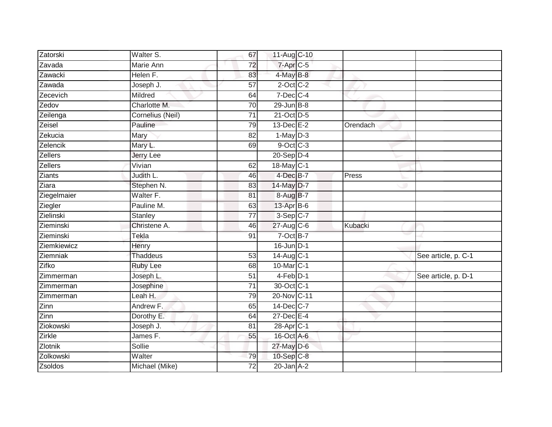| Zatorski      | Walter S.        | 67              | 11-Aug C-10           |          |                     |
|---------------|------------------|-----------------|-----------------------|----------|---------------------|
| Zavada        | Marie Ann        | 72              | 7-Apr C-5             |          |                     |
| Zawacki       | Helen F.         | 83              | 4-May B-8             |          |                     |
| Zawada        | Joseph J.        | 57              | $2$ -Oct C-2          |          |                     |
| Zecevich      | Mildred          | 64              | $7$ -Dec $C$ -4       |          |                     |
| Zedov         | Charlotte M.     | 70              | $29$ -Jun $B-8$       |          |                     |
| Zeilenga      | Cornelius (Neil) | 71              | 21-Oct D-5            |          |                     |
| Zeisel        | Pauline          | 79              | $13$ -Dec $E-2$       | Orendach |                     |
| Zekucia       | Mary             | 82              | $1-May$ D-3           |          |                     |
| Zelencik      | Mary L.          | 69              | $9$ -Oct $C$ -3       |          |                     |
| Zellers       | Jerry Lee        |                 | $20-Sep$ $D-4$        |          |                     |
| Zellers       | Vivian           | 62              | 18-May C-1            |          |                     |
| <b>Ziants</b> | Judith L.        | 46              | 4-Dec B-7             | Press    |                     |
| Ziara         | Stephen N.       | 83              | 14-May D-7            |          |                     |
| Ziegelmaier   | Walter F.        | 81              | 8-Aug B-7             |          |                     |
| Ziegler       | Pauline M.       | 63              | 13-Apr B-6            |          |                     |
| Zielinski     | Stanley          | $\overline{77}$ | $3-Sep$ C-7           |          |                     |
| Zieminski     | Christene A.     | 46              | 27-Aug C-6            | Kubacki  |                     |
| Zieminski     | Tekla            | 91              | 7-Oct B-7             |          |                     |
| Ziemkiewicz   | Henry            |                 | $16$ -Jun D-1         |          |                     |
| Ziemniak      | <b>Thaddeus</b>  | 53              | 14-Aug C-1            |          | See article, p. C-1 |
| Zifko         | <b>Ruby Lee</b>  | 68              | 10-Mar C-1            |          |                     |
| Zimmerman     | Joseph L.        | 51              | 4-Feb D-1             |          | See article, p. D-1 |
| Zimmerman     | Josephine        | $\overline{71}$ | 30-Oct C-1            |          |                     |
| Zimmerman     | Leah H.          | 79              | 20-Nov C-11           |          |                     |
| Zinn          | Andrew F.        | 65              | 14-Dec C-7            |          |                     |
| Zinn          | Dorothy E.       | 64              | $27$ -Dec $E-4$       |          |                     |
| Ziokowski     | Joseph J.        | 81              | 28-Apr <sub>C-1</sub> |          |                     |
| Zirkle        | James F.         | 55              | 16-Oct A-6            |          |                     |
| Zlotnik       | Sollie           |                 | 27-May D-6            |          |                     |
| Zolkowski     | Walter           | 79              | 10-Sep C-8            |          |                     |
| Zsoldos       | Michael (Mike)   | $\overline{72}$ | $20$ -Jan $A-2$       |          |                     |
|               |                  |                 |                       |          |                     |